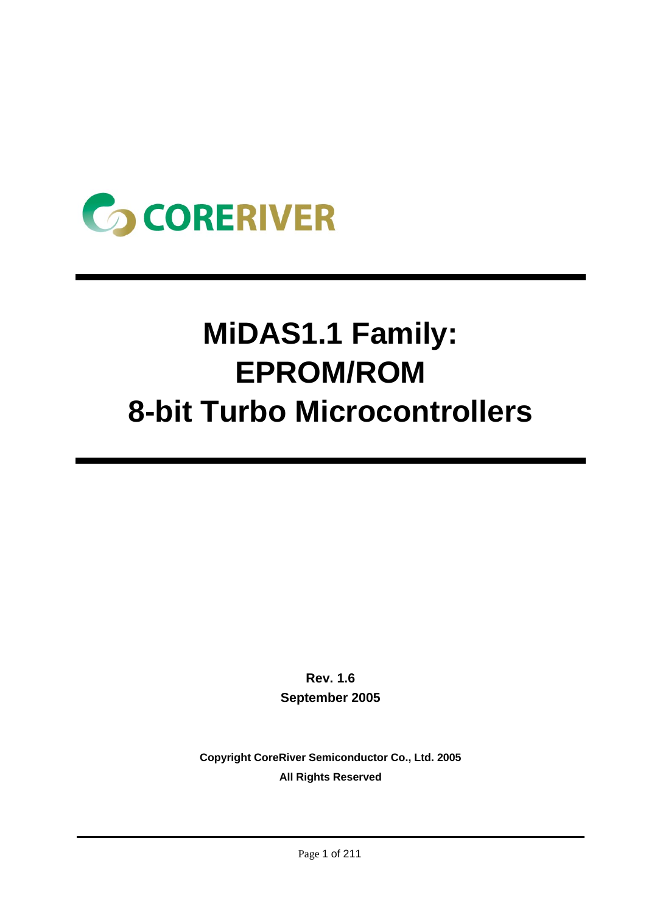

# **MiDAS1.1 Family: EPROM/ROM 8-bit Turbo Microcontrollers**

**Rev. 1.6 September 2005**

**Copyright CoreRiver Semiconductor Co., Ltd. 2005 All Rights Reserved**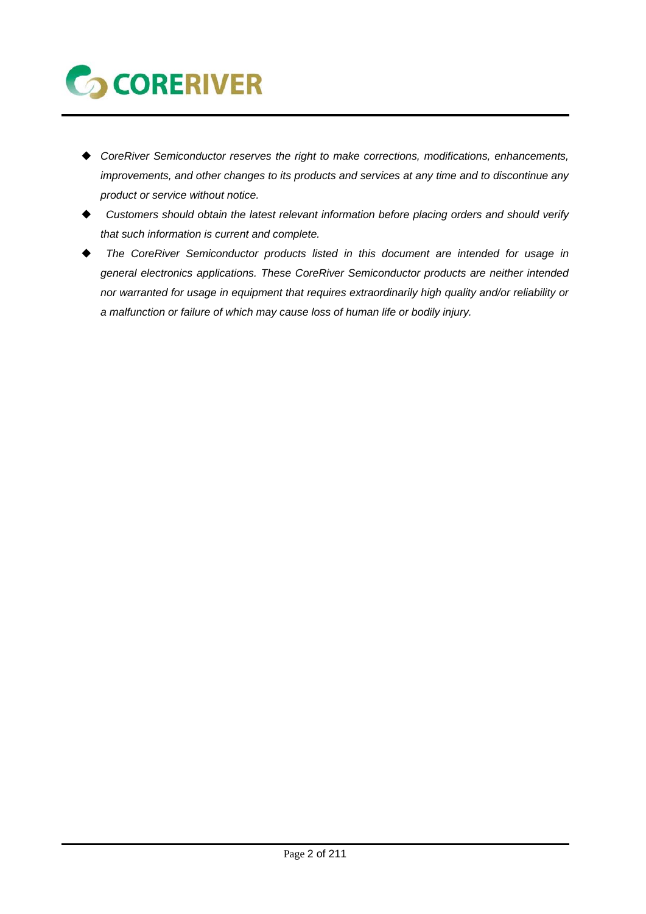

1

- **CoreRiver Semiconductor reserves the right to make corrections, modifications, enhancements,** *improvements, and other changes to its products and services at any time and to discontinue any product or service without notice.*
- *Customers should obtain the latest relevant information before placing orders and should verify that such information is current and complete.*
- *The CoreRiver Semiconductor products listed in this document are intended for usage in general electronics applications. These CoreRiver Semiconductor products are neither intended nor warranted for usage in equipment that requires extraordinarily high quality and/or reliability or a malfunction or failure of which may cause loss of human life or bodily injury.*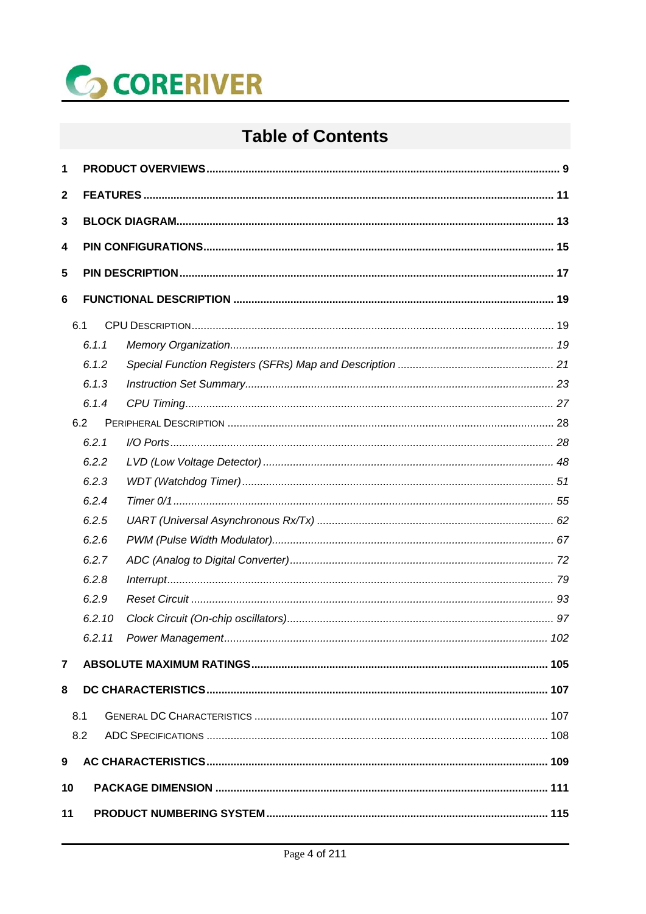

# **Table of Contents**

| 1                       |              |  |  |  |  |
|-------------------------|--------------|--|--|--|--|
| $\mathbf 2$             |              |  |  |  |  |
| 3                       |              |  |  |  |  |
| $\overline{\mathbf{4}}$ |              |  |  |  |  |
| 5                       |              |  |  |  |  |
| 6                       |              |  |  |  |  |
|                         |              |  |  |  |  |
|                         | 6.1<br>6.1.1 |  |  |  |  |
|                         |              |  |  |  |  |
|                         | 6.1.2        |  |  |  |  |
|                         | 6.1.3        |  |  |  |  |
|                         | 6.1.4        |  |  |  |  |
|                         | 6.2          |  |  |  |  |
|                         | 6.2.1        |  |  |  |  |
|                         | 6.2.2        |  |  |  |  |
|                         | 6.2.3        |  |  |  |  |
|                         | 6.2.4        |  |  |  |  |
|                         | 6.2.5        |  |  |  |  |
|                         | 6.2.6        |  |  |  |  |
|                         | 6.2.7        |  |  |  |  |
|                         | 6.2.8        |  |  |  |  |
|                         | 6.2.9        |  |  |  |  |
|                         | 6.2.10       |  |  |  |  |
|                         | 6.2.11       |  |  |  |  |
| $\overline{7}$          |              |  |  |  |  |
| 8                       |              |  |  |  |  |
|                         | 8.1          |  |  |  |  |
|                         | 8.2          |  |  |  |  |
| 9                       |              |  |  |  |  |
| 10                      |              |  |  |  |  |
| 11                      |              |  |  |  |  |
|                         |              |  |  |  |  |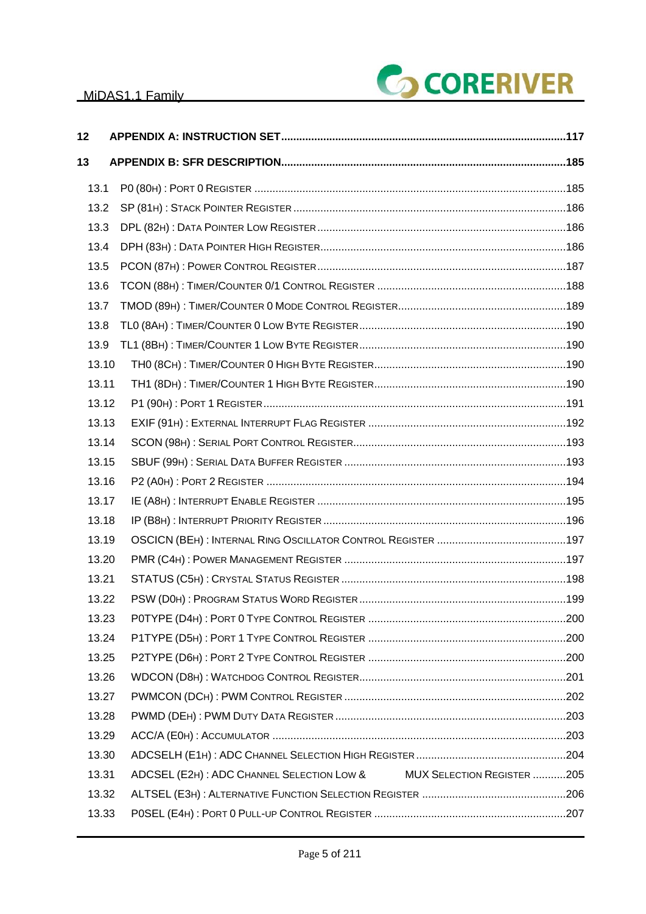# **G** CORERIVER

### MiDAS1.1 Family

| 13.1                                                |                            |
|-----------------------------------------------------|----------------------------|
| 13.2                                                |                            |
| 13.3                                                |                            |
| 13.4                                                |                            |
| 13.5                                                |                            |
| 13.6                                                |                            |
| 13.7                                                |                            |
| 13.8                                                |                            |
| 13.9                                                |                            |
| 13.10                                               |                            |
| 13.11                                               |                            |
| 13.12                                               |                            |
| 13.13                                               |                            |
| 13.14                                               |                            |
| 13.15                                               |                            |
| 13.16                                               |                            |
| 13.17                                               |                            |
| 13.18                                               |                            |
| 13.19                                               |                            |
| 13.20                                               |                            |
| 13.21                                               |                            |
| 13.22                                               |                            |
| 13.23                                               |                            |
| 13.24                                               |                            |
| 13.25                                               |                            |
| 13.26                                               |                            |
| 13.27                                               |                            |
| 13.28                                               |                            |
| 13.29                                               |                            |
| 13.30                                               |                            |
| 13.31<br>ADCSEL (E2H) : ADC CHANNEL SELECTION LOW & |                            |
| 13.32                                               |                            |
| 13.33                                               |                            |
|                                                     | MUX SELECTION REGISTER 205 |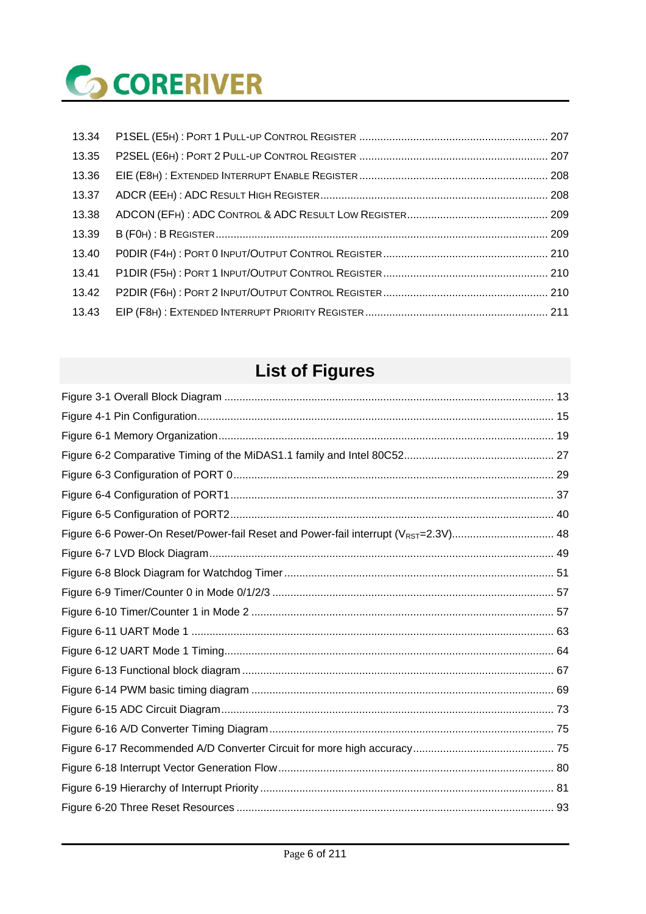

| 13.34 |  |
|-------|--|
| 13.35 |  |
| 13.36 |  |
| 13.37 |  |
| 13.38 |  |
| 13.39 |  |
| 13.40 |  |
| 13.41 |  |
| 13.42 |  |
| 13.43 |  |

# **List of Figures**

| Figure 6-6 Power-On Reset/Power-fail Reset and Power-fail interrupt (V <sub>RST</sub> =2.3V) 48 |  |
|-------------------------------------------------------------------------------------------------|--|
|                                                                                                 |  |
|                                                                                                 |  |
|                                                                                                 |  |
|                                                                                                 |  |
|                                                                                                 |  |
|                                                                                                 |  |
|                                                                                                 |  |
|                                                                                                 |  |
|                                                                                                 |  |
|                                                                                                 |  |
|                                                                                                 |  |
|                                                                                                 |  |
|                                                                                                 |  |
|                                                                                                 |  |
|                                                                                                 |  |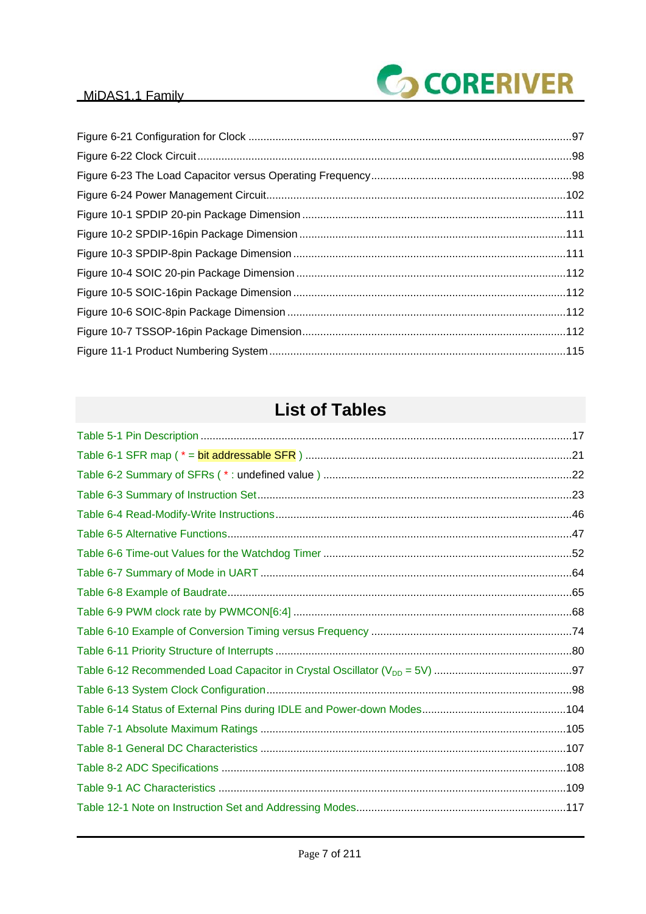# **G** CORERIVER

#### MiDAS1.1 Family

## **List of Tables**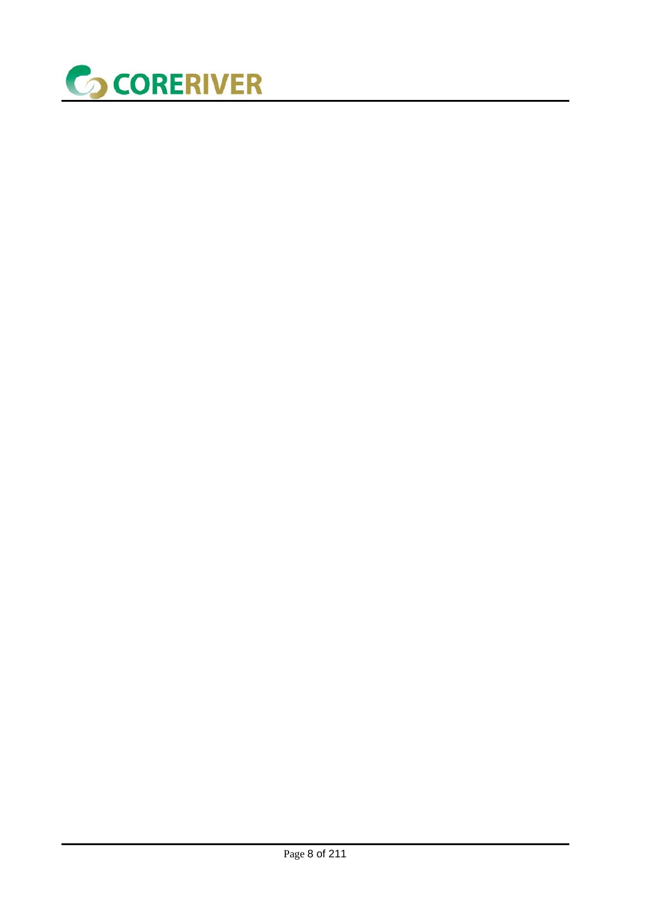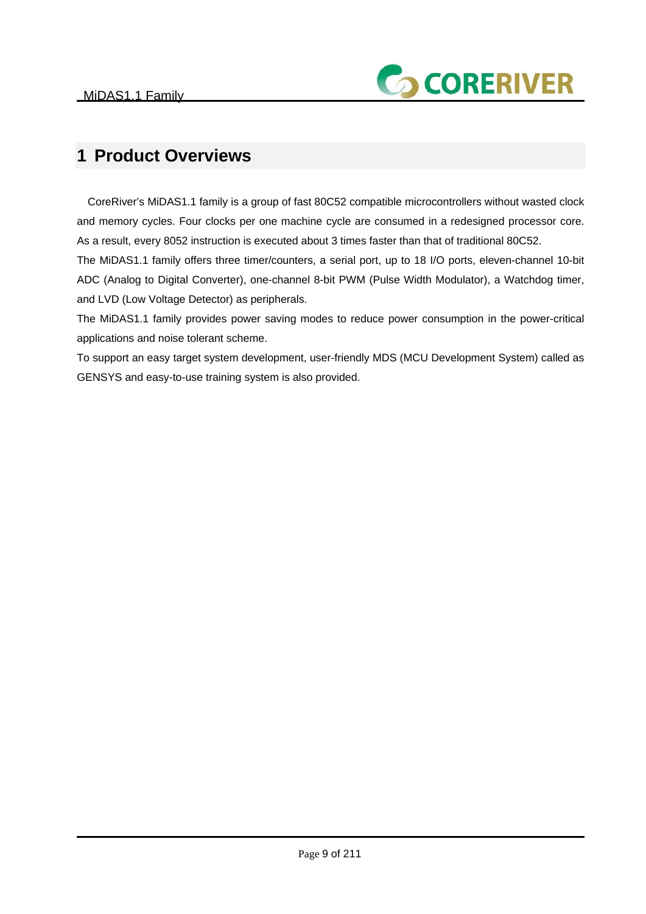

## <span id="page-8-0"></span>**1 Product Overviews**

CoreRiver's MiDAS1.1 family is a group of fast 80C52 compatible microcontrollers without wasted clock and memory cycles. Four clocks per one machine cycle are consumed in a redesigned processor core. As a result, every 8052 instruction is executed about 3 times faster than that of traditional 80C52.

The MiDAS1.1 family offers three timer/counters, a serial port, up to 18 I/O ports, eleven-channel 10-bit ADC (Analog to Digital Converter), one-channel 8-bit PWM (Pulse Width Modulator), a Watchdog timer, and LVD (Low Voltage Detector) as peripherals.

The MiDAS1.1 family provides power saving modes to reduce power consumption in the power-critical applications and noise tolerant scheme.

To support an easy target system development, user-friendly MDS (MCU Development System) called as GENSYS and easy-to-use training system is also provided.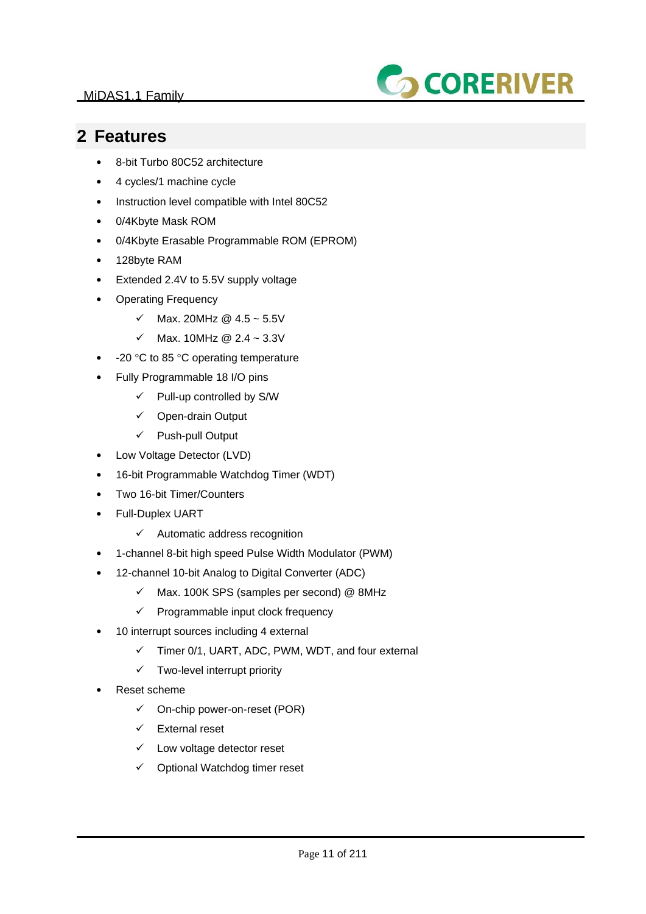

## <span id="page-10-0"></span>**2 Features**

- 8-bit Turbo 80C52 architecture
- 4 cycles/1 machine cycle
- Instruction level compatible with Intel 80C52
- 0/4Kbyte Mask ROM
- 0/4Kbyte Erasable Programmable ROM (EPROM)
- 128byte RAM
- Extended 2.4V to 5.5V supply voltage
- Operating Frequency
	- $\checkmark$  Max. 20MHz @ 4.5 ~ 5.5V
	- $\checkmark$  Max. 10MHz @ 2.4 ~ 3.3V
- -20 $\degree$ C to 85 $\degree$ C operating temperature
- Fully Programmable 18 I/O pins
	- $\checkmark$  Pull-up controlled by S/W
	- $\checkmark$  Open-drain Output
	- $\checkmark$  Push-pull Output
- Low Voltage Detector (LVD)
- 16-bit Programmable Watchdog Timer (WDT)
- Two 16-bit Timer/Counters
- Full-Duplex UART
	- $\checkmark$  Automatic address recognition
- 1-channel 8-bit high speed Pulse Width Modulator (PWM)
- 12-channel 10-bit Analog to Digital Converter (ADC)
	- $\checkmark$  Max. 100K SPS (samples per second) @ 8MHz
	- $\checkmark$  Programmable input clock frequency
- 10 interrupt sources including 4 external
	- $\checkmark$  Timer 0/1, UART, ADC, PWM, WDT, and four external
	- $\checkmark$  Two-level interrupt priority
- Reset scheme
	- $\checkmark$  On-chip power-on-reset (POR)
	- $\checkmark$  External reset
	- $\checkmark$  Low voltage detector reset
	- $\checkmark$  Optional Watchdog timer reset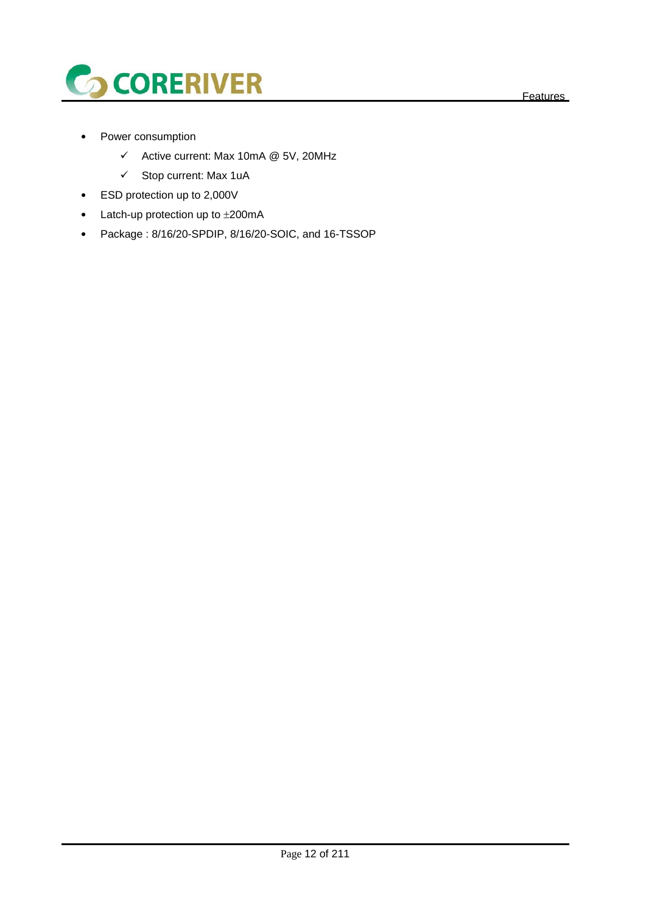

- Power consumption
	- $\checkmark$  Active current: Max 10mA @ 5V, 20MHz
	- $\checkmark$  Stop current: Max 1uA
- ESD protection up to 2,000V
- Latch-up protection up to  $\pm 200$ mA
- Package : 8/16/20-SPDIP, 8/16/20-SOIC, and 16-TSSOP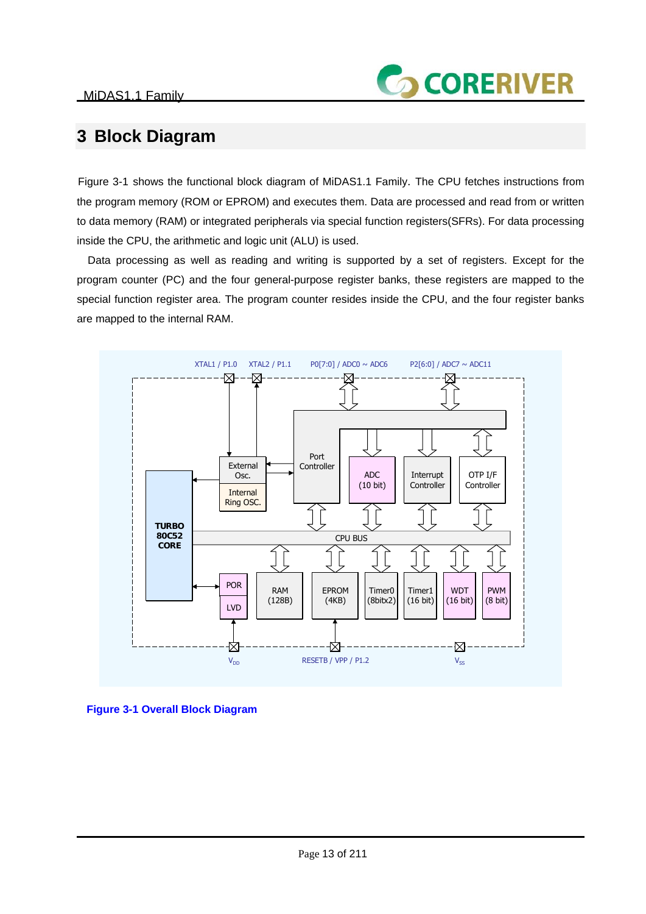

## <span id="page-12-0"></span>**3 Block Diagram**

[Figure 3-1](#page-12-0) shows the functional block diagram of MiDAS1.1 Family. The CPU fetches instructions from the program memory (ROM or EPROM) and executes them. Data are processed and read from or written to data memory (RAM) or integrated peripherals via special function registers(SFRs). For data processing inside the CPU, the arithmetic and logic unit (ALU) is used.

Data processing as well as reading and writing is supported by a set of registers. Except for the program counter (PC) and the four general-purpose register banks, these registers are mapped to the special function register area. The program counter resides inside the CPU, and the four register banks are mapped to the internal RAM.



**Figure 3-1 Overall Block Diagram**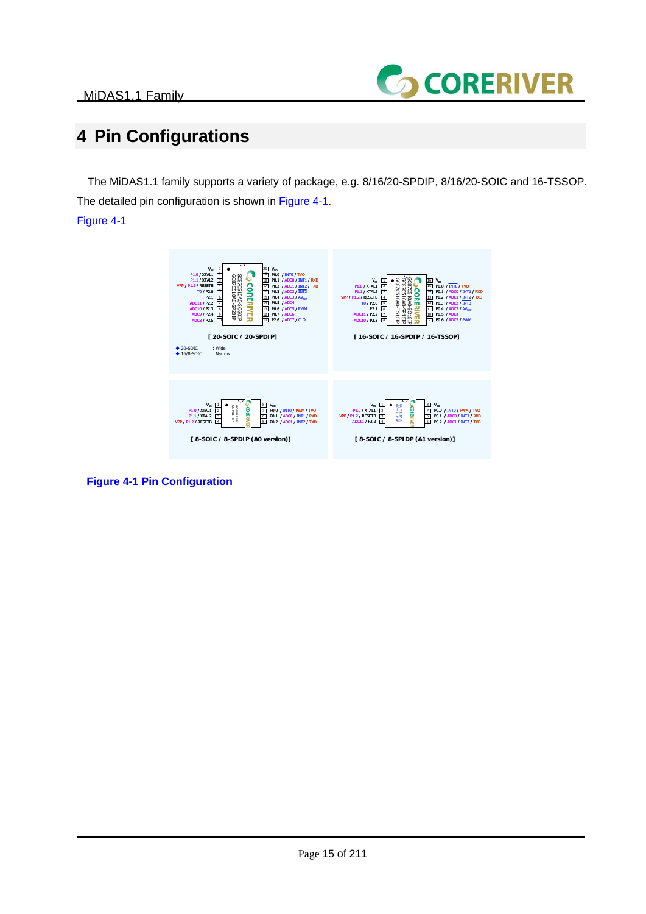

## <span id="page-14-0"></span>**4 Pin Configurations**

The MiDAS1.1 family supports a variety of package, e.g. 8/16/20-SPDIP, 8/16/20-SOIC and 16-TSSOP. The detailed pin configuration is shown in [Figure 4-](#page-14-0)1.

#### [Figure 4-](#page-14-0)1



**Figure 4-1 Pin Configuration**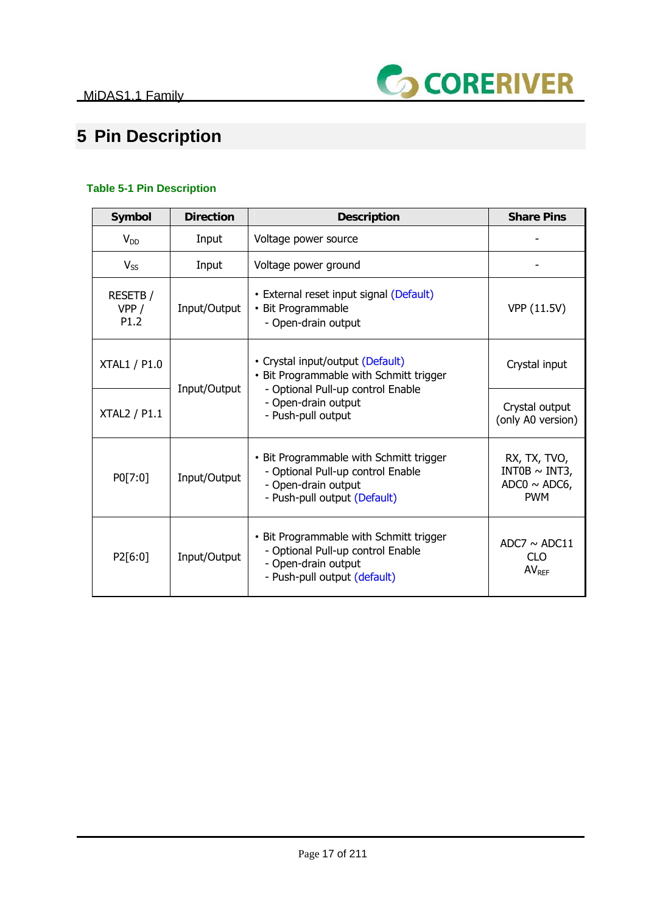

# <span id="page-16-0"></span>**5 Pin Description**

#### **Table 5-1 Pin Description**

| Symbol<br><b>Direction</b>                   |              | <b>Description</b>                                                                                                                  | <b>Share Pins</b>                                                      |
|----------------------------------------------|--------------|-------------------------------------------------------------------------------------------------------------------------------------|------------------------------------------------------------------------|
| $V_{DD}$                                     | Input        | Voltage power source                                                                                                                |                                                                        |
| $V_{SS}$                                     | Input        | Voltage power ground                                                                                                                |                                                                        |
| <b>RESETB</b> /<br>VPP /<br>P <sub>1.2</sub> | Input/Output | · External reset input signal (Default)<br>• Bit Programmable<br>- Open-drain output                                                | VPP (11.5V)                                                            |
| <b>XTAL1 / P1.0</b>                          |              | • Crystal input/output (Default)<br>• Bit Programmable with Schmitt trigger                                                         | Crystal input                                                          |
| Input/Output<br><b>XTAL2 / P1.1</b>          |              | - Optional Pull-up control Enable<br>- Open-drain output<br>- Push-pull output                                                      | Crystal output<br>(only A0 version)                                    |
| PO[7:0]<br>Input/Output                      |              | • Bit Programmable with Schmitt trigger<br>- Optional Pull-up control Enable<br>- Open-drain output<br>- Push-pull output (Default) | RX, TX, TVO,<br>INTOB $\sim$ INT3,<br>$ADC0 \sim ADC6$ ,<br><b>PWM</b> |
| P2[6:0]                                      | Input/Output | • Bit Programmable with Schmitt trigger<br>- Optional Pull-up control Enable<br>- Open-drain output<br>- Push-pull output (default) | $ADC7 \sim ADC11$<br>CLO <sub>1</sub><br>AV <sub>RFF</sub>             |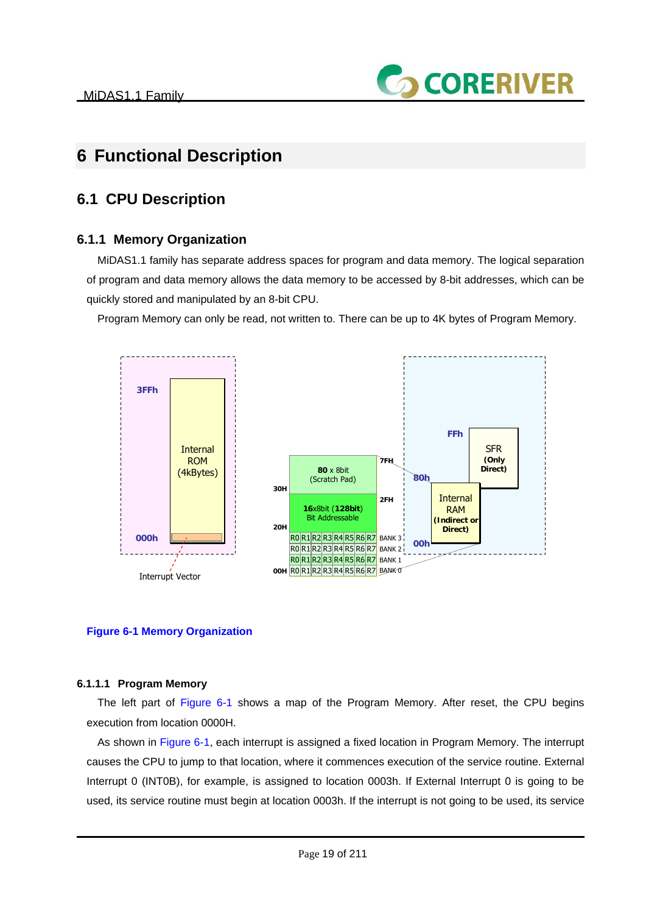

## <span id="page-18-0"></span>**6 Functional Description**

### **6.1 CPU Description**

#### **6.1.1 Memory Organization**

MiDAS1.1 family has separate address spaces for program and data memory. The logical separation of program and data memory allows the data memory to be accessed by 8-bit addresses, which can be quickly stored and manipulated by an 8-bit CPU.

Program Memory can only be read, not written to. There can be up to 4K bytes of Program Memory.



#### **Figure 6-1 Memory Organization**

#### **6.1.1.1 Program Memory**

The left part of [Figure 6-1](#page-18-0) shows a map of the Program Memory. After reset, the CPU begins execution from location 0000H.

As shown in [Figure 6-1](#page-18-0), each interrupt is assigned a fixed location in Program Memory. The interrupt causes the CPU to jump to that location, where it commences execution of the service routine. External Interrupt 0 (INT0B), for example, is assigned to location 0003h. If External Interrupt 0 is going to be used, its service routine must begin at location 0003h. If the interrupt is not going to be used, its service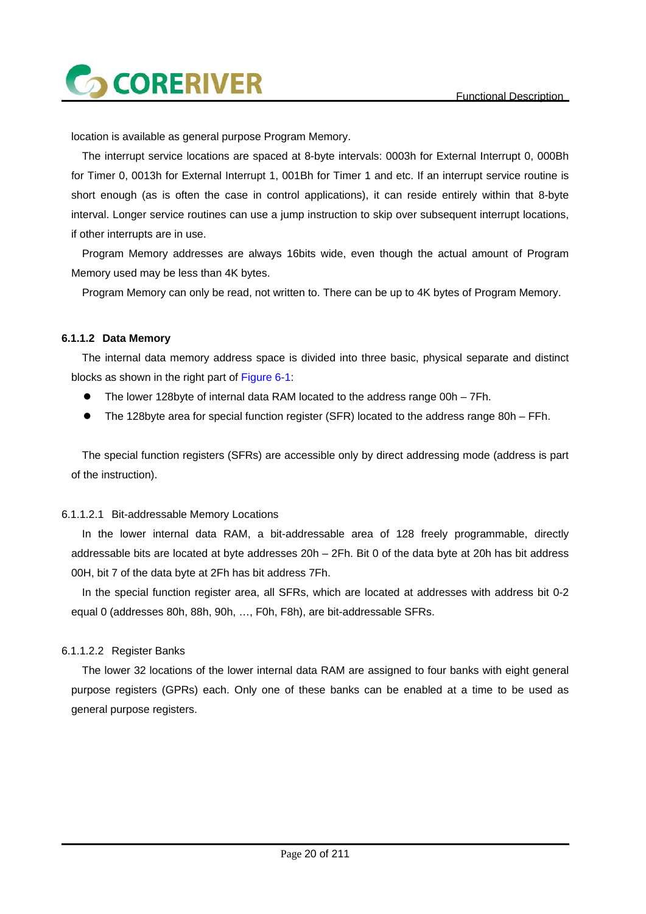

location is available as general purpose Program Memory.

 The interrupt service locations are spaced at 8-byte intervals: 0003h for External Interrupt 0, 000Bh for Timer 0, 0013h for External Interrupt 1, 001Bh for Timer 1 and etc. If an interrupt service routine is short enough (as is often the case in control applications), it can reside entirely within that 8-byte interval. Longer service routines can use a jump instruction to skip over subsequent interrupt locations, if other interrupts are in use.

 Program Memory addresses are always 16bits wide, even though the actual amount of Program Memory used may be less than 4K bytes.

Program Memory can only be read, not written to. There can be up to 4K bytes of Program Memory.

#### **6.1.1.2 Data Memory**

The internal data memory address space is divided into three basic, physical separate and distinct blocks as shown in the right part of [Figure 6-](#page-18-0)1:

- $\bullet$  The lower 128byte of internal data RAM located to the address range 00h 7Fh.
- The 128byte area for special function register (SFR) located to the address range 80h FFh.

The special function registers (SFRs) are accessible only by direct addressing mode (address is part of the instruction).

#### 6.1.1.2.1 Bit-addressable Memory Locations

In the lower internal data RAM, a bit-addressable area of 128 freely programmable, directly addressable bits are located at byte addresses 20h – 2Fh. Bit 0 of the data byte at 20h has bit address 00H, bit 7 of the data byte at 2Fh has bit address 7Fh.

In the special function register area, all SFRs, which are located at addresses with address bit 0-2 equal 0 (addresses 80h, 88h, 90h, …, F0h, F8h), are bit-addressable SFRs.

#### 6.1.1.2.2 Register Banks

The lower 32 locations of the lower internal data RAM are assigned to four banks with eight general purpose registers (GPRs) each. Only one of these banks can be enabled at a time to be used as general purpose registers.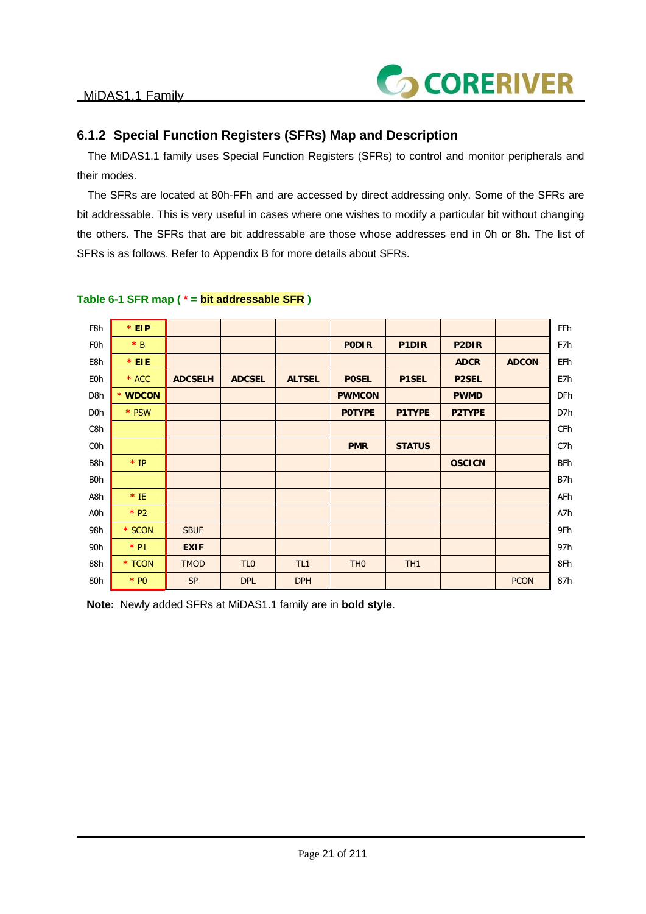

#### <span id="page-20-0"></span>**6.1.2 Special Function Registers (SFRs) Map and Description**

The MiDAS1.1 family uses Special Function Registers (SFRs) to control and monitor peripherals and their modes.

The SFRs are located at 80h-FFh and are accessed by direct addressing only. Some of the SFRs are bit addressable. This is very useful in cases where one wishes to modify a particular bit without changing the others. The SFRs that are bit addressable are those whose addresses end in 0h or 8h. The list of SFRs is as follows. Refer to Appendix B for more details about SFRs.

| F8h              | $*$ EIP |                |                 |                 |                 |                 |               |              | FFh        |
|------------------|---------|----------------|-----------------|-----------------|-----------------|-----------------|---------------|--------------|------------|
| F0h              | $* B$   |                |                 |                 | <b>PODIR</b>    | P1DIR           | P2DIR         |              | F7h        |
| E8h              | $*$ EIE |                |                 |                 |                 |                 | <b>ADCR</b>   | <b>ADCON</b> | EFh        |
| E0h              | $*$ ACC | <b>ADCSELH</b> | <b>ADCSEL</b>   | <b>ALTSEL</b>   | <b>POSEL</b>    | P1SEL           | <b>P2SEL</b>  |              | E7h        |
| D8h              | * WDCON |                |                 |                 | <b>PWMCON</b>   |                 | <b>PWMD</b>   |              | <b>DFh</b> |
| D <sub>0</sub> h | * PSW   |                |                 |                 | <b>POTYPE</b>   | P1TYPE          | <b>P2TYPE</b> |              | D7h        |
| C8h              |         |                |                 |                 |                 |                 |               |              | CFh        |
| C <sub>0</sub> h |         |                |                 |                 | <b>PMR</b>      | <b>STATUS</b>   |               |              | C7h        |
| B8h              | $*$ IP  |                |                 |                 |                 |                 | <b>OSCICN</b> |              | <b>BFh</b> |
| B <sub>0</sub> h |         |                |                 |                 |                 |                 |               |              | B7h        |
| A8h              | $*$ IE  |                |                 |                 |                 |                 |               |              | AFh        |
| A0h              | $*$ P2  |                |                 |                 |                 |                 |               |              | A7h        |
| 98h              | * SCON  | <b>SBUF</b>    |                 |                 |                 |                 |               |              | 9Fh        |
| 90h              | $*$ P1  | <b>EXIF</b>    |                 |                 |                 |                 |               |              | 97h        |
| 88h              | * TCON  | <b>TMOD</b>    | TL <sub>0</sub> | TL <sub>1</sub> | TH <sub>0</sub> | TH <sub>1</sub> |               |              | 8Fh        |
| 80h              | $*$ PO  | <b>SP</b>      | <b>DPL</b>      | <b>DPH</b>      |                 |                 |               | <b>PCON</b>  | 87h        |
|                  |         |                |                 |                 |                 |                 |               |              |            |

#### **Table 6-1 SFR map ( \* = bit addressable SFR )**

**Note:** Newly added SFRs at MiDAS1.1 family are in **bold style**.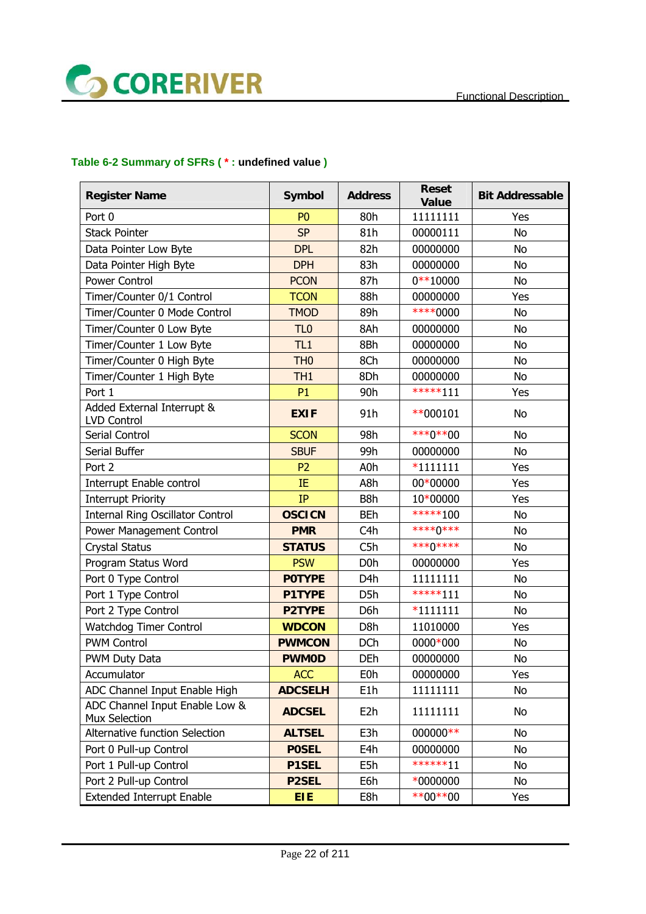<span id="page-21-0"></span>

#### **Table 6-2 Summary of SFRs ( \* : undefined value )**

| <b>Register Name</b>                             | <b>Symbol</b>   | <b>Address</b>   | <b>Reset</b><br><b>Value</b> | <b>Bit Addressable</b> |
|--------------------------------------------------|-----------------|------------------|------------------------------|------------------------|
| Port 0                                           | P <sub>0</sub>  | 80h              | 11111111                     | Yes                    |
| <b>Stack Pointer</b>                             | <b>SP</b>       | 81h              | 00000111                     | <b>No</b>              |
| Data Pointer Low Byte                            | <b>DPL</b>      | 82h              | 00000000                     | <b>No</b>              |
| Data Pointer High Byte                           | <b>DPH</b>      | 83h              | 00000000                     | <b>No</b>              |
| <b>Power Control</b>                             | <b>PCON</b>     | 87h              | $0***10000$                  | <b>No</b>              |
| Timer/Counter 0/1 Control                        | <b>TCON</b>     | 88h              | 00000000                     | Yes                    |
| Timer/Counter 0 Mode Control                     | <b>TMOD</b>     | 89h              | ****0000                     | No                     |
| Timer/Counter 0 Low Byte                         | TL <sub>0</sub> | 8Ah              | 00000000                     | No                     |
| Timer/Counter 1 Low Byte                         | TL <sub>1</sub> | 8Bh              | 00000000                     | <b>No</b>              |
| Timer/Counter 0 High Byte                        | TH <sub>0</sub> | 8Ch              | 00000000                     | <b>No</b>              |
| Timer/Counter 1 High Byte                        | TH <sub>1</sub> | 8Dh              | 00000000                     | No                     |
| Port 1                                           | P <sub>1</sub>  | 90h              | *****111                     | Yes                    |
| Added External Interrupt &<br><b>LVD Control</b> | <b>EXIF</b>     | 91h              | **000101                     | <b>No</b>              |
| Serial Control                                   | <b>SCON</b>     | 98h              | $***0***00$                  | No                     |
| Serial Buffer                                    | <b>SBUF</b>     | 99h              | 00000000                     | <b>No</b>              |
| Port 2                                           | P <sub>2</sub>  | A0h              | $*1111111$                   | Yes                    |
| Interrupt Enable control                         | IE              | A8h              | 00*00000                     | Yes                    |
| <b>Interrupt Priority</b>                        | <b>IP</b>       | B <sub>8</sub> h | 10*00000                     | Yes                    |
| <b>Internal Ring Oscillator Control</b>          | <b>OSCICN</b>   | <b>BEh</b>       | *****100                     | <b>No</b>              |
| Power Management Control                         | <b>PMR</b>      | C <sub>4</sub> h | ****0***                     | No                     |
| <b>Crystal Status</b>                            | <b>STATUS</b>   | C <sub>5</sub> h | ***0****                     | No                     |
| Program Status Word                              | <b>PSW</b>      | D <sub>0</sub> h | 00000000                     | Yes                    |
| Port 0 Type Control                              | <b>POTYPE</b>   | D <sub>4</sub> h | 11111111                     | <b>No</b>              |
| Port 1 Type Control                              | <b>P1TYPE</b>   | D <sub>5</sub> h | *****111                     | No                     |
| Port 2 Type Control                              | <b>P2TYPE</b>   | D <sub>6</sub> h | $*1111111$                   | <b>No</b>              |
| Watchdog Timer Control                           | <b>WDCON</b>    | D <sub>8</sub> h | 11010000                     | Yes                    |
| <b>PWM Control</b>                               | <b>PWMCON</b>   | <b>DCh</b>       | 0000*000                     | No                     |
| PWM Duty Data                                    | <b>PWMOD</b>    | <b>DEh</b>       | 00000000                     | <b>No</b>              |
| Accumulator                                      | <b>ACC</b>      | E <sub>0</sub> h | 00000000                     | Yes                    |
| ADC Channel Input Enable High                    | <b>ADCSELH</b>  | E <sub>1</sub> h | 11111111                     | No                     |
| ADC Channel Input Enable Low &<br>Mux Selection  | <b>ADCSEL</b>   | E <sub>2</sub> h | 11111111                     | No                     |
| Alternative function Selection                   | <b>ALTSEL</b>   | E3h              | 000000**                     | No                     |
| Port 0 Pull-up Control                           | <b>POSEL</b>    | E4h              | 00000000                     | No                     |
| Port 1 Pull-up Control                           | <b>P1SEL</b>    | E5h              | ******11                     | No                     |
| Port 2 Pull-up Control                           | <b>P2SEL</b>    | E6h              | *0000000                     | No                     |
| <b>Extended Interrupt Enable</b>                 | <b>EIE</b>      | E8h              | **00**00                     | Yes                    |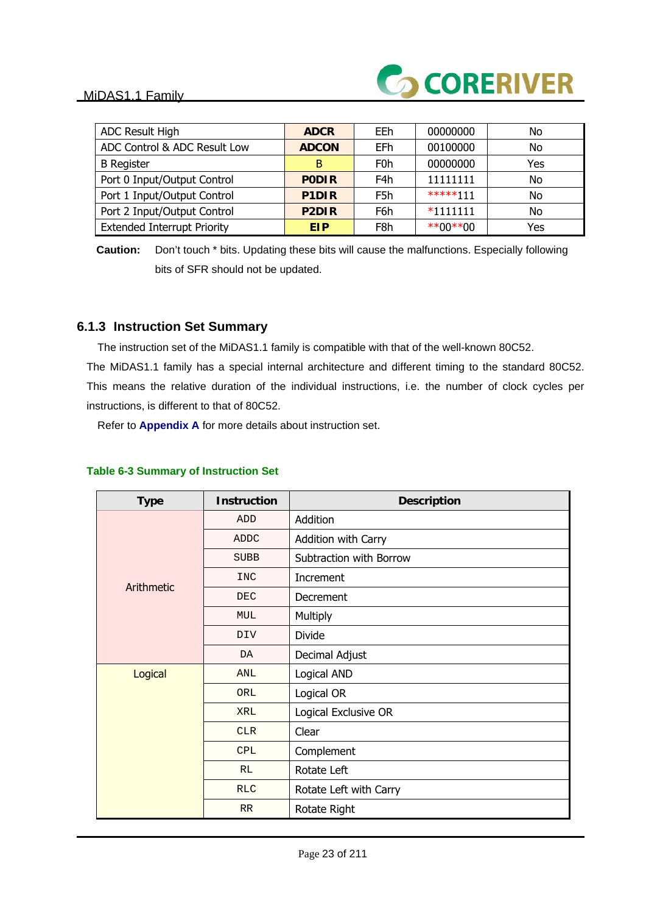

#### <span id="page-22-0"></span>MiDAS1.1 Family

| <b>ADC Result High</b>             | <b>ADCR</b>                    | FFh              | 00000000       | No  |
|------------------------------------|--------------------------------|------------------|----------------|-----|
| ADC Control & ADC Result Low       | <b>ADCON</b>                   | EFh              | 00100000       | No  |
| <b>B</b> Register                  | B                              | F <sub>0</sub> h | 00000000       | Yes |
| Port 0 Input/Output Control        | <b>PODIR</b>                   | F4h              | 11111111       | No  |
| Port 1 Input/Output Control        | P <sub>1</sub> D <sub>IR</sub> | F5h              | *****111       | No  |
| Port 2 Input/Output Control        | P <sub>2</sub> D <sub>IR</sub> | F6h              | $*1111111$     | No  |
| <b>Extended Interrupt Priority</b> | <b>FIP</b>                     | F <sub>8</sub> h | $*$ $*00$ **00 | Yes |

**Caution:** Don't touch \* bits. Updating these bits will cause the malfunctions. Especially following bits of SFR should not be updated.

#### **6.1.3 Instruction Set Summary**

The instruction set of the MiDAS1.1 family is compatible with that of the well-known 80C52.

The MiDAS1.1 family has a special internal architecture and different timing to the standard 80C52. This means the relative duration of the individual instructions, i.e. the number of clock cycles per instructions, is different to that of 80C52.

Refer to **Appendix A** for more details about instruction set.

| <b>Type</b> | <b>Instruction</b> | <b>Description</b>      |  |  |
|-------------|--------------------|-------------------------|--|--|
|             | ADD                | Addition                |  |  |
|             | ADDC               | Addition with Carry     |  |  |
|             | <b>SUBB</b>        | Subtraction with Borrow |  |  |
| Arithmetic  | <b>INC</b>         | Increment               |  |  |
|             | <b>DEC</b>         | Decrement               |  |  |
|             | MUL                | Multiply                |  |  |
|             | <b>DIV</b>         | <b>Divide</b>           |  |  |
|             | DA                 | Decimal Adjust          |  |  |
| Logical     | ANL                | Logical AND             |  |  |
|             | ORL                | Logical OR              |  |  |
|             | <b>XRL</b>         | Logical Exclusive OR    |  |  |
|             | <b>CLR</b>         | Clear                   |  |  |
|             | <b>CPL</b>         | Complement              |  |  |
|             | <b>RL</b>          | Rotate Left             |  |  |
|             | <b>RLC</b>         | Rotate Left with Carry  |  |  |
|             | RR                 | Rotate Right            |  |  |

#### **Table 6-3 Summary of Instruction Set**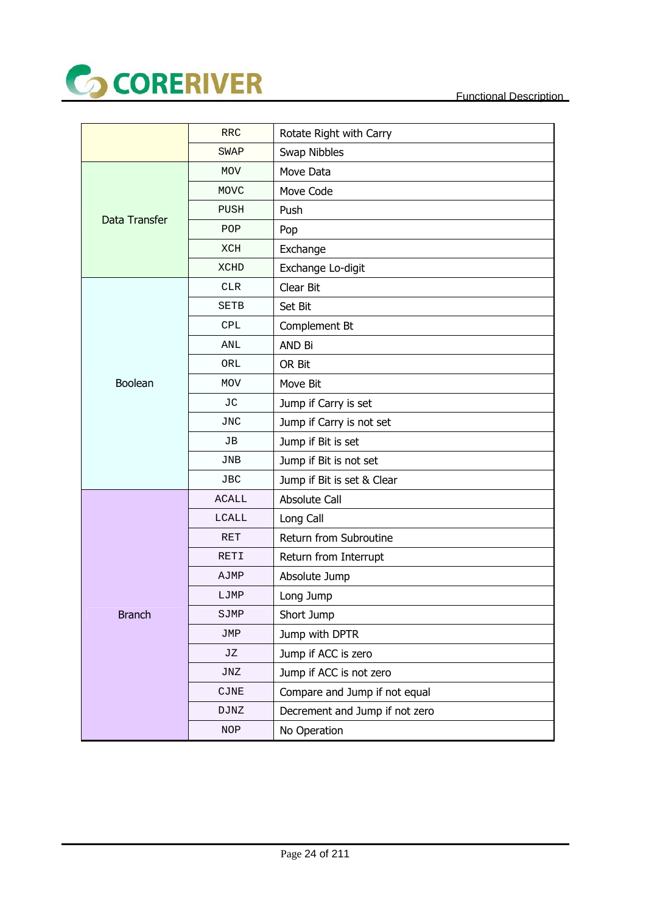

|                | <b>RRC</b>      | Rotate Right with Carry        |  |  |
|----------------|-----------------|--------------------------------|--|--|
|                | SWAP            | Swap Nibbles                   |  |  |
|                | <b>MOV</b>      | Move Data                      |  |  |
|                | <b>MOVC</b>     | Move Code                      |  |  |
|                | PUSH            | Push                           |  |  |
| Data Transfer  | POP             | Pop                            |  |  |
|                | XCH             | Exchange                       |  |  |
|                | <b>XCHD</b>     | Exchange Lo-digit              |  |  |
|                | <b>CLR</b>      | Clear Bit                      |  |  |
|                | <b>SETB</b>     | Set Bit                        |  |  |
|                | <b>CPL</b>      | Complement Bt                  |  |  |
|                | ANL             | AND Bi                         |  |  |
|                | ORL             | OR Bit                         |  |  |
| <b>Boolean</b> | <b>MOV</b>      | Move Bit                       |  |  |
|                | JС              | Jump if Carry is set           |  |  |
|                | <b>JNC</b>      | Jump if Carry is not set       |  |  |
|                | JВ              | Jump if Bit is set             |  |  |
|                | JNB             | Jump if Bit is not set         |  |  |
|                | JBC             | Jump if Bit is set & Clear     |  |  |
|                | <b>ACALL</b>    | Absolute Call                  |  |  |
|                | LCALL           | Long Call                      |  |  |
|                | <b>RET</b>      | Return from Subroutine         |  |  |
|                | <b>RETI</b>     | Return from Interrupt          |  |  |
|                | AJMP            | Absolute Jump                  |  |  |
|                | LJMP            | Long Jump                      |  |  |
| <b>Branch</b>  | $\texttt{SJMP}$ | Short Jump                     |  |  |
|                | JMP             | Jump with DPTR                 |  |  |
|                | JZ              | Jump if ACC is zero            |  |  |
|                | JNZ             | Jump if ACC is not zero        |  |  |
|                | $\rm CJNE$      | Compare and Jump if not equal  |  |  |
|                | $\rm{DJNZ}$     | Decrement and Jump if not zero |  |  |
|                | <b>NOP</b>      | No Operation                   |  |  |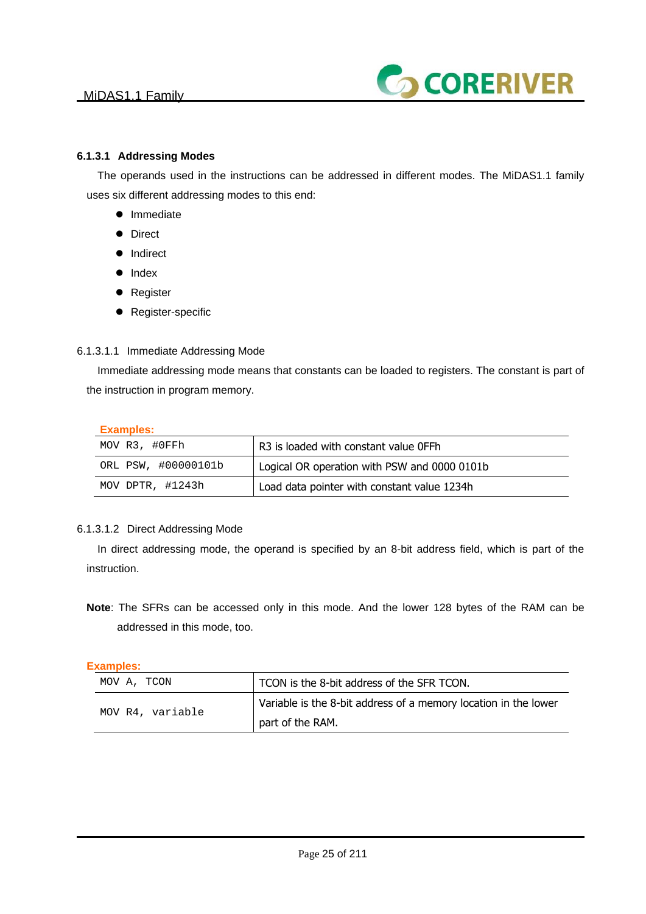

#### **6.1.3.1 Addressing Modes**

The operands used in the instructions can be addressed in different modes. The MiDAS1.1 family uses six different addressing modes to this end:

- **•** Immediate
- **•** Direct
- $\bullet$  Indirect
- $\bullet$  Index
- Register
- $\bullet$  Register-specific

#### 6.1.3.1.1 Immediate Addressing Mode

Immediate addressing mode means that constants can be loaded to registers. The constant is part of the instruction in program memory.

#### **Examples:**

| MOV R3, #0FFh       | R3 is loaded with constant value OFFh        |
|---------------------|----------------------------------------------|
| ORL PSW, #00000101b | Logical OR operation with PSW and 0000 0101b |
| MOV DPTR, #1243h    | Load data pointer with constant value 1234h  |

#### 6.1.3.1.2 Direct Addressing Mode

In direct addressing mode, the operand is specified by an 8-bit address field, which is part of the instruction.

**Note**: The SFRs can be accessed only in this mode. And the lower 128 bytes of the RAM can be addressed in this mode, too.

#### **Examples:**

| MOV A, TCON      | TCON is the 8-bit address of the SFR TCON.                      |
|------------------|-----------------------------------------------------------------|
| MOV R4, variable | Variable is the 8-bit address of a memory location in the lower |
|                  | part of the RAM.                                                |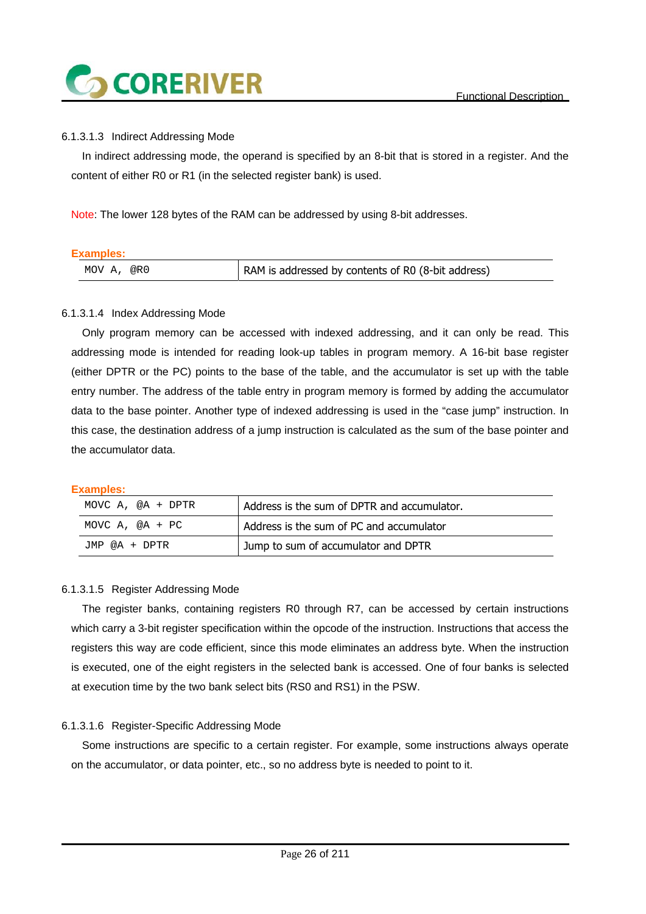

#### 6.1.3.1.3 Indirect Addressing Mode

In indirect addressing mode, the operand is specified by an 8-bit that is stored in a register. And the content of either R0 or R1 (in the selected register bank) is used.

Note: The lower 128 bytes of the RAM can be addressed by using 8-bit addresses.

#### 6.1.3.1.4 Index Addressing Mode

Only program memory can be accessed with indexed addressing, and it can only be read. This addressing mode is intended for reading look-up tables in program memory. A 16-bit base register (either DPTR or the PC) points to the base of the table, and the accumulator is set up with the table entry number. The address of the table entry in program memory is formed by adding the accumulator data to the base pointer. Another type of indexed addressing is used in the "case jump" instruction. In this case, the destination address of a jump instruction is calculated as the sum of the base pointer and the accumulator data.

#### **Examples:**

| MOVC A, @A + DPTR    | Address is the sum of DPTR and accumulator. |
|----------------------|---------------------------------------------|
| MOVC $A$ , $@A + PC$ | Address is the sum of PC and accumulator    |
| JMP @A + DPTR        | Jump to sum of accumulator and DPTR         |

#### 6.1.3.1.5 Register Addressing Mode

The register banks, containing registers R0 through R7, can be accessed by certain instructions which carry a 3-bit register specification within the opcode of the instruction. Instructions that access the registers this way are code efficient, since this mode eliminates an address byte. When the instruction is executed, one of the eight registers in the selected bank is accessed. One of four banks is selected at execution time by the two bank select bits (RS0 and RS1) in the PSW.

#### 6.1.3.1.6 Register-Specific Addressing Mode

Some instructions are specific to a certain register. For example, some instructions always operate on the accumulator, or data pointer, etc., so no address byte is needed to point to it.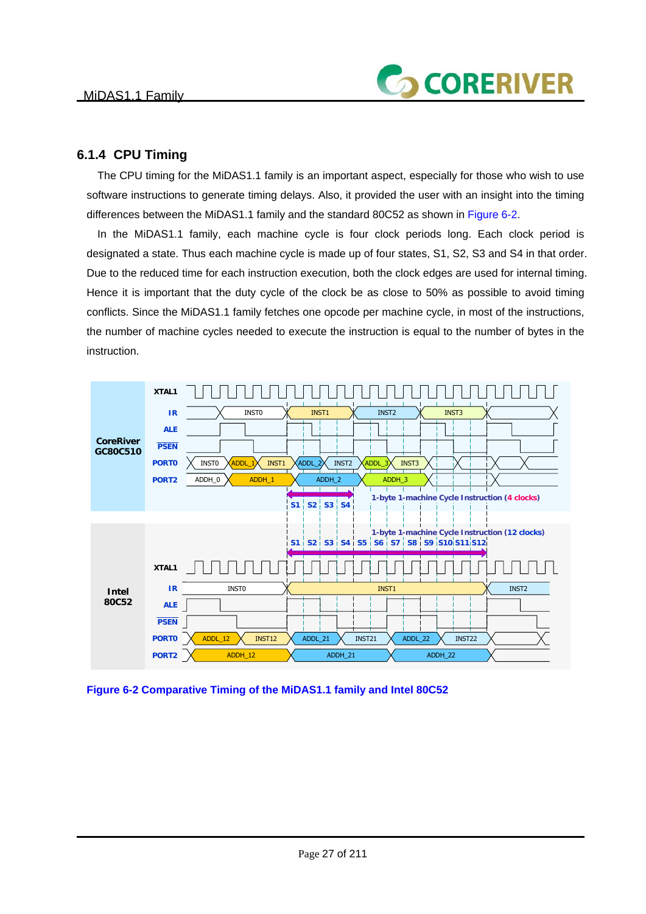

#### <span id="page-26-0"></span>**6.1.4 CPU Timing**

The CPU timing for the MiDAS1.1 family is an important aspect, especially for those who wish to use software instructions to generate timing delays. Also, it provided the user with an insight into the timing differences between the MiDAS1.1 family and the standard 80C52 as shown in [Figure 6-](#page-26-0)2.

In the MiDAS1.1 family, each machine cycle is four clock periods long. Each clock period is designated a state. Thus each machine cycle is made up of four states, S1, S2, S3 and S4 in that order. Due to the reduced time for each instruction execution, both the clock edges are used for internal timing. Hence it is important that the duty cycle of the clock be as close to 50% as possible to avoid timing conflicts. Since the MiDAS1.1 family fetches one opcode per machine cycle, in most of the instructions, the number of machine cycles needed to execute the instruction is equal to the number of bytes in the instruction.



**Figure 6-2 Comparative Timing of the MiDAS1.1 family and Intel 80C52**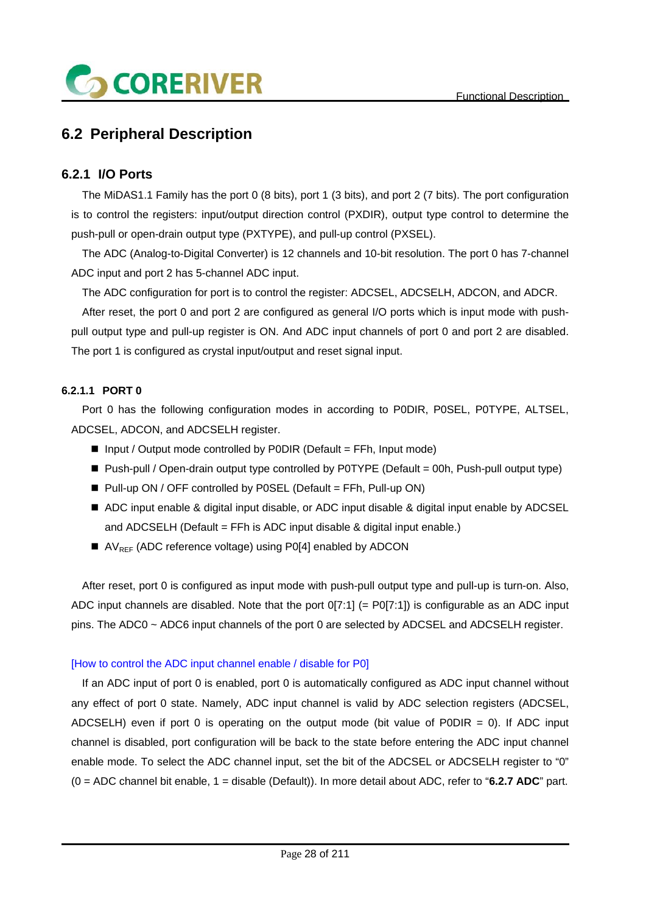<span id="page-27-0"></span>

### **6.2 Peripheral Description**

#### **6.2.1 I/O Ports**

The MiDAS1.1 Family has the port 0 (8 bits), port 1 (3 bits), and port 2 (7 bits). The port configuration is to control the registers: input/output direction control (PXDIR), output type control to determine the push-pull or open-drain output type (PXTYPE), and pull-up control (PXSEL).

The ADC (Analog-to-Digital Converter) is 12 channels and 10-bit resolution. The port 0 has 7-channel ADC input and port 2 has 5-channel ADC input.

The ADC configuration for port is to control the register: ADCSEL, ADCSELH, ADCON, and ADCR.

After reset, the port 0 and port 2 are configured as general I/O ports which is input mode with pushpull output type and pull-up register is ON. And ADC input channels of port 0 and port 2 are disabled. The port 1 is configured as crystal input/output and reset signal input.

#### **6.2.1.1 PORT 0**

Port 0 has the following configuration modes in according to P0DIR, P0SEL, P0TYPE, ALTSEL, ADCSEL, ADCON, and ADCSELH register.

- Input / Output mode controlled by P0DIR (Default = FFh, Input mode)
- Push-pull / Open-drain output type controlled by P0TYPE (Default = 00h, Push-pull output type)
- $\blacksquare$  Pull-up ON / OFF controlled by P0SEL (Default = FFh, Pull-up ON)
- ADC input enable & digital input disable, or ADC input disable & digital input enable by ADCSEL and ADCSELH (Default = FFh is ADC input disable & digital input enable.)
- $\blacksquare$  AV<sub>RFF</sub> (ADC reference voltage) using P0[4] enabled by ADCON

After reset, port 0 is configured as input mode with push-pull output type and pull-up is turn-on. Also, ADC input channels are disabled. Note that the port  $0[7:1]$  (= P0[7:1]) is configurable as an ADC input pins. The ADC0 ~ ADC6 input channels of the port 0 are selected by ADCSEL and ADCSELH register.

#### [How to control the ADC input channel enable / disable for P0]

If an ADC input of port 0 is enabled, port 0 is automatically configured as ADC input channel without any effect of port 0 state. Namely, ADC input channel is valid by ADC selection registers (ADCSEL, ADCSELH) even if port 0 is operating on the output mode (bit value of P0DIR = 0). If ADC input channel is disabled, port configuration will be back to the state before entering the ADC input channel enable mode. To select the ADC channel input, set the bit of the ADCSEL or ADCSELH register to "0" (0 = ADC channel bit enable, 1 = disable (Default)). In more detail about ADC, refer to "**6.2.7 ADC**" part.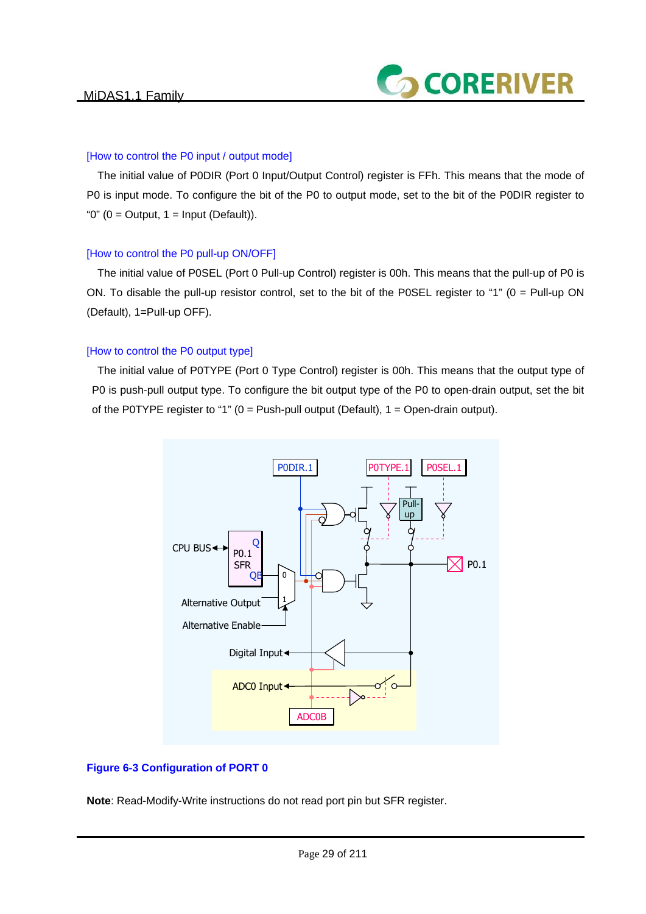

#### <span id="page-28-0"></span>[How to control the P0 input / output mode]

The initial value of P0DIR (Port 0 Input/Output Control) register is FFh. This means that the mode of P0 is input mode. To configure the bit of the P0 to output mode, set to the bit of the P0DIR register to "0" (0 = Output,  $1 =$  Input (Default)).

#### [How to control the P0 pull-up ON/OFF]

The initial value of P0SEL (Port 0 Pull-up Control) register is 00h. This means that the pull-up of P0 is ON. To disable the pull-up resistor control, set to the bit of the P0SEL register to "1" ( $0 =$  Pull-up ON (Default), 1=Pull-up OFF).

#### [How to control the P0 output type]

The initial value of P0TYPE (Port 0 Type Control) register is 00h. This means that the output type of P0 is push-pull output type. To configure the bit output type of the P0 to open-drain output, set the bit of the P0TYPE register to "1" ( $0 =$  Push-pull output (Default),  $1 =$  Open-drain output).



#### **Figure 6-3 Configuration of PORT 0**

**Note**: Read-Modify-Write instructions do not read port pin but SFR register.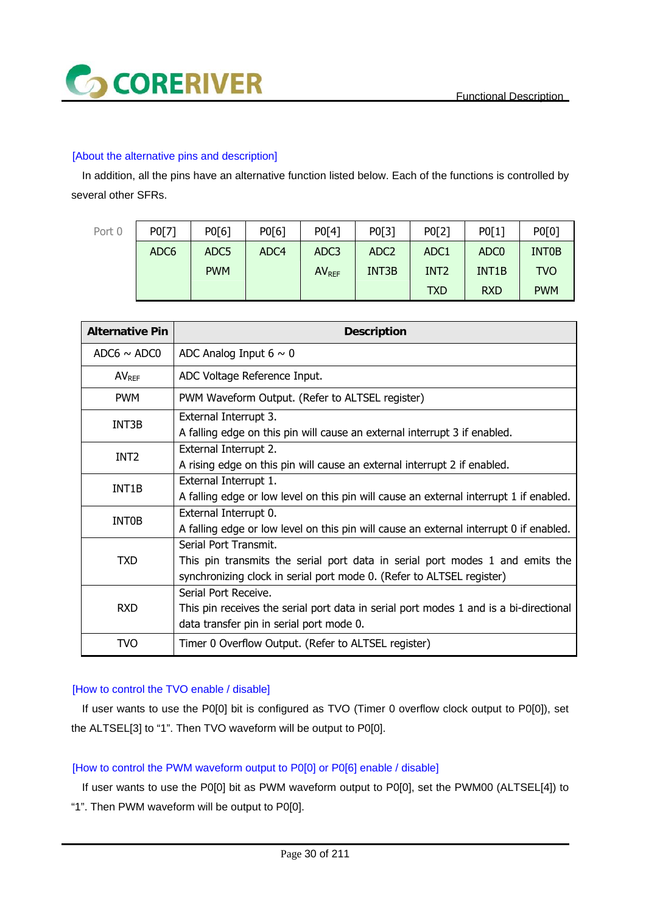

#### [About the alternative pins and description]

In addition, all the pins have an alternative function listed below. Each of the functions is controlled by several other SFRs.

| Port 0 | P0[7] | P0[6]      | P0[6] | P0[4]             | P0[3]            | P0[2]            | P0[1]              | P0[0]        |
|--------|-------|------------|-------|-------------------|------------------|------------------|--------------------|--------------|
|        | ADC6  | ADC5       | ADC4  | ADC3              | ADC <sub>2</sub> | ADC1             | ADC <sub>0</sub>   | <b>INTOB</b> |
|        |       | <b>PWM</b> |       | AV <sub>REF</sub> | INT3B            | INT <sub>2</sub> | INT <sub>1</sub> B | TVO          |
|        |       |            |       |                   |                  | <b>TXD</b>       | <b>RXD</b>         | <b>PWM</b>   |

| <b>Alternative Pin</b> | <b>Description</b>                                                                                                                                                             |
|------------------------|--------------------------------------------------------------------------------------------------------------------------------------------------------------------------------|
| $ADC6 \sim ADC0$       | ADC Analog Input $6 \sim 0$                                                                                                                                                    |
| AV <sub>REF</sub>      | ADC Voltage Reference Input.                                                                                                                                                   |
| <b>PWM</b>             | PWM Waveform Output. (Refer to ALTSEL register)                                                                                                                                |
| INT3B                  | External Interrupt 3.<br>A falling edge on this pin will cause an external interrupt 3 if enabled.                                                                             |
| INT <sub>2</sub>       | External Interrupt 2.<br>A rising edge on this pin will cause an external interrupt 2 if enabled.                                                                              |
| INT1B                  | External Interrupt 1.<br>A falling edge or low level on this pin will cause an external interrupt 1 if enabled.                                                                |
| <b>INT0B</b>           | External Interrupt 0.<br>A falling edge or low level on this pin will cause an external interrupt 0 if enabled.                                                                |
| <b>TXD</b>             | Serial Port Transmit.<br>This pin transmits the serial port data in serial port modes 1 and emits the<br>synchronizing clock in serial port mode 0. (Refer to ALTSEL register) |
| <b>RXD</b>             | Serial Port Receive.<br>This pin receives the serial port data in serial port modes 1 and is a bi-directional<br>data transfer pin in serial port mode 0.                      |
| <b>TVO</b>             | Timer 0 Overflow Output. (Refer to ALTSEL register)                                                                                                                            |

#### [How to control the TVO enable / disable]

If user wants to use the P0[0] bit is configured as TVO (Timer 0 overflow clock output to P0[0]), set the ALTSEL[3] to "1". Then TVO waveform will be output to P0[0].

#### [How to control the PWM waveform output to P0[0] or P0[6] enable / disable]

If user wants to use the P0[0] bit as PWM waveform output to P0[0], set the PWM00 (ALTSEL[4]) to "1". Then PWM waveform will be output to P0[0].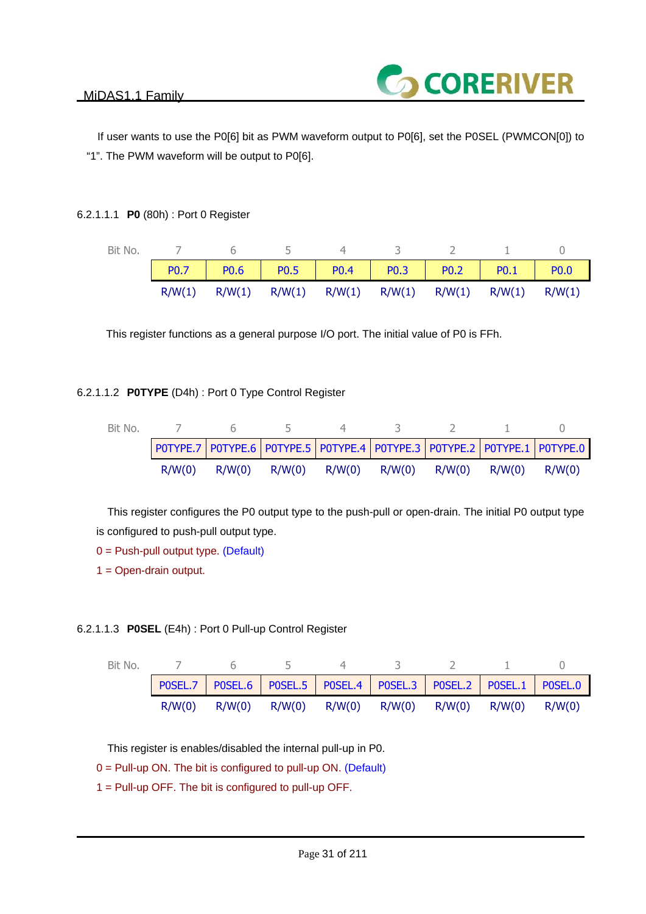

If user wants to use the P0[6] bit as PWM waveform output to P0[6], set the P0SEL (PWMCON[0]) to "1". The PWM waveform will be output to P0[6].

#### 6.2.1.1.1 **P0** (80h) : Port 0 Register

| Bit No. |             |             |                                                                |  |             |
|---------|-------------|-------------|----------------------------------------------------------------|--|-------------|
|         | <b>P0.7</b> | P0.6   P0.5 | $P0.4$ $P0.3$ $P0.2$ $P0.1$                                    |  | <b>PO.O</b> |
|         | R/W(1)      |             | $R/W(1)$ $R/W(1)$ $R/W(1)$ $R/W(1)$ $R/W(1)$ $R/W(1)$ $R/W(1)$ |  |             |

This register functions as a general purpose I/O port. The initial value of P0 is FFh.

#### 6.2.1.1.2 **P0TYPE** (D4h) : Port 0 Type Control Register

| Bit No. |        |        |        |        |        |        |        |                                                                                       |
|---------|--------|--------|--------|--------|--------|--------|--------|---------------------------------------------------------------------------------------|
|         |        |        |        |        |        |        |        | POTYPE.7   POTYPE.6   POTYPE.5   POTYPE.4   POTYPE.3   POTYPE.2   POTYPE.1   POTYPE.0 |
|         | R/W(0) | R/W(0) | R/W(0) | R/W(0) | R/W(0) | R/W(0) | R/W(0) | R/W(0)                                                                                |

This register configures the P0 output type to the push-pull or open-drain. The initial P0 output type is configured to push-pull output type.

- 0 = Push-pull output type. (Default)
- 1 = Open-drain output.

#### 6.2.1.1.3 **P0SEL** (E4h) : Port 0 Pull-up Control Register

| Bit No. |        |                                                                               |  |                                                                |  |  |
|---------|--------|-------------------------------------------------------------------------------|--|----------------------------------------------------------------|--|--|
|         |        | POSEL.7   POSEL.6   POSEL.5   POSEL.4   POSEL.3   POSEL.2   POSEL.1   POSEL.0 |  |                                                                |  |  |
|         | R/W(0) |                                                                               |  | $R/W(0)$ $R/W(0)$ $R/W(0)$ $R/W(0)$ $R/W(0)$ $R/W(0)$ $R/W(0)$ |  |  |

This register is enables/disabled the internal pull-up in P0.

0 = Pull-up ON. The bit is configured to pull-up ON. (Default)

1 = Pull-up OFF. The bit is configured to pull-up OFF.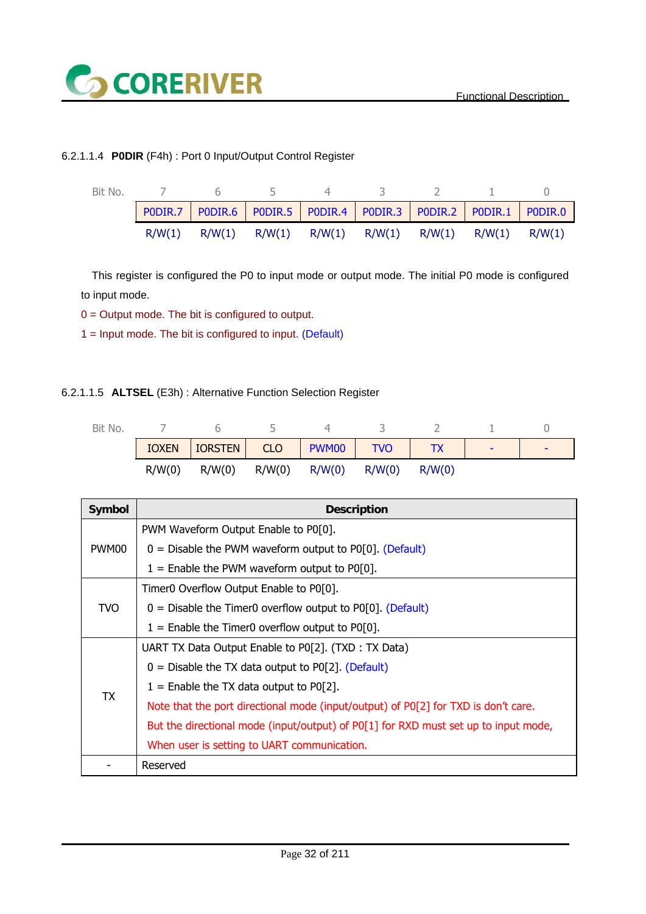

#### 6.2.1.1.4 **P0DIR** (F4h) : Port 0 Input/Output Control Register

| Bit No. |                                                                                  | $\sim$ |  |  |                                                                               |
|---------|----------------------------------------------------------------------------------|--------|--|--|-------------------------------------------------------------------------------|
|         |                                                                                  |        |  |  | podir.7   podir.6   podir.5   podir.4   podir.3   podir.2   podir.1   podir.0 |
|         | $R/W(1)$ $R/W(1)$ $R/W(1)$ $R/W(1)$ $R/W(1)$ $R/W(1)$ $R/W(1)$ $R/W(1)$ $R/W(1)$ |        |  |  |                                                                               |

This register is configured the P0 to input mode or output mode. The initial P0 mode is configured to input mode.

 $0 =$  Output mode. The bit is configured to output.

1 = Input mode. The bit is configured to input. (Default)

#### 6.2.1.1.5 **ALTSEL** (E3h) : Alternative Function Selection Register

| Bit No. |              |                |            |              |        |        |                          |                          |
|---------|--------------|----------------|------------|--------------|--------|--------|--------------------------|--------------------------|
|         | <b>IOXEN</b> | <b>IORSTEN</b> | <b>CLO</b> | <b>PWM00</b> | TVO    |        | $\overline{\phantom{0}}$ | $\overline{\phantom{0}}$ |
|         | R/W(0)       | R/W(0)         | R/W(0)     | R/W(0)       | R/W(0) | R/W(0) |                          |                          |

| <b>Symbol</b> | <b>Description</b>                                                                  |  |  |  |  |  |  |  |  |
|---------------|-------------------------------------------------------------------------------------|--|--|--|--|--|--|--|--|
| PWM00         | PWM Waveform Output Enable to P0[0].                                                |  |  |  |  |  |  |  |  |
|               | $0 =$ Disable the PWM waveform output to P0[0]. (Default)                           |  |  |  |  |  |  |  |  |
|               | $1 =$ Enable the PWM waveform output to P0[0].                                      |  |  |  |  |  |  |  |  |
|               | Timer0 Overflow Output Enable to P0[0].                                             |  |  |  |  |  |  |  |  |
| TVO.          | $0 =$ Disable the Timer0 overflow output to P0[0]. (Default)                        |  |  |  |  |  |  |  |  |
|               | $1 =$ Enable the Timer0 overflow output to P0[0].                                   |  |  |  |  |  |  |  |  |
|               | UART TX Data Output Enable to P0[2]. (TXD: TX Data)                                 |  |  |  |  |  |  |  |  |
|               | $0 =$ Disable the TX data output to P0[2]. (Default)                                |  |  |  |  |  |  |  |  |
| TX            | $1 =$ Enable the TX data output to P0[2].                                           |  |  |  |  |  |  |  |  |
|               | Note that the port directional mode (input/output) of P0[2] for TXD is don't care.  |  |  |  |  |  |  |  |  |
|               | But the directional mode (input/output) of P0[1] for RXD must set up to input mode, |  |  |  |  |  |  |  |  |
|               | When user is setting to UART communication.                                         |  |  |  |  |  |  |  |  |
|               | Reserved                                                                            |  |  |  |  |  |  |  |  |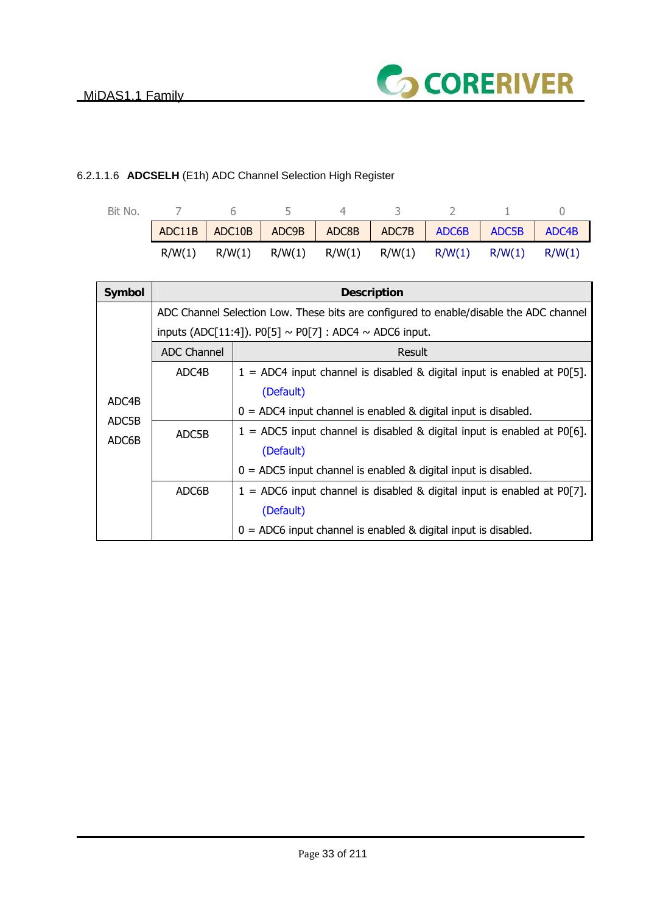

#### 6.2.1.1.6 **ADCSELH** (E1h) ADC Channel Selection High Register

| Bit No. |        |                                                         |        |                                     |  |        |
|---------|--------|---------------------------------------------------------|--------|-------------------------------------|--|--------|
|         |        | ADC11B   ADC10B   ADC9B   ADC8B   ADC7B   ADC6B   ADC5B |        |                                     |  | ADC4B  |
|         | R/W(1) | R/W(1)                                                  | R/W(1) | $R/W(1)$ $R/W(1)$ $R/W(1)$ $R/W(1)$ |  | R/W(1) |

| Symbol         | <b>Description</b>                                                                     |                                                                           |  |  |  |  |  |  |
|----------------|----------------------------------------------------------------------------------------|---------------------------------------------------------------------------|--|--|--|--|--|--|
|                | ADC Channel Selection Low. These bits are configured to enable/disable the ADC channel |                                                                           |  |  |  |  |  |  |
|                | inputs (ADC[11:4]). P0[5] $\sim$ P0[7] : ADC4 $\sim$ ADC6 input.                       |                                                                           |  |  |  |  |  |  |
|                | <b>ADC Channel</b>                                                                     | Result                                                                    |  |  |  |  |  |  |
|                | ADC4B                                                                                  | $1 = ADC4$ input channel is disabled & digital input is enabled at P0[5]. |  |  |  |  |  |  |
| ADC4B          |                                                                                        | (Default)                                                                 |  |  |  |  |  |  |
|                |                                                                                        | $0 = ADC4$ input channel is enabled & digital input is disabled.          |  |  |  |  |  |  |
| ADC5B<br>ADC6B | ADC5B                                                                                  | $1 =$ ADC5 input channel is disabled & digital input is enabled at P0[6]. |  |  |  |  |  |  |
|                |                                                                                        | (Default)                                                                 |  |  |  |  |  |  |
|                |                                                                                        | $0 = ADC5$ input channel is enabled & digital input is disabled.          |  |  |  |  |  |  |
|                | ADC6B                                                                                  | $1 = ADC6$ input channel is disabled & digital input is enabled at P0[7]. |  |  |  |  |  |  |
|                |                                                                                        | (Default)                                                                 |  |  |  |  |  |  |
|                |                                                                                        | $0 = ADC6$ input channel is enabled & digital input is disabled.          |  |  |  |  |  |  |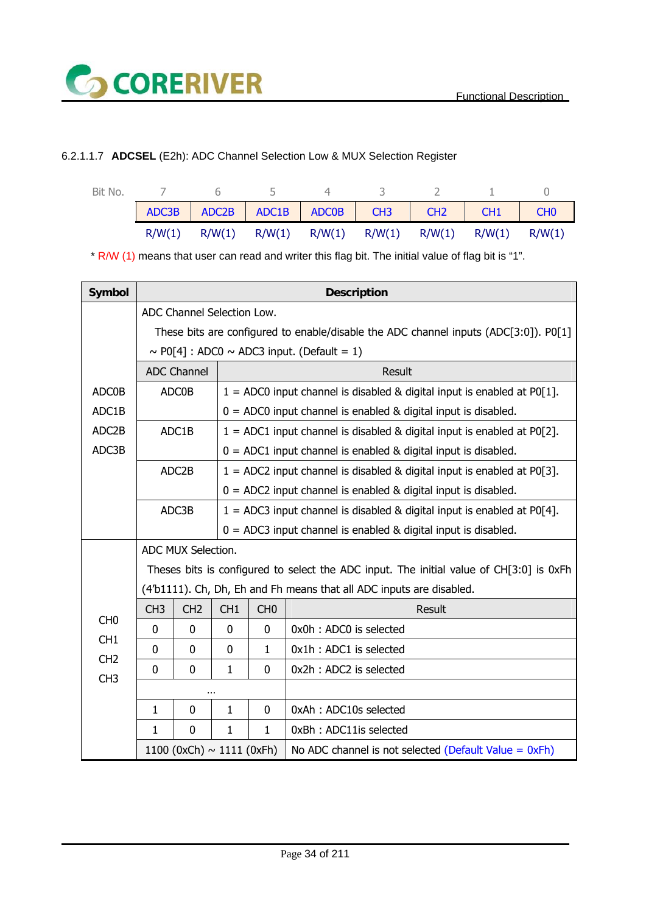

#### 6.2.1.1.7 **ADCSEL** (E2h): ADC Channel Selection Low & MUX Selection Register

| Bit No. |        |        |                                              |                 |                 |                 |                  |
|---------|--------|--------|----------------------------------------------|-----------------|-----------------|-----------------|------------------|
|         | ADC3B  | ADC2B  | ADC1B ADC0B                                  | CH <sub>3</sub> | CH <sub>2</sub> | CH <sub>1</sub> | C <sub>H</sub> O |
|         | R/W(1) | R/W(1) | $R/W(1)$ $R/W(1)$ $R/W(1)$ $R/W(1)$ $R/W(1)$ |                 |                 |                 | R/W(1)           |

\* R/W (1) means that user can read and writer this flag bit. The initial value of flag bit is "1".

| Symbol          | <b>Description</b>                                                                      |                                |                 |                                                                           |                                                                           |  |  |  |  |  |
|-----------------|-----------------------------------------------------------------------------------------|--------------------------------|-----------------|---------------------------------------------------------------------------|---------------------------------------------------------------------------|--|--|--|--|--|
|                 | ADC Channel Selection Low.                                                              |                                |                 |                                                                           |                                                                           |  |  |  |  |  |
|                 | These bits are configured to enable/disable the ADC channel inputs (ADC[3:0]). $P0[1]$  |                                |                 |                                                                           |                                                                           |  |  |  |  |  |
|                 | $\sim$ P0[4] : ADC0 $\sim$ ADC3 input. (Default = 1)                                    |                                |                 |                                                                           |                                                                           |  |  |  |  |  |
|                 |                                                                                         | <b>ADC Channel</b>             |                 | Result                                                                    |                                                                           |  |  |  |  |  |
| <b>ADC0B</b>    |                                                                                         | ADC0B                          |                 |                                                                           | $1 = ADC0$ input channel is disabled & digital input is enabled at P0[1]. |  |  |  |  |  |
| ADC1B           |                                                                                         |                                |                 |                                                                           | $0 = ADC0$ input channel is enabled & digital input is disabled.          |  |  |  |  |  |
| ADC2B           |                                                                                         | ADC1B                          |                 |                                                                           | $1 = ADC1$ input channel is disabled & digital input is enabled at P0[2]. |  |  |  |  |  |
| ADC3B           |                                                                                         |                                |                 | $0 = ADC1$ input channel is enabled & digital input is disabled.          |                                                                           |  |  |  |  |  |
|                 | ADC2B<br>$1 = ADC2$ input channel is disabled & digital input is enabled at P0[3].      |                                |                 |                                                                           |                                                                           |  |  |  |  |  |
|                 | $0 = ADC2$ input channel is enabled & digital input is disabled.                        |                                |                 |                                                                           |                                                                           |  |  |  |  |  |
|                 |                                                                                         | ADC3B                          |                 | $1 = ADC3$ input channel is disabled & digital input is enabled at P0[4]. |                                                                           |  |  |  |  |  |
|                 | $0 = ADC3$ input channel is enabled & digital input is disabled.                        |                                |                 |                                                                           |                                                                           |  |  |  |  |  |
|                 | ADC MUX Selection.                                                                      |                                |                 |                                                                           |                                                                           |  |  |  |  |  |
|                 | Theses bits is configured to select the ADC input. The initial value of CH[3:0] is 0xFh |                                |                 |                                                                           |                                                                           |  |  |  |  |  |
|                 | (4'b1111). Ch, Dh, Eh and Fh means that all ADC inputs are disabled.                    |                                |                 |                                                                           |                                                                           |  |  |  |  |  |
|                 | CH <sub>3</sub>                                                                         | CH <sub>2</sub>                | CH <sub>1</sub> | CH <sub>0</sub>                                                           | Result                                                                    |  |  |  |  |  |
| CH <sub>0</sub> | $\mathbf{0}$                                                                            | $\mathbf{0}$                   | $\mathbf{0}$    | 0                                                                         | 0x0h: ADC0 is selected                                                    |  |  |  |  |  |
| CH <sub>1</sub> | $\mathbf{0}$                                                                            | 0                              | $\mathbf{0}$    | 1                                                                         | 0x1h: ADC1 is selected                                                    |  |  |  |  |  |
| CH <sub>2</sub> | $\mathbf 0$                                                                             | 0                              | $\mathbf{1}$    | 0                                                                         | 0x2h: ADC2 is selected                                                    |  |  |  |  |  |
| CH <sub>3</sub> |                                                                                         |                                |                 |                                                                           |                                                                           |  |  |  |  |  |
|                 | 1                                                                                       | 0                              | 1               | 0                                                                         | 0xAb : ADC10s selected                                                    |  |  |  |  |  |
|                 | 1                                                                                       | 0                              | $\mathbf{1}$    | $\mathbf{1}$                                                              | 0xBh: ADC11is selected                                                    |  |  |  |  |  |
|                 |                                                                                         | 1100 (0xCh) $\sim$ 1111 (0xFh) |                 |                                                                           | No ADC channel is not selected (Default Value = $0xFh$ )                  |  |  |  |  |  |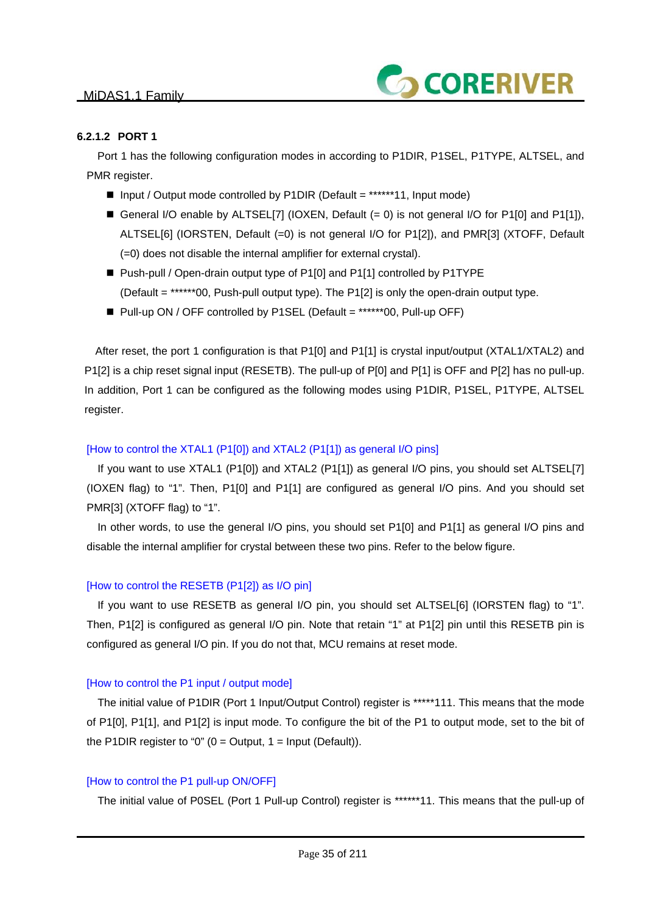#### **6.2.1.2 PORT 1**

Port 1 has the following configuration modes in according to P1DIR, P1SEL, P1TYPE, ALTSEL, and PMR register.

- Input / Output mode controlled by P1DIR (Default = \*\*\*\*\*\*11, Input mode)
- General I/O enable by ALTSEL[7] (IOXEN, Default  $(= 0)$  is not general I/O for P1[0] and P1[1]), ALTSEL[6] (IORSTEN, Default (=0) is not general I/O for P1[2]), and PMR[3] (XTOFF, Default (=0) does not disable the internal amplifier for external crystal).
- Push-pull / Open-drain output type of P1[0] and P1[1] controlled by P1TYPE (Default = \*\*\*\*\*\*00, Push-pull output type). The P1[2] is only the open-drain output type.
- Pull-up ON / OFF controlled by P1SEL (Default = \*\*\*\*\*\*00, Pull-up OFF)

After reset, the port 1 configuration is that P1[0] and P1[1] is crystal input/output (XTAL1/XTAL2) and P1[2] is a chip reset signal input (RESETB). The pull-up of P[0] and P[1] is OFF and P[2] has no pull-up. In addition, Port 1 can be configured as the following modes using P1DIR, P1SEL, P1TYPE, ALTSEL register.

#### [How to control the XTAL1 (P1[0]) and XTAL2 (P1[1]) as general I/O pins]

If you want to use XTAL1 (P1[0]) and XTAL2 (P1[1]) as general I/O pins, you should set ALTSEL[7] (IOXEN flag) to "1". Then, P1[0] and P1[1] are configured as general I/O pins. And you should set PMR[3] (XTOFF flag) to "1".

In other words, to use the general I/O pins, you should set P1[0] and P1[1] as general I/O pins and disable the internal amplifier for crystal between these two pins. Refer to the below figure.

#### [How to control the RESETB (P1[2]) as I/O pin]

If you want to use RESETB as general I/O pin, you should set ALTSEL[6] (IORSTEN flag) to "1". Then, P1[2] is configured as general I/O pin. Note that retain "1" at P1[2] pin until this RESETB pin is configured as general I/O pin. If you do not that, MCU remains at reset mode.

#### [How to control the P1 input / output mode]

The initial value of P1DIR (Port 1 Input/Output Control) register is \*\*\*\*\*111. This means that the mode of P1[0], P1[1], and P1[2] is input mode. To configure the bit of the P1 to output mode, set to the bit of the P1DIR register to "0" ( $0 =$  Output,  $1 =$  Input (Default)).

#### [How to control the P1 pull-up ON/OFF]

The initial value of P0SEL (Port 1 Pull-up Control) register is \*\*\*\*\*\*11. This means that the pull-up of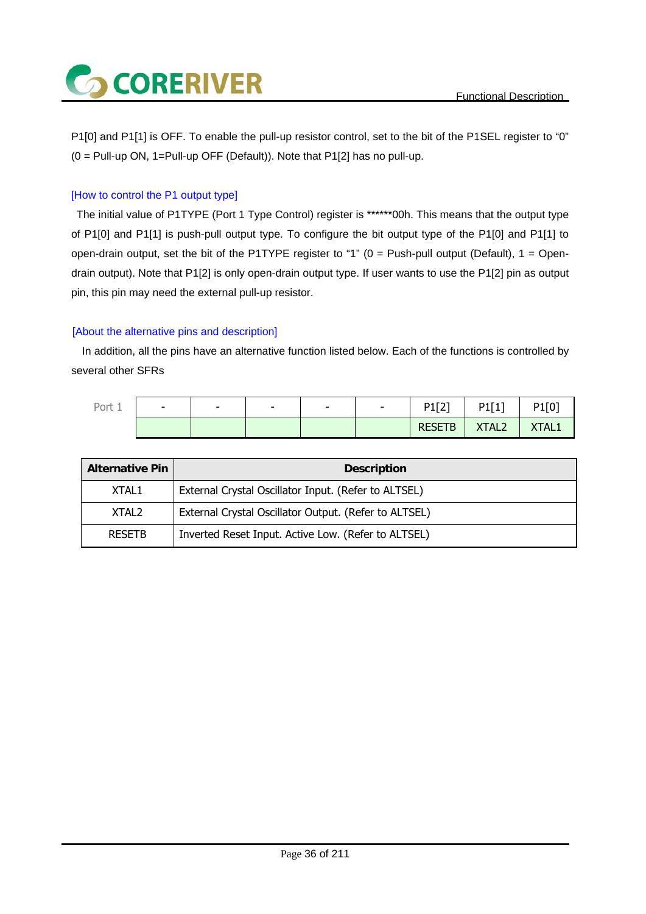

P1[0] and P1[1] is OFF. To enable the pull-up resistor control, set to the bit of the P1SEL register to "0"  $(0 =$  Pull-up ON, 1=Pull-up OFF (Default)). Note that P1[2] has no pull-up.

#### [How to control the P1 output type]

The initial value of P1TYPE (Port 1 Type Control) register is \*\*\*\*\*\*00h. This means that the output type of P1[0] and P1[1] is push-pull output type. To configure the bit output type of the P1[0] and P1[1] to open-drain output, set the bit of the P1TYPE register to "1" ( $0 =$  Push-pull output (Default),  $1 =$  Opendrain output). Note that P1[2] is only open-drain output type. If user wants to use the P1[2] pin as output pin, this pin may need the external pull-up resistor.

#### [About the alternative pins and description]

In addition, all the pins have an alternative function listed below. Each of the functions is controlled by several other SFRs

| Port 1 | $\overline{\phantom{a}}$ | $\overline{\phantom{a}}$ | $\overline{\phantom{a}}$ | $\overline{\phantom{0}}$ | $\overline{\phantom{0}}$ | P1[2]         | P1[1]             | P1[0]        |
|--------|--------------------------|--------------------------|--------------------------|--------------------------|--------------------------|---------------|-------------------|--------------|
|        |                          |                          |                          |                          |                          | <b>RESETB</b> | XTAL <sub>2</sub> | <b>XTAL1</b> |

| <b>Alternative Pin</b> | <b>Description</b>                                    |
|------------------------|-------------------------------------------------------|
| XTAL1                  | External Crystal Oscillator Input. (Refer to ALTSEL)  |
| XTAL <sub>2</sub>      | External Crystal Oscillator Output. (Refer to ALTSEL) |
| <b>RESETB</b>          | Inverted Reset Input. Active Low. (Refer to ALTSEL)   |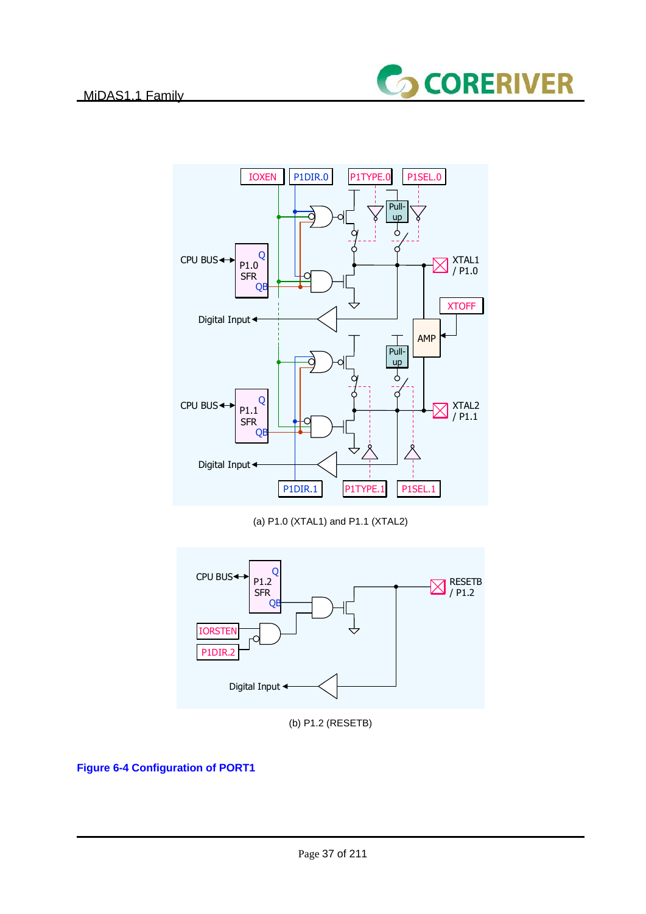



(a) P1.0 (XTAL1) and P1.1 (XTAL2)



(b) P1.2 (RESETB)

# **Figure 6-4 Configuration of PORT1**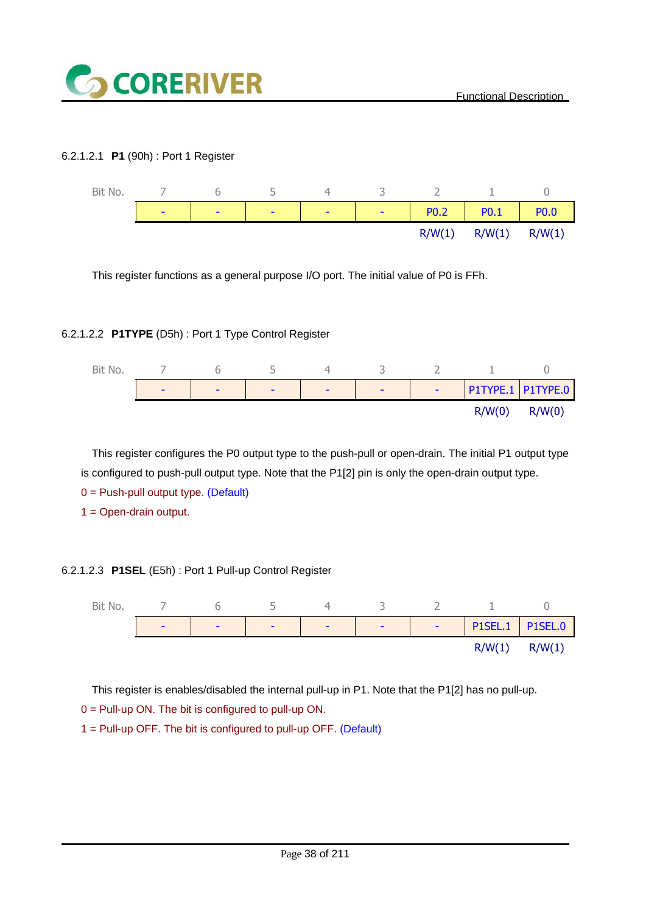

## 6.2.1.2.1 **P1** (90h) : Port 1 Register



This register functions as a general purpose I/O port. The initial value of P0 is FFh.

## 6.2.1.2.2 **P1TYPE** (D5h) : Port 1 Type Control Register



This register configures the P0 output type to the push-pull or open-drain. The initial P1 output type is configured to push-pull output type. Note that the P1[2] pin is only the open-drain output type.

0 = Push-pull output type. (Default)

1 = Open-drain output.

#### 6.2.1.2.3 **P1SEL** (E5h) : Port 1 Pull-up Control Register



This register is enables/disabled the internal pull-up in P1. Note that the P1[2] has no pull-up.

 $0 =$  Pull-up ON. The bit is configured to pull-up ON.

1 = Pull-up OFF. The bit is configured to pull-up OFF. (Default)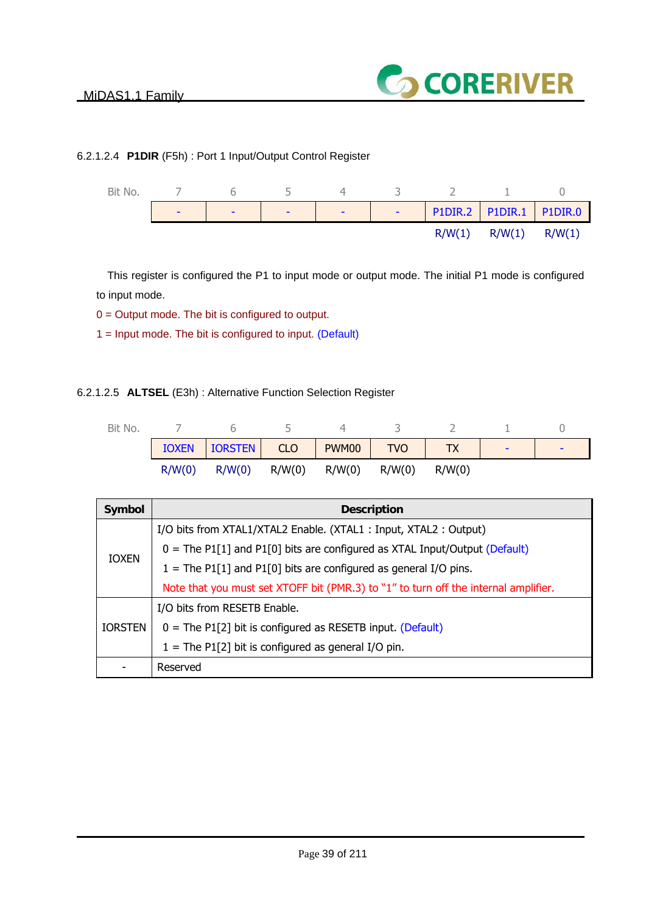

## 6.2.1.2.4 **P1DIR** (F5h) : Port 1 Input/Output Control Register



This register is configured the P1 to input mode or output mode. The initial P1 mode is configured to input mode.

 $0 =$  Output mode. The bit is configured to output.

1 = Input mode. The bit is configured to input. (Default)

## 6.2.1.2.5 **ALTSEL** (E3h) : Alternative Function Selection Register

| Bit No. |              |         |        |        |            |        |                          |                          |
|---------|--------------|---------|--------|--------|------------|--------|--------------------------|--------------------------|
|         | <b>IOXEN</b> | IORSTEN | CLO    | PWM00  | <b>TVO</b> |        | $\overline{\phantom{0}}$ | $\overline{\phantom{0}}$ |
|         | R/W(0)       | R/W(0)  | R/W(0) | R/W(0) | R/W(0)     | R/W(0) |                          |                          |

| Symbol         | <b>Description</b>                                                                  |
|----------------|-------------------------------------------------------------------------------------|
|                | I/O bits from XTAL1/XTAL2 Enable. (XTAL1: Input, XTAL2: Output)                     |
|                | $0 =$ The P1[1] and P1[0] bits are configured as XTAL Input/Output (Default)        |
| <b>IOXEN</b>   | $1 =$ The P1[1] and P1[0] bits are configured as general I/O pins.                  |
|                | Note that you must set XTOFF bit (PMR.3) to "1" to turn off the internal amplifier. |
|                | I/O bits from RESETB Enable.                                                        |
| <b>IORSTEN</b> | $0 =$ The P1[2] bit is configured as RESETB input. (Default)                        |
|                | $1 =$ The P1[2] bit is configured as general I/O pin.                               |
|                | Reserved                                                                            |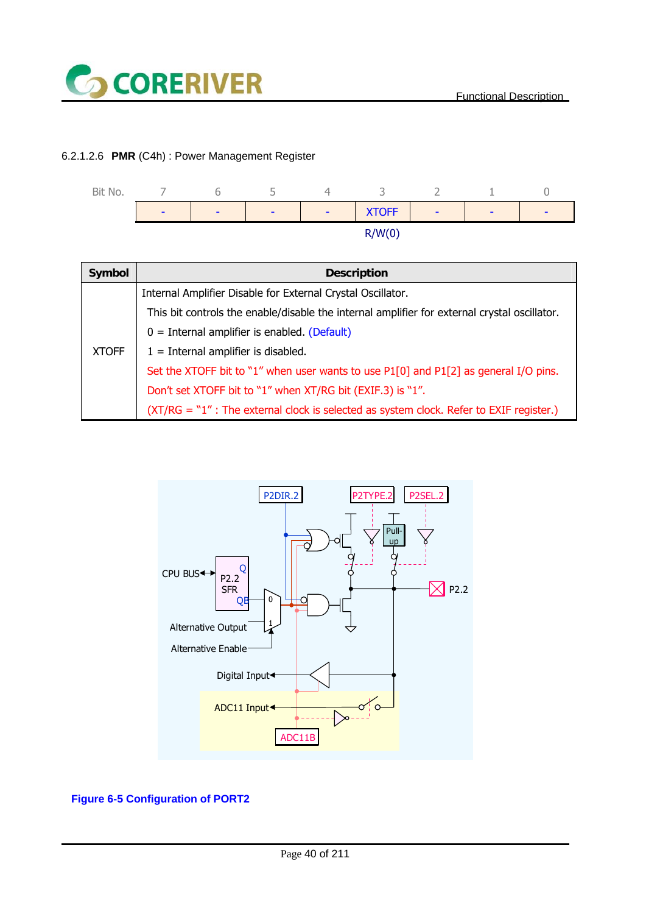

# 6.2.1.2.6 **PMR** (C4h) : Power Management Register



| Symbol       | <b>Description</b>                                                                           |  |  |  |  |  |  |
|--------------|----------------------------------------------------------------------------------------------|--|--|--|--|--|--|
|              | Internal Amplifier Disable for External Crystal Oscillator.                                  |  |  |  |  |  |  |
| <b>XTOFF</b> | This bit controls the enable/disable the internal amplifier for external crystal oscillator. |  |  |  |  |  |  |
|              | $0 =$ Internal amplifier is enabled. (Default)                                               |  |  |  |  |  |  |
|              | $1 =$ Internal amplifier is disabled.                                                        |  |  |  |  |  |  |
|              | Set the XTOFF bit to "1" when user wants to use P1[0] and P1[2] as general I/O pins.         |  |  |  |  |  |  |
|              | Don't set XTOFF bit to "1" when XT/RG bit (EXIF.3) is "1".                                   |  |  |  |  |  |  |
|              | $(XT/RG = "1" : The external clock is selected as system clock. Refer to EXIF register.)$    |  |  |  |  |  |  |



# **Figure 6-5 Configuration of PORT2**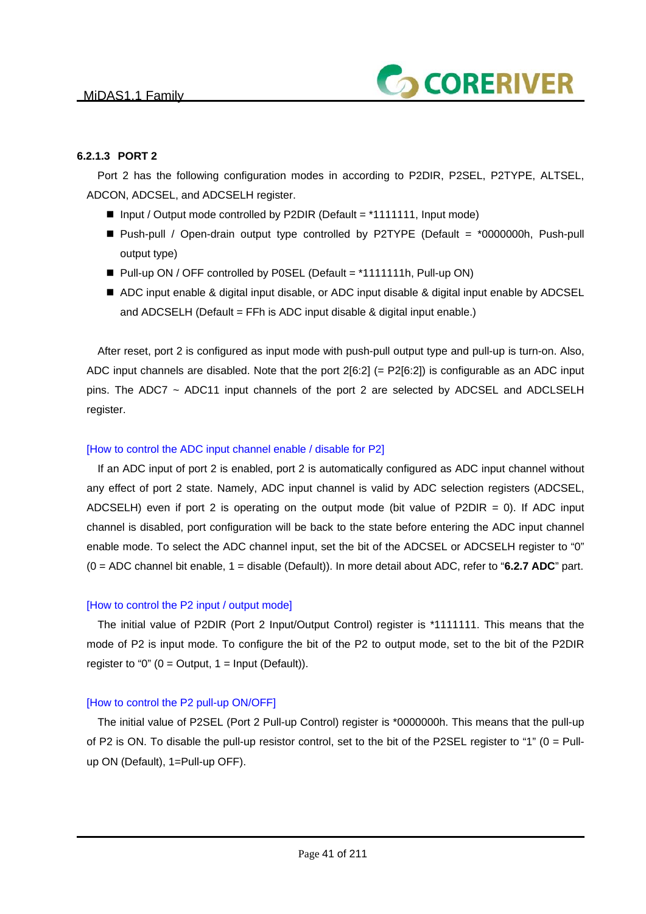

## **6.2.1.3 PORT 2**

Port 2 has the following configuration modes in according to P2DIR, P2SEL, P2TYPE, ALTSEL, ADCON, ADCSEL, and ADCSELH register.

- Input / Output mode controlled by P2DIR (Default  $=$  \*1111111, Input mode)
- **Push-pull / Open-drain output type controlled by P2TYPE (Default = \*0000000h, Push-pull** output type)
- Pull-up ON / OFF controlled by P0SEL (Default = \*1111111h, Pull-up ON)
- ADC input enable & digital input disable, or ADC input disable & digital input enable by ADCSEL and ADCSELH (Default = FFh is ADC input disable & digital input enable.)

After reset, port 2 is configured as input mode with push-pull output type and pull-up is turn-on. Also, ADC input channels are disabled. Note that the port  $2[6:2] (= P2[6:2])$  is configurable as an ADC input pins. The ADC7 ~ ADC11 input channels of the port 2 are selected by ADCSEL and ADCLSELH register.

#### [How to control the ADC input channel enable / disable for P2]

If an ADC input of port 2 is enabled, port 2 is automatically configured as ADC input channel without any effect of port 2 state. Namely, ADC input channel is valid by ADC selection registers (ADCSEL, ADCSELH) even if port 2 is operating on the output mode (bit value of P2DIR = 0). If ADC input channel is disabled, port configuration will be back to the state before entering the ADC input channel enable mode. To select the ADC channel input, set the bit of the ADCSEL or ADCSELH register to "0" (0 = ADC channel bit enable, 1 = disable (Default)). In more detail about ADC, refer to "**6.2.7 ADC**" part.

#### [How to control the P2 input / output mode]

The initial value of P2DIR (Port 2 Input/Output Control) register is \*1111111. This means that the mode of P2 is input mode. To configure the bit of the P2 to output mode, set to the bit of the P2DIR register to "0" ( $0 =$  Output,  $1 =$  Input (Default)).

#### [How to control the P2 pull-up ON/OFF]

The initial value of P2SEL (Port 2 Pull-up Control) register is \*0000000h. This means that the pull-up of P2 is ON. To disable the pull-up resistor control, set to the bit of the P2SEL register to "1" ( $0 =$  Pullup ON (Default), 1=Pull-up OFF).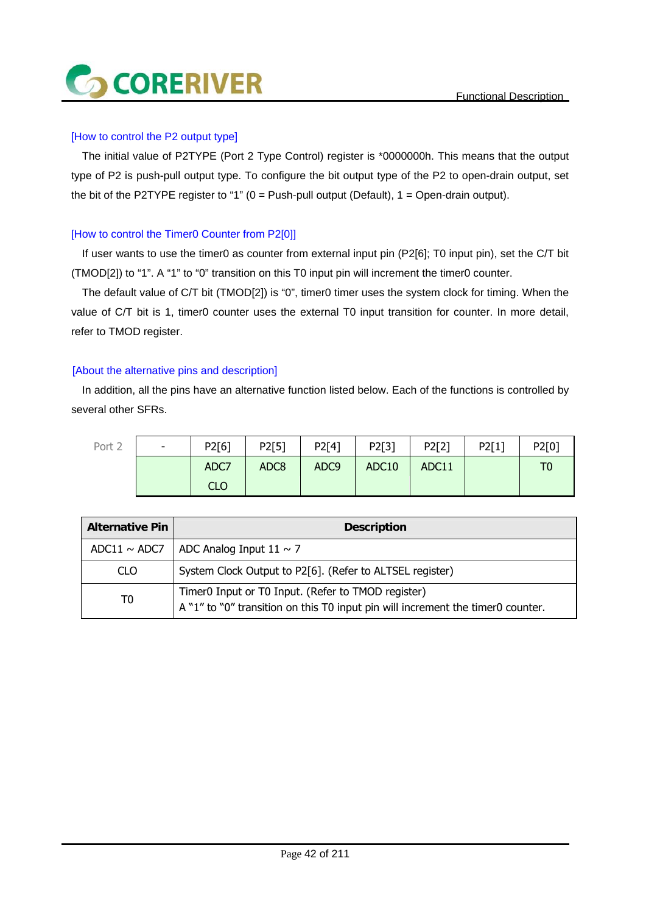

## [How to control the P2 output type]

The initial value of P2TYPE (Port 2 Type Control) register is \*0000000h. This means that the output type of P2 is push-pull output type. To configure the bit output type of the P2 to open-drain output, set the bit of the P2TYPE register to "1" ( $0 =$  Push-pull output (Default),  $1 =$  Open-drain output).

## [How to control the Timer0 Counter from P2[0]]

If user wants to use the timer0 as counter from external input pin (P2[6]; T0 input pin), set the C/T bit (TMOD[2]) to "1". A "1" to "0" transition on this T0 input pin will increment the timer0 counter.

The default value of C/T bit (TMOD[2]) is "0", timer0 timer uses the system clock for timing. When the value of C/T bit is 1, timer0 counter uses the external T0 input transition for counter. In more detail, refer to TMOD register.

## [About the alternative pins and description]

In addition, all the pins have an alternative function listed below. Each of the functions is controlled by several other SFRs.

| Port 2 | $\sim$ | P2[6]      | P2[5]            | P2[4]            | P2[3]             | P2[2] | P2[1] | P2[0] |
|--------|--------|------------|------------------|------------------|-------------------|-------|-------|-------|
|        |        | ADC7       | ADC <sub>8</sub> | ADC <sub>9</sub> | ADC <sub>10</sub> | ADC11 |       |       |
|        |        | <b>CLO</b> |                  |                  |                   |       |       |       |

| <b>Alternative Pin</b> | <b>Description</b>                                                                                                                    |
|------------------------|---------------------------------------------------------------------------------------------------------------------------------------|
| $ADC11 \sim ADC7$      | ADC Analog Input 11 $\sim$ 7                                                                                                          |
| <b>CLO</b>             | System Clock Output to P2[6]. (Refer to ALTSEL register)                                                                              |
| T0                     | Timer0 Input or T0 Input. (Refer to TMOD register)<br>A "1" to "0" transition on this T0 input pin will increment the timer0 counter. |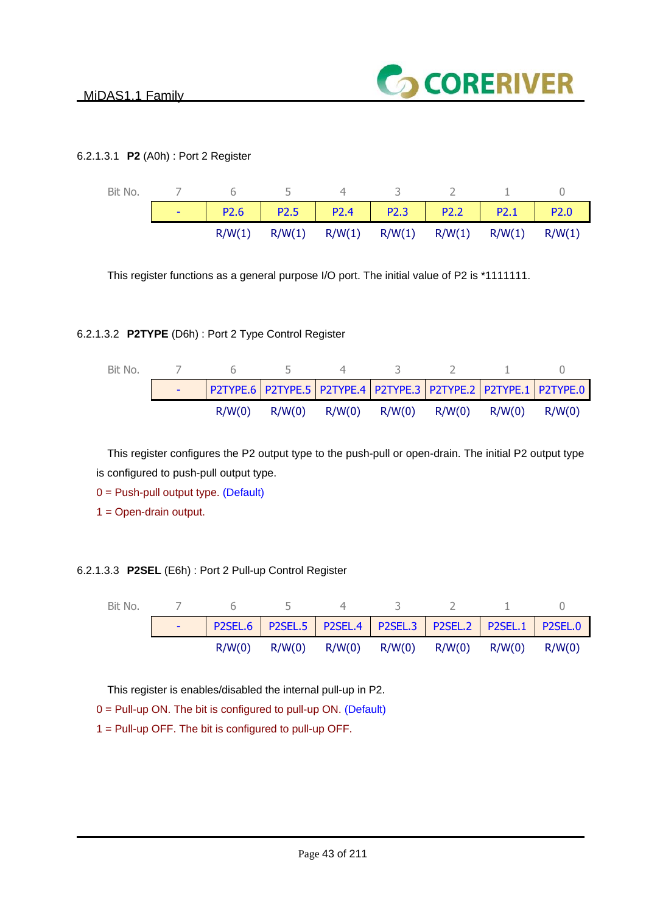

## 6.2.1.3.1 **P2** (A0h) : Port 2 Register

| Bit No. |        |                  |                  |             |                  |                  |                  |                  |
|---------|--------|------------------|------------------|-------------|------------------|------------------|------------------|------------------|
|         | $\sim$ | P <sub>2.6</sub> | P <sub>2.5</sub> | <b>P2.4</b> | P <sub>2.3</sub> | P <sub>2.2</sub> | P <sub>2.1</sub> | P <sub>2.0</sub> |
|         |        | R/W(1)           | R/W(1)           | R/W(1)      | R/W(1)           | R/W(1)           | R/W(1)           | R/W(1)           |

This register functions as a general purpose I/O port. The initial value of P2 is \*1111111.

## 6.2.1.3.2 **P2TYPE** (D6h) : Port 2 Type Control Register



This register configures the P2 output type to the push-pull or open-drain. The initial P2 output type is configured to push-pull output type.

0 = Push-pull output type. (Default)

1 = Open-drain output.

#### 6.2.1.3.3 **P2SEL** (E6h) : Port 2 Pull-up Control Register



This register is enables/disabled the internal pull-up in P2.

 $0 =$  Pull-up ON. The bit is configured to pull-up ON. (Default)

1 = Pull-up OFF. The bit is configured to pull-up OFF.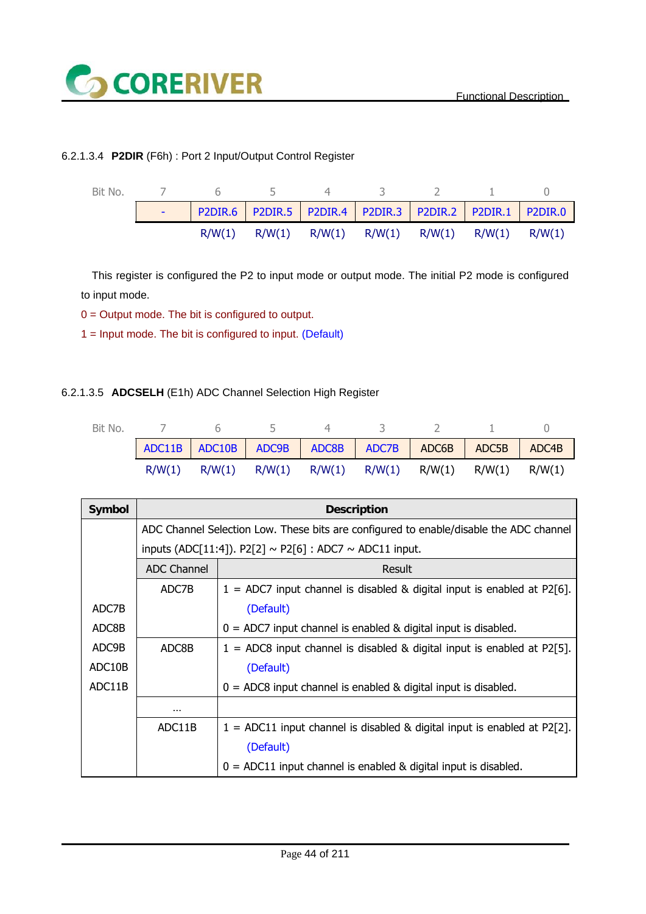

# 6.2.1.3.4 **P2DIR** (F6h) : Port 2 Input/Output Control Register

| Bit No. |                                                                     | 6 5 4 3 7 1                                                    |  |  |
|---------|---------------------------------------------------------------------|----------------------------------------------------------------|--|--|
|         | P2DIR.6   P2DIR.5   P2DIR.4   P2DIR.3   P2DIR.2   P2DIR.1   P2DIR.0 |                                                                |  |  |
|         |                                                                     | $R/W(1)$ $R/W(1)$ $R/W(1)$ $R/W(1)$ $R/W(1)$ $R/W(1)$ $R/W(1)$ |  |  |

This register is configured the P2 to input mode or output mode. The initial P2 mode is configured to input mode.

 $0 =$  Output mode. The bit is configured to output.

1 = Input mode. The bit is configured to input. (Default)

# 6.2.1.3.5 **ADCSELH** (E1h) ADC Channel Selection High Register

| Bit No. |        |                        |       |                   |                            |       |       |        |
|---------|--------|------------------------|-------|-------------------|----------------------------|-------|-------|--------|
|         | ADC11B | $\vert$ ADC10B $\vert$ | ADC9B |                   | ADC8B ADC7B                | ADC6B | ADC5B | ADC4B  |
|         | R/W(1) | R/W(1)                 |       | $R/W(1)$ $R/W(1)$ | $R/W(1)$ $R/W(1)$ $R/W(1)$ |       |       | R/W(1) |

| Symbol | <b>Description</b> |                                                                                        |  |  |  |  |  |  |  |  |
|--------|--------------------|----------------------------------------------------------------------------------------|--|--|--|--|--|--|--|--|
|        |                    | ADC Channel Selection Low. These bits are configured to enable/disable the ADC channel |  |  |  |  |  |  |  |  |
|        |                    | inputs (ADC[11:4]). P2[2] ~ P2[6] : ADC7 ~ ADC11 input.                                |  |  |  |  |  |  |  |  |
|        | <b>ADC Channel</b> | Result                                                                                 |  |  |  |  |  |  |  |  |
|        | ADC7B              | $1 =$ ADC7 input channel is disabled & digital input is enabled at P2[6].              |  |  |  |  |  |  |  |  |
| ADC7B  |                    | (Default)                                                                              |  |  |  |  |  |  |  |  |
| ADC8B  |                    | $0 = ADC7$ input channel is enabled & digital input is disabled.                       |  |  |  |  |  |  |  |  |
| ADC9B  | ADC8B              | $1 =$ ADC8 input channel is disabled & digital input is enabled at P2[5].              |  |  |  |  |  |  |  |  |
| ADC10B |                    | (Default)                                                                              |  |  |  |  |  |  |  |  |
| ADC11B |                    | $0 = ADC8$ input channel is enabled & digital input is disabled.                       |  |  |  |  |  |  |  |  |
|        | $\cdots$           |                                                                                        |  |  |  |  |  |  |  |  |
|        | ADC11B             | $1 = ADC11$ input channel is disabled & digital input is enabled at P2[2].             |  |  |  |  |  |  |  |  |
|        |                    | (Default)                                                                              |  |  |  |  |  |  |  |  |
|        |                    | $0 = ADC11$ input channel is enabled & digital input is disabled.                      |  |  |  |  |  |  |  |  |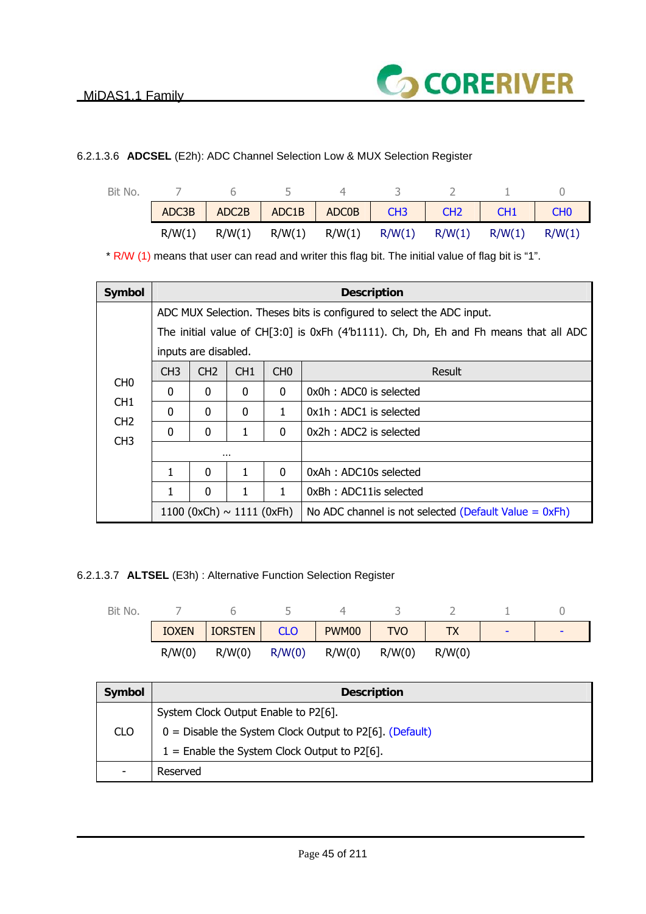

# 6.2.1.3.6 **ADCSEL** (E2h): ADC Channel Selection Low & MUX Selection Register

| Bit No. |        |                    |        |              |                 |                 |        |                 |
|---------|--------|--------------------|--------|--------------|-----------------|-----------------|--------|-----------------|
|         | ADC3B  | ADC <sub>2</sub> B | ADC1B  | <b>ADC0B</b> | CH <sub>3</sub> | CH <sub>2</sub> | CH1    | CH <sub>0</sub> |
|         | R/W(1) | R/W(1)             | R/W(1) | R/W(1)       | R/W(1)          | R/W(1)          | R/W(1) | R/W(1)          |

\* R/W (1) means that user can read and writer this flag bit. The initial value of flag bit is "1".

| Symbol                             |                 | <b>Description</b>                                                    |                                |                 |                                                                                      |  |  |  |  |  |
|------------------------------------|-----------------|-----------------------------------------------------------------------|--------------------------------|-----------------|--------------------------------------------------------------------------------------|--|--|--|--|--|
|                                    |                 | ADC MUX Selection. Theses bits is configured to select the ADC input. |                                |                 |                                                                                      |  |  |  |  |  |
|                                    |                 |                                                                       |                                |                 | The initial value of CH[3:0] is 0xFh (4'b1111). Ch, Dh, Eh and Fh means that all ADC |  |  |  |  |  |
|                                    |                 | inputs are disabled.                                                  |                                |                 |                                                                                      |  |  |  |  |  |
|                                    | CH <sub>3</sub> | CH <sub>2</sub>                                                       | CH <sub>1</sub>                | CH <sub>0</sub> | Result                                                                               |  |  |  |  |  |
| CH <sub>0</sub><br>CH <sub>1</sub> | $\Omega$        | $\Omega$                                                              | 0                              | $\Omega$        | $0x0h$ : ADC0 is selected                                                            |  |  |  |  |  |
| CH <sub>2</sub>                    | $\Omega$        | $\Omega$                                                              | 0                              | 1               | $0x1h : ADC1$ is selected                                                            |  |  |  |  |  |
| CH <sub>3</sub>                    | $\Omega$        | 0                                                                     | 1                              | 0               | $0x2h : ADC2$ is selected                                                            |  |  |  |  |  |
|                                    |                 |                                                                       | $\cdots$                       |                 |                                                                                      |  |  |  |  |  |
|                                    | 1               | $\Omega$                                                              | 1                              | $\Omega$        | 0xAh: ADC10s selected                                                                |  |  |  |  |  |
|                                    | 1               | $\Omega$                                                              |                                | 1               | 0xBh: ADC11is selected                                                               |  |  |  |  |  |
|                                    |                 |                                                                       | 1100 (0xCh) $\sim$ 1111 (0xFh) |                 | No ADC channel is not selected (Default Value = $0xFh$ )                             |  |  |  |  |  |

6.2.1.3.7 **ALTSEL** (E3h) : Alternative Function Selection Register

| Bit No. |              |                |            |        |        |        |   |                          |
|---------|--------------|----------------|------------|--------|--------|--------|---|--------------------------|
|         | <b>IOXEN</b> | <b>IORSTEN</b> | <b>CLO</b> | PWM00  | TVO    |        | - | $\overline{\phantom{0}}$ |
|         | R/W(0)       | R/W(0)         | R/W(0)     | R/W(0) | R/W(0) | R/W(0) |   |                          |

| Symbol     | <b>Description</b>                                        |  |  |  |  |  |  |
|------------|-----------------------------------------------------------|--|--|--|--|--|--|
|            | System Clock Output Enable to P2[6].                      |  |  |  |  |  |  |
| <b>CLO</b> | $0 =$ Disable the System Clock Output to P2[6]. (Default) |  |  |  |  |  |  |
|            | $1 =$ Enable the System Clock Output to P2[6].            |  |  |  |  |  |  |
| ٠          | Reserved                                                  |  |  |  |  |  |  |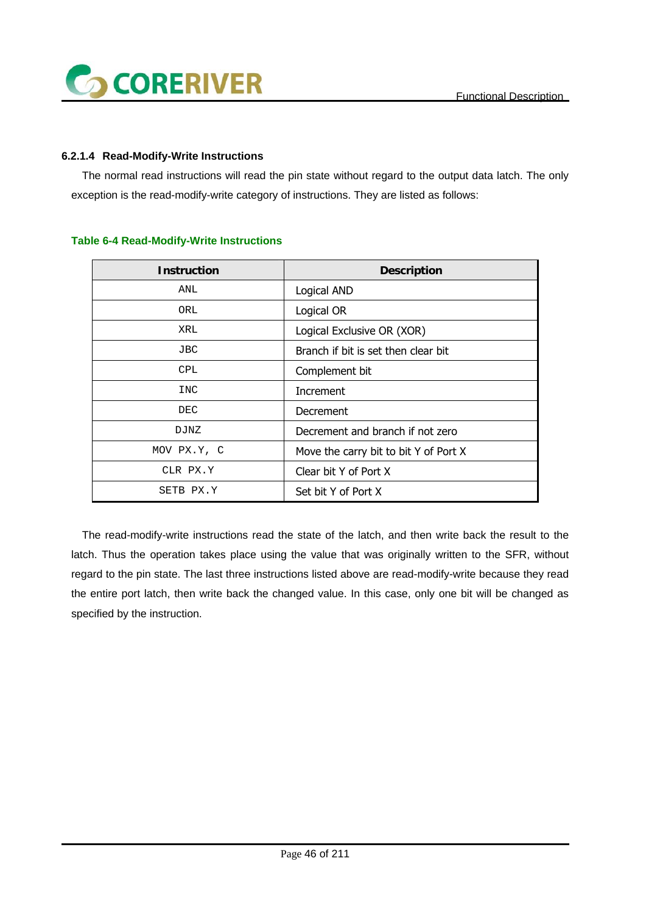

# **6.2.1.4 Read-Modify-Write Instructions**

The normal read instructions will read the pin state without regard to the output data latch. The only exception is the read-modify-write category of instructions. They are listed as follows:

| <b>Instruction</b> | <b>Description</b>                    |
|--------------------|---------------------------------------|
| ANL                | Logical AND                           |
| ORL                | Logical OR                            |
| XRL                | Logical Exclusive OR (XOR)            |
| JBC                | Branch if bit is set then clear bit   |
| CPL                | Complement bit                        |
| INC                | Increment                             |
| DEC                | Decrement                             |
| DJNZ               | Decrement and branch if not zero      |
| MOV PX.Y, C        | Move the carry bit to bit Y of Port X |
| CLR PX.Y           | Clear bit Y of Port X                 |
| SETB PX.Y          | Set bit Y of Port X                   |

# **Table 6-4 Read-Modify-Write Instructions**

The read-modify-write instructions read the state of the latch, and then write back the result to the latch. Thus the operation takes place using the value that was originally written to the SFR, without regard to the pin state. The last three instructions listed above are read-modify-write because they read the entire port latch, then write back the changed value. In this case, only one bit will be changed as specified by the instruction.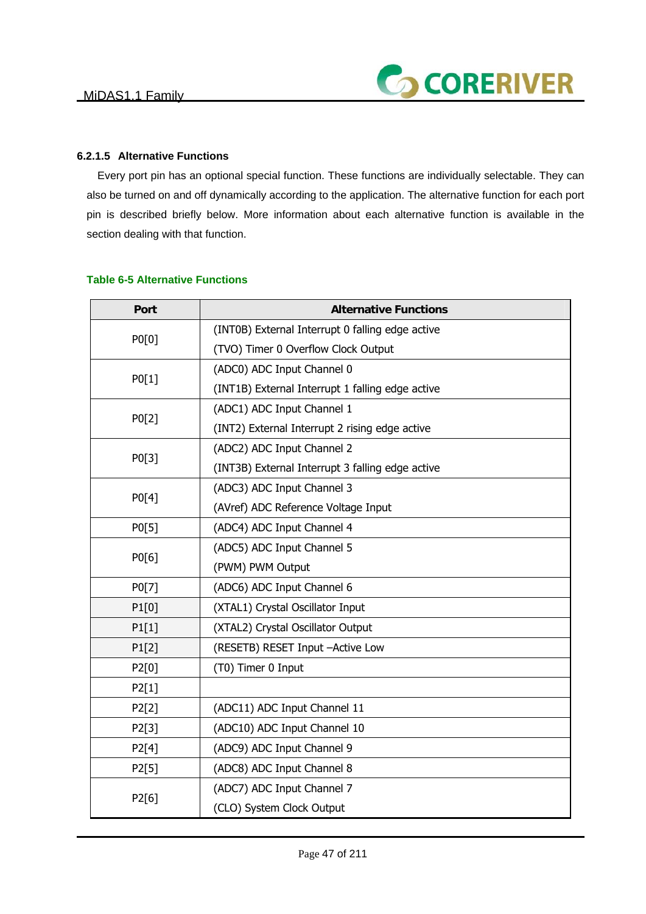

### **6.2.1.5 Alternative Functions**

Every port pin has an optional special function. These functions are individually selectable. They can also be turned on and off dynamically according to the application. The alternative function for each port pin is described briefly below. More information about each alternative function is available in the section dealing with that function.

# **Table 6-5 Alternative Functions**

| Port  | <b>Alternative Functions</b>                     |  |  |  |
|-------|--------------------------------------------------|--|--|--|
| P0[0] | (INT0B) External Interrupt 0 falling edge active |  |  |  |
|       | (TVO) Timer 0 Overflow Clock Output              |  |  |  |
| P0[1] | (ADC0) ADC Input Channel 0                       |  |  |  |
|       | (INT1B) External Interrupt 1 falling edge active |  |  |  |
| PO[2] | (ADC1) ADC Input Channel 1                       |  |  |  |
|       | (INT2) External Interrupt 2 rising edge active   |  |  |  |
| P0[3] | (ADC2) ADC Input Channel 2                       |  |  |  |
|       | (INT3B) External Interrupt 3 falling edge active |  |  |  |
| PO[4] | (ADC3) ADC Input Channel 3                       |  |  |  |
|       | (AVref) ADC Reference Voltage Input              |  |  |  |
| P0[5] | (ADC4) ADC Input Channel 4                       |  |  |  |
| P0[6] | (ADC5) ADC Input Channel 5                       |  |  |  |
|       | (PWM) PWM Output                                 |  |  |  |
| P0[7] | (ADC6) ADC Input Channel 6                       |  |  |  |
| P1[0] | (XTAL1) Crystal Oscillator Input                 |  |  |  |
| P1[1] | (XTAL2) Crystal Oscillator Output                |  |  |  |
| P1[2] | (RESETB) RESET Input - Active Low                |  |  |  |
| P2[0] | (T0) Timer 0 Input                               |  |  |  |
| P2[1] |                                                  |  |  |  |
| P2[2] | (ADC11) ADC Input Channel 11                     |  |  |  |
| P2[3] | (ADC10) ADC Input Channel 10                     |  |  |  |
| P2[4] | (ADC9) ADC Input Channel 9                       |  |  |  |
| P2[5] | (ADC8) ADC Input Channel 8                       |  |  |  |
|       | (ADC7) ADC Input Channel 7                       |  |  |  |
| P2[6] | (CLO) System Clock Output                        |  |  |  |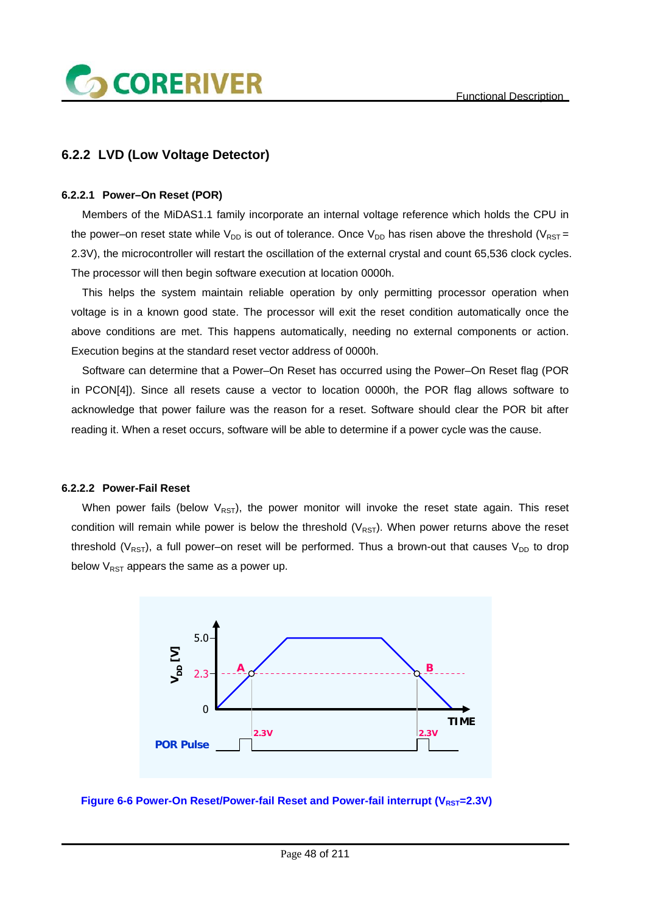<span id="page-47-0"></span>

# **6.2.2 LVD (Low Voltage Detector)**

#### **6.2.2.1 Power–On Reset (POR)**

Members of the MiDAS1.1 family incorporate an internal voltage reference which holds the CPU in the power–on reset state while V<sub>DD</sub> is out of tolerance. Once V<sub>DD</sub> has risen above the threshold (V<sub>RST</sub> = 2.3V), the microcontroller will restart the oscillation of the external crystal and count 65,536 clock cycles. The processor will then begin software execution at location 0000h.

This helps the system maintain reliable operation by only permitting processor operation when voltage is in a known good state. The processor will exit the reset condition automatically once the above conditions are met. This happens automatically, needing no external components or action. Execution begins at the standard reset vector address of 0000h.

Software can determine that a Power–On Reset has occurred using the Power–On Reset flag (POR in PCON[4]). Since all resets cause a vector to location 0000h, the POR flag allows software to acknowledge that power failure was the reason for a reset. Software should clear the POR bit after reading it. When a reset occurs, software will be able to determine if a power cycle was the cause.

#### **6.2.2.2 Power-Fail Reset**

When power fails (below  $V_{RST}$ ), the power monitor will invoke the reset state again. This reset condition will remain while power is below the threshold ( $V_{RST}$ ). When power returns above the reset threshold ( $V_{RST}$ ), a full power–on reset will be performed. Thus a brown-out that causes  $V_{DD}$  to drop below  $V_{RST}$  appears the same as a power up.



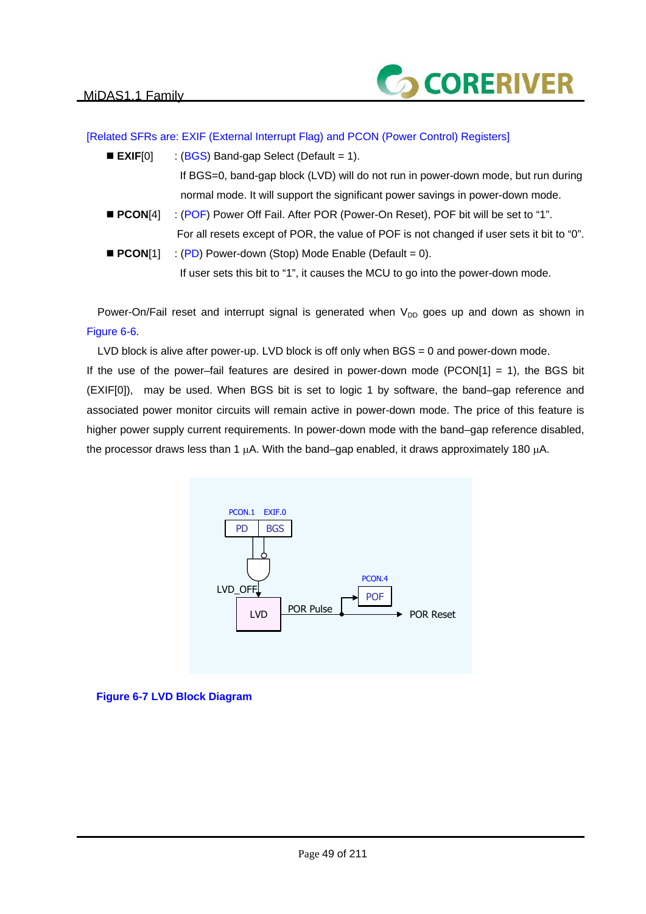

[Related SFRs are: EXIF (External Interrupt Flag) and PCON (Power Control) Registers]

**EXIF**[0] : (BGS) Band-gap Select (Default = 1). If BGS=0, band-gap block (LVD) will do not run in power-down mode, but run during normal mode. It will support the significant power savings in power-down mode. **PCON**[4] : (POF) Power Off Fail. After POR (Power-On Reset), POF bit will be set to "1". For all resets except of POR, the value of POF is not changed if user sets it bit to "0". **PCON**[1] : (PD) Power-down (Stop) Mode Enable (Default = 0).

If user sets this bit to "1", it causes the MCU to go into the power-down mode.

Power-On/Fail reset and interrupt signal is generated when  $V_{DD}$  goes up and down as shown in [Figure 6-](#page-47-0)6.

LVD block is alive after power-up. LVD block is off only when BGS = 0 and power-down mode. If the use of the power–fail features are desired in power-down mode (PCON $[1] = 1$ ), the BGS bit (EXIF[0]), may be used. When BGS bit is set to logic 1 by software, the band–gap reference and associated power monitor circuits will remain active in power-down mode. The price of this feature is higher power supply current requirements. In power-down mode with the band–gap reference disabled, the processor draws less than 1 μA. With the band–gap enabled, it draws approximately 180 μA.



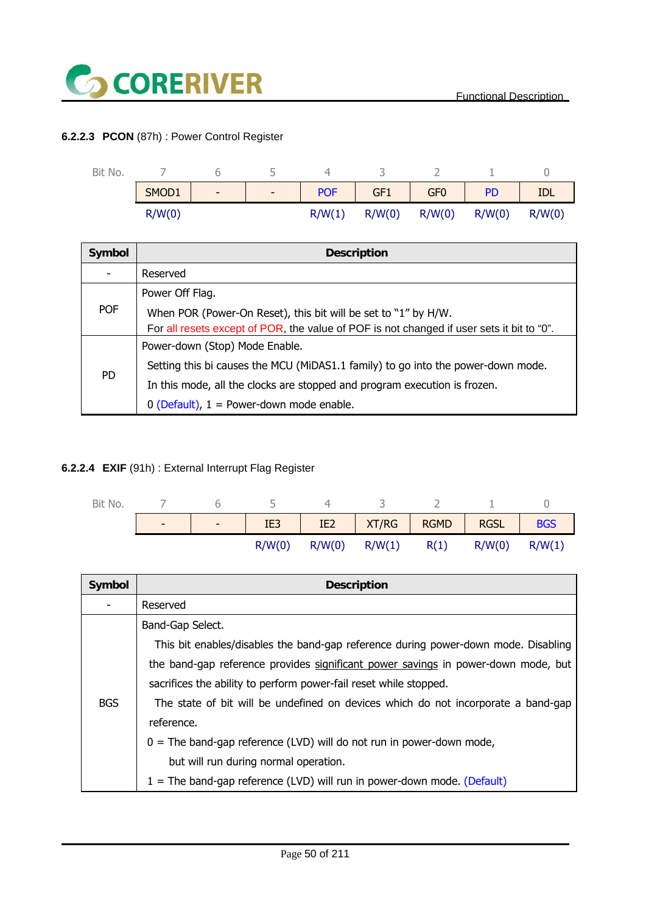

# **6.2.2.3 PCON** (87h) : Power Control Register



| Symbol     | <b>Description</b>                                                                        |
|------------|-------------------------------------------------------------------------------------------|
|            | Reserved                                                                                  |
|            | Power Off Flag.                                                                           |
| <b>POF</b> | When POR (Power-On Reset), this bit will be set to "1" by H/W.                            |
|            | For all resets except of POR, the value of POF is not changed if user sets it bit to "0". |
|            | Power-down (Stop) Mode Enable.                                                            |
|            | Setting this bi causes the MCU (MiDAS1.1 family) to go into the power-down mode.          |
| PD.        | In this mode, all the clocks are stopped and program execution is frozen.                 |
|            | $0$ (Default), $1 =$ Power-down mode enable.                                              |

# **6.2.2.4 EXIF** (91h) : External Interrupt Flag Register



| Symbol     | <b>Description</b>                                                                 |
|------------|------------------------------------------------------------------------------------|
|            | Reserved                                                                           |
|            | Band-Gap Select.                                                                   |
|            | This bit enables/disables the band-gap reference during power-down mode. Disabling |
|            | the band-gap reference provides significant power savings in power-down mode, but  |
|            | sacrifices the ability to perform power-fail reset while stopped.                  |
| <b>BGS</b> | The state of bit will be undefined on devices which do not incorporate a band-gap  |
|            | reference.                                                                         |
|            | $0 =$ The band-gap reference (LVD) will do not run in power-down mode,             |
|            | but will run during normal operation.                                              |
|            | $1 =$ The band-gap reference (LVD) will run in power-down mode. (Default)          |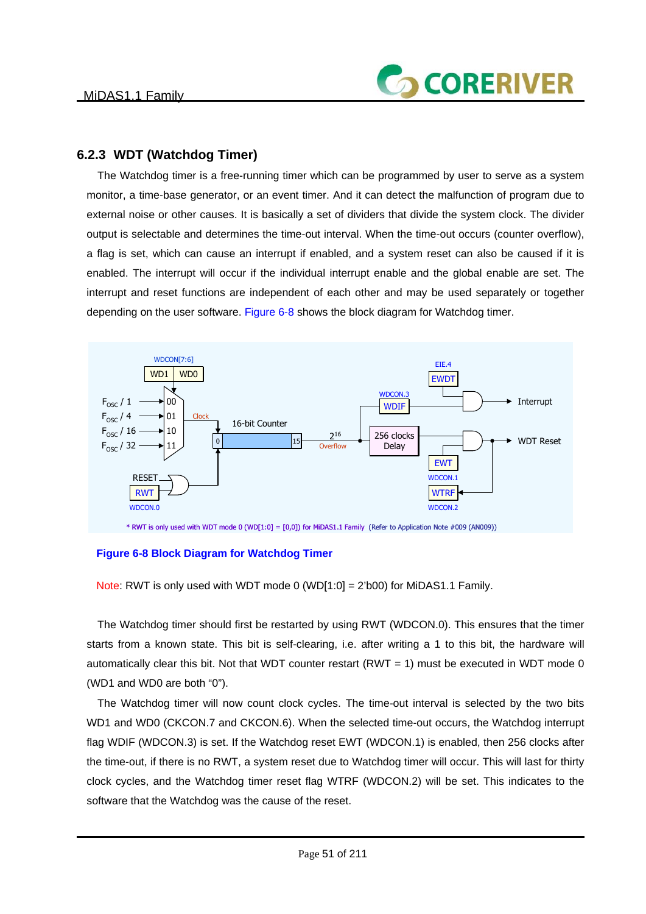

# <span id="page-50-0"></span>**6.2.3 WDT (Watchdog Timer)**

The Watchdog timer is a free-running timer which can be programmed by user to serve as a system monitor, a time-base generator, or an event timer. And it can detect the malfunction of program due to external noise or other causes. It is basically a set of dividers that divide the system clock. The divider output is selectable and determines the time-out interval. When the time-out occurs (counter overflow), a flag is set, which can cause an interrupt if enabled, and a system reset can also be caused if it is enabled. The interrupt will occur if the individual interrupt enable and the global enable are set. The interrupt and reset functions are independent of each other and may be used separately or together depending on the user software. [Figure 6-8](#page-50-0) shows the block diagram for Watchdog timer.



\* RWT is only used with WDT mode 0 (WD[1:0] = [0,0]) for MiDAS1.1 Family (Refer to Application Note #009 (AN009))

**Figure 6-8 Block Diagram for Watchdog Timer** 

Note: RWT is only used with WDT mode 0 (WD[1:0] = 2'b00) for MiDAS1.1 Family.

The Watchdog timer should first be restarted by using RWT (WDCON.0). This ensures that the timer starts from a known state. This bit is self-clearing, i.e. after writing a 1 to this bit, the hardware will automatically clear this bit. Not that WDT counter restart (RWT = 1) must be executed in WDT mode 0 (WD1 and WD0 are both "0").

The Watchdog timer will now count clock cycles. The time-out interval is selected by the two bits WD1 and WD0 (CKCON.7 and CKCON.6). When the selected time-out occurs, the Watchdog interrupt flag WDIF (WDCON.3) is set. If the Watchdog reset EWT (WDCON.1) is enabled, then 256 clocks after the time-out, if there is no RWT, a system reset due to Watchdog timer will occur. This will last for thirty clock cycles, and the Watchdog timer reset flag WTRF (WDCON.2) will be set. This indicates to the software that the Watchdog was the cause of the reset.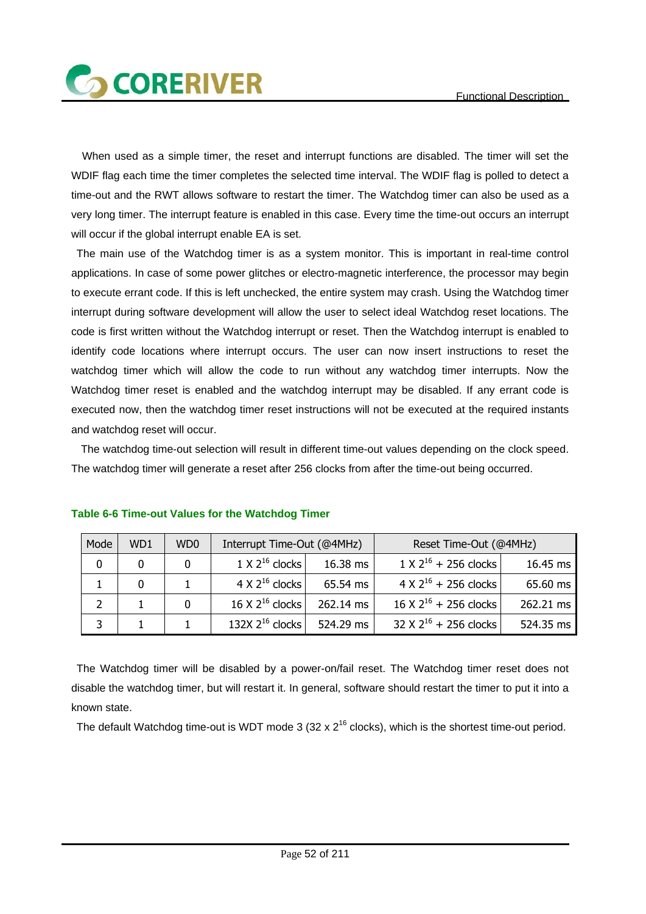

When used as a simple timer, the reset and interrupt functions are disabled. The timer will set the WDIF flag each time the timer completes the selected time interval. The WDIF flag is polled to detect a time-out and the RWT allows software to restart the timer. The Watchdog timer can also be used as a very long timer. The interrupt feature is enabled in this case. Every time the time-out occurs an interrupt will occur if the global interrupt enable EA is set.

The main use of the Watchdog timer is as a system monitor. This is important in real-time control applications. In case of some power glitches or electro-magnetic interference, the processor may begin to execute errant code. If this is left unchecked, the entire system may crash. Using the Watchdog timer interrupt during software development will allow the user to select ideal Watchdog reset locations. The code is first written without the Watchdog interrupt or reset. Then the Watchdog interrupt is enabled to identify code locations where interrupt occurs. The user can now insert instructions to reset the watchdog timer which will allow the code to run without any watchdog timer interrupts. Now the Watchdog timer reset is enabled and the watchdog interrupt may be disabled. If any errant code is executed now, then the watchdog timer reset instructions will not be executed at the required instants and watchdog reset will occur.

The watchdog time-out selection will result in different time-out values depending on the clock speed. The watchdog timer will generate a reset after 256 clocks from after the time-out being occurred.

| Mode | WD1 | WD <sub>0</sub> | Interrupt Time-Out (@4MHz) |           | Reset Time-Out (@4MHz)          |           |  |  |  |
|------|-----|-----------------|----------------------------|-----------|---------------------------------|-----------|--|--|--|
|      |     | 0               | $1 \times 2^{16}$ clocks   | 16.38 ms  | $1 \times 2^{16}$ + 256 clocks  | 16.45 ms  |  |  |  |
|      |     |                 | $4 \times 2^{16}$ clocks   | 65.54 ms  | $4 \times 2^{16} + 256$ clocks  | 65.60 ms  |  |  |  |
|      |     | 0               | $16 \times 2^{16}$ clocks  | 262.14 ms | $16 \times 2^{16} + 256$ clocks | 262.21 ms |  |  |  |
|      |     |                 | 132X $2^{16}$ clocks       | 524.29 ms | $32 \times 2^{16} + 256$ clocks | 524.35 ms |  |  |  |

#### **Table 6-6 Time-out Values for the Watchdog Timer**

The Watchdog timer will be disabled by a power-on/fail reset. The Watchdog timer reset does not disable the watchdog timer, but will restart it. In general, software should restart the timer to put it into a known state.

The default Watchdog time-out is WDT mode 3 (32 x  $2^{16}$  clocks), which is the shortest time-out period.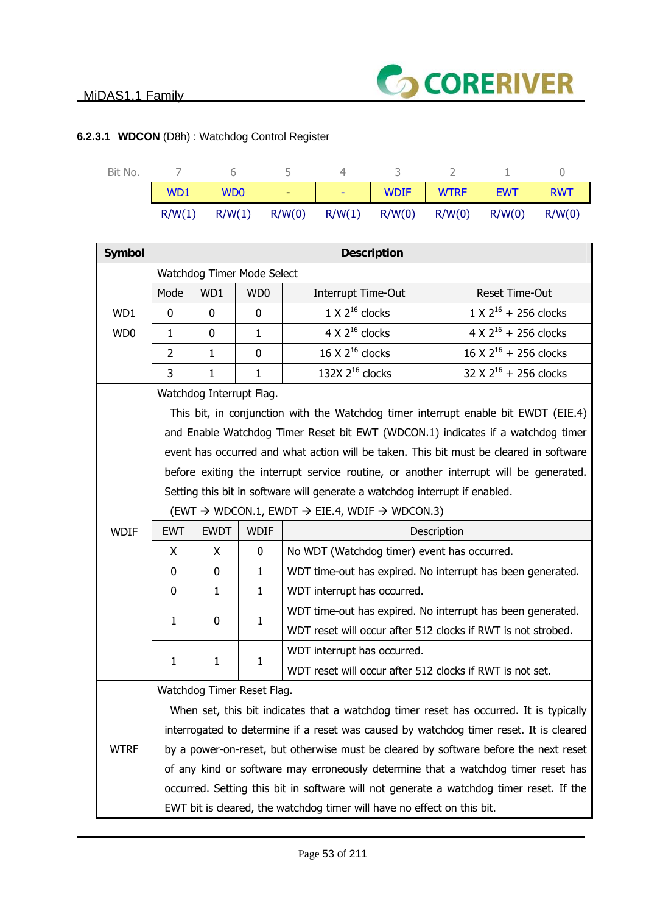

# **6.2.3.1 WDCON** (D8h) : Watchdog Control Register



| Symbol          | <b>Description</b>                                                                     |                                                                                        |                 |                                                                                         |                                 |  |  |  |
|-----------------|----------------------------------------------------------------------------------------|----------------------------------------------------------------------------------------|-----------------|-----------------------------------------------------------------------------------------|---------------------------------|--|--|--|
|                 |                                                                                        | Watchdog Timer Mode Select                                                             |                 |                                                                                         |                                 |  |  |  |
|                 | Mode                                                                                   | WD1                                                                                    | WD <sub>0</sub> | Interrupt Time-Out                                                                      | Reset Time-Out                  |  |  |  |
| WD1             | 0                                                                                      | 0                                                                                      | $\bf{0}$        | $1 \times 2^{16}$ clocks                                                                | $1 \times 2^{16}$ + 256 clocks  |  |  |  |
| WD <sub>0</sub> | 1                                                                                      | 0                                                                                      | $\mathbf{1}$    | $4 \times 2^{16}$ clocks                                                                | $4 \times 2^{16} + 256$ clocks  |  |  |  |
|                 | 2                                                                                      | 1                                                                                      | $\mathbf{0}$    | 16 X $2^{16}$ clocks                                                                    | $16 \times 2^{16} + 256$ clocks |  |  |  |
|                 | 3                                                                                      | 1                                                                                      | 1               | 132X $2^{16}$ clocks                                                                    | $32 \times 2^{16} + 256$ clocks |  |  |  |
|                 |                                                                                        | Watchdog Interrupt Flag.                                                               |                 |                                                                                         |                                 |  |  |  |
|                 |                                                                                        |                                                                                        |                 | This bit, in conjunction with the Watchdog timer interrupt enable bit EWDT (EIE.4)      |                                 |  |  |  |
|                 |                                                                                        |                                                                                        |                 | and Enable Watchdog Timer Reset bit EWT (WDCON.1) indicates if a watchdog timer         |                                 |  |  |  |
|                 |                                                                                        | event has occurred and what action will be taken. This bit must be cleared in software |                 |                                                                                         |                                 |  |  |  |
|                 | before exiting the interrupt service routine, or another interrupt will be generated.  |                                                                                        |                 |                                                                                         |                                 |  |  |  |
|                 | Setting this bit in software will generate a watchdog interrupt if enabled.            |                                                                                        |                 |                                                                                         |                                 |  |  |  |
|                 | (EWT → WDCON.1, EWDT → EIE.4, WDIF → WDCON.3)                                          |                                                                                        |                 |                                                                                         |                                 |  |  |  |
| <b>WDIF</b>     | <b>EWT</b>                                                                             | <b>EWDT</b>                                                                            | <b>WDIF</b>     | Description                                                                             |                                 |  |  |  |
|                 | X.                                                                                     | X.                                                                                     | $\mathbf{0}$    | No WDT (Watchdog timer) event has occurred.                                             |                                 |  |  |  |
|                 | 0                                                                                      | 0                                                                                      | $\mathbf{1}$    | WDT time-out has expired. No interrupt has been generated.                              |                                 |  |  |  |
|                 | 0                                                                                      | $\mathbf{1}$                                                                           | 1               | WDT interrupt has occurred.                                                             |                                 |  |  |  |
|                 | $\mathbf{1}$                                                                           | 0                                                                                      | 1               | WDT time-out has expired. No interrupt has been generated.                              |                                 |  |  |  |
|                 |                                                                                        |                                                                                        |                 | WDT reset will occur after 512 clocks if RWT is not strobed.                            |                                 |  |  |  |
|                 | 1                                                                                      | 1                                                                                      | 1               | WDT interrupt has occurred.                                                             |                                 |  |  |  |
|                 |                                                                                        |                                                                                        |                 | WDT reset will occur after 512 clocks if RWT is not set.                                |                                 |  |  |  |
|                 |                                                                                        | Watchdog Timer Reset Flag.                                                             |                 |                                                                                         |                                 |  |  |  |
|                 | When set, this bit indicates that a watchdog timer reset has occurred. It is typically |                                                                                        |                 |                                                                                         |                                 |  |  |  |
|                 |                                                                                        |                                                                                        |                 | interrogated to determine if a reset was caused by watchdog timer reset. It is cleared  |                                 |  |  |  |
| <b>WTRF</b>     |                                                                                        |                                                                                        |                 | by a power-on-reset, but otherwise must be cleared by software before the next reset    |                                 |  |  |  |
|                 |                                                                                        |                                                                                        |                 | of any kind or software may erroneously determine that a watchdog timer reset has       |                                 |  |  |  |
|                 |                                                                                        |                                                                                        |                 | occurred. Setting this bit in software will not generate a watchdog timer reset. If the |                                 |  |  |  |
|                 |                                                                                        |                                                                                        |                 | EWT bit is cleared, the watchdog timer will have no effect on this bit.                 |                                 |  |  |  |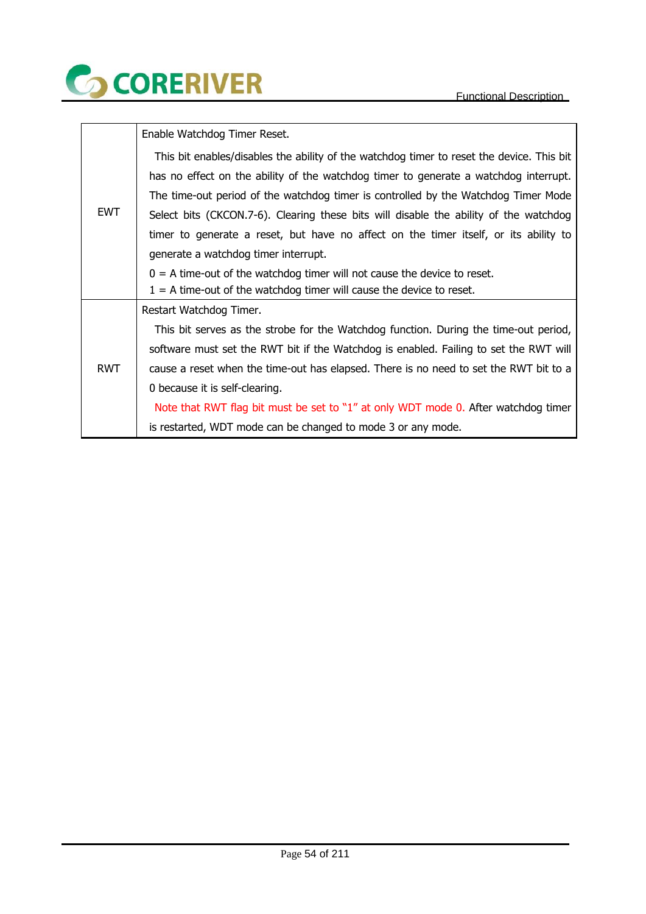

|            | Enable Watchdog Timer Reset.                                                              |
|------------|-------------------------------------------------------------------------------------------|
|            | This bit enables/disables the ability of the watchdog timer to reset the device. This bit |
|            | has no effect on the ability of the watchdog timer to generate a watchdog interrupt.      |
|            | The time-out period of the watchdog timer is controlled by the Watchdog Timer Mode        |
| <b>EWT</b> | Select bits (CKCON.7-6). Clearing these bits will disable the ability of the watchdog     |
|            | timer to generate a reset, but have no affect on the timer itself, or its ability to      |
|            | generate a watchdog timer interrupt.                                                      |
|            | $0 = A$ time-out of the watchdog timer will not cause the device to reset.                |
|            | $1 = A$ time-out of the watchdog timer will cause the device to reset.                    |
|            | Restart Watchdog Timer.                                                                   |
|            | This bit serves as the strobe for the Watchdog function. During the time-out period,      |
|            | software must set the RWT bit if the Watchdog is enabled. Failing to set the RWT will     |
| <b>RWT</b> | cause a reset when the time-out has elapsed. There is no need to set the RWT bit to a     |
|            | 0 because it is self-clearing.                                                            |
|            | Note that RWT flag bit must be set to "1" at only WDT mode 0. After watchdog timer        |
|            | is restarted, WDT mode can be changed to mode 3 or any mode.                              |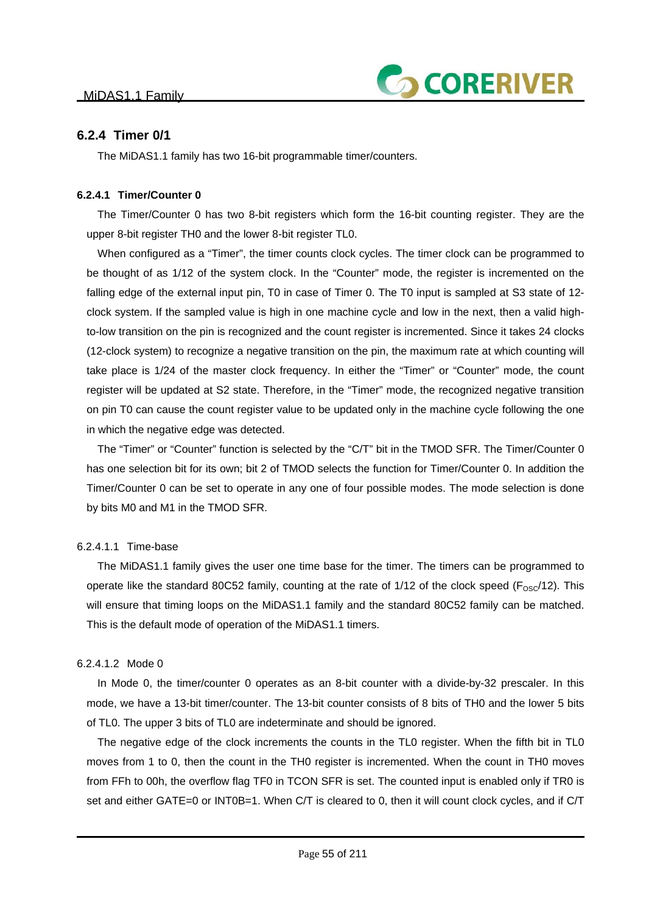

# **6.2.4 Timer 0/1**

The MiDAS1.1 family has two 16-bit programmable timer/counters.

## **6.2.4.1 Timer/Counter 0**

The Timer/Counter 0 has two 8-bit registers which form the 16-bit counting register. They are the upper 8-bit register TH0 and the lower 8-bit register TL0.

When configured as a "Timer", the timer counts clock cycles. The timer clock can be programmed to be thought of as 1/12 of the system clock. In the "Counter" mode, the register is incremented on the falling edge of the external input pin, T0 in case of Timer 0. The T0 input is sampled at S3 state of 12clock system. If the sampled value is high in one machine cycle and low in the next, then a valid highto-low transition on the pin is recognized and the count register is incremented. Since it takes 24 clocks (12-clock system) to recognize a negative transition on the pin, the maximum rate at which counting will take place is 1/24 of the master clock frequency. In either the "Timer" or "Counter" mode, the count register will be updated at S2 state. Therefore, in the "Timer" mode, the recognized negative transition on pin T0 can cause the count register value to be updated only in the machine cycle following the one in which the negative edge was detected.

The "Timer" or "Counter" function is selected by the "C/T" bit in the TMOD SFR. The Timer/Counter 0 has one selection bit for its own; bit 2 of TMOD selects the function for Timer/Counter 0. In addition the Timer/Counter 0 can be set to operate in any one of four possible modes. The mode selection is done by bits M0 and M1 in the TMOD SFR.

# 6.2.4.1.1 Time-base

The MiDAS1.1 family gives the user one time base for the timer. The timers can be programmed to operate like the standard 80C52 family, counting at the rate of  $1/12$  of the clock speed ( $F<sub>OSC</sub>/12$ ). This will ensure that timing loops on the MiDAS1.1 family and the standard 80C52 family can be matched. This is the default mode of operation of the MiDAS1.1 timers.

### 6.2.4.1.2 Mode 0

In Mode 0, the timer/counter 0 operates as an 8-bit counter with a divide-by-32 prescaler. In this mode, we have a 13-bit timer/counter. The 13-bit counter consists of 8 bits of TH0 and the lower 5 bits of TL0. The upper 3 bits of TL0 are indeterminate and should be ignored.

The negative edge of the clock increments the counts in the TL0 register. When the fifth bit in TL0 moves from 1 to 0, then the count in the TH0 register is incremented. When the count in TH0 moves from FFh to 00h, the overflow flag TF0 in TCON SFR is set. The counted input is enabled only if TR0 is set and either GATE=0 or INT0B=1. When C/T is cleared to 0, then it will count clock cycles, and if C/T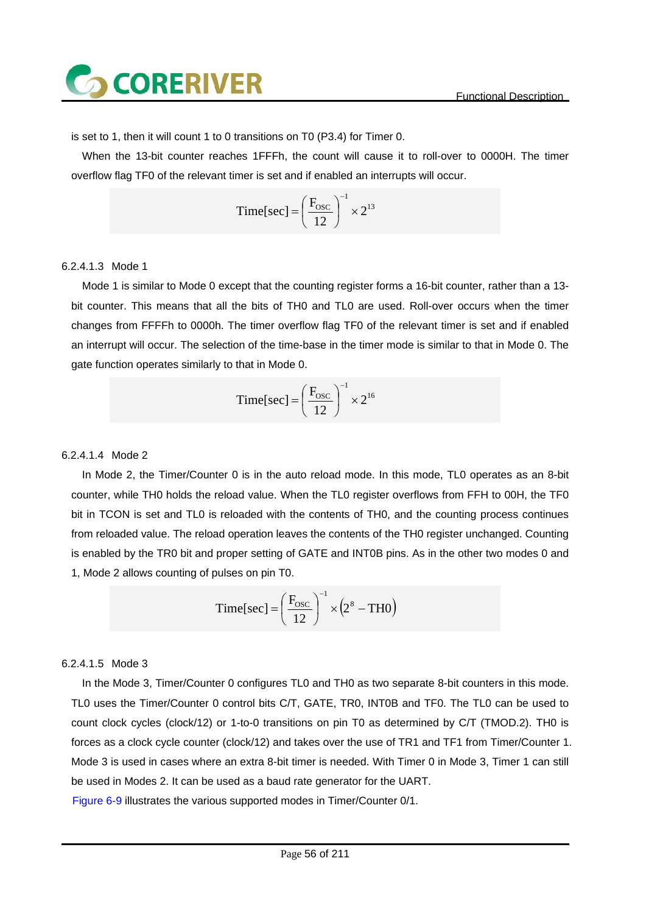

is set to 1, then it will count 1 to 0 transitions on T0 (P3.4) for Timer 0.

When the 13-bit counter reaches 1FFFh, the count will cause it to roll-over to 0000H. The timer overflow flag TF0 of the relevant timer is set and if enabled an interrupts will occur.

$$
Time[sec] = \left(\frac{F_{\text{osc}}}{12}\right)^{-1} \times 2^{13}
$$

#### 6.2.4.1.3 Mode 1

Mode 1 is similar to Mode 0 except that the counting register forms a 16-bit counter, rather than a 13 bit counter. This means that all the bits of TH0 and TL0 are used. Roll-over occurs when the timer changes from FFFFh to 0000h. The timer overflow flag TF0 of the relevant timer is set and if enabled an interrupt will occur. The selection of the time-base in the timer mode is similar to that in Mode 0. The gate function operates similarly to that in Mode 0.

$$
\text{Time}[\text{sec}] = \left(\frac{\text{F}_{\text{osc}}}{12}\right)^{-1} \times 2^{16}
$$

#### 6.2.4.1.4 Mode 2

In Mode 2, the Timer/Counter 0 is in the auto reload mode. In this mode, TL0 operates as an 8-bit counter, while TH0 holds the reload value. When the TL0 register overflows from FFH to 00H, the TF0 bit in TCON is set and TL0 is reloaded with the contents of TH0, and the counting process continues from reloaded value. The reload operation leaves the contents of the TH0 register unchanged. Counting is enabled by the TR0 bit and proper setting of GATE and INT0B pins. As in the other two modes 0 and 1, Mode 2 allows counting of pulses on pin T0.

$$
Time[sec] = \left(\frac{F_{\text{osc}}}{12}\right)^{-1} \times \left(2^8 - TH0\right)
$$

## 6.2.4.1.5 Mode 3

In the Mode 3, Timer/Counter 0 configures TL0 and TH0 as two separate 8-bit counters in this mode. TL0 uses the Timer/Counter 0 control bits C/T, GATE, TR0, INT0B and TF0. The TL0 can be used to count clock cycles (clock/12) or 1-to-0 transitions on pin T0 as determined by C/T (TMOD.2). TH0 is forces as a clock cycle counter (clock/12) and takes over the use of TR1 and TF1 from Timer/Counter 1. Mode 3 is used in cases where an extra 8-bit timer is needed. With Timer 0 in Mode 3, Timer 1 can still be used in Modes 2. It can be used as a baud rate generator for the UART.

[Figure 6-9](#page-56-0) illustrates the various supported modes in Timer/Counter 0/1.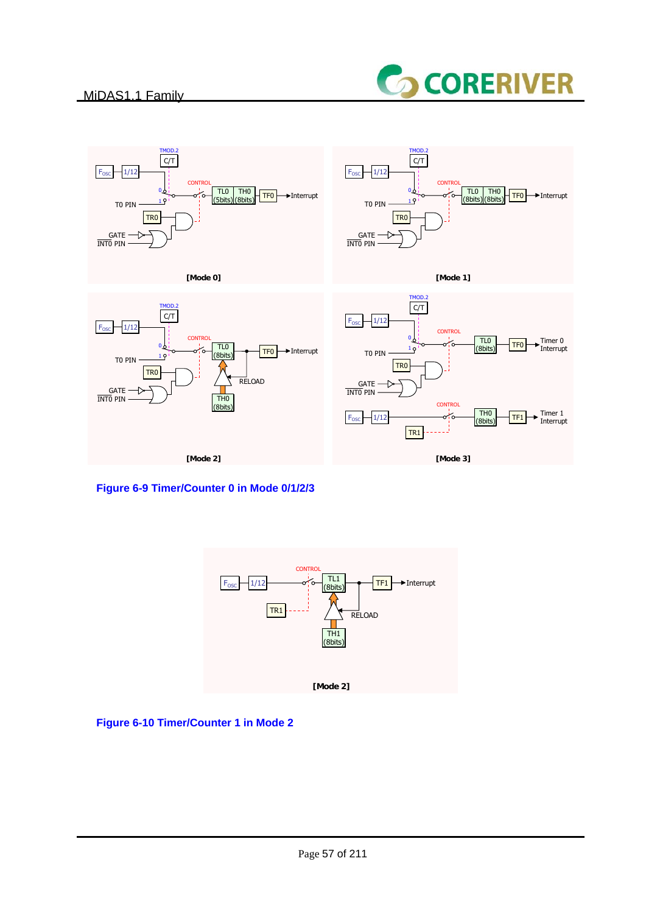

<span id="page-56-0"></span>

**[Mode 0]**



**[Mode 1]**



#### **Figure 6-9 Timer/Counter 0 in Mode 0/1/2/3**



**Figure 6-10 Timer/Counter 1 in Mode 2**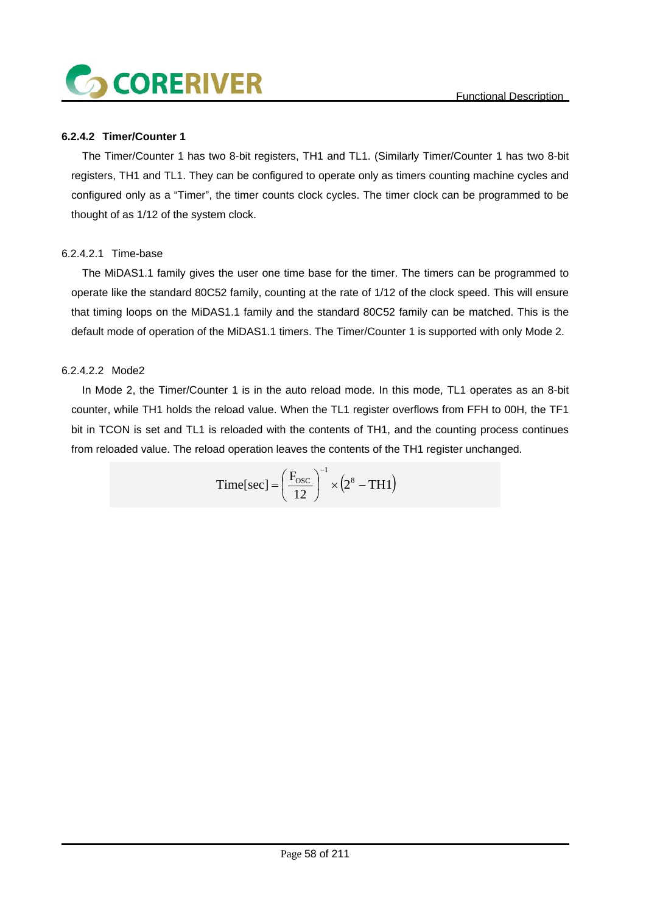

## **6.2.4.2 Timer/Counter 1**

The Timer/Counter 1 has two 8-bit registers, TH1 and TL1. (Similarly Timer/Counter 1 has two 8-bit registers, TH1 and TL1. They can be configured to operate only as timers counting machine cycles and configured only as a "Timer", the timer counts clock cycles. The timer clock can be programmed to be thought of as 1/12 of the system clock.

## 6.2.4.2.1 Time-base

The MiDAS1.1 family gives the user one time base for the timer. The timers can be programmed to operate like the standard 80C52 family, counting at the rate of 1/12 of the clock speed. This will ensure that timing loops on the MiDAS1.1 family and the standard 80C52 family can be matched. This is the default mode of operation of the MiDAS1.1 timers. The Timer/Counter 1 is supported with only Mode 2.

## 6.2.4.2.2 Mode2

In Mode 2, the Timer/Counter 1 is in the auto reload mode. In this mode, TL1 operates as an 8-bit counter, while TH1 holds the reload value. When the TL1 register overflows from FFH to 00H, the TF1 bit in TCON is set and TL1 is reloaded with the contents of TH1, and the counting process continues from reloaded value. The reload operation leaves the contents of the TH1 register unchanged.

$$
Time[sec] = \left(\frac{F_{\text{osc}}}{12}\right)^{-1} \times \left(2^8 - TH1\right)
$$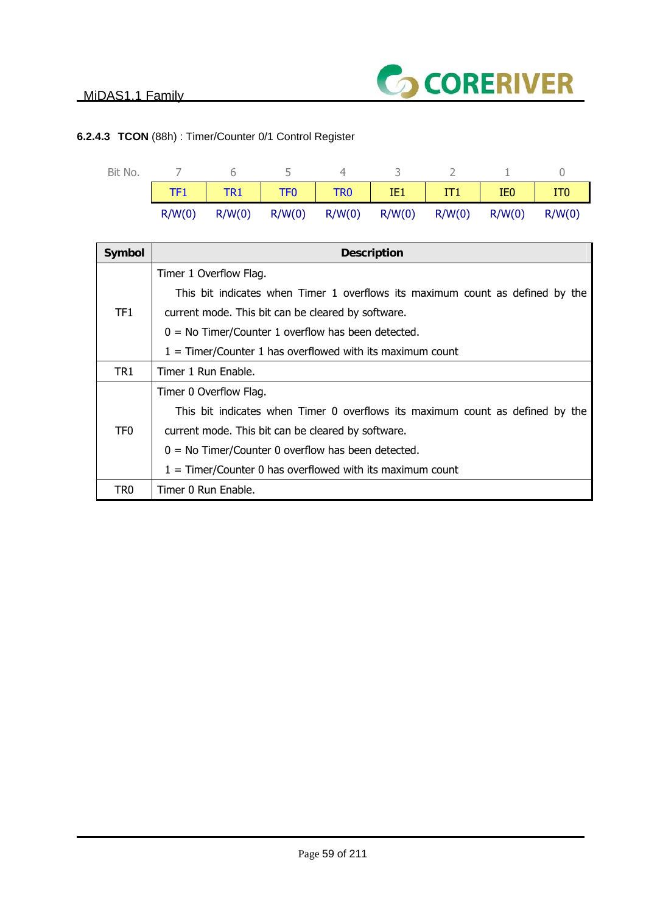

# **6.2.4.3 TCON** (88h) : Timer/Counter 0/1 Control Register



| Symbol          | <b>Description</b>                                                            |
|-----------------|-------------------------------------------------------------------------------|
|                 | Timer 1 Overflow Flag.                                                        |
|                 | This bit indicates when Timer 1 overflows its maximum count as defined by the |
| TF1             | current mode. This bit can be cleared by software.                            |
|                 | $0 =$ No Timer/Counter 1 overflow has been detected.                          |
|                 | $1 =$ Timer/Counter 1 has overflowed with its maximum count                   |
| TR1             | Timer 1 Run Enable.                                                           |
|                 | Timer 0 Overflow Flag.                                                        |
|                 | This bit indicates when Timer 0 overflows its maximum count as defined by the |
| TF <sub>0</sub> | current mode. This bit can be cleared by software.                            |
|                 | $0 = No$ Timer/Counter 0 overflow has been detected.                          |
|                 | $1 =$ Timer/Counter 0 has overflowed with its maximum count                   |
| TR <sub>0</sub> | Timer 0 Run Enable.                                                           |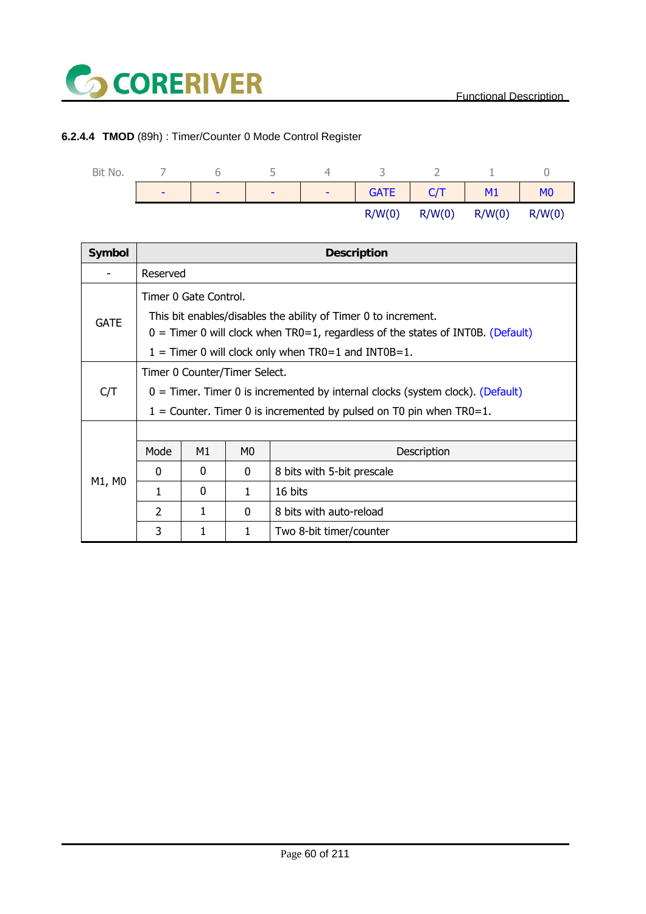

# **6.2.4.4 TMOD** (89h) : Timer/Counter 0 Mode Control Register



| Symbol      |                                                                                                                                                                                                                                         | <b>Description</b>                                                                                                                                                                         |    |                            |  |  |  |  |  |  |
|-------------|-----------------------------------------------------------------------------------------------------------------------------------------------------------------------------------------------------------------------------------------|--------------------------------------------------------------------------------------------------------------------------------------------------------------------------------------------|----|----------------------------|--|--|--|--|--|--|
|             | Reserved                                                                                                                                                                                                                                |                                                                                                                                                                                            |    |                            |  |  |  |  |  |  |
| <b>GATE</b> | Timer 0 Gate Control.<br>This bit enables/disables the ability of Timer 0 to increment.<br>$0 =$ Timer 0 will clock when TR0=1, regardless of the states of INT0B. (Default)<br>$1 =$ Timer 0 will clock only when $TR0=1$ and INT0B=1. |                                                                                                                                                                                            |    |                            |  |  |  |  |  |  |
| C/T         |                                                                                                                                                                                                                                         | Timer 0 Counter/Timer Select.<br>$0 =$ Timer. Timer 0 is incremented by internal clocks (system clock). (Default)<br>$1 =$ Counter. Timer 0 is incremented by pulsed on T0 pin when TR0=1. |    |                            |  |  |  |  |  |  |
|             | Mode                                                                                                                                                                                                                                    | M1                                                                                                                                                                                         | M0 | Description                |  |  |  |  |  |  |
|             | $\Omega$                                                                                                                                                                                                                                | 0                                                                                                                                                                                          | 0  | 8 bits with 5-bit prescale |  |  |  |  |  |  |
| M1, M0      | 1                                                                                                                                                                                                                                       | 0                                                                                                                                                                                          | 1  | 16 bits                    |  |  |  |  |  |  |
|             | $\mathcal{P}$                                                                                                                                                                                                                           | 1                                                                                                                                                                                          | 0  | 8 bits with auto-reload    |  |  |  |  |  |  |
|             | 3                                                                                                                                                                                                                                       | 1                                                                                                                                                                                          | 1  | Two 8-bit timer/counter    |  |  |  |  |  |  |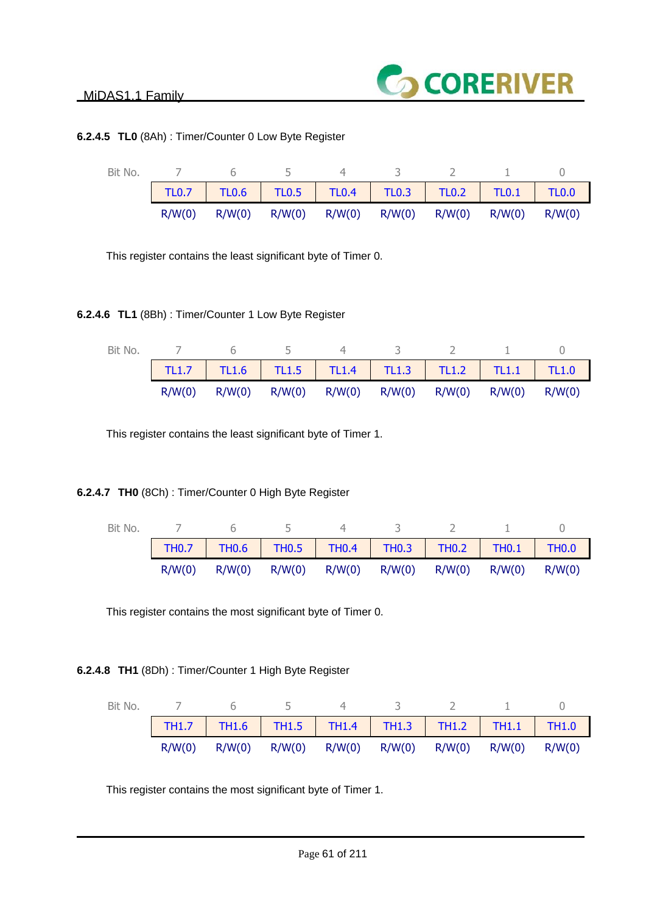# **6.2.4.5 TL0** (8Ah) : Timer/Counter 0 Low Byte Register

| Bit No. |              |                                               |  |                                    |  |              |
|---------|--------------|-----------------------------------------------|--|------------------------------------|--|--------------|
|         | <b>TL0.7</b> | TLO.6   TLO.5   TLO.4   TLO.3   TLO.2   TLO.1 |  |                                    |  | <b>TL0.0</b> |
|         | R/W(0)       | R/W(0)                                        |  | R/W(0) R/W(0) R/W(0) R/W(0) R/W(0) |  | R/W(0)       |

This register contains the least significant byte of Timer 0.

## **6.2.4.6 TL1** (8Bh) : Timer/Counter 1 Low Byte Register

| Bit No. |              |        |        |        |                                               |                   |              |
|---------|--------------|--------|--------|--------|-----------------------------------------------|-------------------|--------------|
|         | <b>TL1.7</b> |        |        |        | TL1.6   TL1.5   TL1.4   TL1.3   TL1.2   TL1.1 |                   | <b>TL1.0</b> |
|         | R/W(0)       | R/W(0) | R/W(0) | R/W(0) | R/W(0)                                        | $R/W(0)$ $R/W(0)$ | R/W(0)       |

This register contains the least significant byte of Timer 1.

# **6.2.4.7 TH0** (8Ch) : Timer/Counter 0 High Byte Register

| Bit No. |              |              |        |                   |                                 |        |        |              |
|---------|--------------|--------------|--------|-------------------|---------------------------------|--------|--------|--------------|
|         | <b>TH0.7</b> | <b>THO.6</b> |        |                   | $\vert$ TH0.5 TH0.4 TH0.3 TH0.2 |        | TH0.1  | <b>TH0.0</b> |
|         | R/W(0)       | R/W(0)       | R/W(0) | $R/W(0)$ $R/W(0)$ |                                 | R/W(0) | R/W(0) | R/W(0)       |

This register contains the most significant byte of Timer 0.

#### **6.2.4.8 TH1** (8Dh) : Timer/Counter 1 High Byte Register

| Bit No. |              |        |        |        |                                               |        |        |              |
|---------|--------------|--------|--------|--------|-----------------------------------------------|--------|--------|--------------|
|         | <b>TH1.7</b> |        |        |        | TH1.6   TH1.5   TH1.4   TH1.3   TH1.2   TH1.1 |        |        | <b>TH1.0</b> |
|         | R/W(0)       | R/W(0) | R/W(0) | R/W(0) | R/W(0)                                        | R/W(0) | R/W(0) | R/W(0)       |

This register contains the most significant byte of Timer 1.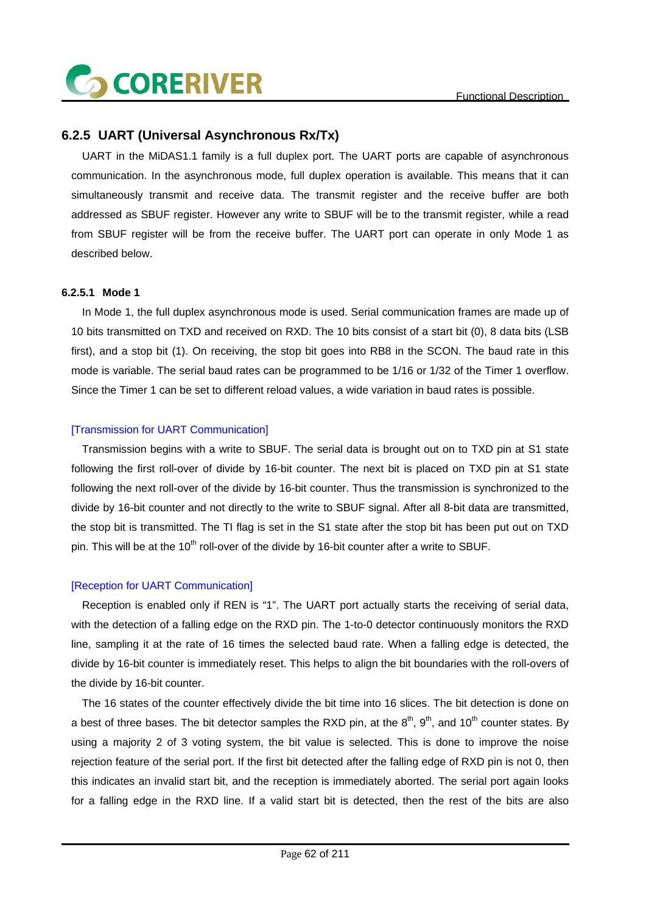

# **6.2.5 UART (Universal Asynchronous Rx/Tx)**

UART in the MiDAS1.1 family is a full duplex port. The UART ports are capable of asynchronous communication. In the asynchronous mode, full duplex operation is available. This means that it can simultaneously transmit and receive data. The transmit register and the receive buffer are both addressed as SBUF register. However any write to SBUF will be to the transmit register, while a read from SBUF register will be from the receive buffer. The UART port can operate in only Mode 1 as described below.

## **6.2.5.1 Mode 1**

In Mode 1, the full duplex asynchronous mode is used. Serial communication frames are made up of 10 bits transmitted on TXD and received on RXD. The 10 bits consist of a start bit (0), 8 data bits (LSB first), and a stop bit (1). On receiving, the stop bit goes into RB8 in the SCON. The baud rate in this mode is variable. The serial baud rates can be programmed to be 1/16 or 1/32 of the Timer 1 overflow. Since the Timer 1 can be set to different reload values, a wide variation in baud rates is possible.

## [Transmission for UART Communication]

Transmission begins with a write to SBUF. The serial data is brought out on to TXD pin at S1 state following the first roll-over of divide by 16-bit counter. The next bit is placed on TXD pin at S1 state following the next roll-over of the divide by 16-bit counter. Thus the transmission is synchronized to the divide by 16-bit counter and not directly to the write to SBUF signal. After all 8-bit data are transmitted, the stop bit is transmitted. The TI flag is set in the S1 state after the stop bit has been put out on TXD pin. This will be at the 10<sup>th</sup> roll-over of the divide by 16-bit counter after a write to SBUF.

# [Reception for UART Communication]

Reception is enabled only if REN is "1". The UART port actually starts the receiving of serial data, with the detection of a falling edge on the RXD pin. The 1-to-0 detector continuously monitors the RXD line, sampling it at the rate of 16 times the selected baud rate. When a falling edge is detected, the divide by 16-bit counter is immediately reset. This helps to align the bit boundaries with the roll-overs of the divide by 16-bit counter.

The 16 states of the counter effectively divide the bit time into 16 slices. The bit detection is done on a best of three bases. The bit detector samples the RXD pin, at the  $8<sup>th</sup>$ ,  $9<sup>th</sup>$ , and  $10<sup>th</sup>$  counter states. By using a majority 2 of 3 voting system, the bit value is selected. This is done to improve the noise rejection feature of the serial port. If the first bit detected after the falling edge of RXD pin is not 0, then this indicates an invalid start bit, and the reception is immediately aborted. The serial port again looks for a falling edge in the RXD line. If a valid start bit is detected, then the rest of the bits are also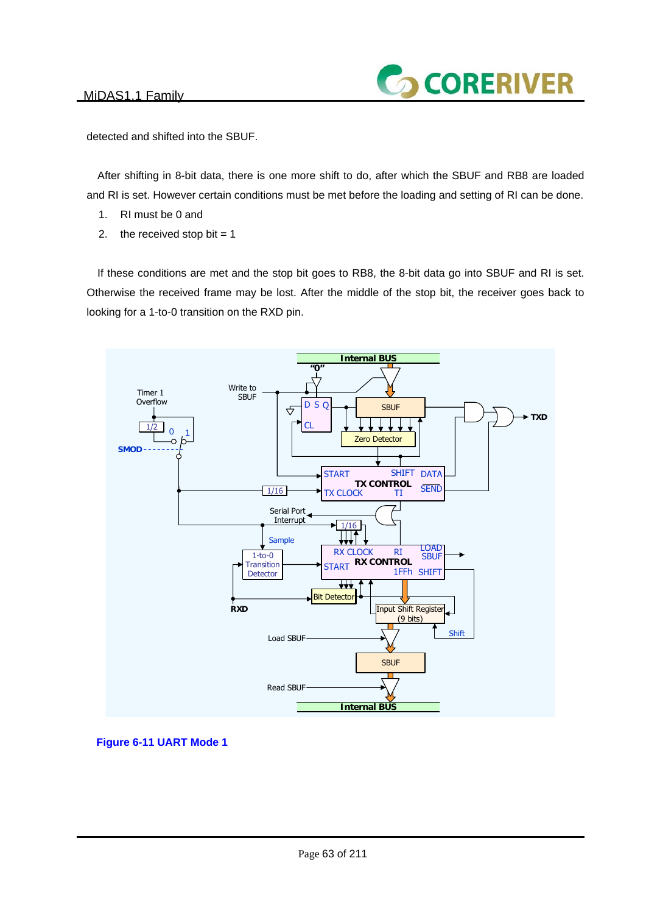

detected and shifted into the SBUF.

After shifting in 8-bit data, there is one more shift to do, after which the SBUF and RB8 are loaded and RI is set. However certain conditions must be met before the loading and setting of RI can be done.

- 1. RI must be 0 and
- 2. the received stop bit  $= 1$

If these conditions are met and the stop bit goes to RB8, the 8-bit data go into SBUF and RI is set. Otherwise the received frame may be lost. After the middle of the stop bit, the receiver goes back to looking for a 1-to-0 transition on the RXD pin.



**Figure 6-11 UART Mode 1**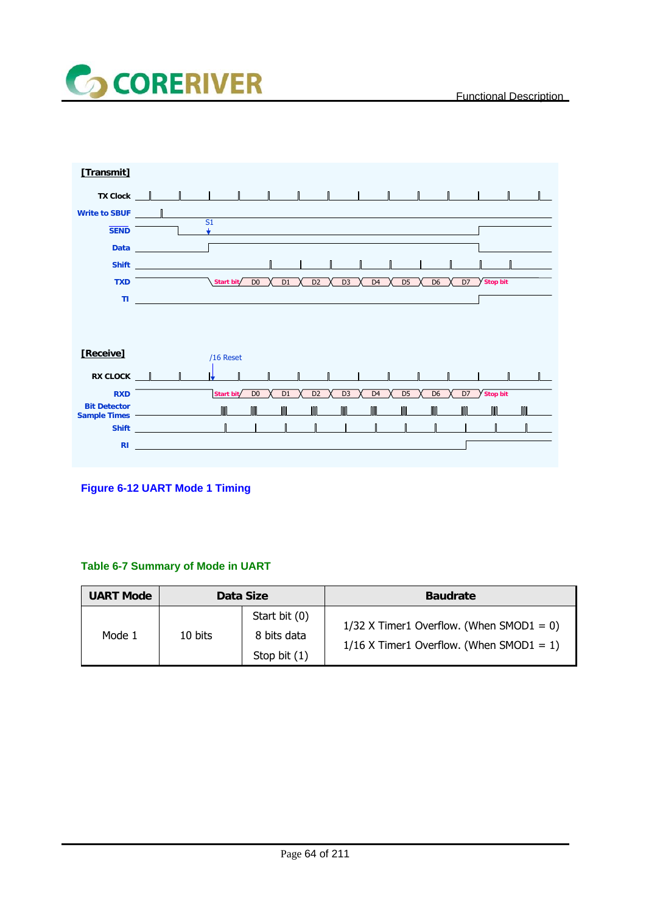



**Figure 6-12 UART Mode 1 Timing** 

# **Table 6-7 Summary of Mode in UART**

| <b>UART Mode</b><br>Data Size |         |                                                | <b>Baudrate</b>                                                                          |
|-------------------------------|---------|------------------------------------------------|------------------------------------------------------------------------------------------|
| Mode 1                        | 10 bits | Start bit (0)<br>8 bits data<br>Stop bit $(1)$ | $1/32$ X Timer1 Overflow. (When SMOD1 = 0)<br>$1/16$ X Timer1 Overflow. (When SMOD1 = 1) |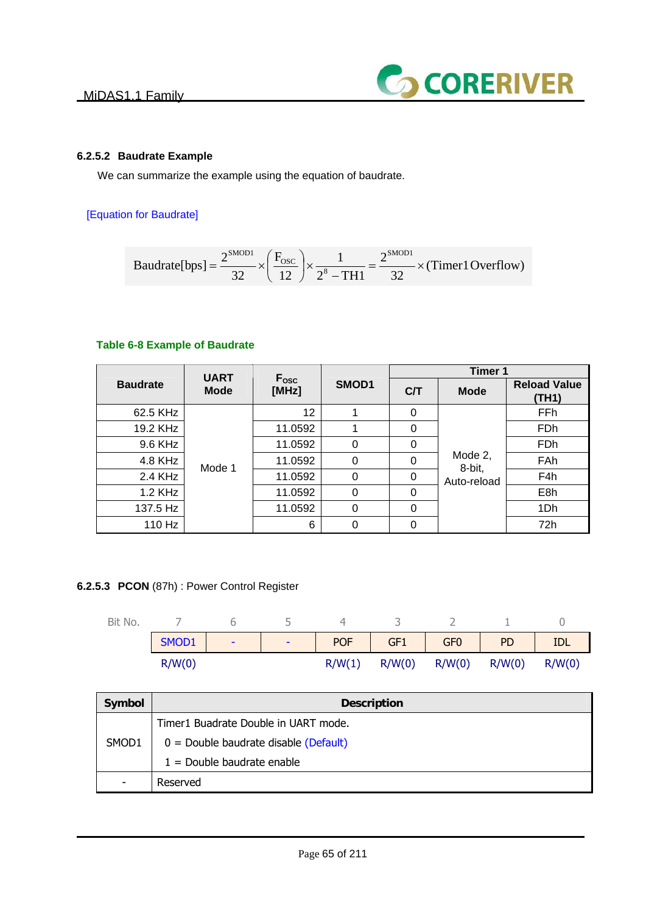

## **6.2.5.2 Baudrate Example**

We can summarize the example using the equation of baudrate.

# [Equation for Baudrate]

Baudrate[bps] = 
$$
\frac{2^{\text{SMOD1}}}{32} \times \left(\frac{F_{\text{osc}}}{12}\right) \times \frac{1}{2^8 - TH1} = \frac{2^{\text{SMOD1}}}{32} \times (Timer1 \text{ Overflow})
$$

## **Table 6-8 Example of Baudrate**

|                 | <b>UART</b> |                                 |   | <b>Timer 1</b> |                                  |                              |  |
|-----------------|-------------|---------------------------------|---|----------------|----------------------------------|------------------------------|--|
| <b>Baudrate</b> | <b>Mode</b> | $F_{\rm osc}$<br>SMOD1<br>[MHz] |   | C/T            | <b>Mode</b>                      | <b>Reload Value</b><br>(TH1) |  |
| 62.5 KHz        |             | 12                              |   | 0              |                                  | FFh                          |  |
| 19.2 KHz        |             | 11.0592                         |   | 0              | Mode 2,<br>8-bit,<br>Auto-reload | <b>FDh</b>                   |  |
| 9.6 KHz         |             | 11.0592                         | 0 | 0              |                                  | FDh                          |  |
| 4.8 KHz         | Mode 1      | 11.0592                         | 0 | 0              |                                  | FAh                          |  |
| 2.4 KHz         |             | 11.0592                         | 0 | 0              |                                  | F4h                          |  |
| 1.2 KHz         |             | 11.0592                         | 0 | 0              |                                  | E <sub>8h</sub>              |  |
| 137.5 Hz        |             | 11.0592                         | 0 | 0              |                                  | 1Dh                          |  |
| 110 Hz          |             | 6                               | 0 | 0              |                                  | 72h                          |  |

#### **6.2.5.3 PCON** (87h) : Power Control Register



| Symbol            | <b>Description</b>                      |  |  |  |  |
|-------------------|-----------------------------------------|--|--|--|--|
|                   | Timer1 Buadrate Double in UART mode.    |  |  |  |  |
| SMOD <sub>1</sub> | $0 =$ Double baudrate disable (Default) |  |  |  |  |
|                   | $1 =$ Double baudrate enable            |  |  |  |  |
|                   | Reserved                                |  |  |  |  |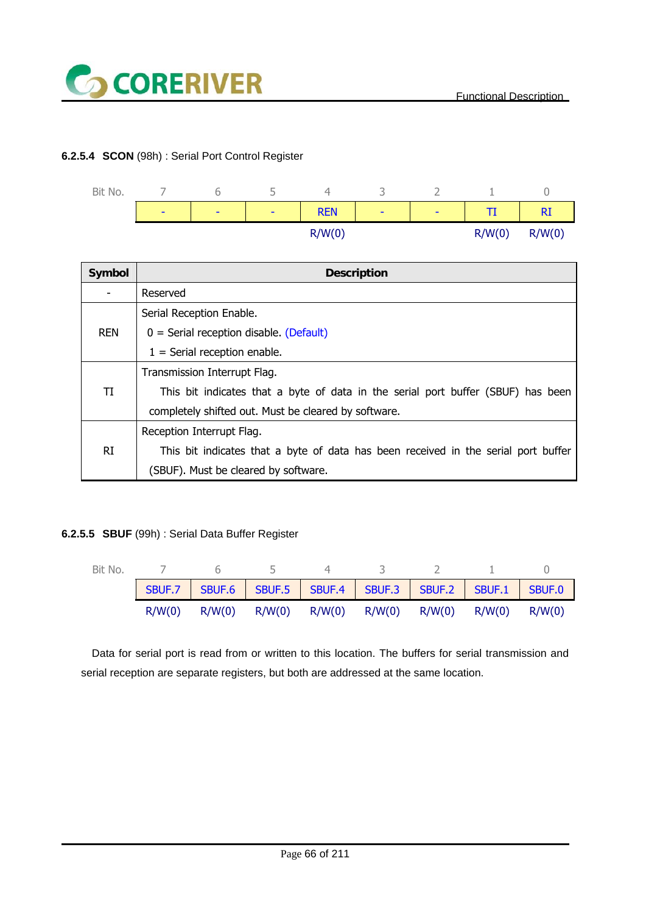# **6.2.5.4 SCON** (98h) : Serial Port Control Register



| Symbol     | <b>Description</b>                                                                 |
|------------|------------------------------------------------------------------------------------|
|            | Reserved                                                                           |
|            | Serial Reception Enable.                                                           |
| <b>REN</b> | $0 =$ Serial reception disable. (Default)                                          |
|            | $1 =$ Serial reception enable.                                                     |
|            | Transmission Interrupt Flag.                                                       |
| TI         | This bit indicates that a byte of data in the serial port buffer (SBUF) has been   |
|            | completely shifted out. Must be cleared by software.                               |
|            | Reception Interrupt Flag.                                                          |
| <b>RI</b>  | This bit indicates that a byte of data has been received in the serial port buffer |
|            | (SBUF). Must be cleared by software.                                               |

#### **6.2.5.5 SBUF** (99h) : Serial Data Buffer Register

| Bit No. |        |        |        |                   |                                                              |                   |        |
|---------|--------|--------|--------|-------------------|--------------------------------------------------------------|-------------------|--------|
|         | SBUF.7 |        |        |                   | SBUF.6   SBUF.5   SBUF.4   SBUF.3   SBUF.2   SBUF.1   SBUF.0 |                   |        |
|         | R/W(0) | R/W(0) | R/W(0) | $R/W(0)$ $R/W(0)$ |                                                              | $R/W(0)$ $R/W(0)$ | R/W(0) |

Data for serial port is read from or written to this location. The buffers for serial transmission and serial reception are separate registers, but both are addressed at the same location.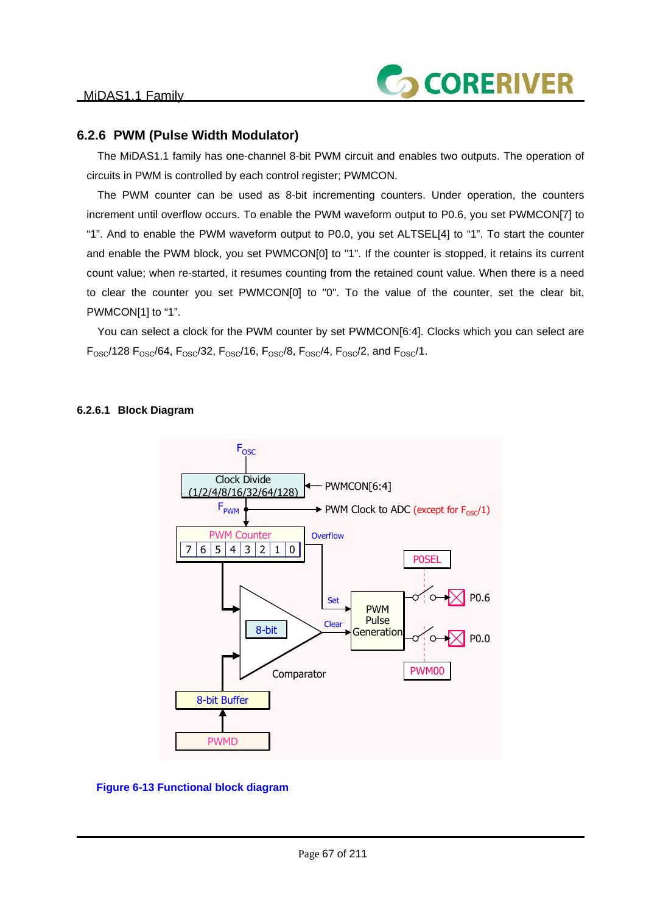# **6.2.6 PWM (Pulse Width Modulator)**

The MiDAS1.1 family has one-channel 8-bit PWM circuit and enables two outputs. The operation of circuits in PWM is controlled by each control register; PWMCON.

The PWM counter can be used as 8-bit incrementing counters. Under operation, the counters increment until overflow occurs. To enable the PWM waveform output to P0.6, you set PWMCON[7] to "1". And to enable the PWM waveform output to P0.0, you set ALTSEL[4] to "1". To start the counter and enable the PWM block, you set PWMCON[0] to "1". If the counter is stopped, it retains its current count value; when re-started, it resumes counting from the retained count value. When there is a need to clear the counter you set PWMCON[0] to "0". To the value of the counter, set the clear bit, PWMCON[1] to "1".

You can select a clock for the PWM counter by set PWMCON[6:4]. Clocks which you can select are  $F_{\text{OSC}}/128 F_{\text{OSC}}/64$ ,  $F_{\text{OSC}}/32$ ,  $F_{\text{OSC}}/16$ ,  $F_{\text{OSC}}/8$ ,  $F_{\text{OSC}}/4$ ,  $F_{\text{OSC}}/2$ , and  $F_{\text{OSC}}/1$ .

## **6.2.6.1 Block Diagram**



# **Figure 6-13 Functional block diagram**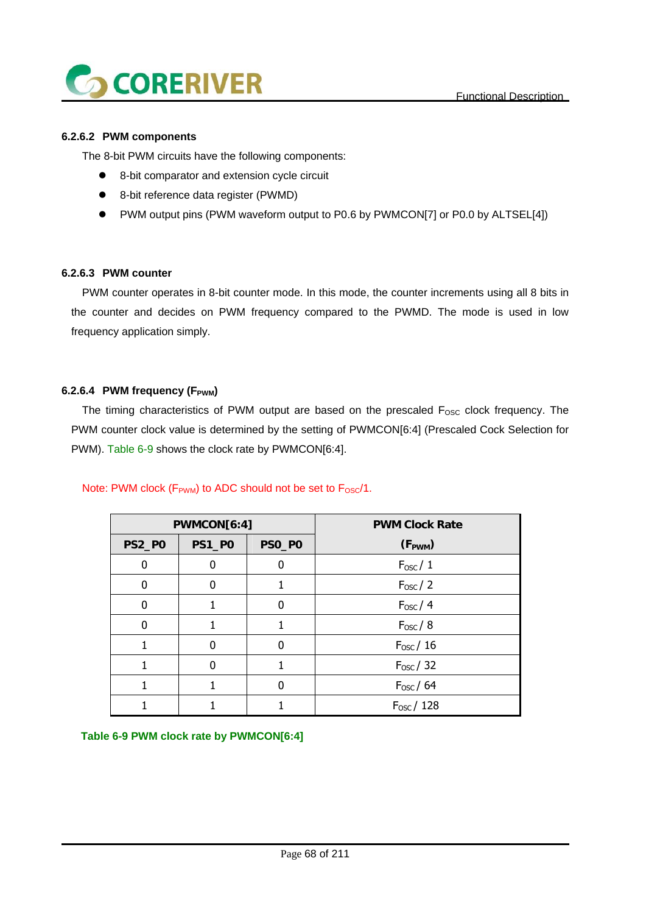<span id="page-67-0"></span>

## **6.2.6.2 PWM components**

The 8-bit PWM circuits have the following components:

- 8-bit comparator and extension cycle circuit
- 8-bit reference data register (PWMD)
- PWM output pins (PWM waveform output to P0.6 by PWMCON[7] or P0.0 by ALTSEL[4])

#### **6.2.6.3 PWM counter**

PWM counter operates in 8-bit counter mode. In this mode, the counter increments using all 8 bits in the counter and decides on PWM frequency compared to the PWMD. The mode is used in low frequency application simply.

#### 6.2.6.4 PWM frequency (F<sub>PWM</sub>)

The timing characteristics of PWM output are based on the prescaled  $F_{\text{OSC}}$  clock frequency. The PWM counter clock value is determined by the setting of PWMCON[6:4] (Prescaled Cock Selection for PWM). [Table 6-9](#page-67-0) shows the clock rate by PWMCON[6:4].

|        | PWMCON[6:4]   |        | <b>PWM Clock Rate</b> |
|--------|---------------|--------|-----------------------|
| PS2_PO | <b>PS1_PO</b> | PSO_PO | (F <sub>PWM</sub> )   |
| 0      | $\Omega$      |        | $F_{\rm osc}/1$       |
| 0      | $\Omega$      |        | $F_{\text{osc}}/2$    |
| 0      |               | ŋ      | $F_{\text{OSC}}/4$    |
| 0      |               |        | $F_{\text{OSC}}/8$    |
|        | U             | ŋ      | $F_{\text{OSC}}/16$   |
| 1      | 0             |        | $F_{\text{osc}}/32$   |
|        |               |        | $F_{\text{OSC}}/64$   |
|        |               |        | $F_{\text{OSC}}/128$  |

Note: PWM clock ( $F_{\text{PWM}}$ ) to ADC should not be set to  $F_{\text{OSC}}/1$ .

**Table 6-9 PWM clock rate by PWMCON[6:4]**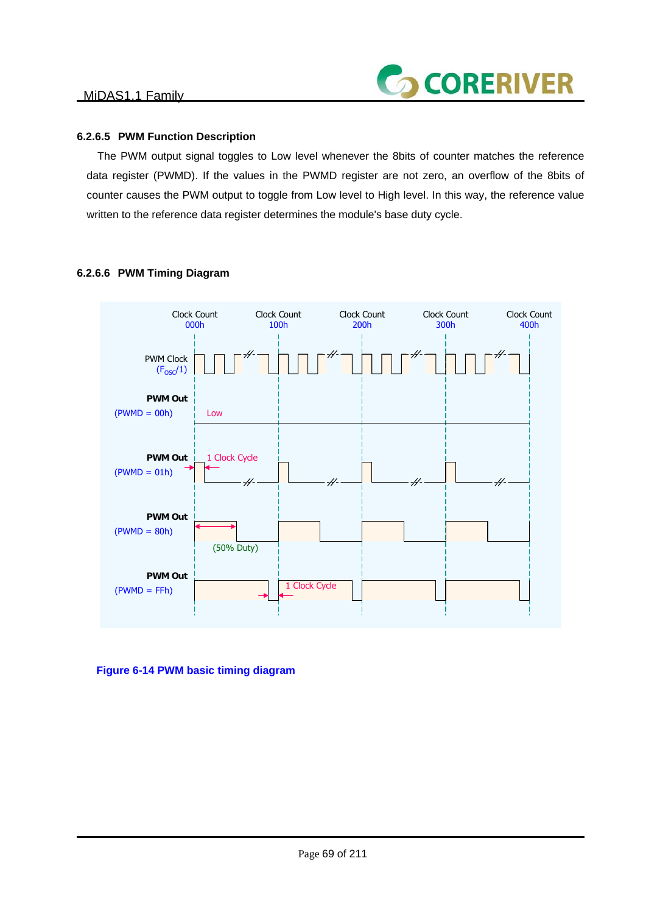

### **6.2.6.5 PWM Function Description**

The PWM output signal toggles to Low level whenever the 8bits of counter matches the reference data register (PWMD). If the values in the PWMD register are not zero, an overflow of the 8bits of counter causes the PWM output to toggle from Low level to High level. In this way, the reference value written to the reference data register determines the module's base duty cycle.

## **6.2.6.6 PWM Timing Diagram**



#### **Figure 6-14 PWM basic timing diagram**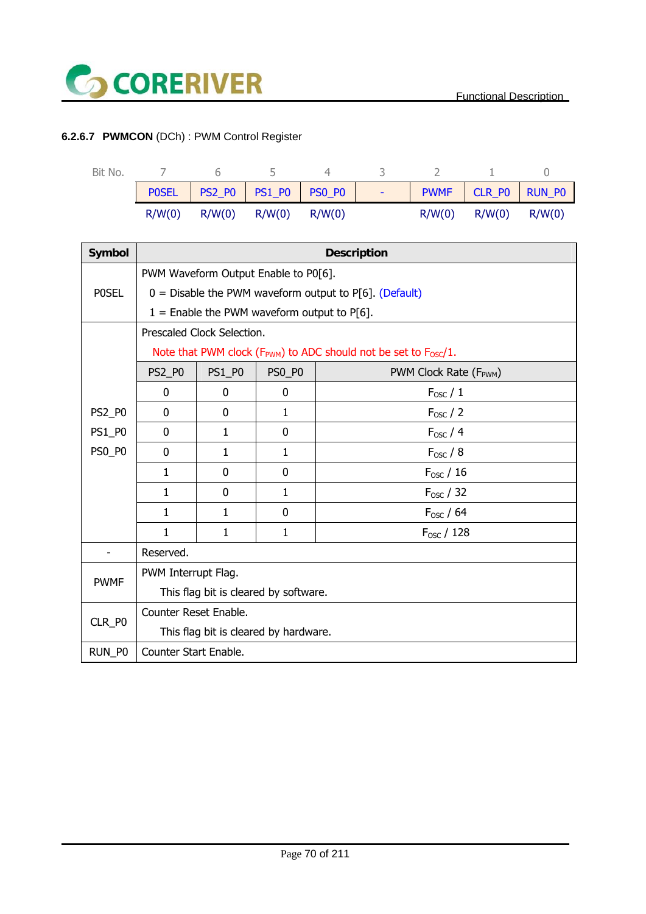

# **6.2.6.7 PWMCON** (DCh) : PWM Control Register

| Bit No. |        |        |        |        |                                      |        |        |                    |
|---------|--------|--------|--------|--------|--------------------------------------|--------|--------|--------------------|
|         |        |        |        |        | POSEL   PS2_PO   PS1_PO   PS0_PO   - |        |        | PWMF CLR_PO RUN_PO |
|         | R/W(0) | R/W(0) | R/W(0) | R/W(0) |                                      | R/W(0) | R/W(0) | R/W(0)             |

| Symbol        | <b>Description</b>                                       |                                               |               |                                                                                           |  |  |  |  |  |  |  |
|---------------|----------------------------------------------------------|-----------------------------------------------|---------------|-------------------------------------------------------------------------------------------|--|--|--|--|--|--|--|
|               |                                                          | PWM Waveform Output Enable to P0[6].          |               |                                                                                           |  |  |  |  |  |  |  |
| <b>POSEL</b>  | $0 =$ Disable the PWM waveform output to P[6]. (Default) |                                               |               |                                                                                           |  |  |  |  |  |  |  |
|               |                                                          | $1 =$ Enable the PWM waveform output to P[6]. |               |                                                                                           |  |  |  |  |  |  |  |
|               |                                                          | Prescaled Clock Selection.                    |               |                                                                                           |  |  |  |  |  |  |  |
|               |                                                          |                                               |               | Note that PWM clock ( $F_{\text{PWM}}$ ) to ADC should not be set to $F_{\text{OSC}}/1$ . |  |  |  |  |  |  |  |
|               | <b>PS2_P0</b>                                            | <b>PS1_P0</b>                                 | <b>PS0_P0</b> | PWM Clock Rate (F <sub>PWM</sub> )                                                        |  |  |  |  |  |  |  |
|               | 0                                                        | 0                                             | $\mathbf 0$   | $F_{\rm osc}/1$                                                                           |  |  |  |  |  |  |  |
| <b>PS2 P0</b> | $\mathbf 0$                                              | 0                                             | $\mathbf{1}$  | $F_{\rm osc}/2$                                                                           |  |  |  |  |  |  |  |
| <b>PS1 P0</b> | 0                                                        | $\mathbf 0$<br>$F_{\text{OSC}}/4$<br>1        |               |                                                                                           |  |  |  |  |  |  |  |
| <b>PS0_P0</b> | 0                                                        | 1                                             | $\mathbf{1}$  | $F_{\rm osc}/8$                                                                           |  |  |  |  |  |  |  |
|               | 1                                                        | 0                                             | $\mathbf 0$   | $F_{\text{OSC}}/16$                                                                       |  |  |  |  |  |  |  |
|               | $\mathbf{1}$                                             | $\Omega$                                      | $\mathbf{1}$  | $F_{\text{osc}}/32$                                                                       |  |  |  |  |  |  |  |
|               | $\mathbf{1}$                                             | $\mathbf{1}$                                  | $\mathbf 0$   | $F_{\rm osc}$ / 64                                                                        |  |  |  |  |  |  |  |
|               | 1                                                        | 1                                             | 1             | $F_{\text{osc}}/128$                                                                      |  |  |  |  |  |  |  |
|               | Reserved.                                                |                                               |               |                                                                                           |  |  |  |  |  |  |  |
|               | PWM Interrupt Flag.                                      |                                               |               |                                                                                           |  |  |  |  |  |  |  |
| <b>PWMF</b>   |                                                          | This flag bit is cleared by software.         |               |                                                                                           |  |  |  |  |  |  |  |
|               | Counter Reset Enable.                                    |                                               |               |                                                                                           |  |  |  |  |  |  |  |
| CLR_PO        |                                                          | This flag bit is cleared by hardware.         |               |                                                                                           |  |  |  |  |  |  |  |
| RUN PO        | Counter Start Enable.                                    |                                               |               |                                                                                           |  |  |  |  |  |  |  |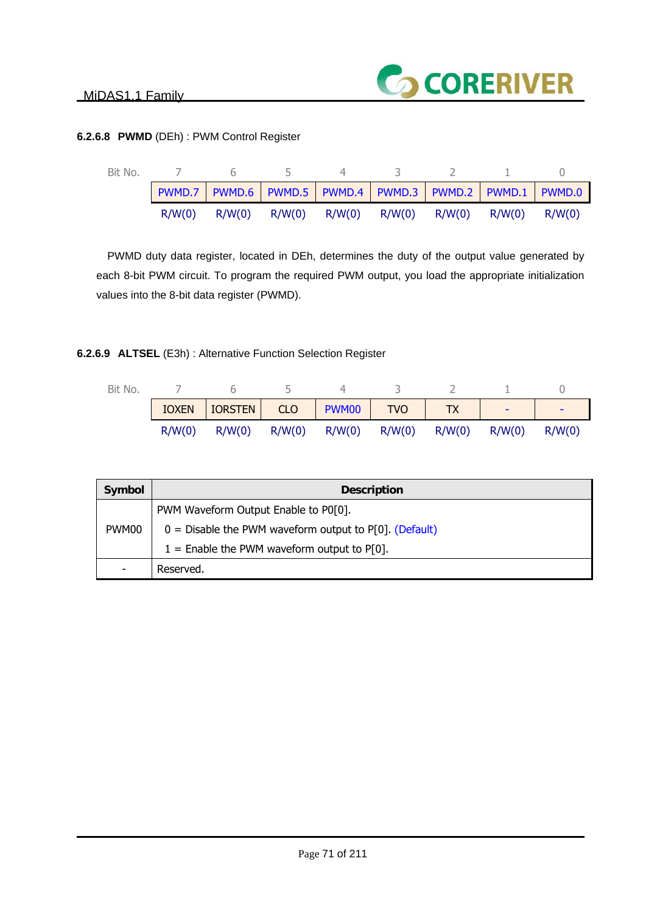

# **6.2.6.8 PWMD** (DEh) : PWM Control Register

| Bit No. |        |                                                                       | 4                                                              | $\prec$ $\Box$ |  |  |
|---------|--------|-----------------------------------------------------------------------|----------------------------------------------------------------|----------------|--|--|
|         |        | PWMD.7   PWMD.6   PWMD.5   PWMD.4   PWMD.3   PWMD.2   PWMD.1   PWMD.0 |                                                                |                |  |  |
|         | R/W(0) |                                                                       | $R/W(0)$ $R/W(0)$ $R/W(0)$ $R/W(0)$ $R/W(0)$ $R/W(0)$ $R/W(0)$ |                |  |  |

PWMD duty data register, located in DEh, determines the duty of the output value generated by each 8-bit PWM circuit. To program the required PWM output, you load the appropriate initialization values into the 8-bit data register (PWMD).

## **6.2.6.9 ALTSEL** (E3h) : Alternative Function Selection Register

| Bit No. |              |                |            |              |            |        |                          |                          |
|---------|--------------|----------------|------------|--------------|------------|--------|--------------------------|--------------------------|
|         | <b>IOXEN</b> | <b>IORSTEN</b> | <b>CLO</b> | <b>PWM00</b> | <b>TVO</b> |        | $\overline{\phantom{0}}$ | $\overline{\phantom{0}}$ |
|         | R/W(0)       | R/W(0)         | R/W(0)     | R/W(0)       | R/W(0)     | R/W(0) | R/W(0)                   | R/W(0)                   |

| Symbol | <b>Description</b>                                       |
|--------|----------------------------------------------------------|
| PWM00  | PWM Waveform Output Enable to P0[0].                     |
|        | $0 =$ Disable the PWM waveform output to P[0]. (Default) |
|        | $1 =$ Enable the PWM waveform output to P[0].            |
| ۰      | Reserved.                                                |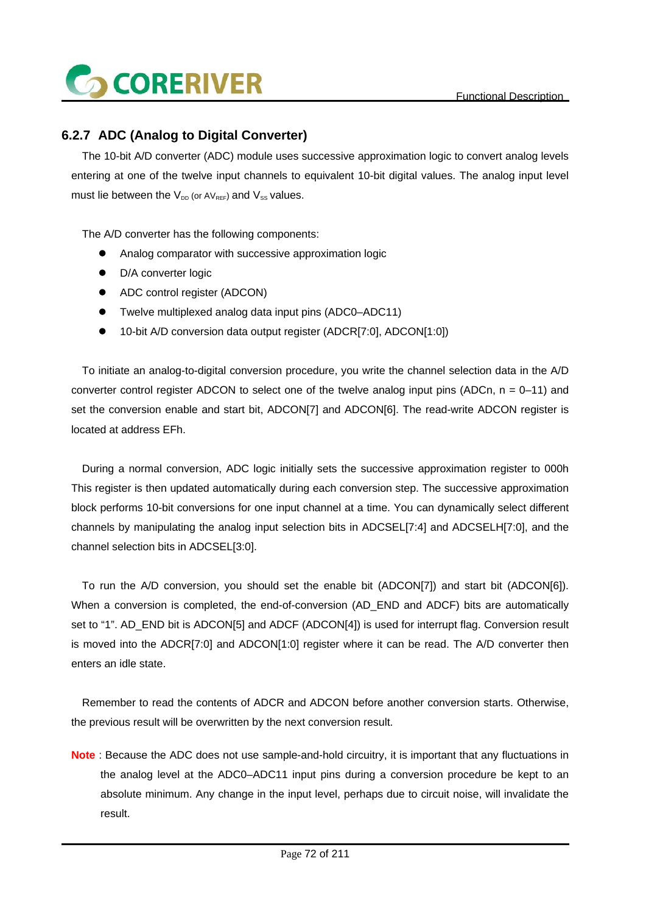

# **6.2.7 ADC (Analog to Digital Converter)**

The 10-bit A/D converter (ADC) module uses successive approximation logic to convert analog levels entering at one of the twelve input channels to equivalent 10-bit digital values. The analog input level must lie between the  $V_{DD}$  (or AVREF) and  $V_{SS}$  values.

The A/D converter has the following components:

- Analog comparator with successive approximation logic
- D/A converter logic
- ADC control register (ADCON)
- Twelve multiplexed analog data input pins (ADC0–ADC11)
- 10-bit A/D conversion data output register (ADCR[7:0], ADCON[1:0])

To initiate an analog-to-digital conversion procedure, you write the channel selection data in the A/D converter control register ADCON to select one of the twelve analog input pins (ADCn,  $n = 0-11$ ) and set the conversion enable and start bit, ADCON[7] and ADCON[6]. The read-write ADCON register is located at address EFh.

During a normal conversion, ADC logic initially sets the successive approximation register to 000h This register is then updated automatically during each conversion step. The successive approximation block performs 10-bit conversions for one input channel at a time. You can dynamically select different channels by manipulating the analog input selection bits in ADCSEL[7:4] and ADCSELH[7:0], and the channel selection bits in ADCSEL[3:0].

To run the A/D conversion, you should set the enable bit (ADCON[7]) and start bit (ADCON[6]). When a conversion is completed, the end-of-conversion (AD\_END and ADCF) bits are automatically set to "1". AD END bit is ADCON[5] and ADCF (ADCON[4]) is used for interrupt flag. Conversion result is moved into the ADCR[7:0] and ADCON[1:0] register where it can be read. The A/D converter then enters an idle state.

Remember to read the contents of ADCR and ADCON before another conversion starts. Otherwise, the previous result will be overwritten by the next conversion result.

**Note** : Because the ADC does not use sample-and-hold circuitry, it is important that any fluctuations in the analog level at the ADC0–ADC11 input pins during a conversion procedure be kept to an absolute minimum. Any change in the input level, perhaps due to circuit noise, will invalidate the result.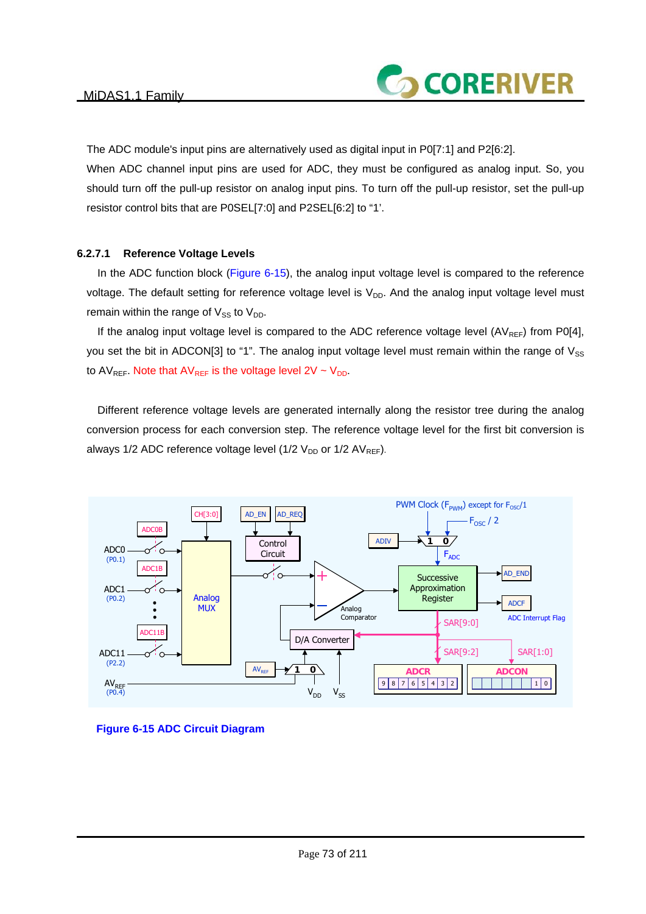

<span id="page-72-0"></span>The ADC module's input pins are alternatively used as digital input in P0[7:1] and P2[6:2].

When ADC channel input pins are used for ADC, they must be configured as analog input. So, you should turn off the pull-up resistor on analog input pins. To turn off the pull-up resistor, set the pull-up resistor control bits that are P0SEL[7:0] and P2SEL[6:2] to "1'.

#### **6.2.7.1 Reference Voltage Levels**

In the ADC function block [\(Figure 6-1](#page-72-0)5), the analog input voltage level is compared to the reference voltage. The default setting for reference voltage level is  $V_{DD}$ . And the analog input voltage level must remain within the range of  $V_{SS}$  to  $V_{DD}$ .

If the analog input voltage level is compared to the ADC reference voltage level  $(AV_{REF})$  from P0[4], you set the bit in ADCON[3] to "1". The analog input voltage level must remain within the range of  $V_{SS}$ to  $AV_{REF}$ . Note that  $AV_{REF}$  is the voltage level  $2V \sim V_{DD}$ .

Different reference voltage levels are generated internally along the resistor tree during the analog conversion process for each conversion step. The reference voltage level for the first bit conversion is always 1/2 ADC reference voltage level (1/2  $V_{DD}$  or 1/2 AV<sub>REF</sub>).



**Figure 6-15 ADC Circuit Diagram**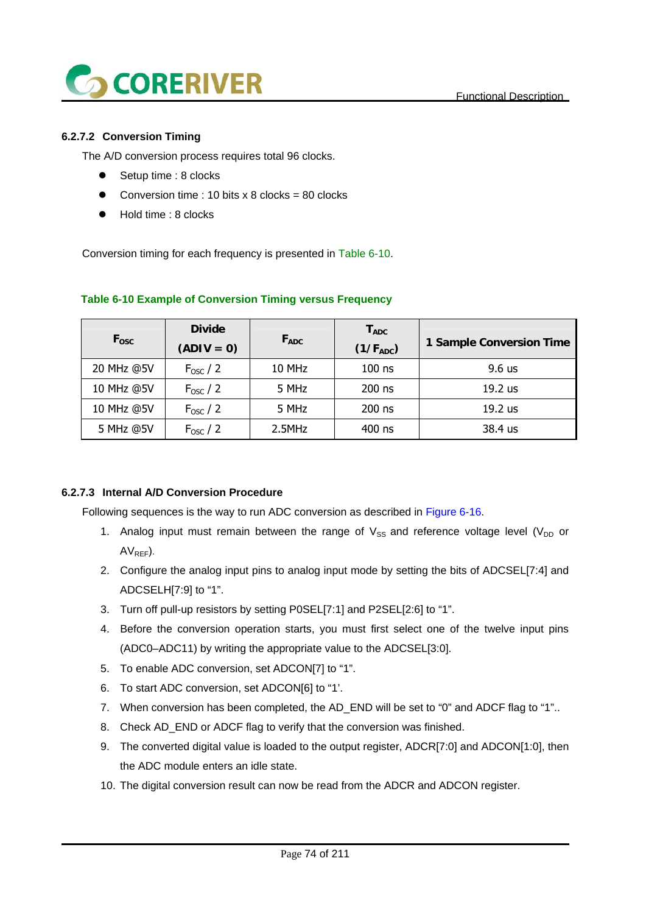<span id="page-73-0"></span>

#### **6.2.7.2 Conversion Timing**

The A/D conversion process requires total 96 clocks.

- Setup time : 8 clocks
- Conversion time : 10 bits x 8 clocks = 80 clocks
- $\bullet$  Hold time : 8 clocks

Conversion timing for each frequency is presented in [Table 6-1](#page-73-0)0.

| $F_{\rm osc}$ | <b>Divide</b><br>$(ADIV = 0)$ | $F_{ADC}$ | $T_{ADC}$<br>(1/F <sub>ADC</sub> ) | 1 Sample Conversion Time |
|---------------|-------------------------------|-----------|------------------------------------|--------------------------|
| 20 MHz @5V    | $F_{\rm osc}/2$               | 10 MHz    | $100$ ns                           | 9.6 us                   |
| 10 MHz @5V    | $F_{\text{osc}}/2$            | 5 MHz     | $200$ ns                           | 19.2 us                  |
| 10 MHz @5V    | $F_{\rm osc}/2$               | 5 MHz     | $200$ ns                           | 19.2 us                  |
| 5 MHz @5V     | $F_{\rm osc}/2$               | 2.5MHz    | 400 ns                             | 38.4 us                  |

#### **Table 6-10 Example of Conversion Timing versus Frequency**

#### **6.2.7.3 Internal A/D Conversion Procedure**

Following sequences is the way to run ADC conversion as described in [Figure 6-1](#page-74-0)6.

- 1. Analog input must remain between the range of  $V_{SS}$  and reference voltage level ( $V_{DD}$  or  $AV_{REF}$ ).
- 2. Configure the analog input pins to analog input mode by setting the bits of ADCSEL[7:4] and ADCSELH[7:9] to "1".
- 3. Turn off pull-up resistors by setting P0SEL[7:1] and P2SEL[2:6] to "1".
- 4. Before the conversion operation starts, you must first select one of the twelve input pins (ADC0–ADC11) by writing the appropriate value to the ADCSEL[3:0].
- 5. To enable ADC conversion, set ADCON[7] to "1".
- 6. To start ADC conversion, set ADCON[6] to "1'.
- 7. When conversion has been completed, the AD\_END will be set to "0" and ADCF flag to "1"..
- 8. Check AD\_END or ADCF flag to verify that the conversion was finished.
- 9. The converted digital value is loaded to the output register, ADCR[7:0] and ADCON[1:0], then the ADC module enters an idle state.
- 10. The digital conversion result can now be read from the ADCR and ADCON register.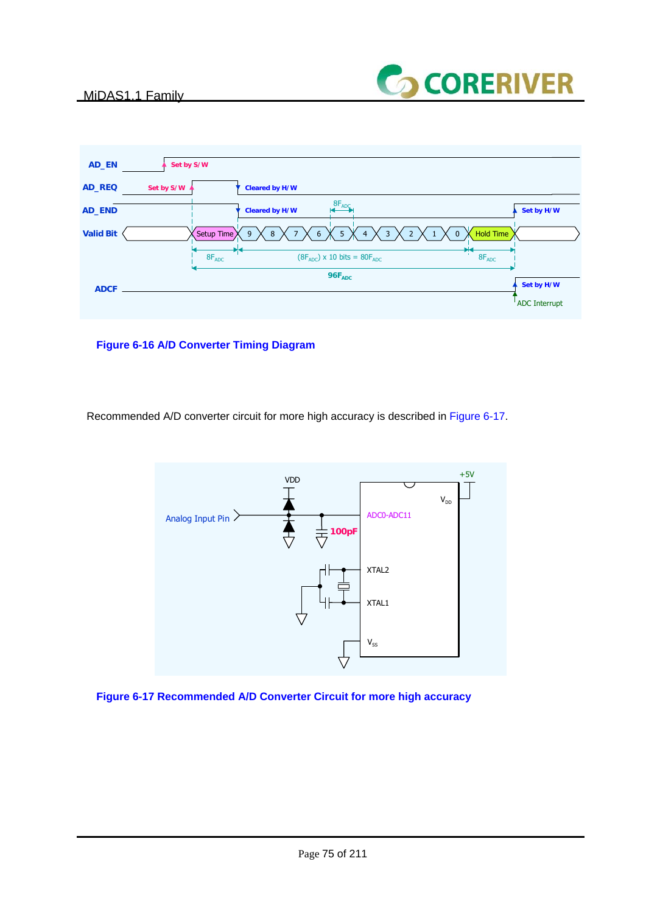

<span id="page-74-0"></span>

| AD_EN<br>Set by S/W            |                                                                |                      |
|--------------------------------|----------------------------------------------------------------|----------------------|
| AD_REQ<br>Set by S/W           | <b>Cleared by H/W</b>                                          |                      |
| AD_END                         | 8FADC<br><b>Cleared by H/W</b>                                 | Set by H/W           |
| Setup Time<br><b>Valid Bit</b> | <b>Hold Time</b><br>5<br>$\mathbf 0$<br>9<br>-6<br>4<br>8      |                      |
| $8F_{ADC}$                     | PK.<br>$8F_{ADC}$<br>$(8F_{ADC}) \times 10$ bits = $80F_{ADC}$ |                      |
|                                | $96F_{ADC}$                                                    | Set by H/W           |
| <b>ADCF</b>                    |                                                                | <b>ADC</b> Interrupt |

#### **Figure 6-16 A/D Converter Timing Diagram**

Recommended A/D converter circuit for more high accuracy is described in [Figure 6-1](#page-74-0)7.



## **Figure 6-17 Recommended A/D Converter Circuit for more high accuracy**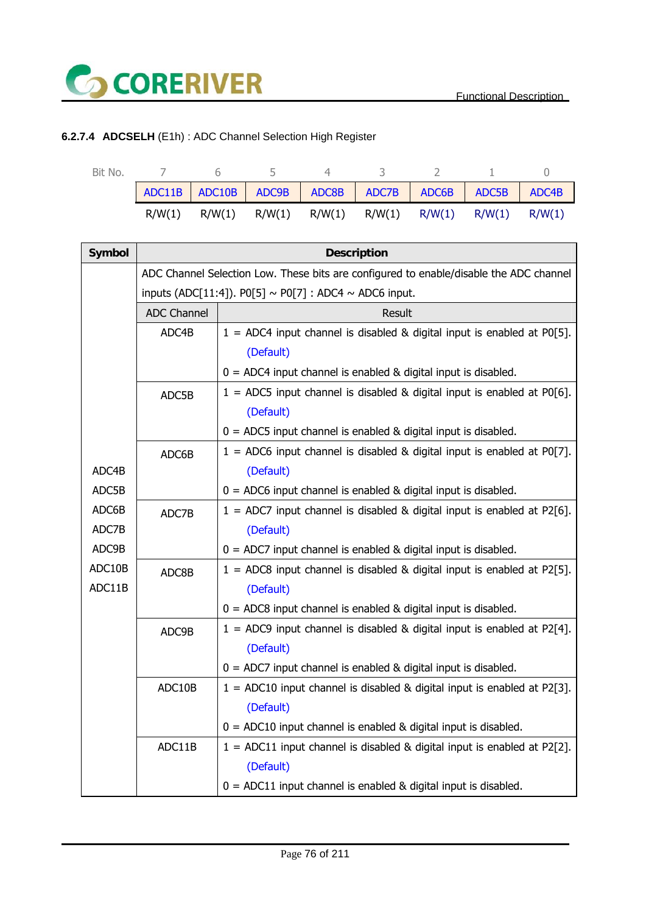

## **6.2.7.4 ADCSELH** (E1h) : ADC Channel Selection High Register

| Bit No. |        |                                                         | $\sim$ |                                              |  |        |
|---------|--------|---------------------------------------------------------|--------|----------------------------------------------|--|--------|
|         |        | ADC11B   ADC10B   ADC9B   ADC8B   ADC7B   ADC6B   ADC5B |        |                                              |  | ADC4B  |
|         | R/W(1) | R/W(1)                                                  |        | $R/W(1)$ $R/W(1)$ $R/W(1)$ $R/W(1)$ $R/W(1)$ |  | R/W(1) |

| <b>Symbol</b> | <b>Description</b> |                                                                                        |  |  |  |  |
|---------------|--------------------|----------------------------------------------------------------------------------------|--|--|--|--|
|               |                    | ADC Channel Selection Low. These bits are configured to enable/disable the ADC channel |  |  |  |  |
|               |                    | inputs (ADC[11:4]). P0[5] $\sim$ P0[7] : ADC4 $\sim$ ADC6 input.                       |  |  |  |  |
|               | <b>ADC Channel</b> | Result                                                                                 |  |  |  |  |
|               | ADC4B              | $1 = ADC4$ input channel is disabled & digital input is enabled at P0[5].              |  |  |  |  |
|               |                    | (Default)                                                                              |  |  |  |  |
|               |                    | $0 = ADC4$ input channel is enabled & digital input is disabled.                       |  |  |  |  |
|               | ADC5B              | $1 = ADC5$ input channel is disabled & digital input is enabled at P0[6].              |  |  |  |  |
|               |                    | (Default)                                                                              |  |  |  |  |
|               |                    | $0 = ADC5$ input channel is enabled & digital input is disabled.                       |  |  |  |  |
|               | ADC6B              | $1 = ADC6$ input channel is disabled & digital input is enabled at P0[7].              |  |  |  |  |
| ADC4B         |                    | (Default)                                                                              |  |  |  |  |
| ADC5B         |                    | $0 = ADC6$ input channel is enabled & digital input is disabled.                       |  |  |  |  |
| ADC6B         | ADC7B              | $1 = ADC7$ input channel is disabled & digital input is enabled at P2[6].              |  |  |  |  |
| ADC7B         |                    | (Default)                                                                              |  |  |  |  |
| ADC9B         |                    | $0 = ADC7$ input channel is enabled & digital input is disabled.                       |  |  |  |  |
| ADC10B        | ADC8B              | $1 = ADC8$ input channel is disabled & digital input is enabled at P2[5].              |  |  |  |  |
| ADC11B        |                    | (Default)                                                                              |  |  |  |  |
|               |                    | $0 = ADC8$ input channel is enabled & digital input is disabled.                       |  |  |  |  |
|               | ADC9B              | $1 = ADC9$ input channel is disabled & digital input is enabled at P2[4].              |  |  |  |  |
|               |                    | (Default)                                                                              |  |  |  |  |
|               |                    | $0 = ADC7$ input channel is enabled & digital input is disabled.                       |  |  |  |  |
|               | ADC10B             | 1 = ADC10 input channel is disabled & digital input is enabled at P2[3].               |  |  |  |  |
|               |                    | (Default)                                                                              |  |  |  |  |
|               |                    | $0 = ADC10$ input channel is enabled & digital input is disabled.                      |  |  |  |  |
|               | ADC11B             | $1 = ADC11$ input channel is disabled & digital input is enabled at P2[2].             |  |  |  |  |
|               |                    | (Default)                                                                              |  |  |  |  |
|               |                    | $0 = ADC11$ input channel is enabled & digital input is disabled.                      |  |  |  |  |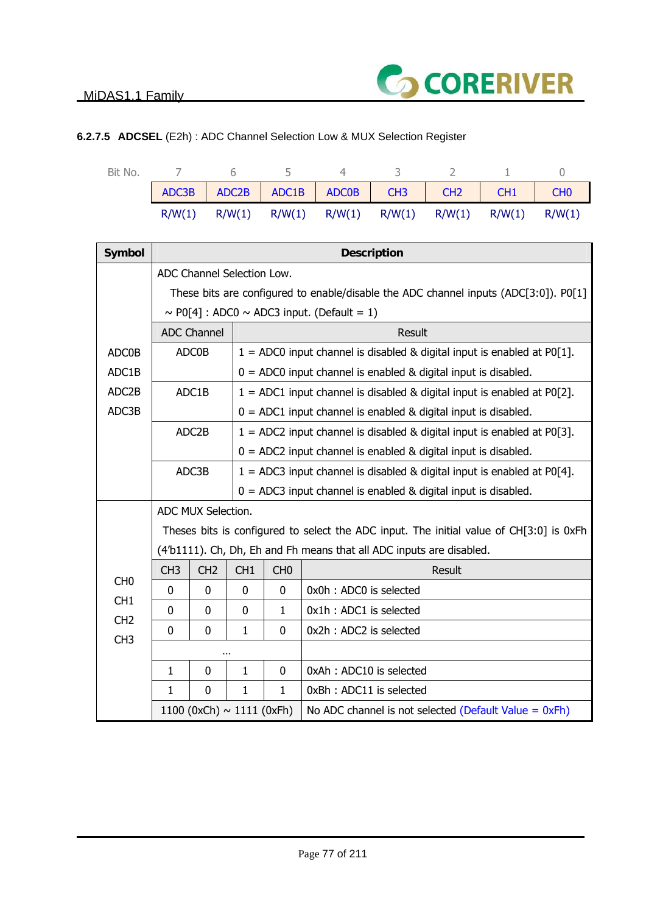

## **6.2.7.5 ADCSEL** (E2h) : ADC Channel Selection Low & MUX Selection Register

| Bit No. |        |                                                                |  |  |                  |
|---------|--------|----------------------------------------------------------------|--|--|------------------|
|         |        | ADC3B ADC2B ADC1B ADC0B CH3 CH2 CH1                            |  |  | C <sub>H</sub> O |
|         | R/W(1) | $R/W(1)$ $R/W(1)$ $R/W(1)$ $R/W(1)$ $R/W(1)$ $R/W(1)$ $R/W(1)$ |  |  |                  |

| <b>Symbol</b>                      | <b>Description</b>                                                                   |                                                                                    |                 |                                                                  |                                                                                         |  |  |  |  |
|------------------------------------|--------------------------------------------------------------------------------------|------------------------------------------------------------------------------------|-----------------|------------------------------------------------------------------|-----------------------------------------------------------------------------------------|--|--|--|--|
|                                    |                                                                                      | ADC Channel Selection Low.                                                         |                 |                                                                  |                                                                                         |  |  |  |  |
|                                    | These bits are configured to enable/disable the ADC channel inputs (ADC[3:0]). P0[1] |                                                                                    |                 |                                                                  |                                                                                         |  |  |  |  |
|                                    | $\sim$ P0[4] : ADC0 $\sim$ ADC3 input. (Default = 1)                                 |                                                                                    |                 |                                                                  |                                                                                         |  |  |  |  |
|                                    | <b>ADC Channel</b><br>Result                                                         |                                                                                    |                 |                                                                  |                                                                                         |  |  |  |  |
| ADC0B                              |                                                                                      | ADC0B                                                                              |                 |                                                                  | 1 = ADC0 input channel is disabled & digital input is enabled at P0[1].                 |  |  |  |  |
| ADC1B                              |                                                                                      |                                                                                    |                 |                                                                  | $0 = ADC0$ input channel is enabled & digital input is disabled.                        |  |  |  |  |
| ADC2B                              |                                                                                      | ADC1B                                                                              |                 |                                                                  | $1 = ADC1$ input channel is disabled & digital input is enabled at P0[2].               |  |  |  |  |
| ADC3B                              |                                                                                      | $0 = ADC1$ input channel is enabled & digital input is disabled.                   |                 |                                                                  |                                                                                         |  |  |  |  |
|                                    |                                                                                      | $1 = ADC2$ input channel is disabled & digital input is enabled at P0[3].<br>ADC2B |                 |                                                                  |                                                                                         |  |  |  |  |
|                                    |                                                                                      |                                                                                    |                 | $0 = ADC2$ input channel is enabled & digital input is disabled. |                                                                                         |  |  |  |  |
|                                    |                                                                                      | ADC3B                                                                              |                 |                                                                  | $1 = ADC3$ input channel is disabled & digital input is enabled at P0[4].               |  |  |  |  |
|                                    |                                                                                      |                                                                                    |                 |                                                                  | $0 = ADC3$ input channel is enabled & digital input is disabled.                        |  |  |  |  |
|                                    |                                                                                      | ADC MUX Selection.                                                                 |                 |                                                                  |                                                                                         |  |  |  |  |
|                                    |                                                                                      |                                                                                    |                 |                                                                  | Theses bits is configured to select the ADC input. The initial value of CH[3:0] is 0xFh |  |  |  |  |
|                                    |                                                                                      |                                                                                    |                 |                                                                  | (4'b1111). Ch, Dh, Eh and Fh means that all ADC inputs are disabled.                    |  |  |  |  |
|                                    | CH3                                                                                  | CH <sub>2</sub>                                                                    | CH <sub>1</sub> | CH <sub>0</sub>                                                  | Result                                                                                  |  |  |  |  |
| CH <sub>0</sub>                    | $\mathbf 0$                                                                          | 0                                                                                  | $\mathbf{0}$    | 0                                                                | 0x0h: ADC0 is selected                                                                  |  |  |  |  |
| CH <sub>1</sub><br>CH <sub>2</sub> | $\mathbf 0$                                                                          | $\Omega$                                                                           | $\Omega$        | 1                                                                | $0x1h$ : ADC1 is selected                                                               |  |  |  |  |
| CH <sub>3</sub>                    | 0                                                                                    | 0                                                                                  | 1               | 0                                                                | 0x2h: ADC2 is selected                                                                  |  |  |  |  |
|                                    |                                                                                      |                                                                                    |                 |                                                                  |                                                                                         |  |  |  |  |
|                                    | 1                                                                                    | $\mathbf{0}$                                                                       | $\mathbf{1}$    | 0                                                                | 0xAh: ADC10 is selected                                                                 |  |  |  |  |
|                                    | $\mathbf{1}$                                                                         | 0                                                                                  | 1               | $\mathbf{1}$                                                     | 0xBh: ADC11 is selected                                                                 |  |  |  |  |
|                                    |                                                                                      | 1100 (0xCh) $\sim$ 1111 (0xFh)                                                     |                 |                                                                  | No ADC channel is not selected (Default Value = $0xFh$ )                                |  |  |  |  |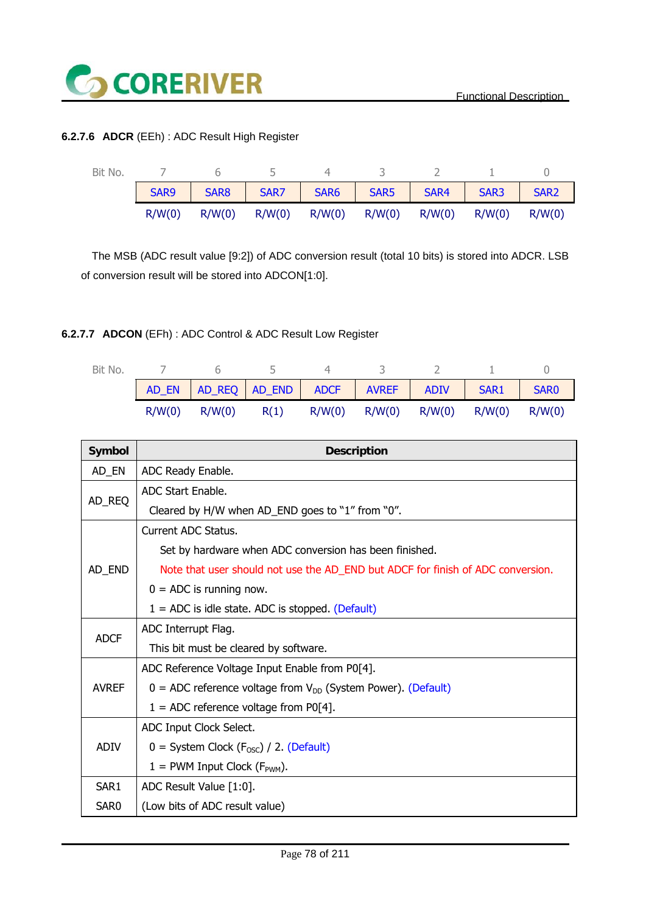

#### **6.2.7.6 ADCR** (EEh) : ADC Result High Register

| Bit No. |        |                  |        |                  |                  |        |                  |                  |
|---------|--------|------------------|--------|------------------|------------------|--------|------------------|------------------|
|         | SAR9   | SAR <sub>8</sub> | SAR7   | SAR <sub>6</sub> | SAR <sub>5</sub> | SAR4   | SAR <sub>3</sub> | SAR <sub>2</sub> |
|         | R/W(0) | R/W(0)           | R/W(0) | R/W(0)           | R/W(0)           | R/W(0) | R/W(0)           | R/W(0)           |

The MSB (ADC result value [9:2]) of ADC conversion result (total 10 bits) is stored into ADCR. LSB of conversion result will be stored into ADCON[1:0].

#### **6.2.7.7 ADCON** (EFh) : ADC Control & ADC Result Low Register

| Bit No. |        |                                        |      |                            |             |        |             |
|---------|--------|----------------------------------------|------|----------------------------|-------------|--------|-------------|
|         |        | AD_EN   AD_REQ   AD_END   ADCF   AVREF |      |                            | <b>ADIV</b> | SAR1   | <b>SARO</b> |
|         | R/W(0) | R/W(0)                                 | R(1) | $R/W(0)$ $R/W(0)$ $R/W(0)$ |             | R/W(0) | R/W(0)      |

| Symbol           | <b>Description</b>                                                              |
|------------------|---------------------------------------------------------------------------------|
| AD_EN            | ADC Ready Enable.                                                               |
|                  | ADC Start Enable.                                                               |
| AD_REQ           | Cleared by H/W when AD_END goes to "1" from "0".                                |
|                  | Current ADC Status.                                                             |
|                  | Set by hardware when ADC conversion has been finished.                          |
| AD_END           | Note that user should not use the AD_END but ADCF for finish of ADC conversion. |
|                  | $0 = ADC$ is running now.                                                       |
|                  | $1 = ADC$ is idle state. ADC is stopped. (Default)                              |
| <b>ADCF</b>      | ADC Interrupt Flag.                                                             |
|                  | This bit must be cleared by software.                                           |
|                  | ADC Reference Voltage Input Enable from P0[4].                                  |
| <b>AVREF</b>     | $0 = ADC$ reference voltage from $V_{DD}$ (System Power). (Default)             |
|                  | $1 = ADC$ reference voltage from P0[4].                                         |
|                  | ADC Input Clock Select.                                                         |
| <b>ADIV</b>      | $0 =$ System Clock (F <sub>osc</sub> ) / 2. (Default)                           |
|                  | $1 =$ PWM Input Clock ( $F_{\text{PWM}}$ ).                                     |
| SAR1             | ADC Result Value [1:0].                                                         |
| SAR <sub>0</sub> | (Low bits of ADC result value)                                                  |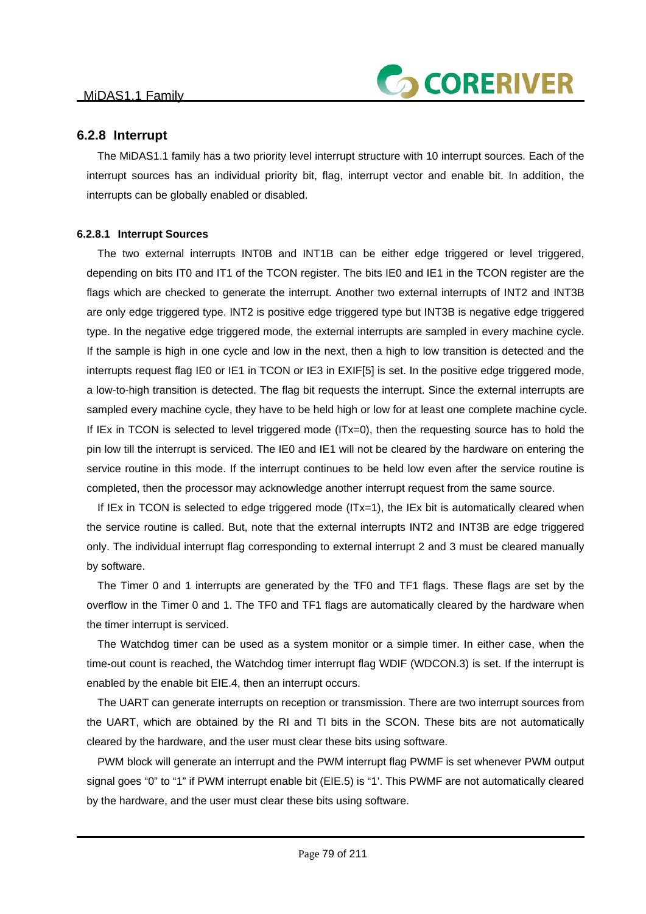

## **6.2.8 Interrupt**

The MiDAS1.1 family has a two priority level interrupt structure with 10 interrupt sources. Each of the interrupt sources has an individual priority bit, flag, interrupt vector and enable bit. In addition, the interrupts can be globally enabled or disabled.

#### **6.2.8.1 Interrupt Sources**

The two external interrupts INT0B and INT1B can be either edge triggered or level triggered, depending on bits IT0 and IT1 of the TCON register. The bits IE0 and IE1 in the TCON register are the flags which are checked to generate the interrupt. Another two external interrupts of INT2 and INT3B are only edge triggered type. INT2 is positive edge triggered type but INT3B is negative edge triggered type. In the negative edge triggered mode, the external interrupts are sampled in every machine cycle. If the sample is high in one cycle and low in the next, then a high to low transition is detected and the interrupts request flag IE0 or IE1 in TCON or IE3 in EXIF[5] is set. In the positive edge triggered mode, a low-to-high transition is detected. The flag bit requests the interrupt. Since the external interrupts are sampled every machine cycle, they have to be held high or low for at least one complete machine cycle. If IEx in TCON is selected to level triggered mode (ITx=0), then the requesting source has to hold the pin low till the interrupt is serviced. The IE0 and IE1 will not be cleared by the hardware on entering the service routine in this mode. If the interrupt continues to be held low even after the service routine is completed, then the processor may acknowledge another interrupt request from the same source.

If IEx in TCON is selected to edge triggered mode  $(ITx=1)$ , the IEx bit is automatically cleared when the service routine is called. But, note that the external interrupts INT2 and INT3B are edge triggered only. The individual interrupt flag corresponding to external interrupt 2 and 3 must be cleared manually by software.

The Timer 0 and 1 interrupts are generated by the TF0 and TF1 flags. These flags are set by the overflow in the Timer 0 and 1. The TF0 and TF1 flags are automatically cleared by the hardware when the timer interrupt is serviced.

The Watchdog timer can be used as a system monitor or a simple timer. In either case, when the time-out count is reached, the Watchdog timer interrupt flag WDIF (WDCON.3) is set. If the interrupt is enabled by the enable bit EIE.4, then an interrupt occurs.

The UART can generate interrupts on reception or transmission. There are two interrupt sources from the UART, which are obtained by the RI and TI bits in the SCON. These bits are not automatically cleared by the hardware, and the user must clear these bits using software.

PWM block will generate an interrupt and the PWM interrupt flag PWMF is set whenever PWM output signal goes "0" to "1" if PWM interrupt enable bit (EIE.5) is "1'. This PWMF are not automatically cleared by the hardware, and the user must clear these bits using software.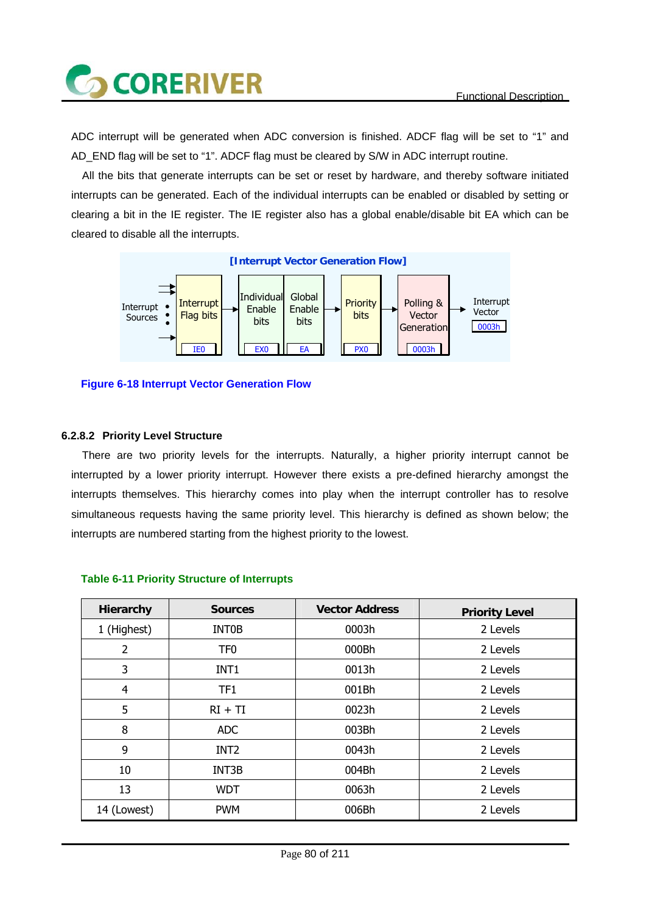

ADC interrupt will be generated when ADC conversion is finished. ADCF flag will be set to "1" and AD END flag will be set to "1". ADCF flag must be cleared by S/W in ADC interrupt routine.

All the bits that generate interrupts can be set or reset by hardware, and thereby software initiated interrupts can be generated. Each of the individual interrupts can be enabled or disabled by setting or clearing a bit in the IE register. The IE register also has a global enable/disable bit EA which can be cleared to disable all the interrupts.



**Figure 6-18 Interrupt Vector Generation Flow** 

#### **6.2.8.2 Priority Level Structure**

There are two priority levels for the interrupts. Naturally, a higher priority interrupt cannot be interrupted by a lower priority interrupt. However there exists a pre-defined hierarchy amongst the interrupts themselves. This hierarchy comes into play when the interrupt controller has to resolve simultaneous requests having the same priority level. This hierarchy is defined as shown below; the interrupts are numbered starting from the highest priority to the lowest.

#### **Table 6-11 Priority Structure of Interrupts**

| Hierarchy      | <b>Sources</b>   | <b>Vector Address</b> | <b>Priority Level</b> |
|----------------|------------------|-----------------------|-----------------------|
| 1 (Highest)    | <b>INTOB</b>     | 0003h                 | 2 Levels              |
| $\overline{2}$ | TF <sub>0</sub>  | 000Bh                 | 2 Levels              |
| 3              | INT1             | 0013h                 | 2 Levels              |
| 4              | TF1              | 001Bh                 | 2 Levels              |
| 5              | $RI + TI$        | 0023h                 | 2 Levels              |
| 8              | <b>ADC</b>       | 003Bh                 | 2 Levels              |
| 9              | INT <sub>2</sub> | 0043h                 | 2 Levels              |
| 10             | INT3B            | 004Bh                 | 2 Levels              |
| 13             | <b>WDT</b>       | 0063h                 | 2 Levels              |
| 14 (Lowest)    | <b>PWM</b>       | 006Bh                 | 2 Levels              |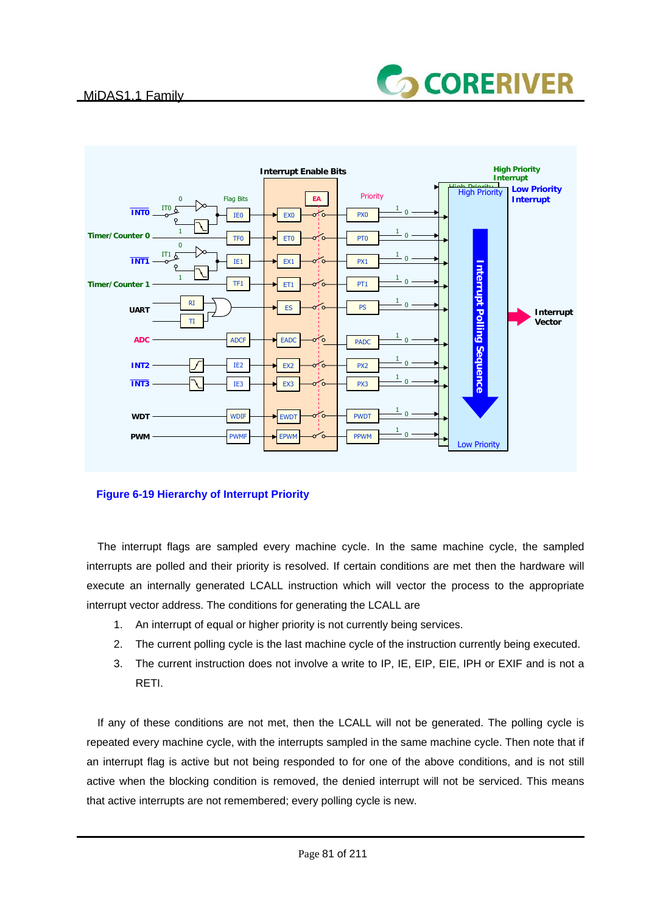## MiDAS1.1 Family





#### **Figure 6-19 Hierarchy of Interrupt Priority**

The interrupt flags are sampled every machine cycle. In the same machine cycle, the sampled interrupts are polled and their priority is resolved. If certain conditions are met then the hardware will execute an internally generated LCALL instruction which will vector the process to the appropriate interrupt vector address. The conditions for generating the LCALL are

- 1. An interrupt of equal or higher priority is not currently being services.
- 2. The current polling cycle is the last machine cycle of the instruction currently being executed.
- 3. The current instruction does not involve a write to IP, IE, EIP, EIE, IPH or EXIF and is not a RETI.

If any of these conditions are not met, then the LCALL will not be generated. The polling cycle is repeated every machine cycle, with the interrupts sampled in the same machine cycle. Then note that if an interrupt flag is active but not being responded to for one of the above conditions, and is not still active when the blocking condition is removed, the denied interrupt will not be serviced. This means that active interrupts are not remembered; every polling cycle is new.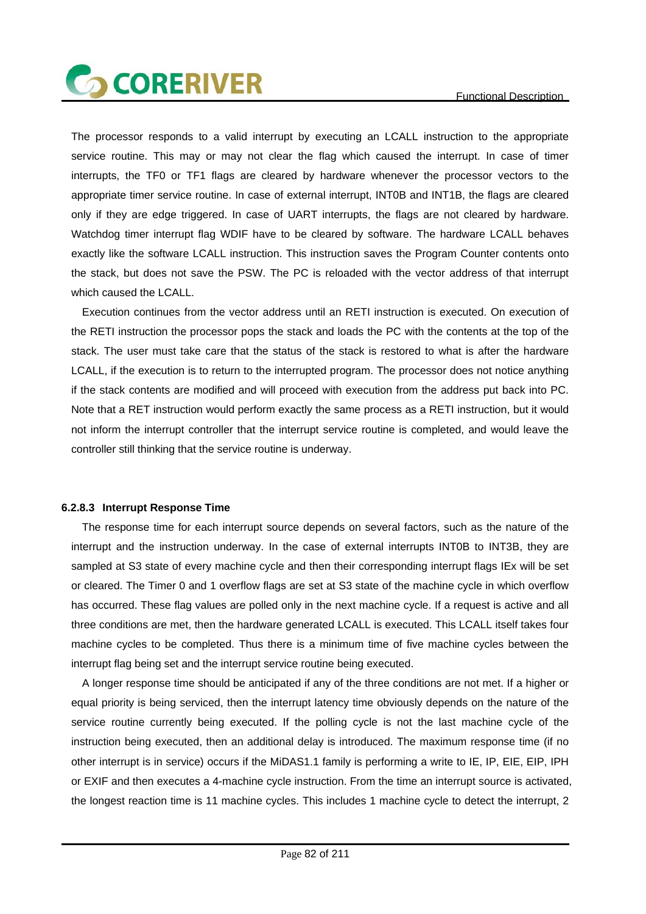

The processor responds to a valid interrupt by executing an LCALL instruction to the appropriate service routine. This may or may not clear the flag which caused the interrupt. In case of timer interrupts, the TF0 or TF1 flags are cleared by hardware whenever the processor vectors to the appropriate timer service routine. In case of external interrupt, INT0B and INT1B, the flags are cleared only if they are edge triggered. In case of UART interrupts, the flags are not cleared by hardware. Watchdog timer interrupt flag WDIF have to be cleared by software. The hardware LCALL behaves exactly like the software LCALL instruction. This instruction saves the Program Counter contents onto the stack, but does not save the PSW. The PC is reloaded with the vector address of that interrupt which caused the LCALL.

Execution continues from the vector address until an RETI instruction is executed. On execution of the RETI instruction the processor pops the stack and loads the PC with the contents at the top of the stack. The user must take care that the status of the stack is restored to what is after the hardware LCALL, if the execution is to return to the interrupted program. The processor does not notice anything if the stack contents are modified and will proceed with execution from the address put back into PC. Note that a RET instruction would perform exactly the same process as a RETI instruction, but it would not inform the interrupt controller that the interrupt service routine is completed, and would leave the controller still thinking that the service routine is underway.

#### **6.2.8.3 Interrupt Response Time**

The response time for each interrupt source depends on several factors, such as the nature of the interrupt and the instruction underway. In the case of external interrupts INT0B to INT3B, they are sampled at S3 state of every machine cycle and then their corresponding interrupt flags IEx will be set or cleared. The Timer 0 and 1 overflow flags are set at S3 state of the machine cycle in which overflow has occurred. These flag values are polled only in the next machine cycle. If a request is active and all three conditions are met, then the hardware generated LCALL is executed. This LCALL itself takes four machine cycles to be completed. Thus there is a minimum time of five machine cycles between the interrupt flag being set and the interrupt service routine being executed.

A longer response time should be anticipated if any of the three conditions are not met. If a higher or equal priority is being serviced, then the interrupt latency time obviously depends on the nature of the service routine currently being executed. If the polling cycle is not the last machine cycle of the instruction being executed, then an additional delay is introduced. The maximum response time (if no other interrupt is in service) occurs if the MiDAS1.1 family is performing a write to IE, IP, EIE, EIP, IPH or EXIF and then executes a 4-machine cycle instruction. From the time an interrupt source is activated, the longest reaction time is 11 machine cycles. This includes 1 machine cycle to detect the interrupt, 2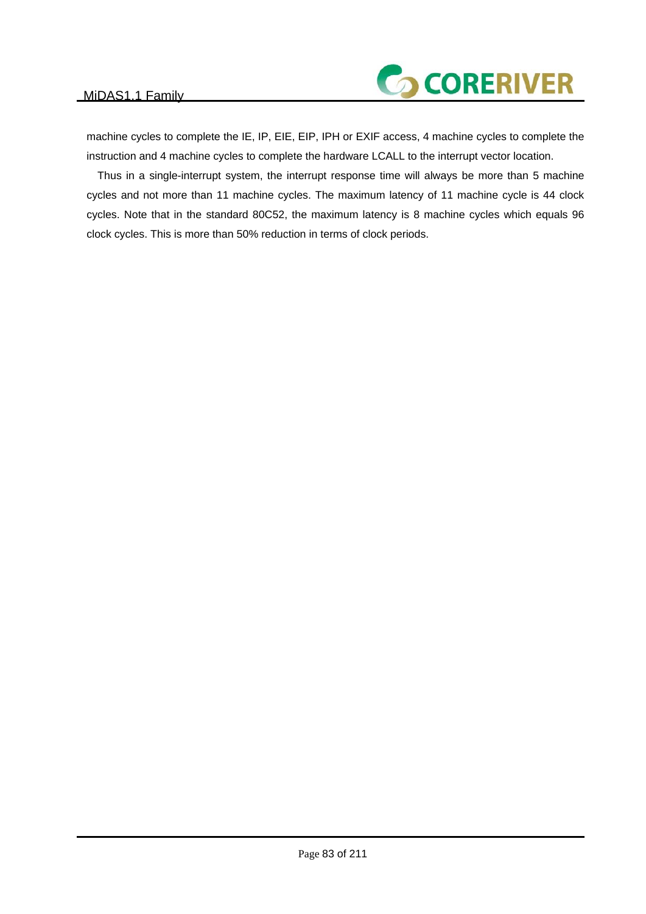

machine cycles to complete the IE, IP, EIE, EIP, IPH or EXIF access, 4 machine cycles to complete the instruction and 4 machine cycles to complete the hardware LCALL to the interrupt vector location.

Thus in a single-interrupt system, the interrupt response time will always be more than 5 machine cycles and not more than 11 machine cycles. The maximum latency of 11 machine cycle is 44 clock cycles. Note that in the standard 80C52, the maximum latency is 8 machine cycles which equals 96 clock cycles. This is more than 50% reduction in terms of clock periods.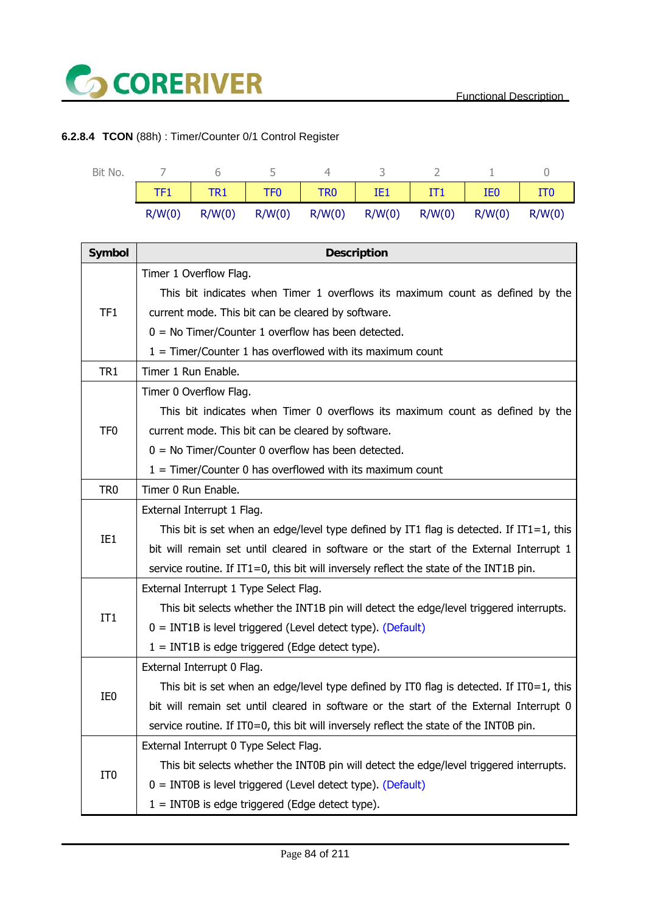

## **6.2.8.4 TCON** (88h) : Timer/Counter 0/1 Control Register



| <b>Symbol</b>   | <b>Description</b>                                                                         |
|-----------------|--------------------------------------------------------------------------------------------|
|                 | Timer 1 Overflow Flag.                                                                     |
|                 | This bit indicates when Timer 1 overflows its maximum count as defined by the              |
| TF1             | current mode. This bit can be cleared by software.                                         |
|                 | $0 = No$ Timer/Counter 1 overflow has been detected.                                       |
|                 | $1 =$ Timer/Counter 1 has overflowed with its maximum count                                |
| TR <sub>1</sub> | Timer 1 Run Enable.                                                                        |
|                 | Timer 0 Overflow Flag.                                                                     |
|                 | This bit indicates when Timer 0 overflows its maximum count as defined by the              |
| TF <sub>0</sub> | current mode. This bit can be cleared by software.                                         |
|                 | $0 = No$ Timer/Counter 0 overflow has been detected.                                       |
|                 | $1 =$ Timer/Counter 0 has overflowed with its maximum count                                |
| TR <sub>0</sub> | Timer 0 Run Enable.                                                                        |
|                 | External Interrupt 1 Flag.                                                                 |
| IE1             | This bit is set when an edge/level type defined by IT1 flag is detected. If $IT1=1$ , this |
|                 | bit will remain set until cleared in software or the start of the External Interrupt 1     |
|                 | service routine. If IT1=0, this bit will inversely reflect the state of the INT1B pin.     |
|                 | External Interrupt 1 Type Select Flag.                                                     |
| IT <sub>1</sub> | This bit selects whether the INT1B pin will detect the edge/level triggered interrupts.    |
|                 | $0 = INT1B$ is level triggered (Level detect type). (Default)                              |
|                 | $1 = INT1B$ is edge triggered (Edge detect type).                                          |
|                 | External Interrupt 0 Flag.                                                                 |
| IE <sub>0</sub> | This bit is set when an edge/level type defined by ITO flag is detected. If $IT0=1$ , this |
|                 | bit will remain set until cleared in software or the start of the External Interrupt 0     |
|                 | service routine. If IT0=0, this bit will inversely reflect the state of the INT0B pin.     |
|                 | External Interrupt 0 Type Select Flag.                                                     |
|                 | This bit selects whether the INT0B pin will detect the edge/level triggered interrupts.    |
| IT <sub>0</sub> | $0 = INT0B$ is level triggered (Level detect type). (Default)                              |
|                 | $1 = INTOB$ is edge triggered (Edge detect type).                                          |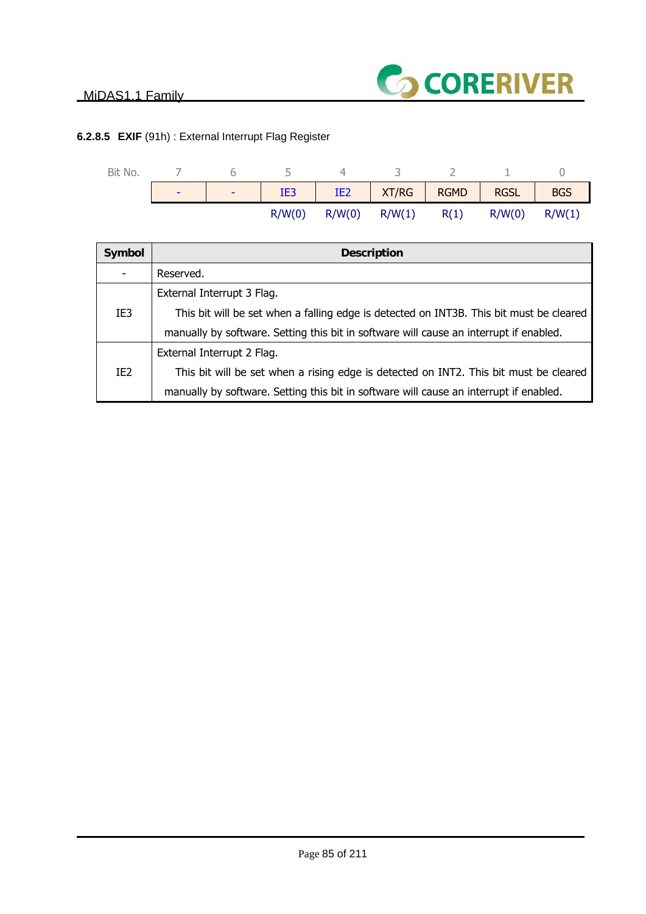

## **6.2.8.5 EXIF** (91h) : External Interrupt Flag Register



| Symbol | <b>Description</b>                                                                      |
|--------|-----------------------------------------------------------------------------------------|
|        | Reserved.                                                                               |
|        | External Interrupt 3 Flag.                                                              |
| IE3    | This bit will be set when a falling edge is detected on INT3B. This bit must be cleared |
|        | manually by software. Setting this bit in software will cause an interrupt if enabled.  |
|        | External Interrupt 2 Flag.                                                              |
| IF2    | This bit will be set when a rising edge is detected on INT2. This bit must be cleared   |
|        | manually by software. Setting this bit in software will cause an interrupt if enabled.  |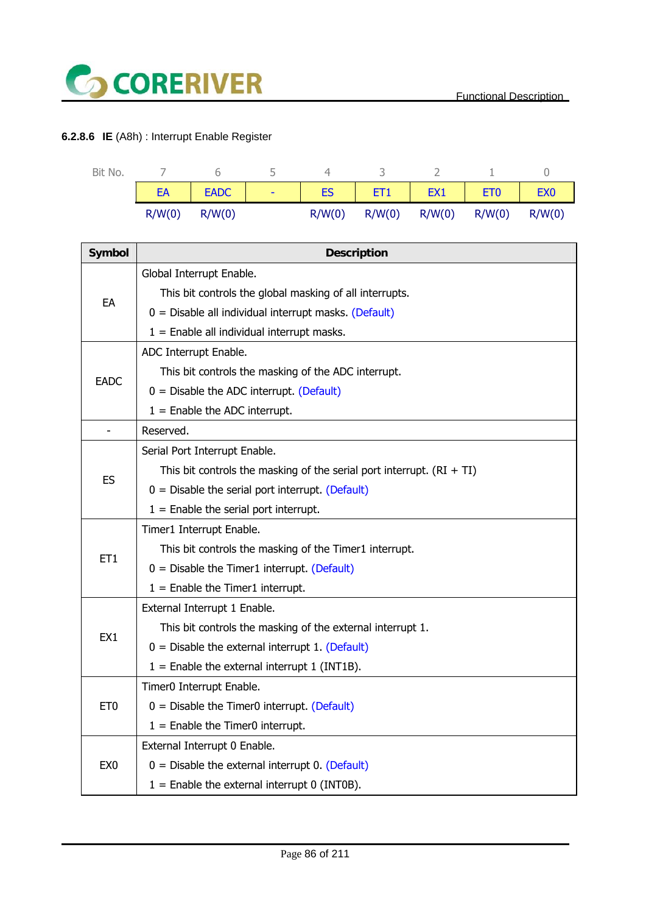

## **6.2.8.6 IE** (A8h) : Interrupt Enable Register



| <b>Symbol</b>   | <b>Description</b>                                                      |  |  |  |  |
|-----------------|-------------------------------------------------------------------------|--|--|--|--|
|                 | Global Interrupt Enable.                                                |  |  |  |  |
| <b>FA</b>       | This bit controls the global masking of all interrupts.                 |  |  |  |  |
|                 | $0 =$ Disable all individual interrupt masks. (Default)                 |  |  |  |  |
|                 | $1 =$ Enable all individual interrupt masks.                            |  |  |  |  |
|                 | ADC Interrupt Enable.                                                   |  |  |  |  |
| <b>EADC</b>     | This bit controls the masking of the ADC interrupt.                     |  |  |  |  |
|                 | $0 =$ Disable the ADC interrupt. (Default)                              |  |  |  |  |
|                 | $1 =$ Enable the ADC interrupt.                                         |  |  |  |  |
|                 | Reserved.                                                               |  |  |  |  |
|                 | Serial Port Interrupt Enable.                                           |  |  |  |  |
| ES              | This bit controls the masking of the serial port interrupt. $(RI + TI)$ |  |  |  |  |
|                 | $0 =$ Disable the serial port interrupt. (Default)                      |  |  |  |  |
|                 | $1 =$ Enable the serial port interrupt.                                 |  |  |  |  |
|                 | Timer1 Interrupt Enable.                                                |  |  |  |  |
| ET1             | This bit controls the masking of the Timer1 interrupt.                  |  |  |  |  |
|                 | $0 =$ Disable the Timer1 interrupt. (Default)                           |  |  |  |  |
|                 | $1 =$ Enable the Timer1 interrupt.                                      |  |  |  |  |
|                 | External Interrupt 1 Enable.                                            |  |  |  |  |
| EX1             | This bit controls the masking of the external interrupt 1.              |  |  |  |  |
|                 | $0 =$ Disable the external interrupt 1. (Default)                       |  |  |  |  |
|                 | $1 =$ Enable the external interrupt 1 (INT1B).                          |  |  |  |  |
|                 | Timer0 Interrupt Enable.                                                |  |  |  |  |
| ET <sub>0</sub> | $0 =$ Disable the Timer0 interrupt. (Default)                           |  |  |  |  |
|                 | $1 =$ Enable the Timer0 interrupt.                                      |  |  |  |  |
|                 | External Interrupt 0 Enable.                                            |  |  |  |  |
| EX <sub>0</sub> | $0 =$ Disable the external interrupt 0. (Default)                       |  |  |  |  |
|                 | $1 =$ Enable the external interrupt 0 (INT0B).                          |  |  |  |  |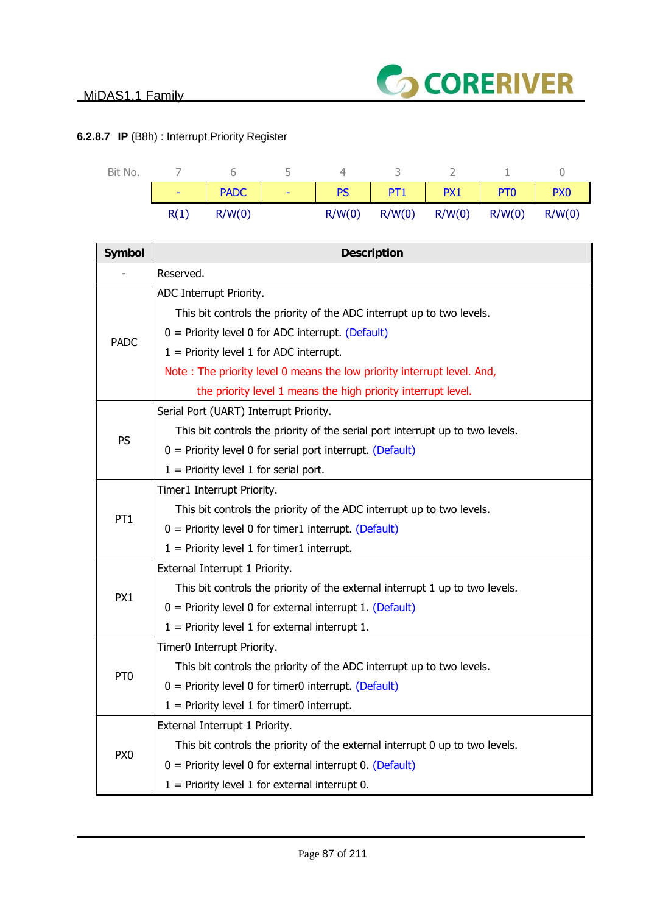## **6.2.8.7 IP** (B8h) : Interrupt Priority Register



| <b>Symbol</b>   | <b>Description</b>                                                            |
|-----------------|-------------------------------------------------------------------------------|
|                 | Reserved.                                                                     |
|                 | ADC Interrupt Priority.                                                       |
|                 | This bit controls the priority of the ADC interrupt up to two levels.         |
| <b>PADC</b>     | $0 =$ Priority level 0 for ADC interrupt. (Default)                           |
|                 | $1$ = Priority level 1 for ADC interrupt.                                     |
|                 | Note: The priority level 0 means the low priority interrupt level. And,       |
|                 | the priority level 1 means the high priority interrupt level.                 |
|                 | Serial Port (UART) Interrupt Priority.                                        |
| PS              | This bit controls the priority of the serial port interrupt up to two levels. |
|                 | $0 =$ Priority level 0 for serial port interrupt. (Default)                   |
|                 | $1$ = Priority level 1 for serial port.                                       |
|                 | Timer1 Interrupt Priority.                                                    |
| PT <sub>1</sub> | This bit controls the priority of the ADC interrupt up to two levels.         |
|                 | $0 =$ Priority level 0 for timer1 interrupt. (Default)                        |
|                 | $1$ = Priority level 1 for timer1 interrupt.                                  |
|                 | External Interrupt 1 Priority.                                                |
| PX1             | This bit controls the priority of the external interrupt 1 up to two levels.  |
|                 | $0 =$ Priority level 0 for external interrupt 1. (Default)                    |
|                 | $1$ = Priority level 1 for external interrupt 1.                              |
|                 | Timer0 Interrupt Priority.                                                    |
| PT <sub>0</sub> | This bit controls the priority of the ADC interrupt up to two levels.         |
|                 | $0 =$ Priority level 0 for timer0 interrupt. (Default)                        |
|                 | $1$ = Priority level 1 for timer0 interrupt.                                  |
|                 | External Interrupt 1 Priority.                                                |
| PX <sub>0</sub> | This bit controls the priority of the external interrupt 0 up to two levels.  |
|                 | $0 =$ Priority level 0 for external interrupt 0. (Default)                    |
|                 | $1$ = Priority level 1 for external interrupt 0.                              |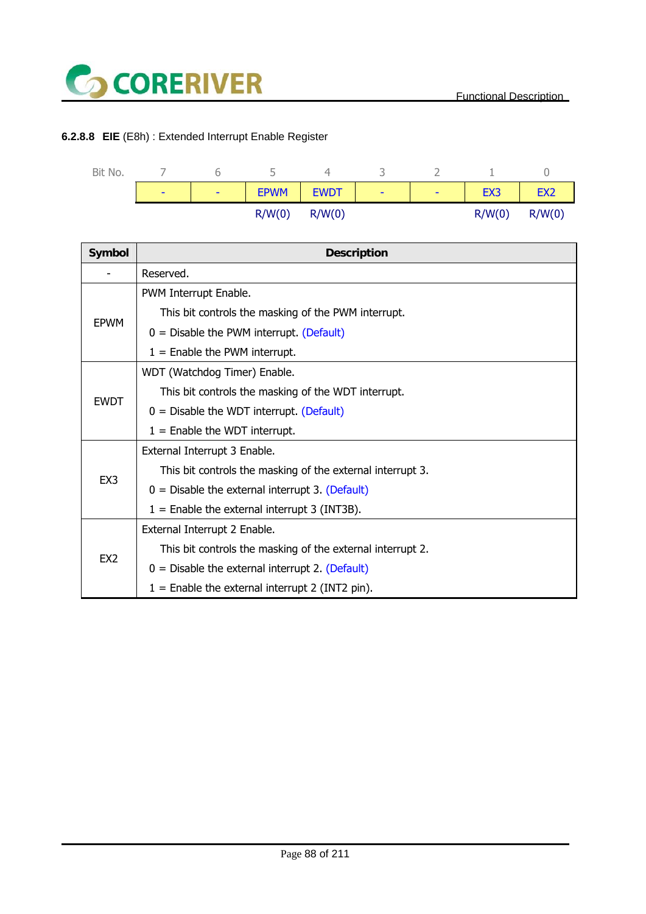

## **6.2.8.8 EIE** (E8h) : Extended Interrupt Enable Register



| <b>Symbol</b>   | <b>Description</b>                                         |
|-----------------|------------------------------------------------------------|
|                 | Reserved.                                                  |
|                 | PWM Interrupt Enable.                                      |
| <b>EPWM</b>     | This bit controls the masking of the PWM interrupt.        |
|                 | $0 =$ Disable the PWM interrupt. (Default)                 |
|                 | $1 =$ Enable the PWM interrupt.                            |
|                 | WDT (Watchdog Timer) Enable.                               |
| <b>EWDT</b>     | This bit controls the masking of the WDT interrupt.        |
|                 | $0 =$ Disable the WDT interrupt. (Default)                 |
|                 | $1 =$ Enable the WDT interrupt.                            |
|                 | External Interrupt 3 Enable.                               |
| EX <sub>3</sub> | This bit controls the masking of the external interrupt 3. |
|                 | $0 =$ Disable the external interrupt 3. (Default)          |
|                 | $1 =$ Enable the external interrupt 3 (INT3B).             |
|                 | External Interrupt 2 Enable.                               |
| EX <sub>2</sub> | This bit controls the masking of the external interrupt 2. |
|                 | $0 =$ Disable the external interrupt 2. (Default)          |
|                 | $1 =$ Enable the external interrupt 2 (INT2 pin).          |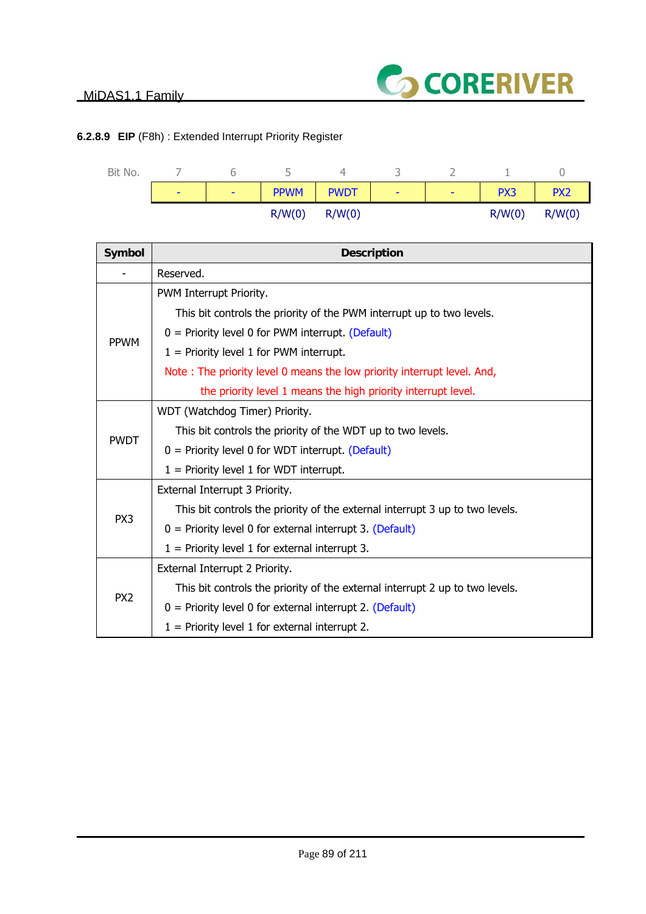## **6.2.8.9 EIP** (F8h) : Extended Interrupt Priority Register



| Symbol          | <b>Description</b>                                                           |
|-----------------|------------------------------------------------------------------------------|
|                 | Reserved.                                                                    |
|                 | PWM Interrupt Priority.                                                      |
|                 | This bit controls the priority of the PWM interrupt up to two levels.        |
| <b>PPWM</b>     | $0 =$ Priority level 0 for PWM interrupt. (Default)                          |
|                 | $1$ = Priority level 1 for PWM interrupt.                                    |
|                 | Note: The priority level 0 means the low priority interrupt level. And,      |
|                 | the priority level 1 means the high priority interrupt level.                |
|                 | WDT (Watchdog Timer) Priority.                                               |
| <b>PWDT</b>     | This bit controls the priority of the WDT up to two levels.                  |
|                 | $0 =$ Priority level 0 for WDT interrupt. (Default)                          |
|                 | $1$ = Priority level 1 for WDT interrupt.                                    |
|                 | External Interrupt 3 Priority.                                               |
| PX <sub>3</sub> | This bit controls the priority of the external interrupt 3 up to two levels. |
|                 | $0 =$ Priority level 0 for external interrupt 3. (Default)                   |
|                 | $1$ = Priority level 1 for external interrupt 3.                             |
|                 | External Interrupt 2 Priority.                                               |
| PX <sub>2</sub> | This bit controls the priority of the external interrupt 2 up to two levels. |
|                 | $0 =$ Priority level 0 for external interrupt 2. (Default)                   |
|                 | $1$ = Priority level 1 for external interrupt 2.                             |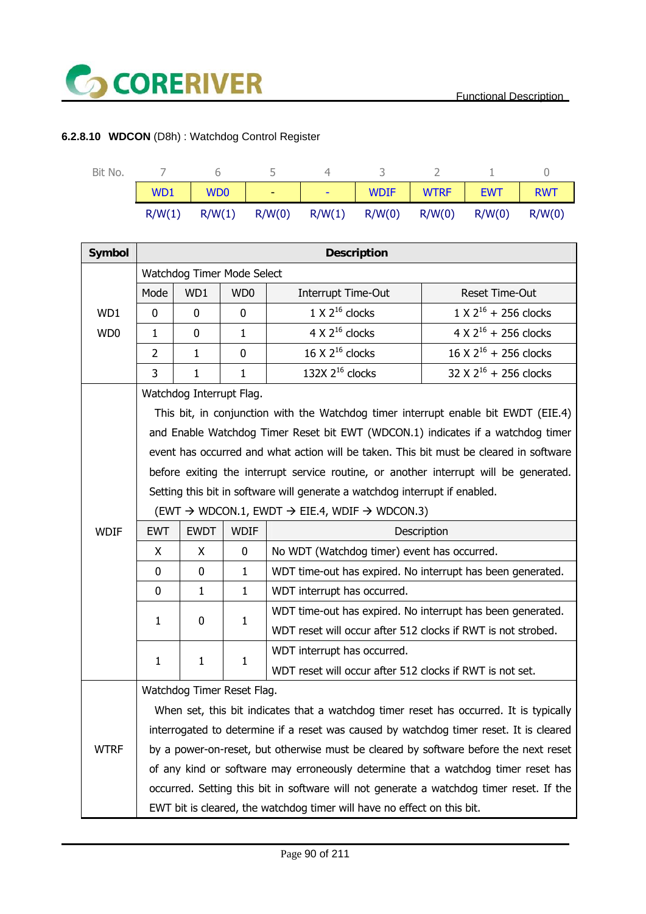

## **6.2.8.10 WDCON** (D8h) : Watchdog Control Register



| <b>Symbol</b>   | <b>Description</b>                                                                     |                                                                             |                 |                                                                                         |                                 |  |  |  |  |
|-----------------|----------------------------------------------------------------------------------------|-----------------------------------------------------------------------------|-----------------|-----------------------------------------------------------------------------------------|---------------------------------|--|--|--|--|
|                 |                                                                                        | Watchdog Timer Mode Select                                                  |                 |                                                                                         |                                 |  |  |  |  |
|                 | Mode                                                                                   | WD1                                                                         | WD <sub>0</sub> | Interrupt Time-Out                                                                      | Reset Time-Out                  |  |  |  |  |
| WD1             | 0                                                                                      | 0                                                                           | $\mathbf 0$     | $1 \times 2^{16}$ clocks<br>$1 \times 2^{16}$ + 256 clocks                              |                                 |  |  |  |  |
| WD <sub>0</sub> | 1                                                                                      | 0                                                                           | $\mathbf{1}$    | $4 \times 2^{16}$ clocks<br>$4 \times 2^{16} + 256$ clocks                              |                                 |  |  |  |  |
|                 | $\overline{2}$                                                                         | 1                                                                           | 0               | 16 X $2^{16}$ clocks                                                                    | $16 \times 2^{16} + 256$ clocks |  |  |  |  |
|                 | 3                                                                                      | $\mathbf{1}$                                                                | $\mathbf{1}$    | 132X $2^{16}$ clocks                                                                    | $32 \times 2^{16} + 256$ clocks |  |  |  |  |
|                 |                                                                                        | Watchdog Interrupt Flag.                                                    |                 |                                                                                         |                                 |  |  |  |  |
|                 |                                                                                        |                                                                             |                 | This bit, in conjunction with the Watchdog timer interrupt enable bit EWDT (EIE.4)      |                                 |  |  |  |  |
|                 |                                                                                        |                                                                             |                 | and Enable Watchdog Timer Reset bit EWT (WDCON.1) indicates if a watchdog timer         |                                 |  |  |  |  |
|                 |                                                                                        |                                                                             |                 | event has occurred and what action will be taken. This bit must be cleared in software  |                                 |  |  |  |  |
|                 |                                                                                        |                                                                             |                 | before exiting the interrupt service routine, or another interrupt will be generated.   |                                 |  |  |  |  |
|                 |                                                                                        | Setting this bit in software will generate a watchdog interrupt if enabled. |                 |                                                                                         |                                 |  |  |  |  |
|                 | (EWT → WDCON.1, EWDT → EIE.4, WDIF → WDCON.3)                                          |                                                                             |                 |                                                                                         |                                 |  |  |  |  |
| <b>WDIF</b>     | <b>EWT</b>                                                                             | <b>EWDT</b>                                                                 | <b>WDIF</b>     |                                                                                         | Description                     |  |  |  |  |
|                 | X                                                                                      | X                                                                           | 0               | No WDT (Watchdog timer) event has occurred.                                             |                                 |  |  |  |  |
|                 | 0                                                                                      | 0                                                                           | $\mathbf{1}$    | WDT time-out has expired. No interrupt has been generated.                              |                                 |  |  |  |  |
|                 | $\mathbf{0}$                                                                           | 1                                                                           | 1               | WDT interrupt has occurred.                                                             |                                 |  |  |  |  |
|                 | $\mathbf{1}$                                                                           | 0                                                                           | 1               | WDT time-out has expired. No interrupt has been generated.                              |                                 |  |  |  |  |
|                 |                                                                                        |                                                                             |                 | WDT reset will occur after 512 clocks if RWT is not strobed.                            |                                 |  |  |  |  |
|                 | $\mathbf{1}$                                                                           | 1                                                                           | 1               | WDT interrupt has occurred.                                                             |                                 |  |  |  |  |
|                 |                                                                                        |                                                                             |                 | WDT reset will occur after 512 clocks if RWT is not set.                                |                                 |  |  |  |  |
|                 |                                                                                        | Watchdog Timer Reset Flag.                                                  |                 |                                                                                         |                                 |  |  |  |  |
|                 | When set, this bit indicates that a watchdog timer reset has occurred. It is typically |                                                                             |                 |                                                                                         |                                 |  |  |  |  |
|                 |                                                                                        |                                                                             |                 | interrogated to determine if a reset was caused by watchdog timer reset. It is cleared  |                                 |  |  |  |  |
| <b>WTRF</b>     |                                                                                        |                                                                             |                 | by a power-on-reset, but otherwise must be cleared by software before the next reset    |                                 |  |  |  |  |
|                 |                                                                                        |                                                                             |                 | of any kind or software may erroneously determine that a watchdog timer reset has       |                                 |  |  |  |  |
|                 |                                                                                        |                                                                             |                 | occurred. Setting this bit in software will not generate a watchdog timer reset. If the |                                 |  |  |  |  |
|                 |                                                                                        | EWT bit is cleared, the watchdog timer will have no effect on this bit.     |                 |                                                                                         |                                 |  |  |  |  |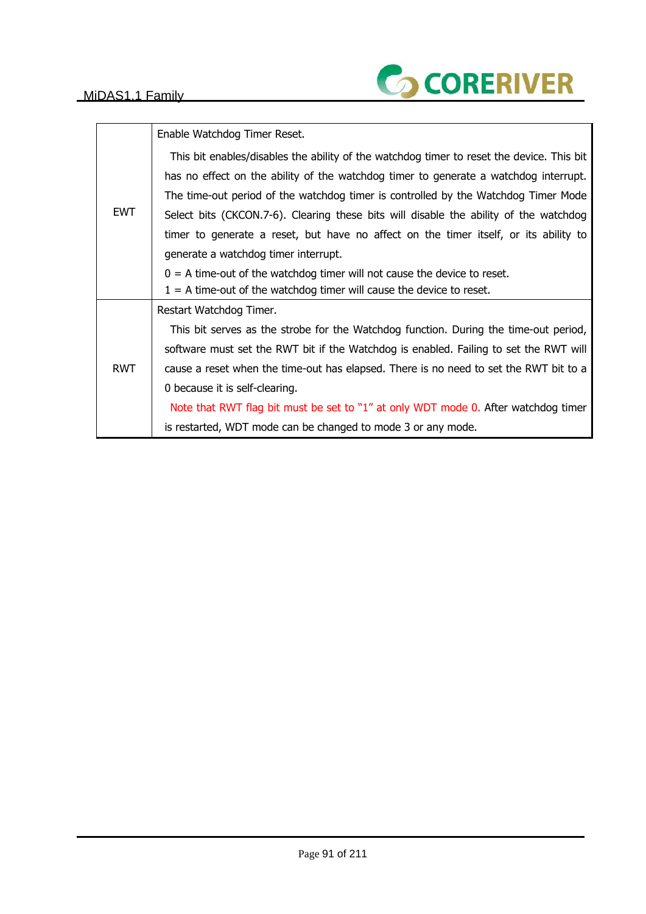

|            | Enable Watchdog Timer Reset.                                                              |
|------------|-------------------------------------------------------------------------------------------|
|            | This bit enables/disables the ability of the watchdog timer to reset the device. This bit |
|            | has no effect on the ability of the watchdog timer to generate a watchdog interrupt.      |
|            | The time-out period of the watchdog timer is controlled by the Watchdog Timer Mode        |
| <b>EWT</b> | Select bits (CKCON.7-6). Clearing these bits will disable the ability of the watchdog     |
|            | timer to generate a reset, but have no affect on the timer itself, or its ability to      |
|            | generate a watchdog timer interrupt.                                                      |
|            | $0 = A$ time-out of the watchdog timer will not cause the device to reset.                |
|            | $1 = A$ time-out of the watchdog timer will cause the device to reset.                    |
|            | Restart Watchdog Timer.                                                                   |
|            | This bit serves as the strobe for the Watchdog function. During the time-out period,      |
|            | software must set the RWT bit if the Watchdog is enabled. Failing to set the RWT will     |
| <b>RWT</b> | cause a reset when the time-out has elapsed. There is no need to set the RWT bit to a     |
|            | 0 because it is self-clearing.                                                            |
|            | Note that RWT flag bit must be set to "1" at only WDT mode 0. After watchdog timer        |
|            | is restarted, WDT mode can be changed to mode 3 or any mode.                              |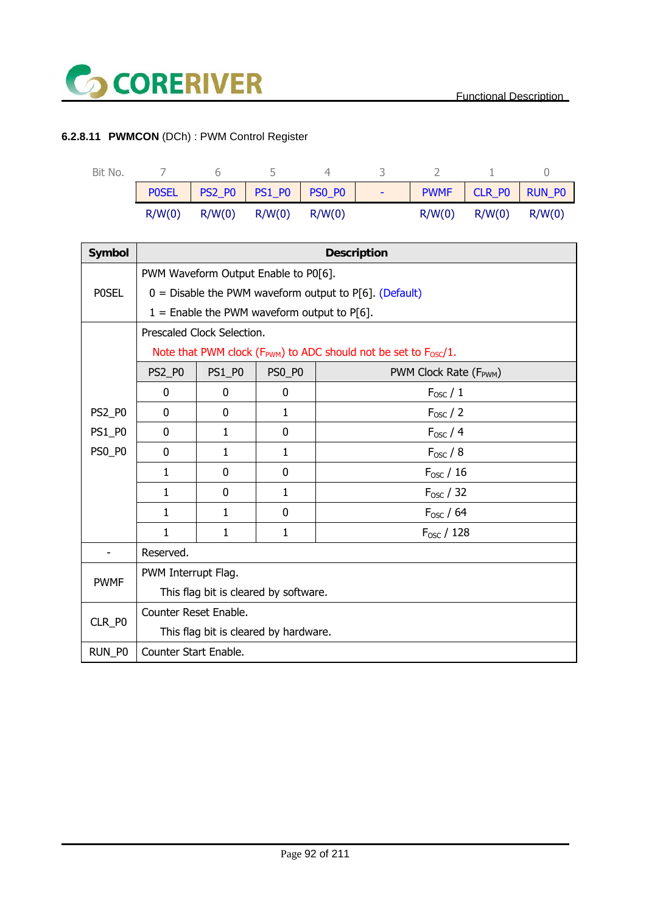

## **6.2.8.11 PWMCON** (DCh) : PWM Control Register

| Bit No. |        |                                  |        |        |                             |        |                        |        |
|---------|--------|----------------------------------|--------|--------|-----------------------------|--------|------------------------|--------|
|         |        | POSEL   PS2_PO   PS1_PO   PS0_PO |        |        | $\mathcal{L} = \mathcal{L}$ |        | PWMF   CLR_P0   RUN_P0 |        |
|         | R/W(0) | R/W(0)                           | R/W(0) | R/W(0) |                             | R/W(0) | R/W(0)                 | R/W(0) |

| Symbol        |                                                                                          | <b>Description</b>         |                                       |                                                                                           |  |  |  |  |  |
|---------------|------------------------------------------------------------------------------------------|----------------------------|---------------------------------------|-------------------------------------------------------------------------------------------|--|--|--|--|--|
|               |                                                                                          |                            | PWM Waveform Output Enable to P0[6].  |                                                                                           |  |  |  |  |  |
| <b>POSEL</b>  |                                                                                          |                            |                                       | $0 =$ Disable the PWM waveform output to P[6]. (Default)                                  |  |  |  |  |  |
|               | $1 =$ Enable the PWM waveform output to P[6].                                            |                            |                                       |                                                                                           |  |  |  |  |  |
|               |                                                                                          | Prescaled Clock Selection. |                                       |                                                                                           |  |  |  |  |  |
|               |                                                                                          |                            |                                       | Note that PWM clock ( $F_{\text{PWM}}$ ) to ADC should not be set to $F_{\text{OSC}}/1$ . |  |  |  |  |  |
|               | <b>PS2 P0</b>                                                                            | <b>PS1_P0</b>              | <b>PS0_P0</b>                         | PWM Clock Rate (F <sub>PWM</sub> )                                                        |  |  |  |  |  |
|               | $\mathbf{0}$                                                                             | $\Omega$                   | $\mathbf 0$                           | $F_{\rm{OSC}}/1$                                                                          |  |  |  |  |  |
| <b>PS2 P0</b> | $F_{\rm osc}/2$<br>$\mathbf 0$<br>0<br>$\mathbf{1}$<br>$F_{\text{osc}}/4$<br>0<br>0<br>1 |                            |                                       |                                                                                           |  |  |  |  |  |
| <b>PS1 P0</b> |                                                                                          |                            |                                       |                                                                                           |  |  |  |  |  |
| <b>PS0_P0</b> | 0                                                                                        | 1                          | 1                                     | $F_{\text{OSC}}/8$                                                                        |  |  |  |  |  |
|               | 1                                                                                        | $\Omega$                   | $\mathbf 0$                           | $F_{\text{OSC}}/16$                                                                       |  |  |  |  |  |
|               | 1                                                                                        | $\Omega$                   | $\mathbf{1}$                          | $F_{\rm osc}$ / 32                                                                        |  |  |  |  |  |
|               | $\mathbf{1}$                                                                             | 1                          | $\mathbf 0$                           | $F_{\rm osc}$ / 64                                                                        |  |  |  |  |  |
|               | $\mathbf{1}$                                                                             | 1                          | 1                                     | $F_{\rm osc}$ / 128                                                                       |  |  |  |  |  |
|               | Reserved.                                                                                |                            |                                       |                                                                                           |  |  |  |  |  |
| <b>PWMF</b>   | PWM Interrupt Flag.                                                                      |                            |                                       |                                                                                           |  |  |  |  |  |
|               | This flag bit is cleared by software.                                                    |                            |                                       |                                                                                           |  |  |  |  |  |
|               | Counter Reset Enable.                                                                    |                            |                                       |                                                                                           |  |  |  |  |  |
| CLR_PO        |                                                                                          |                            | This flag bit is cleared by hardware. |                                                                                           |  |  |  |  |  |
| RUN_PO        | Counter Start Enable.                                                                    |                            |                                       |                                                                                           |  |  |  |  |  |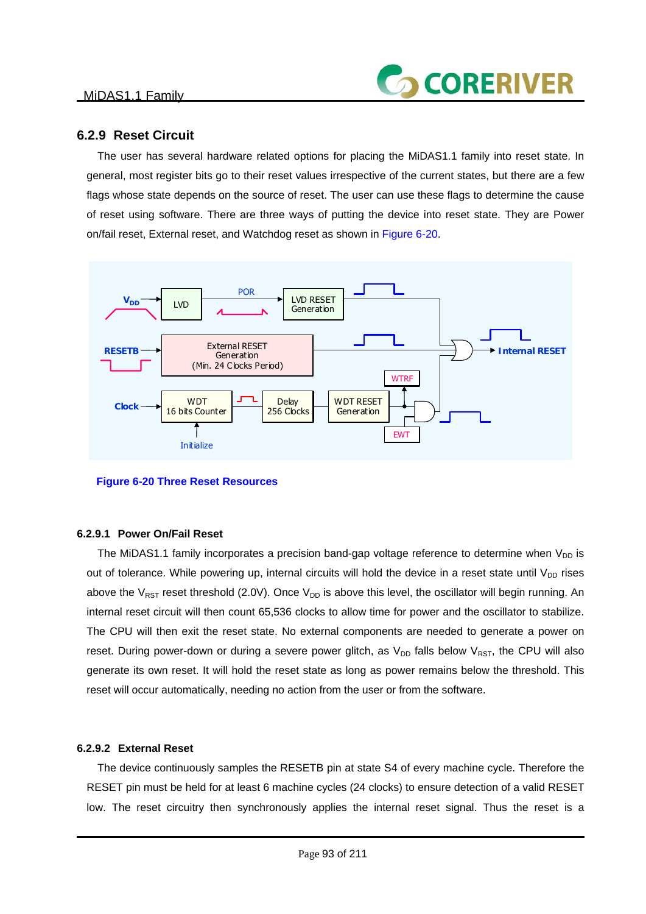

#### <span id="page-92-0"></span>**6.2.9 Reset Circuit**

The user has several hardware related options for placing the MiDAS1.1 family into reset state. In general, most register bits go to their reset values irrespective of the current states, but there are a few flags whose state depends on the source of reset. The user can use these flags to determine the cause of reset using software. There are three ways of putting the device into reset state. They are Power on/fail reset, External reset, and Watchdog reset as shown in [Figure 6-20](#page-92-0).



**Figure 6-20 Three Reset Resources** 

#### **6.2.9.1 Power On/Fail Reset**

The MiDAS1.1 family incorporates a precision band-gap voltage reference to determine when  $V_{DD}$  is out of tolerance. While powering up, internal circuits will hold the device in a reset state until  $V_{DD}$  rises above the V<sub>RST</sub> reset threshold (2.0V). Once V<sub>DD</sub> is above this level, the oscillator will begin running. An internal reset circuit will then count 65,536 clocks to allow time for power and the oscillator to stabilize. The CPU will then exit the reset state. No external components are needed to generate a power on reset. During power-down or during a severe power glitch, as  $V_{DD}$  falls below  $V_{RST}$ , the CPU will also generate its own reset. It will hold the reset state as long as power remains below the threshold. This reset will occur automatically, needing no action from the user or from the software.

#### **6.2.9.2 External Reset**

The device continuously samples the RESETB pin at state S4 of every machine cycle. Therefore the RESET pin must be held for at least 6 machine cycles (24 clocks) to ensure detection of a valid RESET low. The reset circuitry then synchronously applies the internal reset signal. Thus the reset is a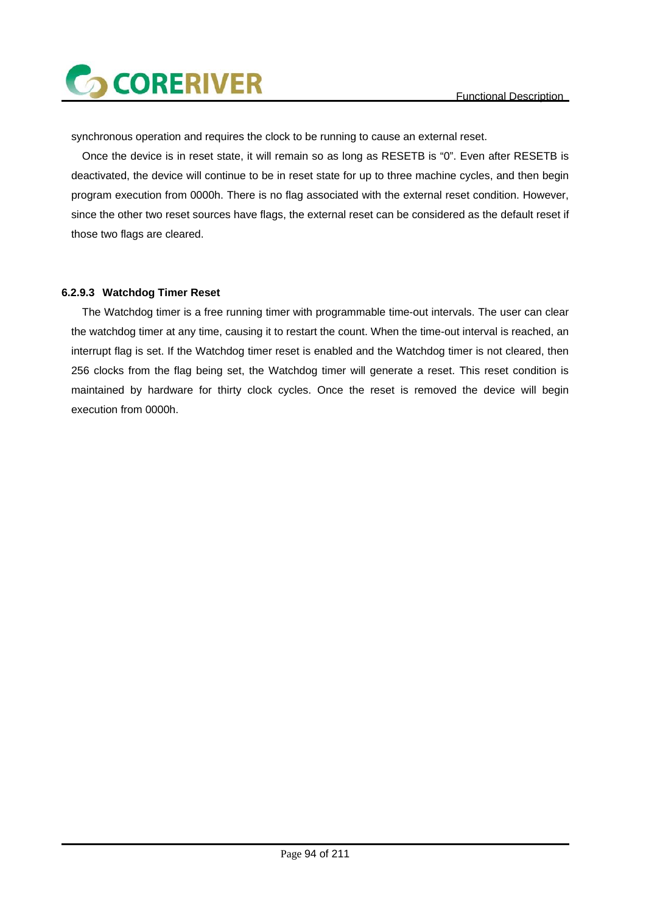

synchronous operation and requires the clock to be running to cause an external reset.

Once the device is in reset state, it will remain so as long as RESETB is "0". Even after RESETB is deactivated, the device will continue to be in reset state for up to three machine cycles, and then begin program execution from 0000h. There is no flag associated with the external reset condition. However, since the other two reset sources have flags, the external reset can be considered as the default reset if those two flags are cleared.

#### **6.2.9.3 Watchdog Timer Reset**

The Watchdog timer is a free running timer with programmable time-out intervals. The user can clear the watchdog timer at any time, causing it to restart the count. When the time-out interval is reached, an interrupt flag is set. If the Watchdog timer reset is enabled and the Watchdog timer is not cleared, then 256 clocks from the flag being set, the Watchdog timer will generate a reset. This reset condition is maintained by hardware for thirty clock cycles. Once the reset is removed the device will begin execution from 0000h.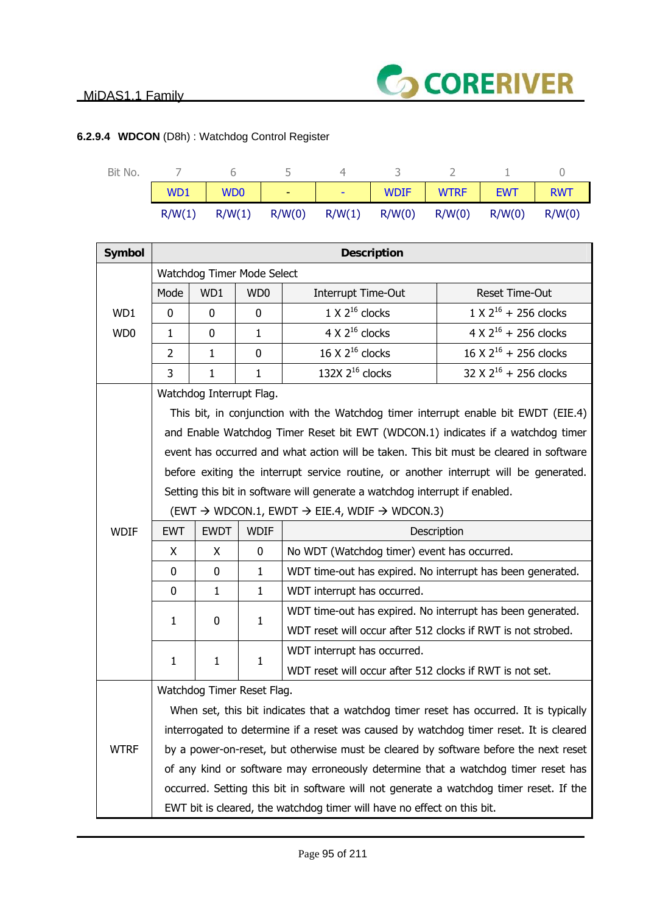

## **6.2.9.4 WDCON** (D8h) : Watchdog Control Register



| Symbol          | <b>Description</b>                                                                     |                                                                             |                 |                                                                                         |                                 |  |  |  |
|-----------------|----------------------------------------------------------------------------------------|-----------------------------------------------------------------------------|-----------------|-----------------------------------------------------------------------------------------|---------------------------------|--|--|--|
|                 |                                                                                        | Watchdog Timer Mode Select                                                  |                 |                                                                                         |                                 |  |  |  |
|                 | Mode                                                                                   | WD1                                                                         | WD <sub>0</sub> | Interrupt Time-Out                                                                      | Reset Time-Out                  |  |  |  |
| WD1             | 0                                                                                      | $\mathbf 0$                                                                 | $\mathbf 0$     | $1 \times 2^{16}$ clocks                                                                | $1 \times 2^{16}$ + 256 clocks  |  |  |  |
| WD <sub>0</sub> | 1                                                                                      | 0                                                                           | $\mathbf{1}$    | $4 \times 2^{16}$ clocks                                                                | $4 \times 2^{16} + 256$ clocks  |  |  |  |
|                 | 2                                                                                      | $\mathbf{1}$                                                                | 0               | 16 X $2^{16}$ clocks                                                                    | $16 \times 2^{16} + 256$ clocks |  |  |  |
|                 | 3                                                                                      | 1                                                                           | 1               | 132X $2^{16}$ clocks                                                                    | 32 X $2^{16}$ + 256 clocks      |  |  |  |
|                 |                                                                                        | Watchdog Interrupt Flag.                                                    |                 |                                                                                         |                                 |  |  |  |
|                 |                                                                                        |                                                                             |                 | This bit, in conjunction with the Watchdog timer interrupt enable bit EWDT (EIE.4)      |                                 |  |  |  |
|                 |                                                                                        |                                                                             |                 | and Enable Watchdog Timer Reset bit EWT (WDCON.1) indicates if a watchdog timer         |                                 |  |  |  |
|                 |                                                                                        |                                                                             |                 | event has occurred and what action will be taken. This bit must be cleared in software  |                                 |  |  |  |
|                 |                                                                                        |                                                                             |                 | before exiting the interrupt service routine, or another interrupt will be generated.   |                                 |  |  |  |
|                 |                                                                                        | Setting this bit in software will generate a watchdog interrupt if enabled. |                 |                                                                                         |                                 |  |  |  |
|                 | (EWT → WDCON.1, EWDT → EIE.4, WDIF → WDCON.3)                                          |                                                                             |                 |                                                                                         |                                 |  |  |  |
| <b>WDIF</b>     | <b>EWT</b>                                                                             | <b>EWDT</b>                                                                 | <b>WDIF</b>     | Description                                                                             |                                 |  |  |  |
|                 | X                                                                                      | X                                                                           | $\mathbf{0}$    | No WDT (Watchdog timer) event has occurred.                                             |                                 |  |  |  |
|                 | 0                                                                                      | 0                                                                           | $\mathbf{1}$    | WDT time-out has expired. No interrupt has been generated.                              |                                 |  |  |  |
|                 | 0                                                                                      | $\mathbf{1}$                                                                | $\mathbf{1}$    | WDT interrupt has occurred.                                                             |                                 |  |  |  |
|                 | $\mathbf{1}$                                                                           | $\mathbf{0}$                                                                | 1               | WDT time-out has expired. No interrupt has been generated.                              |                                 |  |  |  |
|                 |                                                                                        |                                                                             |                 | WDT reset will occur after 512 clocks if RWT is not strobed.                            |                                 |  |  |  |
|                 | $\mathbf{1}$                                                                           | 1                                                                           | 1               | WDT interrupt has occurred.                                                             |                                 |  |  |  |
|                 |                                                                                        |                                                                             |                 | WDT reset will occur after 512 clocks if RWT is not set.                                |                                 |  |  |  |
|                 |                                                                                        | Watchdog Timer Reset Flag.                                                  |                 |                                                                                         |                                 |  |  |  |
|                 | When set, this bit indicates that a watchdog timer reset has occurred. It is typically |                                                                             |                 |                                                                                         |                                 |  |  |  |
|                 |                                                                                        |                                                                             |                 | interrogated to determine if a reset was caused by watchdog timer reset. It is cleared  |                                 |  |  |  |
| <b>WTRF</b>     |                                                                                        |                                                                             |                 | by a power-on-reset, but otherwise must be cleared by software before the next reset    |                                 |  |  |  |
|                 |                                                                                        |                                                                             |                 | of any kind or software may erroneously determine that a watchdog timer reset has       |                                 |  |  |  |
|                 |                                                                                        |                                                                             |                 | occurred. Setting this bit in software will not generate a watchdog timer reset. If the |                                 |  |  |  |
|                 |                                                                                        |                                                                             |                 | EWT bit is cleared, the watchdog timer will have no effect on this bit.                 |                                 |  |  |  |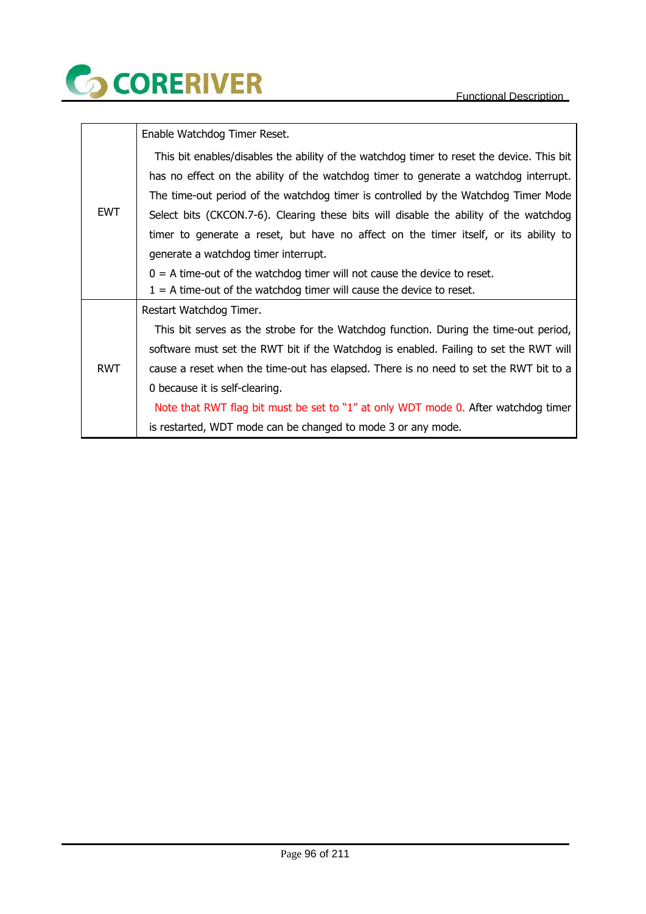

|            | Enable Watchdog Timer Reset.                                                              |
|------------|-------------------------------------------------------------------------------------------|
|            | This bit enables/disables the ability of the watchdog timer to reset the device. This bit |
|            | has no effect on the ability of the watchdog timer to generate a watchdog interrupt.      |
|            | The time-out period of the watchdog timer is controlled by the Watchdog Timer Mode        |
| <b>EWT</b> | Select bits (CKCON.7-6). Clearing these bits will disable the ability of the watchdog     |
|            | timer to generate a reset, but have no affect on the timer itself, or its ability to      |
|            | generate a watchdog timer interrupt.                                                      |
|            | $0 = A$ time-out of the watchdog timer will not cause the device to reset.                |
|            | $1 = A$ time-out of the watchdog timer will cause the device to reset.                    |
|            | Restart Watchdog Timer.                                                                   |
|            | This bit serves as the strobe for the Watchdog function. During the time-out period,      |
|            | software must set the RWT bit if the Watchdog is enabled. Failing to set the RWT will     |
| <b>RWT</b> | cause a reset when the time-out has elapsed. There is no need to set the RWT bit to a     |
|            | 0 because it is self-clearing.                                                            |
|            | Note that RWT flag bit must be set to "1" at only WDT mode 0. After watchdog timer        |
|            | is restarted, WDT mode can be changed to mode 3 or any mode.                              |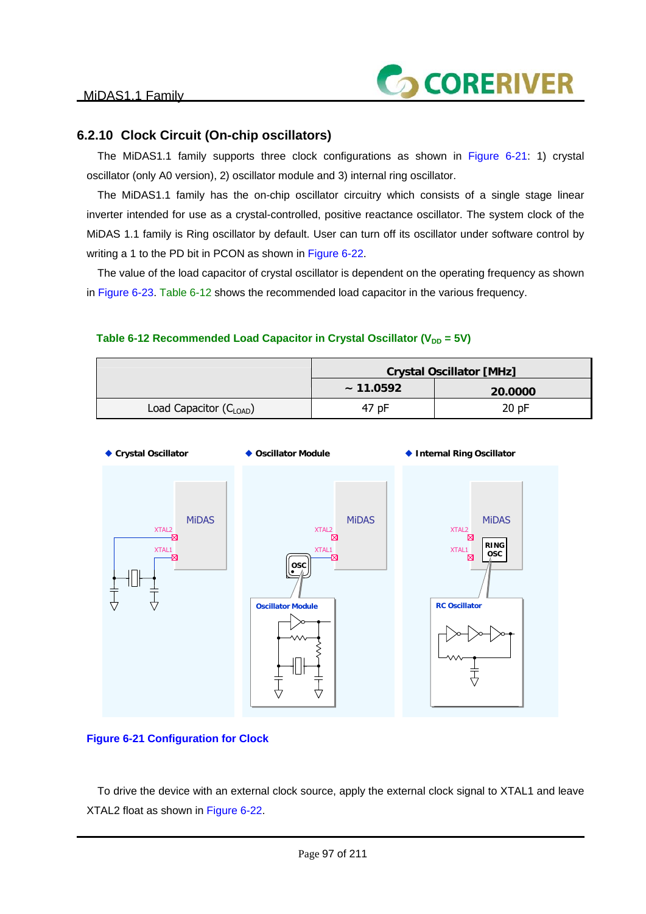

## <span id="page-96-0"></span>**6.2.10 Clock Circuit (On-chip oscillators)**

The MiDAS1.1 family supports three clock configurations as shown in [Figure 6-21](#page-96-0): 1) crystal oscillator (only A0 version), 2) oscillator module and 3) internal ring oscillator.

The MiDAS1.1 family has the on-chip oscillator circuitry which consists of a single stage linear inverter intended for use as a crystal-controlled, positive reactance oscillator. The system clock of the MiDAS 1.1 family is Ring oscillator by default. User can turn off its oscillator under software control by writing a 1 to the PD bit in PCON as shown in [Figure 6-22](#page-97-0).

The value of the load capacitor of crystal oscillator is dependent on the operating frequency as shown in [Figure 6-2](#page-97-0)3. [Table 6-1](#page-96-0)2 shows the recommended load capacitor in the various frequency.

#### Table 6-12 Recommended Load Capacitor in Crystal Oscillator (V<sub>DD</sub> = 5V)

|                                     | <b>Crystal Oscillator [MHz]</b> |      |  |  |
|-------------------------------------|---------------------------------|------|--|--|
|                                     | $\sim$ 11.0592<br>20.0000       |      |  |  |
| Load Capacitor (C <sub>LOAD</sub> ) | 47 pF                           | 20pF |  |  |



#### **Figure 6-21 Configuration for Clock**

To drive the device with an external clock source, apply the external clock signal to XTAL1 and leave XTAL2 float as shown in [Figure 6-2](#page-97-0)2.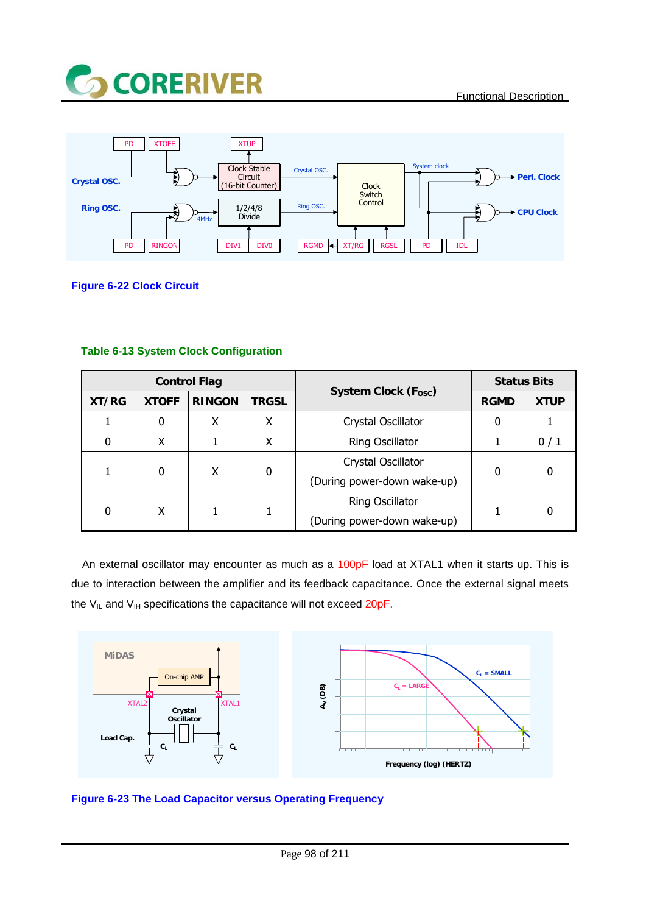<span id="page-97-0"></span>



#### **Figure 6-22 Clock Circuit**

#### **Table 6-13 System Clock Configuration**

|              |              | <b>Control Flag</b> |              |                                  | <b>Status Bits</b>          |                 |                             |   |
|--------------|--------------|---------------------|--------------|----------------------------------|-----------------------------|-----------------|-----------------------------|---|
| XT/RG        | <b>XTOFF</b> | <b>RINGON</b>       | <b>TRGSL</b> | System Clock (F <sub>osc</sub> ) | <b>RGMD</b>                 | <b>XTUP</b>     |                             |   |
|              | 0            | X                   | X            | Crystal Oscillator               | 0                           |                 |                             |   |
|              | x            |                     | Χ            | Ring Oscillator                  |                             | 0/1             |                             |   |
|              | X<br>1<br>0  |                     |              | Crystal Oscillator               |                             |                 |                             |   |
|              |              |                     |              |                                  | 0                           |                 | (During power-down wake-up) | 0 |
| $\mathbf{0}$ | Χ            |                     |              |                                  |                             | Ring Oscillator |                             |   |
|              |              |                     |              |                                  | (During power-down wake-up) |                 |                             |   |

An external oscillator may encounter as much as a 100pF load at XTAL1 when it starts up. This is due to interaction between the amplifier and its feedback capacitance. Once the external signal meets the  $V_{IL}$  and  $V_{IH}$  specifications the capacitance will not exceed 20pF.



**Figure 6-23 The Load Capacitor versus Operating Frequency**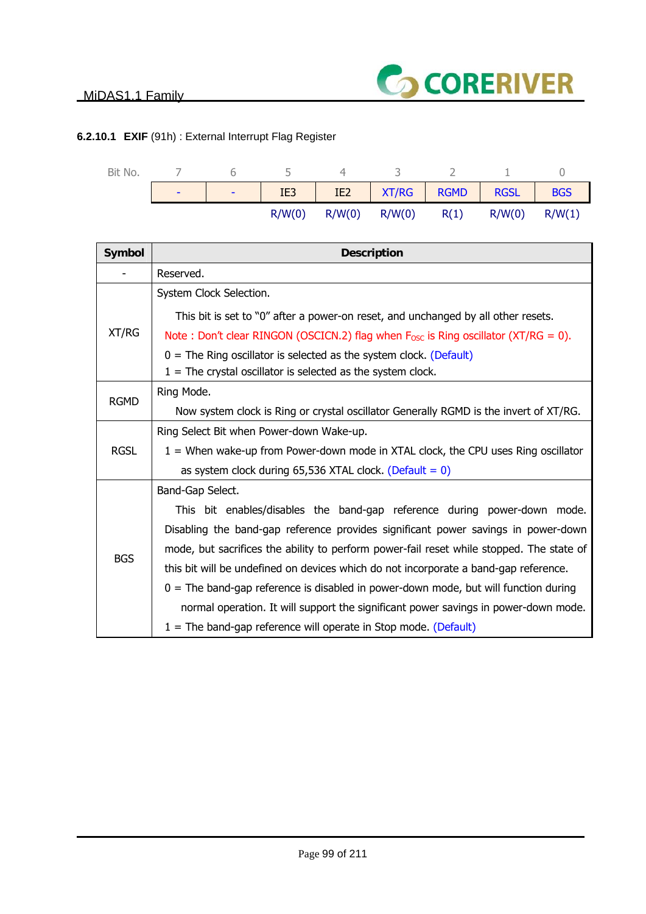

## **6.2.10.1 EXIF** (91h) : External Interrupt Flag Register



| Symbol      | <b>Description</b>                                                                             |
|-------------|------------------------------------------------------------------------------------------------|
|             | Reserved.                                                                                      |
|             | System Clock Selection.                                                                        |
|             | This bit is set to "0" after a power-on reset, and unchanged by all other resets.              |
| XT/RG       | Note: Don't clear RINGON (OSCICN.2) flag when $F_{\text{osc}}$ is Ring oscillator (XT/RG = 0). |
|             | $0 =$ The Ring oscillator is selected as the system clock. (Default)                           |
|             | $1 =$ The crystal oscillator is selected as the system clock.                                  |
| <b>RGMD</b> | Ring Mode.                                                                                     |
|             | Now system clock is Ring or crystal oscillator Generally RGMD is the invert of XT/RG.          |
|             | Ring Select Bit when Power-down Wake-up.                                                       |
| <b>RGSL</b> | 1 = When wake-up from Power-down mode in XTAL clock, the CPU uses Ring oscillator              |
|             | as system clock during $65,536$ XTAL clock. (Default = 0)                                      |
|             | Band-Gap Select.                                                                               |
|             | This bit enables/disables the band-gap reference during power-down mode.                       |
|             | Disabling the band-gap reference provides significant power savings in power-down              |
|             | mode, but sacrifices the ability to perform power-fail reset while stopped. The state of       |
| <b>BGS</b>  | this bit will be undefined on devices which do not incorporate a band-gap reference.           |
|             | $0 =$ The band-gap reference is disabled in power-down mode, but will function during          |
|             | normal operation. It will support the significant power savings in power-down mode.            |
|             | $1 =$ The band-gap reference will operate in Stop mode. (Default)                              |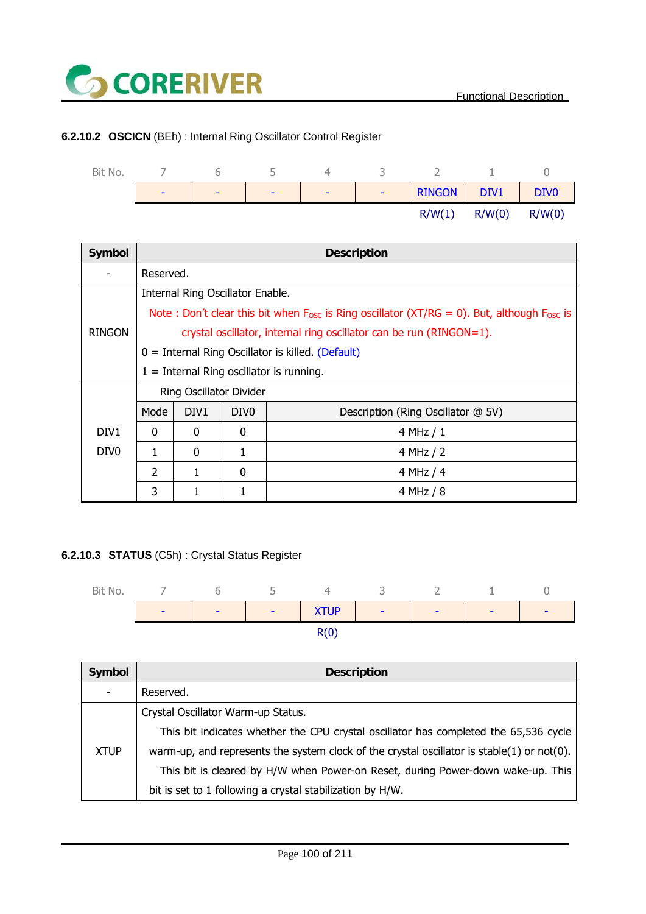

## **6.2.10.2 OSCICN** (BEh) : Internal Ring Oscillator Control Register



| Symbol           | <b>Description</b>                                  |                                                                                                                    |                  |                                    |  |  |  |  |  |
|------------------|-----------------------------------------------------|--------------------------------------------------------------------------------------------------------------------|------------------|------------------------------------|--|--|--|--|--|
|                  |                                                     | Reserved.                                                                                                          |                  |                                    |  |  |  |  |  |
|                  |                                                     | Internal Ring Oscillator Enable.                                                                                   |                  |                                    |  |  |  |  |  |
|                  |                                                     | Note: Don't clear this bit when $F_{\text{osc}}$ is Ring oscillator (XT/RG = 0). But, although $F_{\text{osc}}$ is |                  |                                    |  |  |  |  |  |
| <b>RINGON</b>    |                                                     | crystal oscillator, internal ring oscillator can be run (RINGON=1).                                                |                  |                                    |  |  |  |  |  |
|                  | $0 =$ Internal Ring Oscillator is killed. (Default) |                                                                                                                    |                  |                                    |  |  |  |  |  |
|                  |                                                     | $1 =$ Internal Ring oscillator is running.                                                                         |                  |                                    |  |  |  |  |  |
|                  |                                                     | Ring Oscillator Divider                                                                                            |                  |                                    |  |  |  |  |  |
|                  | Mode                                                | DIV1                                                                                                               | DIV <sub>0</sub> | Description (Ring Oscillator @ 5V) |  |  |  |  |  |
| DIV <sub>1</sub> | 0                                                   | $\Omega$                                                                                                           | 0                | 4 MHz $/1$                         |  |  |  |  |  |
| DIV <sub>0</sub> | 1                                                   | $\Omega$                                                                                                           | 1                | 4 MHz / 2                          |  |  |  |  |  |
|                  | $\overline{2}$                                      |                                                                                                                    | $\Omega$         | 4 MHz / 4                          |  |  |  |  |  |
|                  | 3                                                   |                                                                                                                    | 1                | 4 MHz / 8                          |  |  |  |  |  |

#### **6.2.10.3 STATUS** (C5h) : Crystal Status Register



| Symbol      | <b>Description</b>                                                                         |
|-------------|--------------------------------------------------------------------------------------------|
|             | Reserved.                                                                                  |
| <b>XTUP</b> | Crystal Oscillator Warm-up Status.                                                         |
|             | This bit indicates whether the CPU crystal oscillator has completed the 65,536 cycle       |
|             | warm-up, and represents the system clock of the crystal oscillator is stable(1) or not(0). |
|             | This bit is cleared by H/W when Power-on Reset, during Power-down wake-up. This            |
|             | bit is set to 1 following a crystal stabilization by H/W.                                  |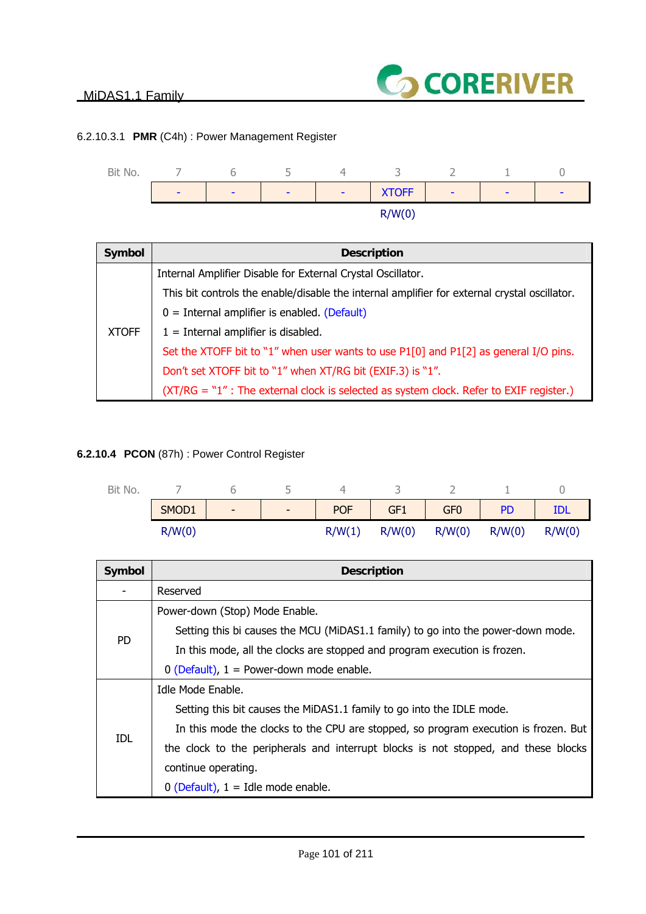

## 6.2.10.3.1 **PMR** (C4h) : Power Management Register



| Symbol       | <b>Description</b>                                                                           |  |  |  |  |
|--------------|----------------------------------------------------------------------------------------------|--|--|--|--|
|              | Internal Amplifier Disable for External Crystal Oscillator.                                  |  |  |  |  |
|              | This bit controls the enable/disable the internal amplifier for external crystal oscillator. |  |  |  |  |
|              | $0 =$ Internal amplifier is enabled. (Default)                                               |  |  |  |  |
| <b>XTOFF</b> | $1 =$ Internal amplifier is disabled.                                                        |  |  |  |  |
|              | Set the XTOFF bit to "1" when user wants to use P1[0] and P1[2] as general I/O pins.         |  |  |  |  |
|              | Don't set XTOFF bit to "1" when XT/RG bit (EXIF.3) is "1".                                   |  |  |  |  |
|              | $(XT/RG = "1" : The external clock is selected as system clock. Refer to EXIF register.)$    |  |  |  |  |

## **6.2.10.4 PCON** (87h) : Power Control Register



| Symbol     | <b>Description</b>                                                                  |
|------------|-------------------------------------------------------------------------------------|
|            | Reserved                                                                            |
|            | Power-down (Stop) Mode Enable.                                                      |
| <b>PD</b>  | Setting this bi causes the MCU (MiDAS1.1 family) to go into the power-down mode.    |
|            | In this mode, all the clocks are stopped and program execution is frozen.           |
|            | $0$ (Default), $1 =$ Power-down mode enable.                                        |
|            | Idle Mode Enable.                                                                   |
|            | Setting this bit causes the MiDAS1.1 family to go into the IDLE mode.               |
| <b>IDL</b> | In this mode the clocks to the CPU are stopped, so program execution is frozen. But |
|            | the clock to the peripherals and interrupt blocks is not stopped, and these blocks  |
|            | continue operating.                                                                 |
|            | $0$ (Default), $1 =$ Idle mode enable.                                              |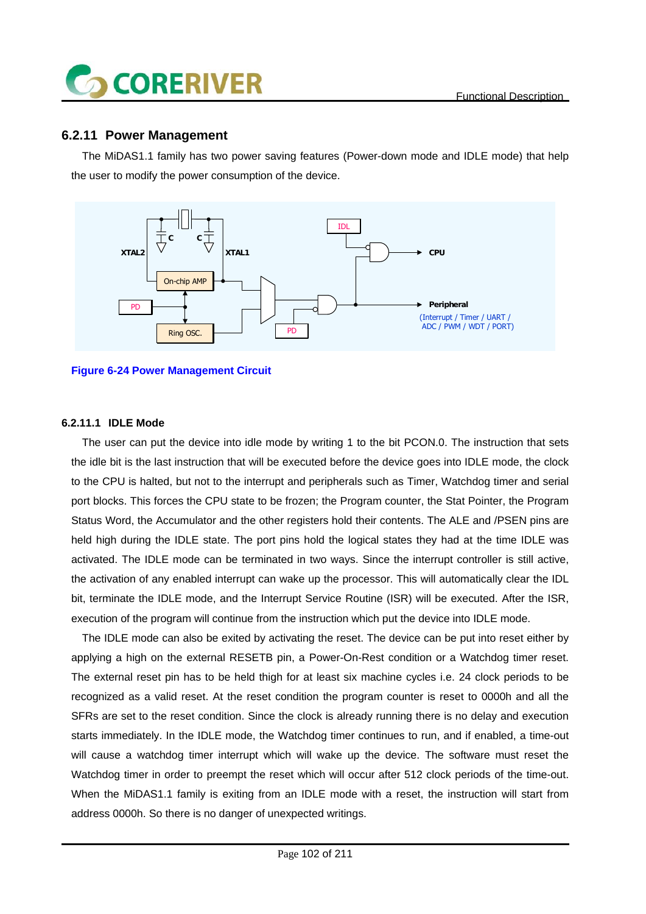

## **6.2.11 Power Management**

The MiDAS1.1 family has two power saving features (Power-down mode and IDLE mode) that help the user to modify the power consumption of the device.





#### **6.2.11.1 IDLE Mode**

The user can put the device into idle mode by writing 1 to the bit PCON.0. The instruction that sets the idle bit is the last instruction that will be executed before the device goes into IDLE mode, the clock to the CPU is halted, but not to the interrupt and peripherals such as Timer, Watchdog timer and serial port blocks. This forces the CPU state to be frozen; the Program counter, the Stat Pointer, the Program Status Word, the Accumulator and the other registers hold their contents. The ALE and /PSEN pins are held high during the IDLE state. The port pins hold the logical states they had at the time IDLE was activated. The IDLE mode can be terminated in two ways. Since the interrupt controller is still active, the activation of any enabled interrupt can wake up the processor. This will automatically clear the IDL bit, terminate the IDLE mode, and the Interrupt Service Routine (ISR) will be executed. After the ISR, execution of the program will continue from the instruction which put the device into IDLE mode.

The IDLE mode can also be exited by activating the reset. The device can be put into reset either by applying a high on the external RESETB pin, a Power-On-Rest condition or a Watchdog timer reset. The external reset pin has to be held thigh for at least six machine cycles i.e. 24 clock periods to be recognized as a valid reset. At the reset condition the program counter is reset to 0000h and all the SFRs are set to the reset condition. Since the clock is already running there is no delay and execution starts immediately. In the IDLE mode, the Watchdog timer continues to run, and if enabled, a time-out will cause a watchdog timer interrupt which will wake up the device. The software must reset the Watchdog timer in order to preempt the reset which will occur after 512 clock periods of the time-out. When the MiDAS1.1 family is exiting from an IDLE mode with a reset, the instruction will start from address 0000h. So there is no danger of unexpected writings.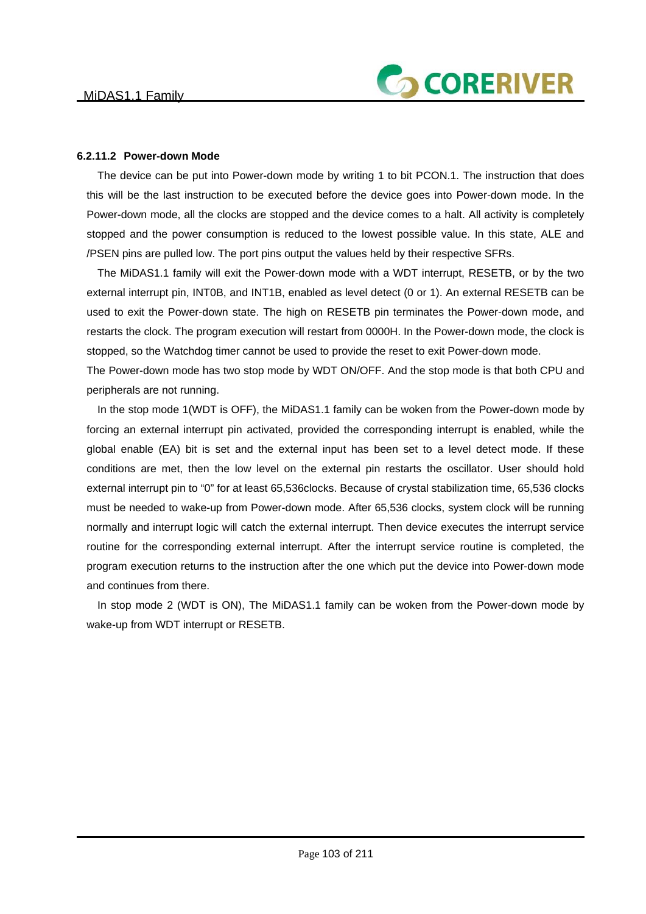

#### **6.2.11.2 Power-down Mode**

The device can be put into Power-down mode by writing 1 to bit PCON.1. The instruction that does this will be the last instruction to be executed before the device goes into Power-down mode. In the Power-down mode, all the clocks are stopped and the device comes to a halt. All activity is completely stopped and the power consumption is reduced to the lowest possible value. In this state, ALE and /PSEN pins are pulled low. The port pins output the values held by their respective SFRs.

The MiDAS1.1 family will exit the Power-down mode with a WDT interrupt, RESETB, or by the two external interrupt pin, INT0B, and INT1B, enabled as level detect (0 or 1). An external RESETB can be used to exit the Power-down state. The high on RESETB pin terminates the Power-down mode, and restarts the clock. The program execution will restart from 0000H. In the Power-down mode, the clock is stopped, so the Watchdog timer cannot be used to provide the reset to exit Power-down mode.

The Power-down mode has two stop mode by WDT ON/OFF. And the stop mode is that both CPU and peripherals are not running.

In the stop mode 1(WDT is OFF), the MiDAS1.1 family can be woken from the Power-down mode by forcing an external interrupt pin activated, provided the corresponding interrupt is enabled, while the global enable (EA) bit is set and the external input has been set to a level detect mode. If these conditions are met, then the low level on the external pin restarts the oscillator. User should hold external interrupt pin to "0" for at least 65,536clocks. Because of crystal stabilization time, 65,536 clocks must be needed to wake-up from Power-down mode. After 65,536 clocks, system clock will be running normally and interrupt logic will catch the external interrupt. Then device executes the interrupt service routine for the corresponding external interrupt. After the interrupt service routine is completed, the program execution returns to the instruction after the one which put the device into Power-down mode and continues from there.

In stop mode 2 (WDT is ON), The MiDAS1.1 family can be woken from the Power-down mode by wake-up from WDT interrupt or RESETB.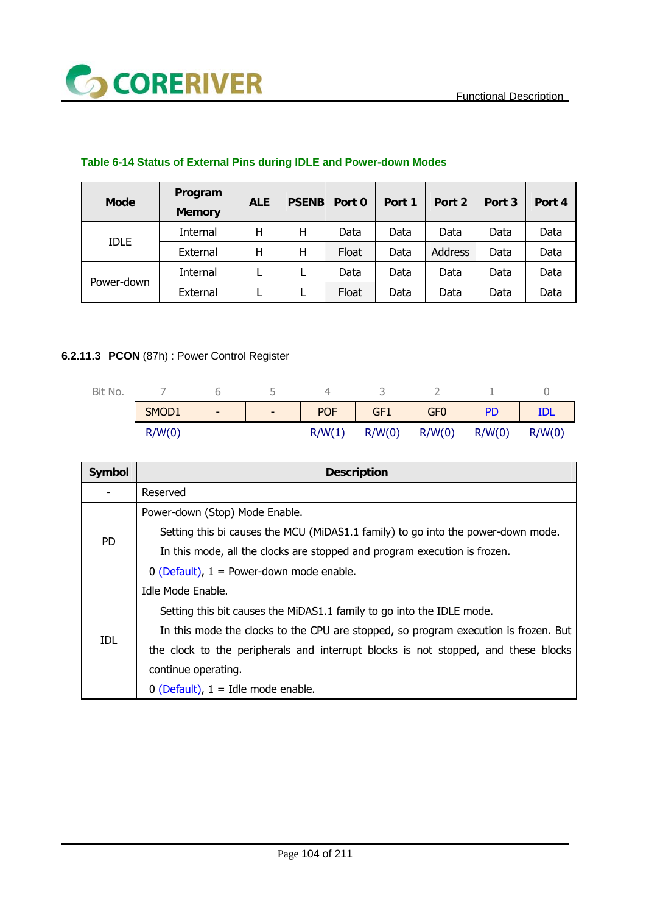

| <b>Mode</b> | Program<br><b>Memory</b> | <b>ALE</b> | <b>PSENB</b> | Port 0 | Port 1 | Port 2         | Port 3 | Port 4 |
|-------------|--------------------------|------------|--------------|--------|--------|----------------|--------|--------|
|             | Internal                 | н          | н            | Data   | Data   | Data           | Data   | Data   |
| <b>IDLE</b> | External                 | н          | н            | Float  | Data   | <b>Address</b> | Data   | Data   |
| Power-down  | Internal                 |            |              | Data   | Data   | Data           | Data   | Data   |
|             | External                 |            |              | Float  | Data   | Data           | Data   | Data   |

## **Table 6-14 Status of External Pins during IDLE and Power-down Modes**

## **6.2.11.3 PCON** (87h) : Power Control Register



| Symbol     | <b>Description</b>                                                                  |
|------------|-------------------------------------------------------------------------------------|
|            | Reserved                                                                            |
|            | Power-down (Stop) Mode Enable.                                                      |
| PD.        | Setting this bi causes the MCU (MiDAS1.1 family) to go into the power-down mode.    |
|            | In this mode, all the clocks are stopped and program execution is frozen.           |
|            | $0$ (Default), $1 =$ Power-down mode enable.                                        |
|            | Idle Mode Enable.                                                                   |
|            | Setting this bit causes the MiDAS1.1 family to go into the IDLE mode.               |
| <b>IDL</b> | In this mode the clocks to the CPU are stopped, so program execution is frozen. But |
|            | the clock to the peripherals and interrupt blocks is not stopped, and these blocks  |
|            | continue operating.                                                                 |
|            | $0$ (Default), $1 =$ Idle mode enable.                                              |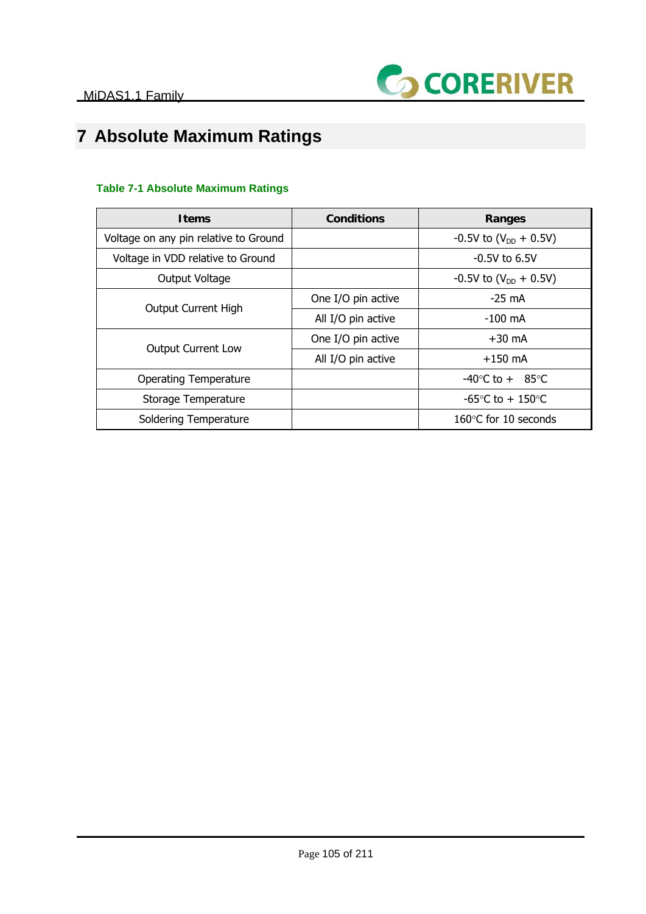

# **7 Absolute Maximum Ratings**

| <b>I</b> tems                         | <b>Conditions</b>  | Ranges                                 |
|---------------------------------------|--------------------|----------------------------------------|
| Voltage on any pin relative to Ground |                    | $-0.5V$ to $(V_{DD} + 0.5V)$           |
| Voltage in VDD relative to Ground     |                    | $-0.5V$ to 6.5V                        |
| Output Voltage                        |                    | $-0.5V$ to $(V_{DD} + 0.5V)$           |
|                                       | One I/O pin active | $-25$ mA                               |
| <b>Output Current High</b>            | All I/O pin active | $-100$ mA                              |
|                                       | One I/O pin active | $+30 \text{ mA}$                       |
| <b>Output Current Low</b>             | All I/O pin active | $+150$ mA                              |
| <b>Operating Temperature</b>          |                    | $-40^{\circ}$ C to $+$ 85 $^{\circ}$ C |
| Storage Temperature                   |                    | -65 °C to + 150 °C                     |
| Soldering Temperature                 |                    | 160 $\degree$ C for 10 seconds         |

#### **Table 7-1 Absolute Maximum Ratings**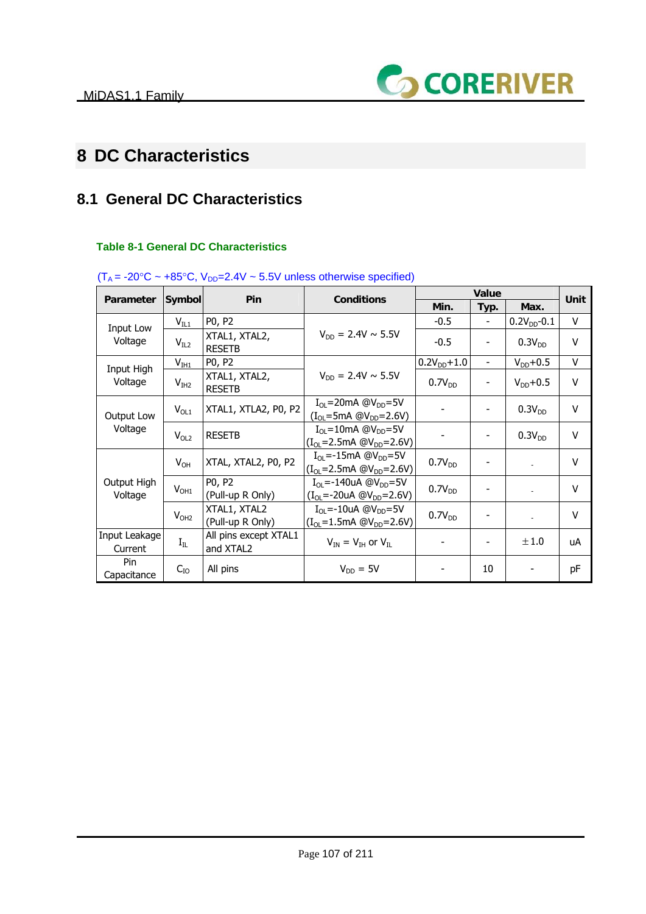

# **8 DC Characteristics**

## **8.1 General DC Characteristics**

## **Table 8-1 General DC Characteristics**

| Parameter                | <b>Symbol</b>    | Pin                                | <b>Conditions</b>                                                                   | Min.               | Typ.                     | Max.               | <b>Unit</b> |
|--------------------------|------------------|------------------------------------|-------------------------------------------------------------------------------------|--------------------|--------------------------|--------------------|-------------|
| Input Low                | $V_{IL1}$        | P0, P2                             |                                                                                     | $-0.5$             |                          | $0.2V_{DD} - 0.1$  | v           |
| Voltage                  | V <sub>IL2</sub> | XTAL1, XTAL2,<br><b>RESETB</b>     | $V_{DD} = 2.4V \sim 5.5V$                                                           | $-0.5$             |                          | 0.3V <sub>DD</sub> | v           |
| Input High               | $V_{IH1}$        | P0, P2                             |                                                                                     | $0.2V_{DD}+1.0$    | $\overline{\phantom{a}}$ | $V_{DD}+0.5$       | v           |
| Voltage                  | V <sub>IH2</sub> | XTAL1, XTAL2,<br><b>RESETB</b>     | $V_{DD} = 2.4V \sim 5.5V$                                                           | 0.7V <sub>DD</sub> |                          | $V_{DD}+0.5$       | v           |
| Output Low               | $V_{OL1}$        | XTAL1, XTLA2, P0, P2               | $I_{OL}$ =20mA @V <sub>DD</sub> =5V<br>$(I_{OL} = 5mA \t\t\t\t@V_{DD} = 2.6V)$      |                    |                          | 0.3V <sub>DD</sub> | v           |
| Voltage                  | $V_{OL2}$        | <b>RESETB</b>                      | $I_{OL} = 10$ mA @ $V_{DD} = 5V$<br>$(I_{OL} = 2.5mA \tQV_{DD} = 2.6V)$             |                    | $\overline{\phantom{a}}$ | 0.3V <sub>DD</sub> | v           |
|                          | $V_{OH}$         | XTAL, XTAL2, P0, P2                | $I_{OL} = -15mA$ @ $V_{DD} = 5V$<br>$(I_{OL} = 2.5mA \tQV_{DD} = 2.6V)$             | 0.7V <sub>DD</sub> |                          |                    | v           |
| Output High<br>Voltage   | $V_{OH1}$        | P0, P2<br>(Pull-up R Only)         | $I_{OL} = -140uA$ @V <sub>DD</sub> =5V<br>$(I_{OL} = -20uA \text{ @V}_{DD} = 2.6V)$ | 0.7V <sub>DD</sub> |                          | ×.                 | v           |
|                          | V <sub>OH2</sub> | XTAL1, XTAL2<br>(Pull-up R Only)   | $I_{OL}$ =-10uA @V <sub>DD</sub> =5V<br>$(I_{OL} = 1.5mA \tQV_{DD} = 2.6V)$         | 0.7V <sub>DD</sub> |                          |                    | v           |
| Input Leakage<br>Current | $I_{IL}$         | All pins except XTAL1<br>and XTAL2 | $V_{IN} = V_{IH}$ or $V_{IL}$                                                       |                    |                          | ±1.0               | uA          |
| Pin<br>Capacitance       | $C_{IO}$         | All pins                           | $V_{DD} = 5V$                                                                       |                    | 10                       |                    | pF          |

## $(T_A = -20^{\circ}C \sim +85^{\circ}C, V_{DD} = 2.4V \sim 5.5V$  unless otherwise specified)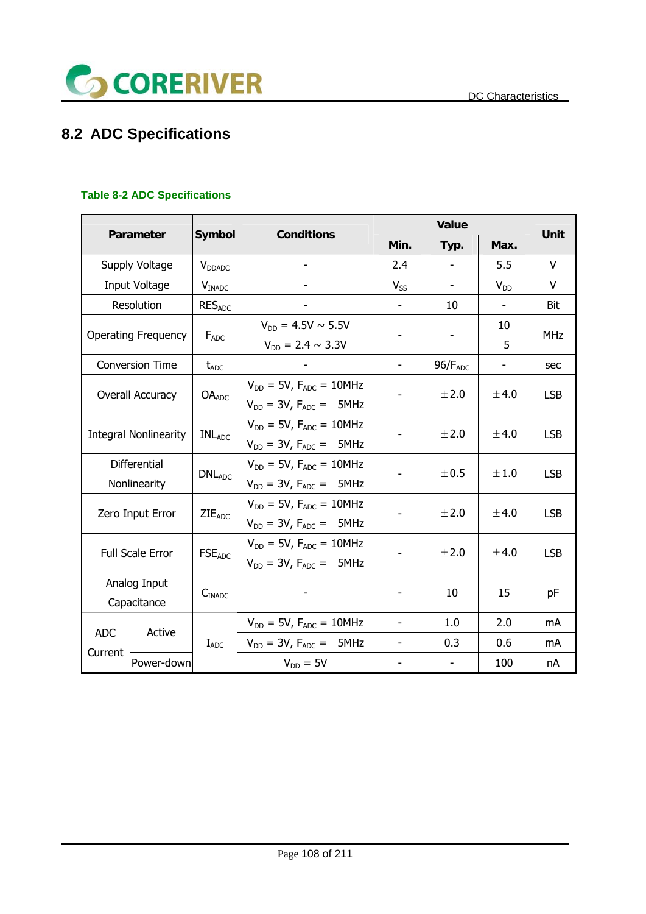

# **8.2 ADC Specifications**

#### **Table 8-2 ADC Specifications**

| Parameter               |                              |                           |                                   |                              |                          |          |            |
|-------------------------|------------------------------|---------------------------|-----------------------------------|------------------------------|--------------------------|----------|------------|
|                         |                              | <b>Symbol</b>             | <b>Conditions</b>                 | Min.                         | Typ.                     | Max.     | Unit       |
| Supply Voltage          |                              | <b>V</b> <sub>DDADC</sub> |                                   | 2.4                          |                          | 5.5      | V          |
|                         | Input Voltage                | <b>V</b> <sub>INADC</sub> |                                   | $V_{SS}$                     | $\overline{\phantom{a}}$ | $V_{DD}$ | $\vee$     |
|                         | Resolution                   | <b>RESADC</b>             |                                   | $\frac{1}{2}$                | 10                       |          | <b>Bit</b> |
|                         |                              |                           | $V_{DD} = 4.5V \sim 5.5V$         | $\qquad \qquad \blacksquare$ |                          | 10       |            |
|                         | <b>Operating Frequency</b>   | F <sub>ADC</sub>          | $V_{DD} = 2.4 \sim 3.3V$          |                              | -                        | 5        | MHz        |
|                         | <b>Conversion Time</b>       | $t_{ADC}$                 |                                   | $\overline{\phantom{a}}$     | $96/F_{ADC}$             | -        | sec        |
|                         |                              |                           | $V_{DD} = 5V$ , $F_{ADC} = 10MHz$ |                              | ± 2.0                    | ±4.0     | <b>LSB</b> |
|                         | Overall Accuracy             | OA <sub>ADC</sub>         | $V_{DD}$ = 3V, $F_{ADC}$ = 5MHz   |                              |                          |          |            |
|                         | <b>Integral Nonlinearity</b> | <b>INLADC</b>             | $V_{DD}$ = 5V, $F_{ADC}$ = 10MHz  |                              | ±2.0                     | ±4.0     | <b>LSB</b> |
|                         |                              |                           | $V_{DD}$ = 3V, $F_{ADC}$ = 5MHz   |                              |                          |          |            |
| <b>Differential</b>     |                              | <b>DNLADC</b>             | $V_{DD}$ = 5V, $F_{ADC}$ = 10MHz  |                              | ±0.5                     |          | <b>LSB</b> |
|                         | Nonlinearity                 |                           | $V_{DD} = 3V$ , $F_{ADC} = 5MHz$  |                              |                          | ±1.0     |            |
|                         | Zero Input Error             | <b>ZIEADC</b>             | $V_{DD}$ = 5V, $F_{ADC}$ = 10MHz  |                              | ±2.0                     | ±4.0     | <b>LSB</b> |
|                         |                              |                           | $V_{DD} = 3V$ , $F_{ADC} = 5MHz$  |                              |                          |          |            |
|                         |                              | <b>FSEADC</b>             | $V_{DD}$ = 5V, $F_{ADC}$ = 10MHz  |                              | ±2.0                     | ±4.0     | <b>LSB</b> |
| <b>Full Scale Error</b> |                              |                           | $V_{DD}$ = 3V, $F_{ADC}$ = 5MHz   |                              |                          |          |            |
| Analog Input            |                              |                           |                                   |                              | 10                       | 15       | pF         |
| Capacitance             |                              | $C_{INADC}$               |                                   |                              |                          |          |            |
| <b>ADC</b>              |                              |                           | $V_{DD}$ = 5V, $F_{ADC}$ = 10MHz  | $\overline{\phantom{a}}$     | 1.0                      | 2.0      | mA         |
| Current                 | Active                       | $I_{ADC}$                 | $V_{DD} = 3V$ , $F_{ADC} = 5MHz$  | $\overline{\phantom{a}}$     | 0.3                      | 0.6      | mA         |
|                         | Power-down                   |                           | $V_{DD} = 5V$                     | -                            | -                        | 100      | nA         |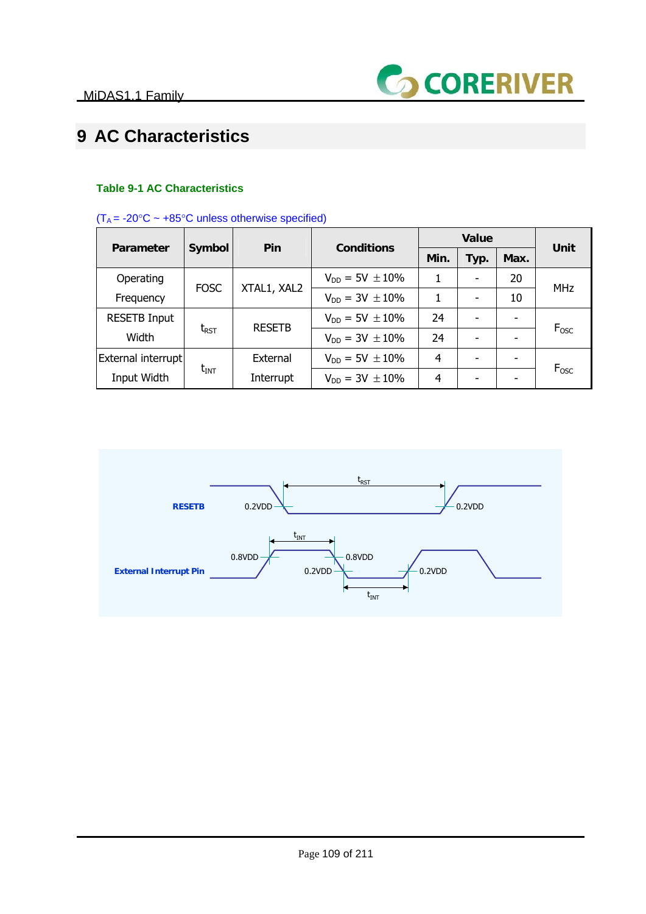

# **9 AC Characteristics**

# **Table 9-1 AC Characteristics**

|  | $(T_A = -20$ °C ~ +85 °C unless otherwise specified) |
|--|------------------------------------------------------|
|--|------------------------------------------------------|

| Parameter           | Pin<br>Symbol |               | <b>Conditions</b>      | Value |                              |      | Unit             |  |
|---------------------|---------------|---------------|------------------------|-------|------------------------------|------|------------------|--|
|                     |               |               |                        | Min.  | Typ.                         | Max. |                  |  |
| Operating           | <b>FOSC</b>   |               | $V_{DD} = 5V \pm 10\%$ |       | -                            | 20   | <b>MHz</b>       |  |
| Frequency           |               | XTAL1, XAL2   | $V_{DD} = 3V \pm 10\%$ |       | $\qquad \qquad \blacksquare$ | 10   |                  |  |
| <b>RESETB Input</b> |               |               | $V_{DD} = 5V \pm 10\%$ | 24    | ۰                            | -    |                  |  |
| Width               | $t_{RST}$     | <b>RESETB</b> | $V_{DD} = 3V \pm 10\%$ | 24    | ۰                            | -    | $F_{\text{OSC}}$ |  |
| External interrupt  |               | External      | $V_{DD} = 5V \pm 10\%$ | 4     | $\overline{\phantom{0}}$     | -    |                  |  |
| Input Width         | $t_{INT}$     | Interrupt     | $V_{DD} = 3V \pm 10\%$ | 4     | $\overline{\phantom{0}}$     | -    | $F_{\text{OSC}}$ |  |

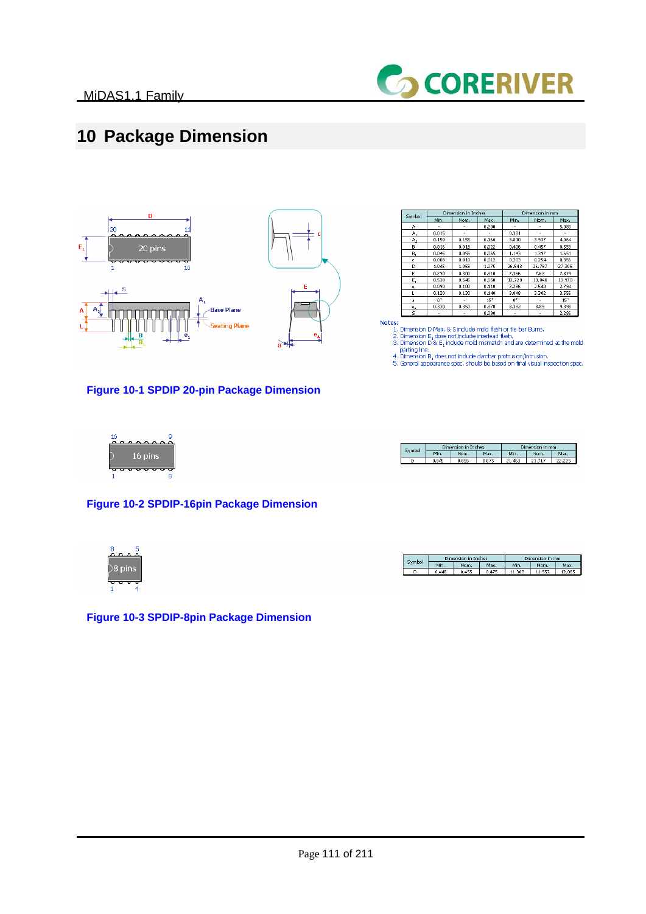

# **10 Package Dimension**



**Figure 10-1 SPDIP 20-pin Package Dimension** 



### **Figure 10-2 SPDIP-16pin Package Dimension**

| AAAA              |        |       |                     |       |        |                 |        |
|-------------------|--------|-------|---------------------|-------|--------|-----------------|--------|
|                   |        |       | Dimension in Inches |       |        | Dimension in mm |        |
| pins              | Symbol | Min.  | Nom.                | Max.  | Min.   | Nom.            | Max.   |
|                   |        | 0.445 | 0.455               | 0.475 | 11,303 | 11.557          | 12.065 |
| <del>ਰਚਰ ਦਾ</del> |        |       |                     |       |        |                 |        |
|                   |        |       |                     |       |        |                 |        |

**Figure 10-3 SPDIP-8pin Package Dimension**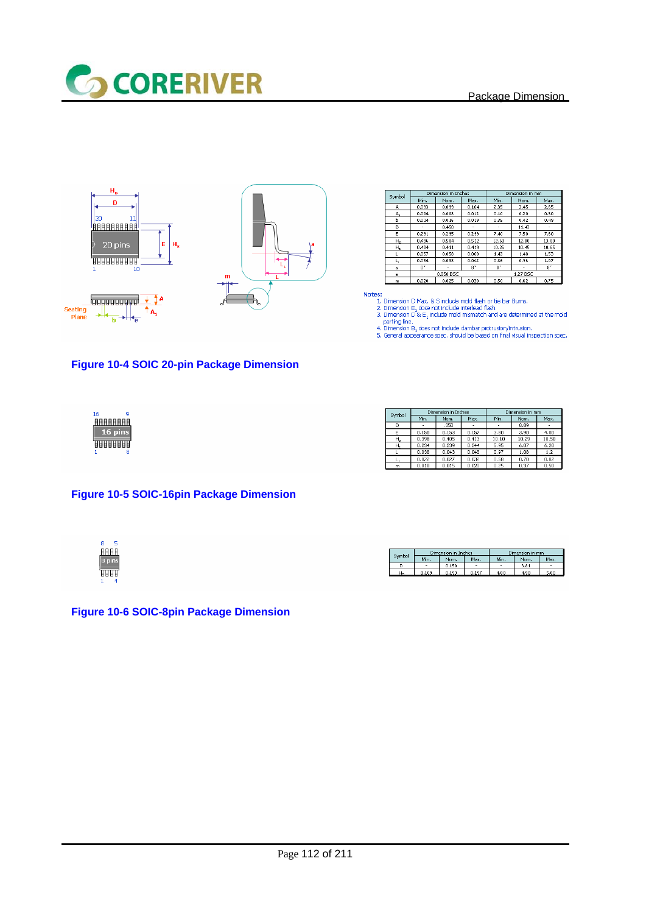





| Symbol |           | Dimension in Inches |             | Dimension in mm |          |       |  |
|--------|-----------|---------------------|-------------|-----------------|----------|-------|--|
|        | Min.      | Nom.                | Max.        | Min.            | Nom.     | Max.  |  |
| А      | 0.093     | 0.099               | 0.104       | 2.35            | 2.45     | 2.65  |  |
| А,     | 0.004     | 0.008               | 0.012       | 0.10            | 0.20     | 0.30  |  |
| ь      | 0.014     | 0.016               | 0.019       | 0.35            | 0.42     | 0.49  |  |
| D      |           | 0.450               |             |                 | 11.43    |       |  |
| E      | 0.291     | 0.295               | 0.299       | 7.40            | 7.50     | 7.60  |  |
| $H_n$  | 0.496     | 0.504               | 0.512       | 12.60           | 12.80    | 13.00 |  |
| н.     | 0.404     | 0.411               | 0.419       | 10.26           | 10.45    | 10.65 |  |
|        | 0.057     | 0.058               | 0.060       | 1.43            | 1.48     | 1.53  |  |
| L,     | 0.034     | 0.038               | 0.042       | 0.86            | 0.96     | 1.07  |  |
| a      | $0^*$     |                     | $8^{\circ}$ | o*              |          | $8^*$ |  |
| e      | 0.050 BSC |                     |             |                 | 1.27 BSC |       |  |
| m      | 0.020     | 0.025               | 0.030       | 0.50            | 0.62     | 0.75  |  |

Notes:<br>
1. Dimension D Max. & S include mold flash or tie bar Burns.<br>
2. Dimension D & E<sub>t</sub> include interlead flash.<br>
3. Dimension D & E<sub>t</sub> include mold mismatch and are determined at the mold<br>
oarting line. of the parting line.<br>A Dimension B, does not include dambar protrusion/intrusion.<br>4. Dimension B, does not include dambar protrusion/intrusion.<br>5. General appearance spec. should be based on final visual inspection spec.

## **Figure 10-4 SOIC 20-pin Package Dimension**

| 16        |  |
|-----------|--|
| AAAAAAA   |  |
| pins<br>6 |  |
|           |  |
| HHHHH     |  |
| я         |  |
|           |  |

#### $\overline{D}$ in  $\overline{m}$  in Ing Symbol Nom.<br>350<br>0.153 Nom.<br>8.89<br>3.90<br>10.29  $Min.$  $\overline{\mathsf{Min}}$  $\overline{\mathsf{Ma}}$  $\overline{\text{Max}}$  $\overline{\circ}$  $0.150$  $\frac{0.157}{0.413}$  $3.80$ 0.398  $0.405$  $10.10$  $10.5$ н.  $0.234$ 0.239  $\frac{0.244}{0.048}$  $5,9$  $6.0$  $6.20$  $H$  $0.038$  $0.043$  $0.97$  $1.08$  $0.027$  $0.70$  $0.02$  $0.032$

# **Figure 10-5 SOIC-16pin Package Dimension**

| ĦĦ  |
|-----|
| nin |
|     |
| 丽   |
|     |

|        |       | Dimension in Inches | Dimension in mm |      |      |      |  |
|--------|-------|---------------------|-----------------|------|------|------|--|
| Symbol | Min.  | Nom.                | Max.            | Min. | Nom. | Max. |  |
|        | ۰     | 0.150               |                 |      | 3.81 |      |  |
| н.     | 0.189 | 0.193               | 0.197           | 4,80 | 4.90 | 5.00 |  |

**Figure 10-6 SOIC-8pin Package Dimension**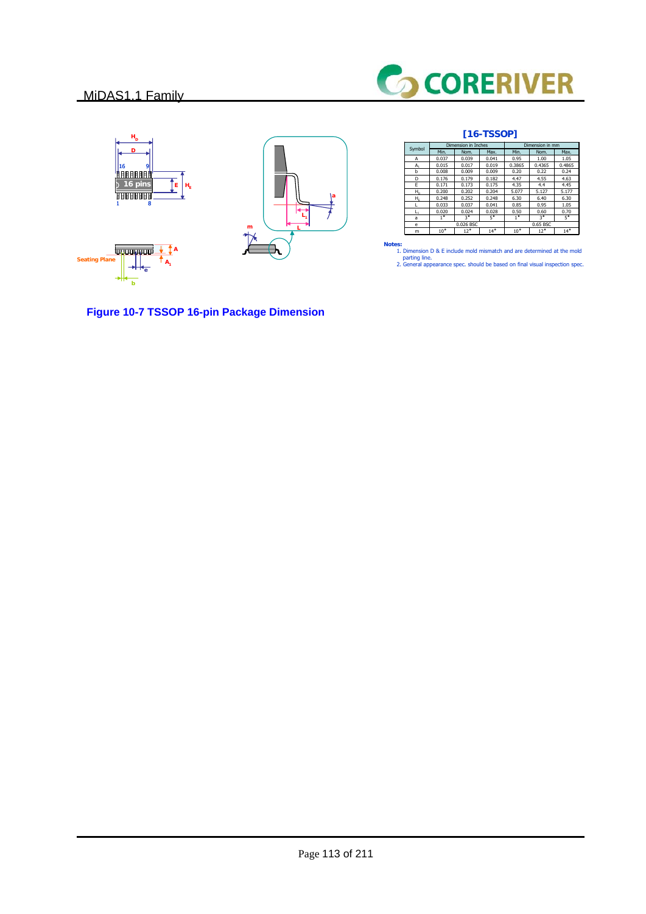



#### **[16-TSSOP]**

| Symbol         |              | Dimension in Inches |              |              | Dimension in mm |              |
|----------------|--------------|---------------------|--------------|--------------|-----------------|--------------|
|                | Min.         | Nom.                | Max.         | Min.         | Nom.            | Max.         |
| A              | 0.037        | 0.039               | 0.041        | 0.95         | 1.00            | 1.05         |
| А.             | 0.015        | 0.017               | 0.019        | 0.3865       | 0.4365          | 0.4865       |
| h              | 0.008        | 0.009               | 0.009        | 0.20         | 0.22            | 0.24         |
| D              | 0.176        | 0.179               | 0.182        | 4.47         | 4.55            | 4.63         |
| F              | 0.171        | 0.173               | 0.175        | 4.35         | 4.4             | 4.45         |
| $H_n$          | 0.200        | 0.202               | 0.204        | 5.077        | 5.127           | 5.177        |
| H <sub>c</sub> | 0.248        | 0.252               | 0.248        | 6.30         | 6.40            | 6.30         |
|                | 0.033        | 0.037               | 0.041        | 0.85         | 0.95            | 1.05         |
|                | 0.020        | 0.024               | 0.028        | 0.50         | 0.60            | 0.70         |
| a              | 1°           | 3°                  | $5^{\circ}$  | 1.           | 3°              | $5^{\circ}$  |
| e              | 0.026 BSC    |                     |              |              | 0.65 BSC        |              |
| m              | $10^{\circ}$ | $12^{\circ}$        | $14^{\circ}$ | $10^{\circ}$ | $12^{\circ}$    | $14^{\circ}$ |

**Notes:**<br>
1. Dimension D & E include mold mismatch and are determined at the mold<br>
2. General appearance spec. should be based on final visual inspection spec.

**Figure 10-7 TSSOP 16-pin Package Dimension**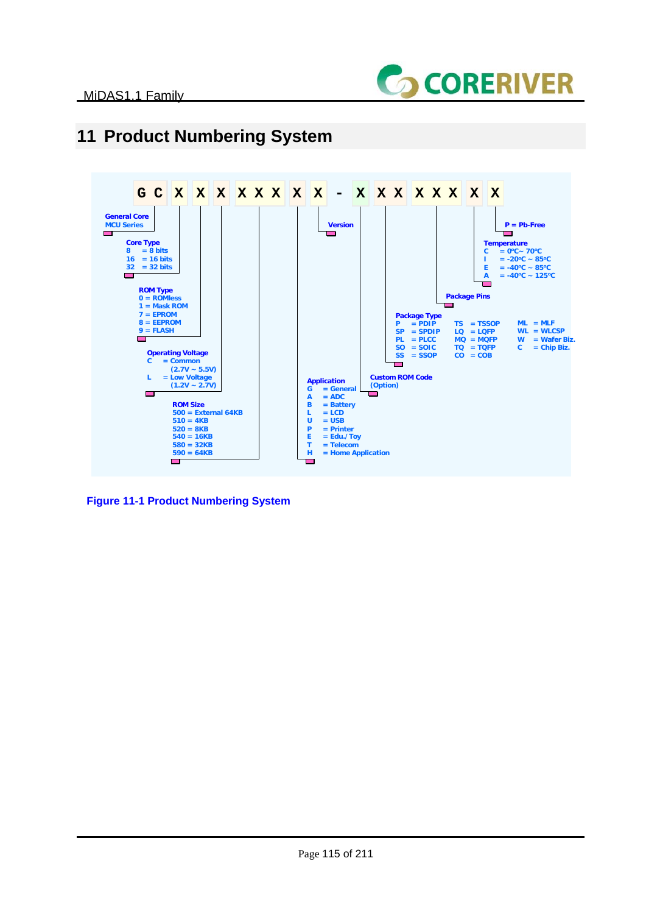

# **11 Product Numbering System**



**Figure 11-1 Product Numbering System**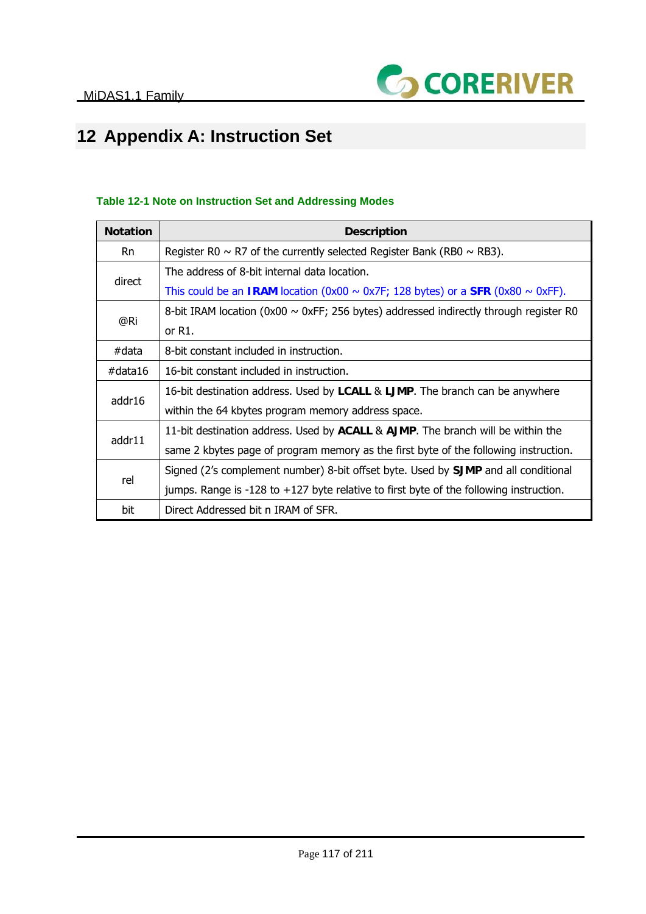

# **12 Appendix A: Instruction Set**

# **Table 12-1 Note on Instruction Set and Addressing Modes**

| <b>Notation</b> | <b>Description</b>                                                                         |
|-----------------|--------------------------------------------------------------------------------------------|
| Rn              | Register R0 $\sim$ R7 of the currently selected Register Bank (RB0 $\sim$ RB3).            |
| direct          | The address of 8-bit internal data location.                                               |
|                 | This could be an IRAM location (0x00 $\sim$ 0x7F; 128 bytes) or a SFR (0x80 $\sim$ 0xFF).  |
|                 | 8-bit IRAM location (0x00 $\sim$ 0xFF; 256 bytes) addressed indirectly through register R0 |
| @Ri             | or $R1$ .                                                                                  |
| #data           | 8-bit constant included in instruction.                                                    |
| #data16         | 16-bit constant included in instruction.                                                   |
| addr16          | 16-bit destination address. Used by LCALL & LJMP. The branch can be anywhere               |
|                 | within the 64 kbytes program memory address space.                                         |
| addr11          | 11-bit destination address. Used by ACALL & AJMP. The branch will be within the            |
|                 | same 2 kbytes page of program memory as the first byte of the following instruction.       |
| rel             | Signed (2's complement number) 8-bit offset byte. Used by <b>SJMP</b> and all conditional  |
|                 | jumps. Range is $-128$ to $+127$ byte relative to first byte of the following instruction. |
| bit             | Direct Addressed bit n IRAM of SFR.                                                        |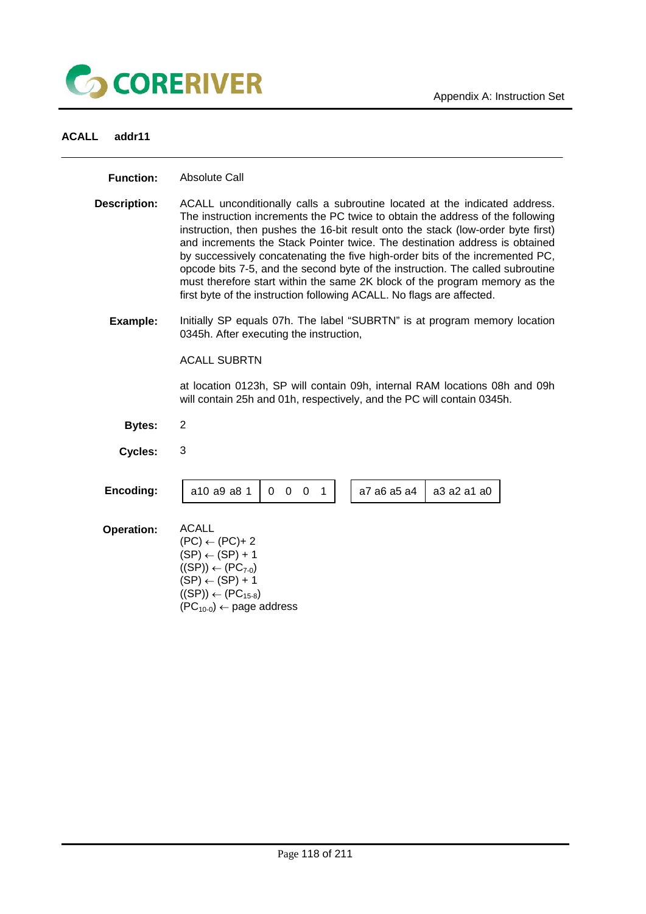

# **ACALL addr11**

| <b>Function:</b>    | Absolute Call                                                                                                                                                                                                                                                                                                                                                                                                                                                                                                                                                                                                                                             |  |  |  |  |  |
|---------------------|-----------------------------------------------------------------------------------------------------------------------------------------------------------------------------------------------------------------------------------------------------------------------------------------------------------------------------------------------------------------------------------------------------------------------------------------------------------------------------------------------------------------------------------------------------------------------------------------------------------------------------------------------------------|--|--|--|--|--|
| <b>Description:</b> | ACALL unconditionally calls a subroutine located at the indicated address.<br>The instruction increments the PC twice to obtain the address of the following<br>instruction, then pushes the 16-bit result onto the stack (low-order byte first)<br>and increments the Stack Pointer twice. The destination address is obtained<br>by successively concatenating the five high-order bits of the incremented PC,<br>opcode bits 7-5, and the second byte of the instruction. The called subroutine<br>must therefore start within the same 2K block of the program memory as the<br>first byte of the instruction following ACALL. No flags are affected. |  |  |  |  |  |
| Example:            | Initially SP equals 07h. The label "SUBRTN" is at program memory location<br>0345h. After executing the instruction,                                                                                                                                                                                                                                                                                                                                                                                                                                                                                                                                      |  |  |  |  |  |
|                     | <b>ACALL SUBRTN</b>                                                                                                                                                                                                                                                                                                                                                                                                                                                                                                                                                                                                                                       |  |  |  |  |  |
|                     | at location 0123h, SP will contain 09h, internal RAM locations 08h and 09h<br>will contain 25h and 01h, respectively, and the PC will contain 0345h.                                                                                                                                                                                                                                                                                                                                                                                                                                                                                                      |  |  |  |  |  |
| <b>Bytes:</b>       | $\overline{2}$                                                                                                                                                                                                                                                                                                                                                                                                                                                                                                                                                                                                                                            |  |  |  |  |  |
| Cycles:             | 3                                                                                                                                                                                                                                                                                                                                                                                                                                                                                                                                                                                                                                                         |  |  |  |  |  |
| Encoding:           | $\overline{0}$<br>a10 a9 a8 1<br>$\Omega$<br>$\mathbf 1$<br>a7 a6 a5 a4<br>0<br>a3 a2 a1 a0                                                                                                                                                                                                                                                                                                                                                                                                                                                                                                                                                               |  |  |  |  |  |
| <b>Operation:</b>   | <b>ACALL</b><br>$(PC) \leftarrow (PC) + 2$<br>$(SP) \leftarrow (SP) + 1$<br>$((SP)) \leftarrow (PC_{7-0})$<br>$(SP) \leftarrow (SP) + 1$<br>$((SP)) \leftarrow (PC_{15-8})$<br>$(PC_{10-0}) \leftarrow$ page address                                                                                                                                                                                                                                                                                                                                                                                                                                      |  |  |  |  |  |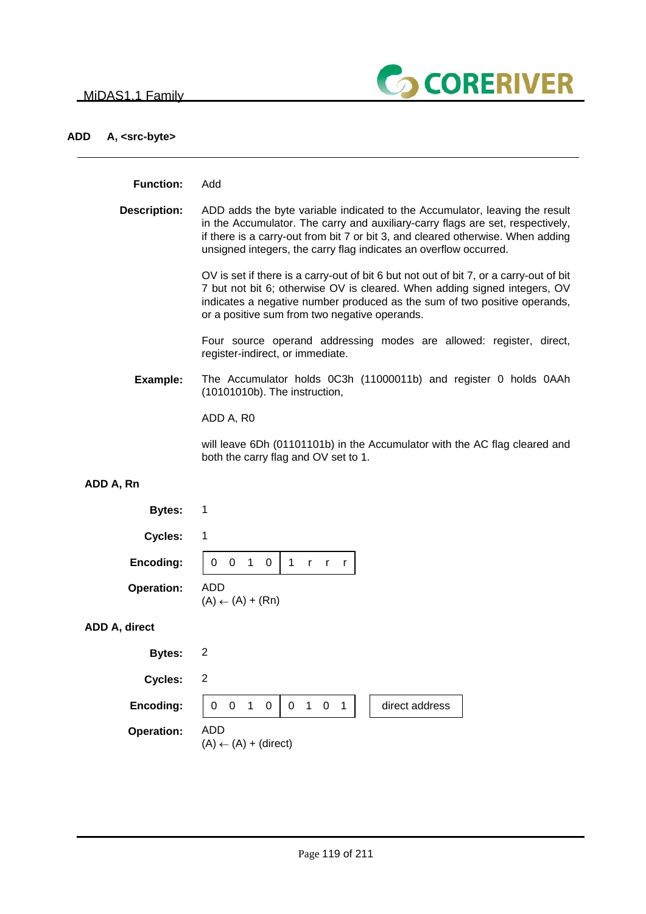

### **ADD A, <src-byte>**

#### Add **Function:**

ADD adds the byte variable indicated to the Accumulator, leaving the result in the Accumulator. The carry and auxiliary-carry flags are set, respectively, if there is a carry-out from bit 7 or bit 3, and cleared otherwise. When adding unsigned integers, the carry flag indicates an overflow occurred. **Description:** 

> OV is set if there is a carry-out of bit 6 but not out of bit 7, or a carry-out of bit 7 but not bit 6; otherwise OV is cleared. When adding signed integers, OV indicates a negative number produced as the sum of two positive operands, or a positive sum from two negative operands.

> Four source operand addressing modes are allowed: register, direct, register-indirect, or immediate.

The Accumulator holds 0C3h (11000011b) and register 0 holds 0AAh (10101010b). The instruction, **Example:** 

ADD A, R0

will leave 6Dh (01101101b) in the Accumulator with the AC flag cleared and both the carry flag and OV set to 1.

### **ADD A, Rn**

**ADD A, direct** 

| <b>Bytes:</b>     | 1                                                       |
|-------------------|---------------------------------------------------------|
| Cycles:           | 1                                                       |
| Encoding:         | $0 \quad 1 \quad 0$<br>1 $r$ $r$ $r$<br>0               |
| <b>Operation:</b> | ADD<br>$(A) \leftarrow (A) + (Rn)$                      |
| A, direct         |                                                         |
| <b>Bytes:</b>     | $\overline{\phantom{0}}^2$                              |
| Cycles:           | 2                                                       |
| Encoding:         | 0 1 0 1<br>$0 \t0 \t1$<br>$\mathbf 0$<br>direct address |
| <b>Operation:</b> | ADD<br>$(A) \leftarrow (A) + (direct)$                  |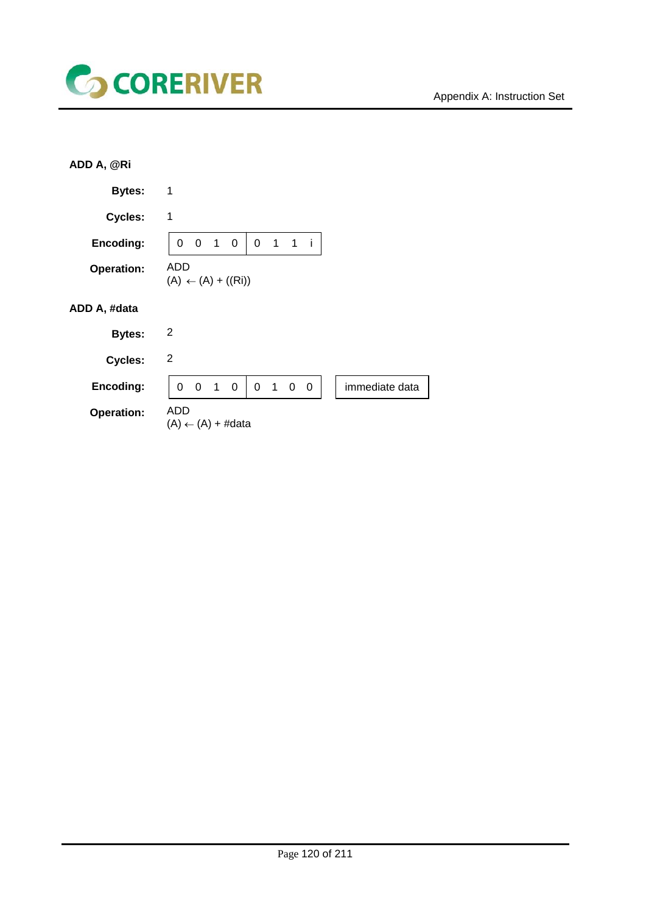

| ADD A, @Ri    |                                                                 |
|---------------|-----------------------------------------------------------------|
| <b>Bytes:</b> | 1                                                               |
| Cycles:       | 1                                                               |
| Encoding:     | $0$ 1 1 i<br>0 <sub>1</sub><br>$\mathbf 0$<br>0                 |
| Operation:    | ADD<br>$(A) \leftarrow (A) + ((Ri))$                            |
| ADD A, #data  |                                                                 |
| <b>Bytes:</b> | $\overline{2}$                                                  |
| Cycles:       | $\overline{2}$                                                  |
| Encoding:     | 0 <sub>1</sub><br>$\mathbf 0$<br>0 1 0 0<br>immediate data<br>0 |
| Operation:    | ADD<br>$(A) \leftarrow (A) + #data$                             |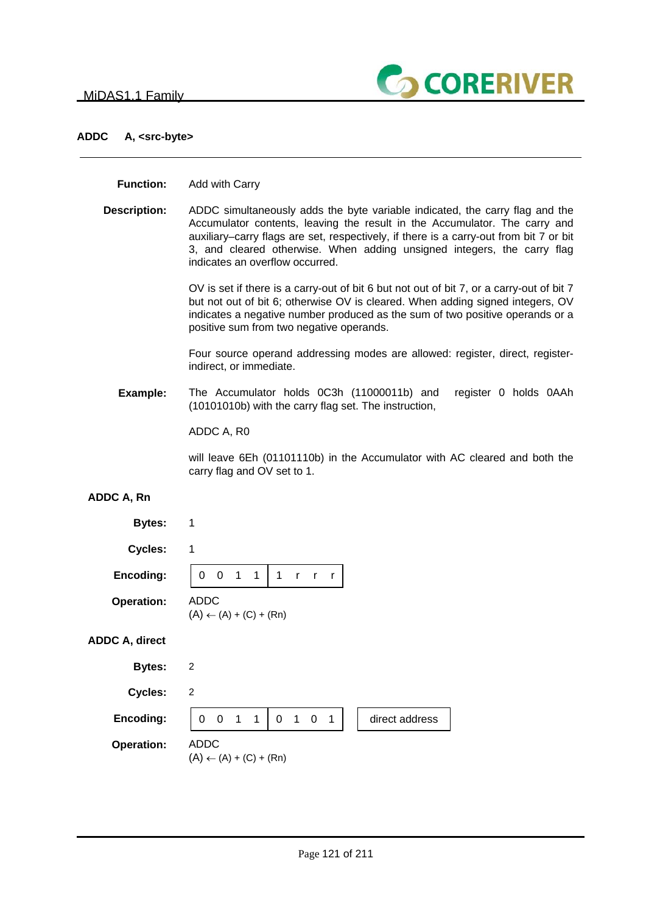

### **ADDC A, <src-byte>**

#### Add with Carry **Function:**

ADDC simultaneously adds the byte variable indicated, the carry flag and the Accumulator contents, leaving the result in the Accumulator. The carry and auxiliary–carry flags are set, respectively, if there is a carry-out from bit 7 or bit 3, and cleared otherwise. When adding unsigned integers, the carry flag indicates an overflow occurred. **Description:** 

> OV is set if there is a carry-out of bit 6 but not out of bit 7, or a carry-out of bit 7 but not out of bit 6; otherwise OV is cleared. When adding signed integers, OV indicates a negative number produced as the sum of two positive operands or a positive sum from two negative operands.

> Four source operand addressing modes are allowed: register, direct, registerindirect, or immediate.

The Accumulator holds 0C3h (11000011b) and register 0 holds 0AAh (10101010b) with the carry flag set. The instruction, **Example:** 

ADDC A, R0

will leave 6Eh (01101110b) in the Accumulator with AC cleared and both the carry flag and OV set to 1.

### **ADDC A, Rn**

| Bytes: 1              |                                                  |                             |  |           |  |                          |                |
|-----------------------|--------------------------------------------------|-----------------------------|--|-----------|--|--------------------------|----------------|
| Cycles:               | 1                                                |                             |  |           |  |                          |                |
| Encoding:             |                                                  | $0 \t0 \t1 \t1$             |  | $1$ r r r |  |                          |                |
| <b>Operation:</b>     | <b>ADDC</b><br>$(A) \leftarrow (A) + (C) + (Rn)$ |                             |  |           |  |                          |                |
| <b>ADDC A, direct</b> |                                                  |                             |  |           |  |                          |                |
| <b>Bytes:</b>         | $\overline{\phantom{0}}^2$                       |                             |  |           |  |                          |                |
| Cycles:               | 2                                                |                             |  |           |  |                          |                |
| Encoding:             |                                                  | $0 \quad 0 \quad 1 \quad 1$ |  | $0$ 1 0   |  | $\overline{\phantom{a}}$ | direct address |
| Operation:            | <b>ADDC</b><br>$(A) \leftarrow (A) + (C) + (Rn)$ |                             |  |           |  |                          |                |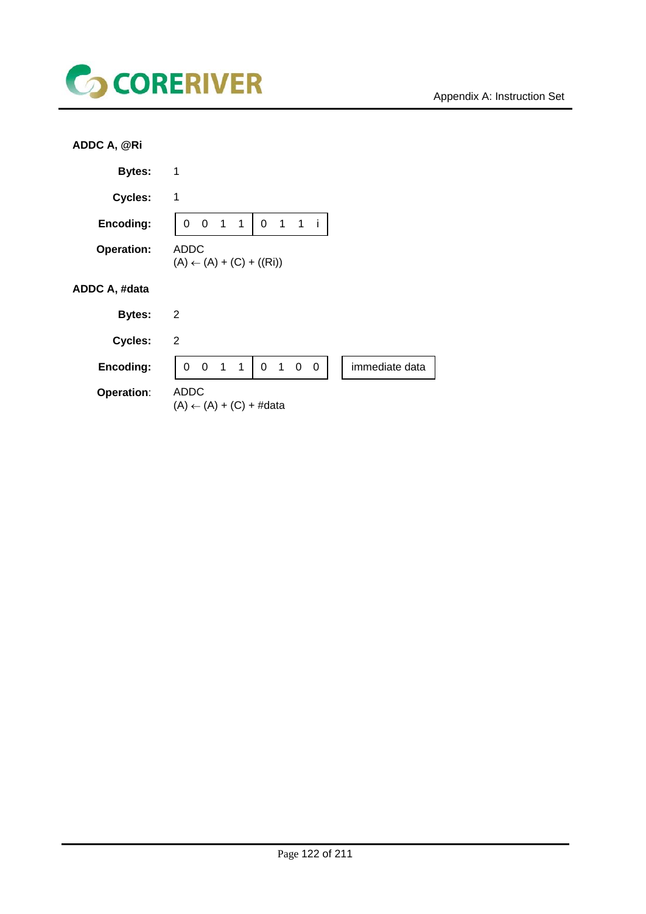

| ADDC A, @Ri   |                                                                                                       |
|---------------|-------------------------------------------------------------------------------------------------------|
| <b>Bytes:</b> | 1                                                                                                     |
| Cycles:       | 1                                                                                                     |
| Encoding:     | $\overline{0}$<br>0<br>$1\quad1$<br>0<br>$\overline{1}$<br>$\mathbf{1}$<br>$\blacksquare$             |
| Operation:    | ADDC<br>$(A) \leftarrow (A) + (C) + ((Ri))$                                                           |
| ADDC A, #data |                                                                                                       |
| <b>Bytes:</b> | 2                                                                                                     |
| Cycles:       | 2                                                                                                     |
| Encoding:     | $\mathbf{1}$<br>$\mathbf 0$<br>$\overline{1}$<br>0<br>0<br>$\overline{1}$<br>0<br>immediate data<br>0 |
| Operation:    | <b>ADDC</b><br>$(A) \leftarrow (A) + (C) + #data$                                                     |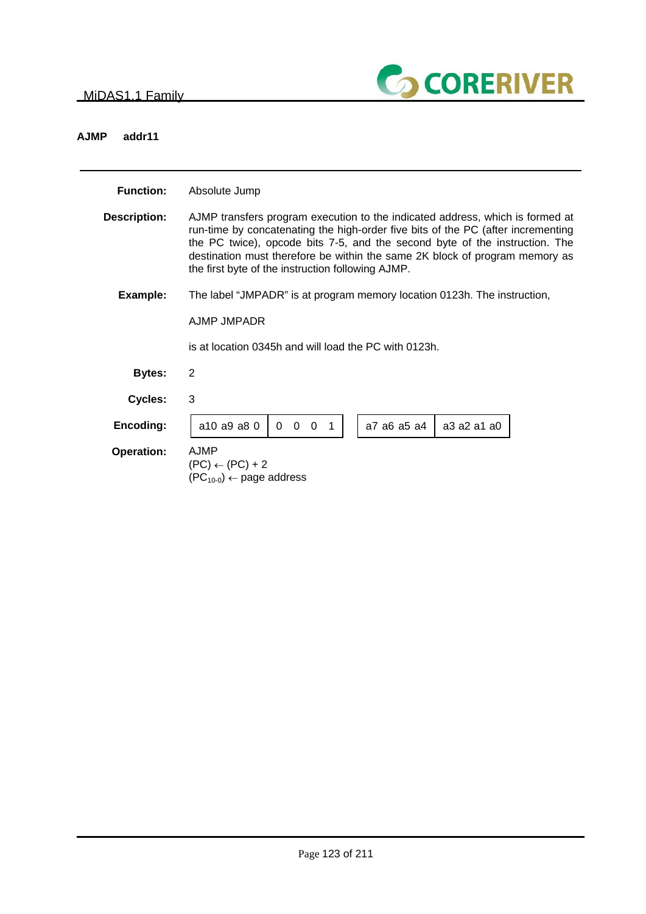

# **AJMP addr11**

| <b>Function:</b>    | Absolute Jump                                                                                                                                                                                                                                                                                                                                                                        |
|---------------------|--------------------------------------------------------------------------------------------------------------------------------------------------------------------------------------------------------------------------------------------------------------------------------------------------------------------------------------------------------------------------------------|
| <b>Description:</b> | AJMP transfers program execution to the indicated address, which is formed at<br>run-time by concatenating the high-order five bits of the PC (after incrementing<br>the PC twice), opcode bits 7-5, and the second byte of the instruction. The<br>destination must therefore be within the same 2K block of program memory as<br>the first byte of the instruction following AJMP. |
| Example:            | The label "JMPADR" is at program memory location 0123h. The instruction,                                                                                                                                                                                                                                                                                                             |
|                     | AJMP JMPADR                                                                                                                                                                                                                                                                                                                                                                          |
|                     | is at location 0345h and will load the PC with 0123h.                                                                                                                                                                                                                                                                                                                                |
| <b>Bytes:</b>       | 2                                                                                                                                                                                                                                                                                                                                                                                    |
| Cycles:             | 3                                                                                                                                                                                                                                                                                                                                                                                    |
| Encoding:           | a10 a9 a8 0<br>a7 a6 a5 a4<br>a3 a2 a1 a0<br>$\Omega$<br>$\Omega$<br>0<br>$\overline{1}$                                                                                                                                                                                                                                                                                             |
| <b>Operation:</b>   | AJMP<br>$(PC) \leftarrow (PC) + 2$<br>$(PC_{10-0}) \leftarrow$ page address                                                                                                                                                                                                                                                                                                          |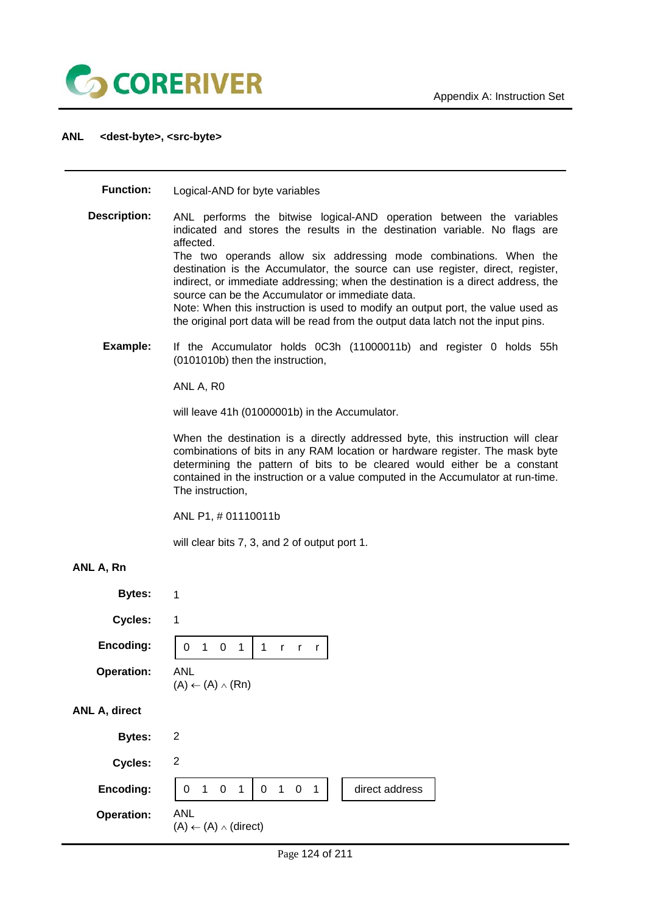

#### **ANL <dest-byte>, <src-byte>**

Logical-AND for byte variables ANL performs the bitwise logical-AND operation between the variables indicated and stores the results in the destination variable. No flags are affected. The two operands allow six addressing mode combinations. When the destination is the Accumulator, the source can use register, direct, register, indirect, or immediate addressing; when the destination is a direct address, the source can be the Accumulator or immediate data. Note: When this instruction is used to modify an output port, the value used as the original port data will be read from the output data latch not the input pins. If the Accumulator holds 0C3h (11000011b) and register 0 holds 55h (0101010b) then the instruction, ANL A, R0 will leave 41h (01000001b) in the Accumulator. When the destination is a directly addressed byte, this instruction will clear combinations of bits in any RAM location or hardware register. The mask byte determining the pattern of bits to be cleared would either be a constant contained in the instruction or a value computed in the Accumulator at run-time. The instruction, ANL P1, # 01110011b will clear bits 7, 3, and 2 of output port 1. 1 1 ANL  $(A) \leftarrow (A) \wedge (Rn)$ **Function: Description: Example: ANL A, Rn Bytes: Cycles: Encoding: Operation:**  0 1 0 1 1 r r r

**ANL A, direct** 

| <b>Bytes:</b>     | 2                                           |  |  |  |  |                |
|-------------------|---------------------------------------------|--|--|--|--|----------------|
| Cycles:           | 2                                           |  |  |  |  |                |
| Encoding:         |                                             |  |  |  |  | direct address |
| <b>Operation:</b> | ANL<br>$(A) \leftarrow (A) \wedge (direct)$ |  |  |  |  |                |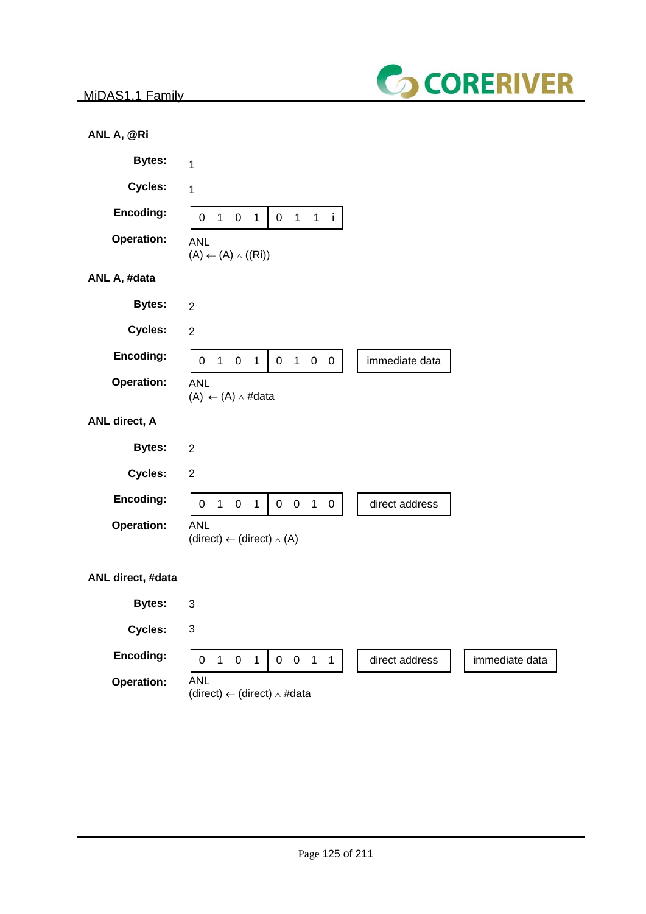

| ANL A, @Ri        |                                                                                                         |                |                |
|-------------------|---------------------------------------------------------------------------------------------------------|----------------|----------------|
| <b>Bytes:</b>     | 1                                                                                                       |                |                |
| Cycles:           | 1                                                                                                       |                |                |
| Encoding:         | $\mathbf{1}$<br>$\mathbf 0$<br>0<br>$\mathbf{1}$<br>$\blacksquare$<br>0<br>$\mathbf{1}$<br>$\mathbf{1}$ |                |                |
| <b>Operation:</b> | <b>ANL</b><br>$(A) \leftarrow (A) \wedge ((Ri))$                                                        |                |                |
| ANL A, #data      |                                                                                                         |                |                |
| <b>Bytes:</b>     | $\overline{2}$                                                                                          |                |                |
| Cycles:           | $\overline{2}$                                                                                          |                |                |
| Encoding:         | $\pmb{0}$<br>$\mathbf{1}$<br>$\pmb{0}$<br>$\mathbf 0$<br>$\overline{1}$<br>$\mathbf{1}$<br>0<br>0       | immediate data |                |
| <b>Operation:</b> | <b>ANL</b><br>$(A) \leftarrow (A) \wedge #data$                                                         |                |                |
| ANL direct, A     |                                                                                                         |                |                |
| <b>Bytes:</b>     | $\overline{2}$                                                                                          |                |                |
| Cycles:           | $\overline{2}$                                                                                          |                |                |
| Encoding:         | $\pmb{0}$<br>$\mathbf{1}$<br>$\pmb{0}$<br>0<br>$\pmb{0}$<br>$\mathbf 1$<br>$\overline{1}$<br>0          | direct address |                |
| <b>Operation:</b> | <b>ANL</b><br>$(direct) \leftarrow (direct) \wedge (A)$                                                 |                |                |
| ANL direct, #data |                                                                                                         |                |                |
| <b>Bytes:</b>     | 3                                                                                                       |                |                |
| Cycles:           | 3                                                                                                       |                |                |
| Encoding:         | $1 \quad 0 \quad 1$<br>$0 \quad 0 \quad 1 \quad 1$<br>$\overline{0}$                                    | direct address | immediate data |
| <b>Operation:</b> | <b>ANL</b><br>(direct) $\leftarrow$ (direct) $\land$ #data                                              |                |                |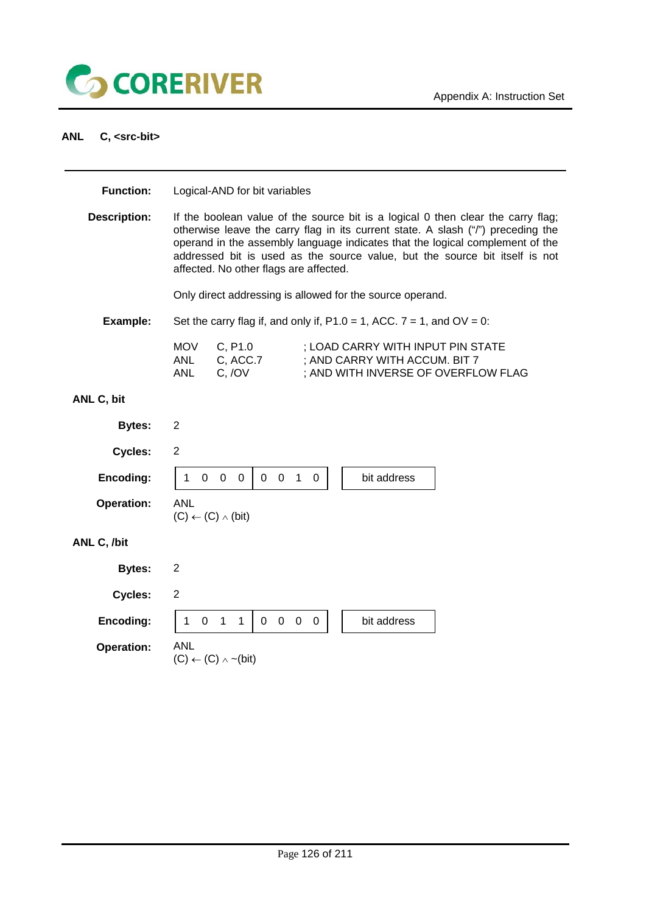

# **ANL C, <src-bit>**

| <b>Function:</b>    | Logical-AND for bit variables                                                                                                                                                                                                                                                                                                                                                  |
|---------------------|--------------------------------------------------------------------------------------------------------------------------------------------------------------------------------------------------------------------------------------------------------------------------------------------------------------------------------------------------------------------------------|
| <b>Description:</b> | If the boolean value of the source bit is a logical 0 then clear the carry flag;<br>otherwise leave the carry flag in its current state. A slash ("/") preceding the<br>operand in the assembly language indicates that the logical complement of the<br>addressed bit is used as the source value, but the source bit itself is not<br>affected. No other flags are affected. |
| Example:            | Only direct addressing is allowed for the source operand.<br>Set the carry flag if, and only if, $P1.0 = 1$ , ACC. $7 = 1$ , and OV = 0:                                                                                                                                                                                                                                       |
|                     | <b>MOV</b><br>C, P1.0<br>; LOAD CARRY WITH INPUT PIN STATE<br><b>ANL</b><br>C, ACC.7<br>; AND CARRY WITH ACCUM. BIT 7<br>C, /OV<br>; AND WITH INVERSE OF OVERFLOW FLAG<br><b>ANL</b>                                                                                                                                                                                           |
| ANL C, bit          |                                                                                                                                                                                                                                                                                                                                                                                |
| <b>Bytes:</b>       | $\overline{2}$                                                                                                                                                                                                                                                                                                                                                                 |
| Cycles:             | $\overline{2}$                                                                                                                                                                                                                                                                                                                                                                 |
| Encoding:           | $\mathbf{1}$<br>$\overline{0}$<br>$\mathbf 0$<br>$\overline{1}$<br>bit address<br>0<br>$\mathbf 0$<br>$\mathbf 0$<br>0                                                                                                                                                                                                                                                         |
| <b>Operation:</b>   | <b>ANL</b><br>$(C) \leftarrow (C) \wedge (bit)$                                                                                                                                                                                                                                                                                                                                |
| ANL C, /bit         |                                                                                                                                                                                                                                                                                                                                                                                |
| <b>Bytes:</b>       | 2                                                                                                                                                                                                                                                                                                                                                                              |
| Cycles:             | $\overline{2}$                                                                                                                                                                                                                                                                                                                                                                 |
| Encoding:           | 1<br>$\mathbf{1}$<br>$0\quad 0\quad 0$<br>bit address<br>0<br>$\overline{1}$<br>$\mathbf 0$                                                                                                                                                                                                                                                                                    |
| <b>Operation:</b>   | <b>ANL</b><br>$(C) \leftarrow (C) \wedge \neg (bit)$                                                                                                                                                                                                                                                                                                                           |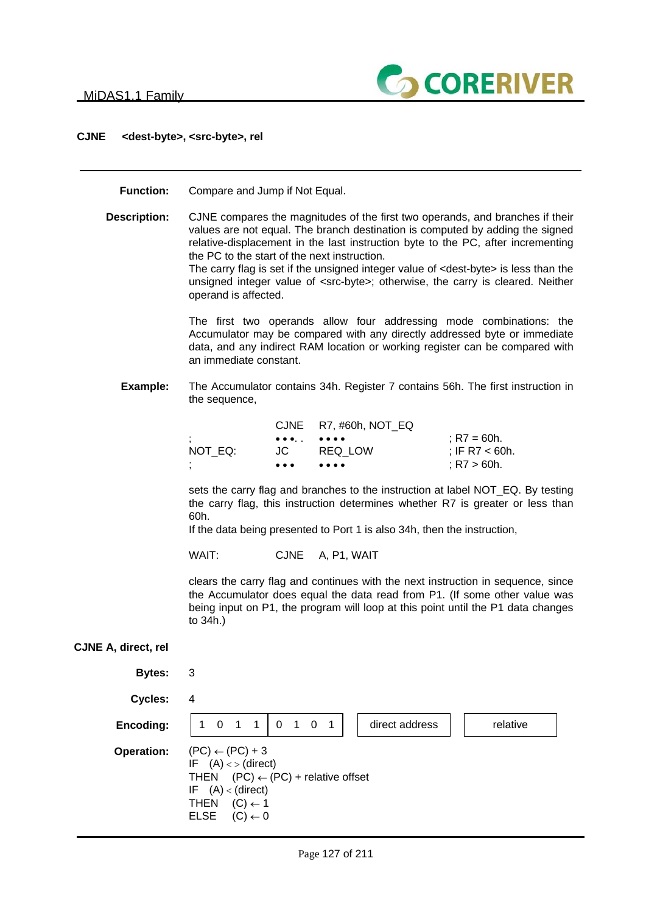

#### **CJNE <dest-byte>, <src-byte>, rel**

#### Compare and Jump if Not Equal. **Function:**

CJNE compares the magnitudes of the first two operands, and branches if their values are not equal. The branch destination is computed by adding the signed relative-displacement in the last instruction byte to the PC, after incrementing the PC to the start of the next instruction. **Description:** 

> The carry flag is set if the unsigned integer value of <dest-byte> is less than the unsigned integer value of <src-byte>; otherwise, the carry is cleared. Neither operand is affected.

> The first two operands allow four addressing mode combinations: the Accumulator may be compared with any directly addressed byte or immediate data, and any indirect RAM location or working register can be compared with an immediate constant.

The Accumulator contains 34h. Register 7 contains 56h. The first instruction in the sequence, **Example:** 

|         |                                                                  | CJNE R7, #60h, NOT EQ |                |
|---------|------------------------------------------------------------------|-----------------------|----------------|
|         | $\bullet \bullet \bullet \ldots \bullet \bullet \bullet \bullet$ |                       | ; R7 = 60h.    |
| NOT EQ: | JC –                                                             | REQ LOW               | : IF R7 < 60h. |
|         | $\bullet\bullet\bullet$                                          | $\cdots$              | ; R7 > 60h.    |

sets the carry flag and branches to the instruction at label NOT\_EQ. By testing the carry flag, this instruction determines whether R7 is greater or less than 60h.

If the data being presented to Port 1 is also 34h, then the instruction,

WAIT: CJNE A, P1, WAIT

clears the carry flag and continues with the next instruction in sequence, since the Accumulator does equal the data read from P1. (If some other value was being input on P1, the program will loop at this point until the P1 data changes to 34h.)

#### **CJNE A, direct, rel**

| <b>Bytes:</b>     | $_{3}$                                                                                                                                                                             |
|-------------------|------------------------------------------------------------------------------------------------------------------------------------------------------------------------------------|
| Cycles:           | 4                                                                                                                                                                                  |
| Encoding:         | 1 0 1 1   0 1 0 1<br>relative<br>direct address                                                                                                                                    |
| <b>Operation:</b> | $(PC) \leftarrow (PC) + 3$<br>IF $(A) \leq (direct)$<br>THEN $(PC) \leftarrow (PC) +$ relative offset<br>IF $(A) < (direct)$<br>THEN $(C) \leftarrow 1$<br>ELSE $(C) \leftarrow 0$ |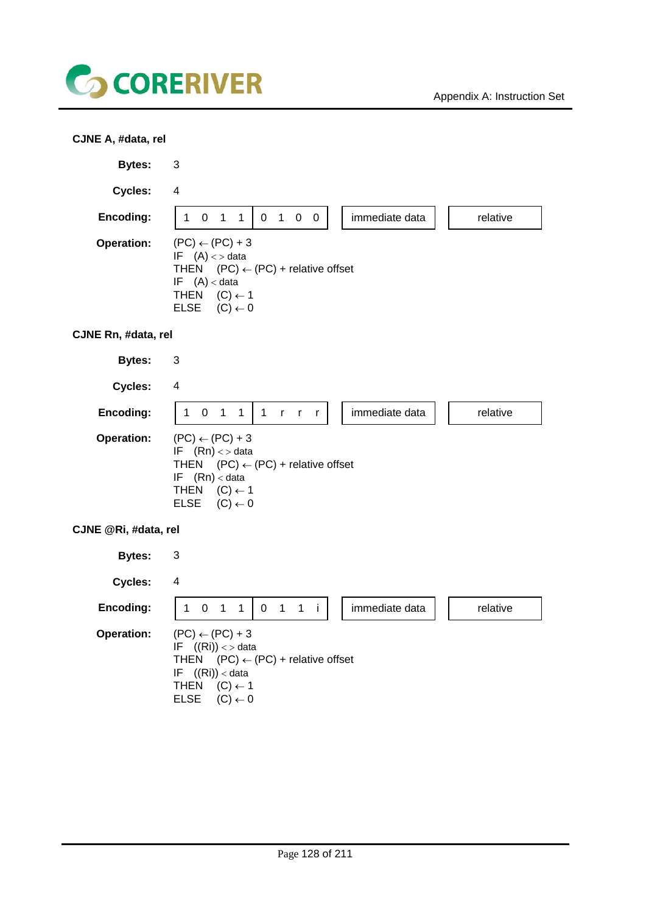

# **CJNE A, #data, rel**

| <b>Bytes:</b>        | 3                                                                                                                                                                                                            |
|----------------------|--------------------------------------------------------------------------------------------------------------------------------------------------------------------------------------------------------------|
| Cycles:              | $\overline{\mathbf{4}}$                                                                                                                                                                                      |
| Encoding:            | $\mathbf{1}$<br>$1 \quad 0 \quad 0$<br>immediate data<br>$\mathbf 0$<br>$\overline{1}$<br>$\mathbf 1$<br>$\overline{0}$<br>relative                                                                          |
| Operation:           | $(PC) \leftarrow (PC) + 3$<br>IF $(A) \leq$ data<br><b>THEN</b><br>$(PC) \leftarrow (PC) +$ relative offset<br>IF $(A) <$ data<br>THEN $(C) \leftarrow 1$<br><b>ELSE</b><br>$(C) \leftarrow 0$               |
| CJNE Rn, #data, rel  |                                                                                                                                                                                                              |
| <b>Bytes:</b>        | 3                                                                                                                                                                                                            |
| Cycles:              | 4                                                                                                                                                                                                            |
| Encoding:            | $\mathbf{1}$<br>$\mathbf 0$<br>$\overline{1}$<br>$\mathbf{1}$<br>immediate data<br>$\mathbf{1}$<br>relative<br>$r - r$<br>$\mathsf{r}$                                                                       |
| Operation:           | $(PC) \leftarrow (PC) + 3$<br>IF $(Rn) \leq 3$ data<br><b>THEN</b><br>$(PC) \leftarrow (PC) +$ relative offset<br>IF $(Rn) <$ data<br><b>THEN</b><br>$(C) \leftarrow 1$<br><b>ELSE</b><br>$(C) \leftarrow 0$ |
| CJNE @Ri, #data, rel |                                                                                                                                                                                                              |
| <b>Bytes:</b>        | 3                                                                                                                                                                                                            |
| Cycles:              | 4                                                                                                                                                                                                            |
| Encoding:            | $\mathbf 1$<br>1<br>immediate data<br>$\pmb{0}$<br>$\mathbf{1}$<br>$\mathbf{1}$<br>$\overline{0}$<br>$1$ i<br>relative                                                                                       |
| <b>Operation:</b>    | $(PC) \leftarrow (PC) + 3$<br>IF $((Ri)) \leq 3$ data<br>$(PC) \leftarrow (PC) +$ relative offset<br><b>THEN</b><br>$((Ri)) <$ data<br>IF<br><b>THEN</b><br>$(C) \leftarrow 1$                               |

 $\text{ELSE}$   $(C) \leftarrow 0$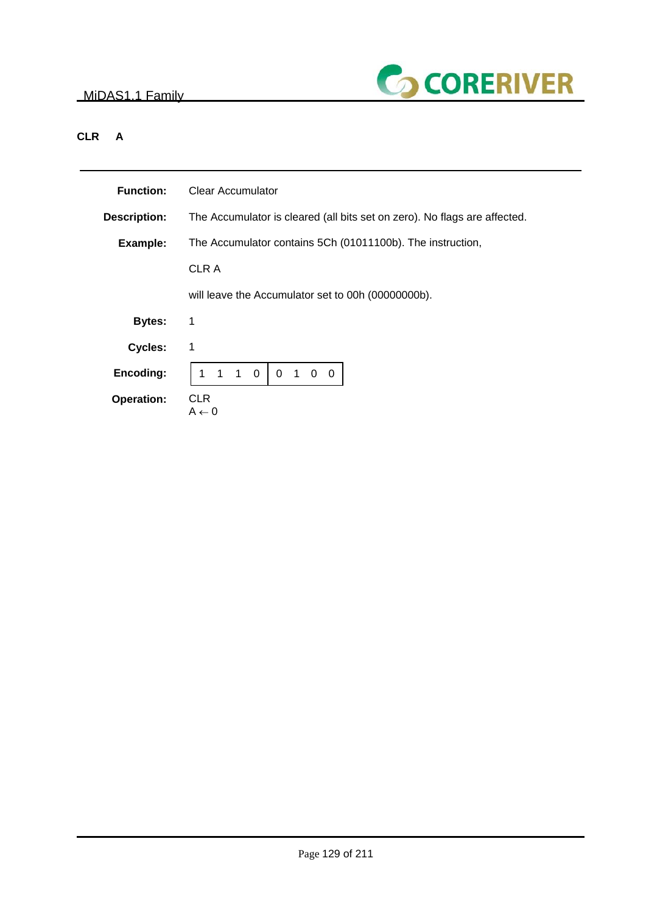

# **CLR A**

| <b>Function:</b>    | Clear Accumulator                                                         |
|---------------------|---------------------------------------------------------------------------|
| <b>Description:</b> | The Accumulator is cleared (all bits set on zero). No flags are affected. |
| Example:            | The Accumulator contains 5Ch (01011100b). The instruction,                |
|                     | CLR A                                                                     |
|                     | will leave the Accumulator set to 00h (00000000b).                        |
| <b>Bytes:</b>       | 1                                                                         |
| Cycles:             | 1                                                                         |
| Encoding:           | $0 \quad 1$<br>$1 1 0$<br>0<br>$\overline{\mathbf{0}}$                    |
| <b>Operation:</b>   | CLR<br>$A \leftarrow 0$                                                   |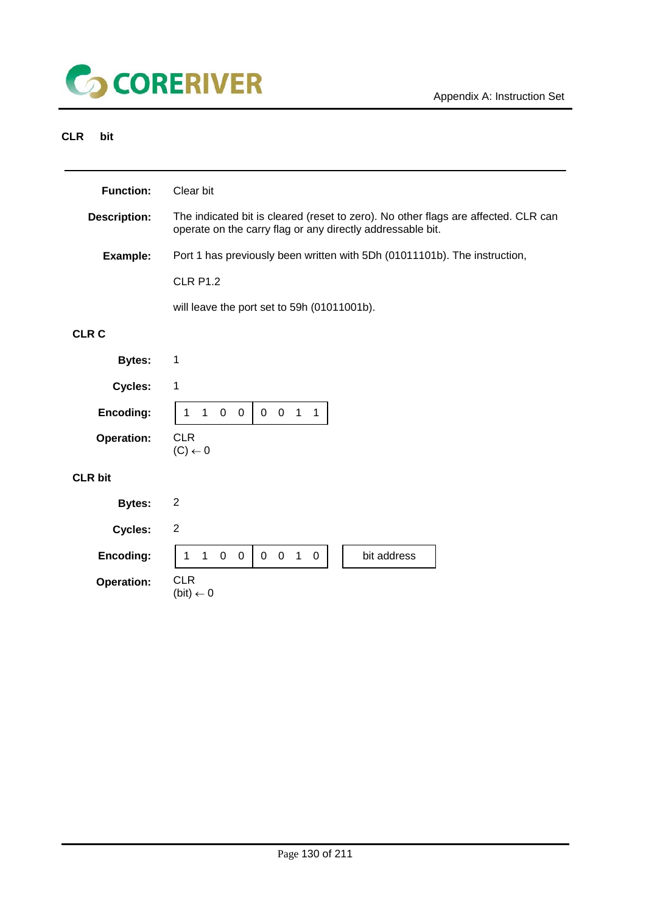

# **CLR bit**

| <b>Function:</b>    | Clear bit                                                                                                                                        |
|---------------------|--------------------------------------------------------------------------------------------------------------------------------------------------|
| <b>Description:</b> | The indicated bit is cleared (reset to zero). No other flags are affected. CLR can<br>operate on the carry flag or any directly addressable bit. |
| Example:            | Port 1 has previously been written with 5Dh (01011101b). The instruction,                                                                        |
|                     | <b>CLR P1.2</b>                                                                                                                                  |
|                     | will leave the port set to 59h (01011001b).                                                                                                      |
| <b>CLR C</b>        |                                                                                                                                                  |
| <b>Bytes:</b>       | 1                                                                                                                                                |
| Cycles:             | 1                                                                                                                                                |
| Encoding:           | $\boldsymbol{0}$<br>$\overline{0}$<br>$\overline{0}$<br>$\mathbf 0$<br>$\mathbf{1}$<br>1<br>$\mathbf{1}$<br>1                                    |
| <b>Operation:</b>   | <b>CLR</b><br>$(C) \leftarrow 0$                                                                                                                 |
| <b>CLR bit</b>      |                                                                                                                                                  |
| <b>Bytes:</b>       | $\overline{2}$                                                                                                                                   |
| Cycles:             | $\mathbf 2$                                                                                                                                      |
| Encoding:           | bit address<br>$\mathbf{1}$<br>$\mathbf 0$<br>$\mathbf 0$<br>$\mathbf 0$<br>$\mathbf 1$<br>$\mathbf 0$<br>$\overline{1}$<br>$\mathbf 0$          |
| <b>Operation:</b>   | <b>CLR</b><br>$(bit) \leftarrow 0$                                                                                                               |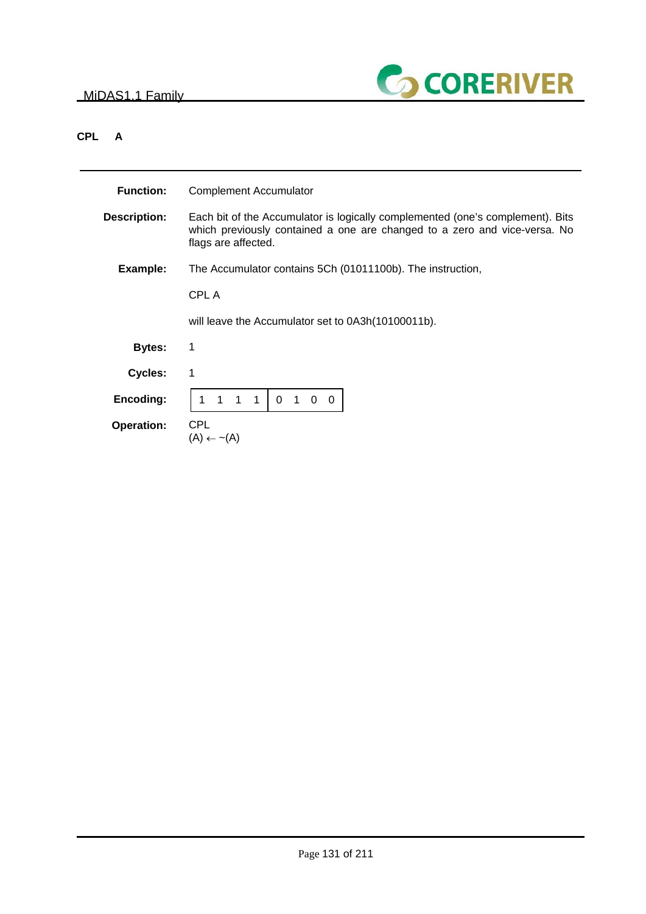

# **CPL A**

| <b>Function:</b>    | <b>Complement Accumulator</b>                                                                                                                                                      |
|---------------------|------------------------------------------------------------------------------------------------------------------------------------------------------------------------------------|
| <b>Description:</b> | Each bit of the Accumulator is logically complemented (one's complement). Bits<br>which previously contained a one are changed to a zero and vice-versa. No<br>flags are affected. |
| Example:            | The Accumulator contains 5Ch (01011100b). The instruction,                                                                                                                         |
|                     | CPL A                                                                                                                                                                              |
|                     | will leave the Accumulator set to 0A3h(10100011b).                                                                                                                                 |
| <b>Bytes:</b>       | 1                                                                                                                                                                                  |
| Cycles:             | 1                                                                                                                                                                                  |
| Encoding:           | $1 \quad 1 \quad 1$<br>$0$ 1 0<br>$\Omega$                                                                                                                                         |
| <b>Operation:</b>   | <b>CPL</b><br>$(A) \leftarrow \sim(A)$                                                                                                                                             |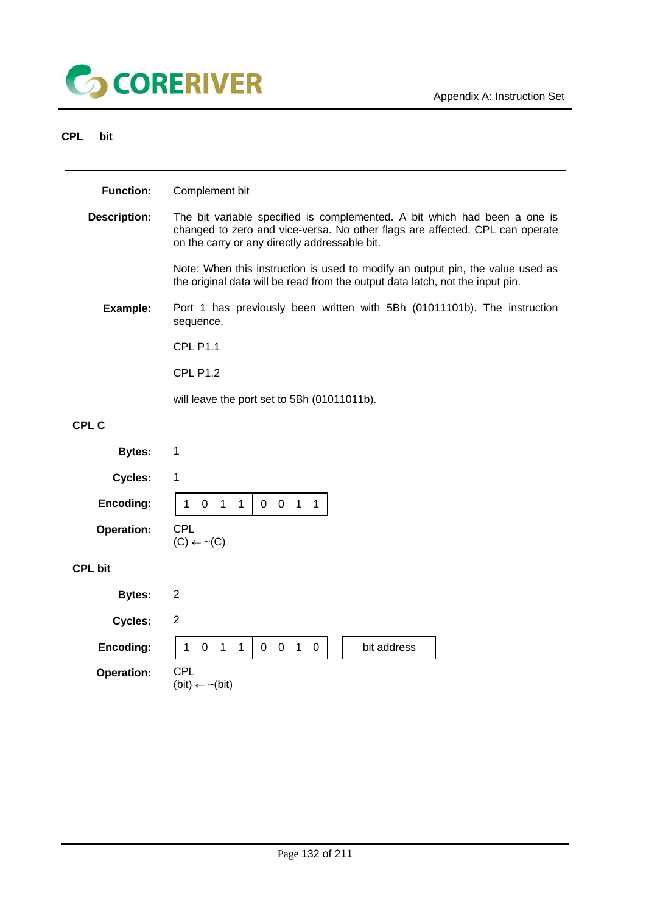



# **CPL bit**

| <b>Function:</b>    | Complement bit                                                                                                                                                                                             |  |
|---------------------|------------------------------------------------------------------------------------------------------------------------------------------------------------------------------------------------------------|--|
| <b>Description:</b> | The bit variable specified is complemented. A bit which had been a one is<br>changed to zero and vice-versa. No other flags are affected. CPL can operate<br>on the carry or any directly addressable bit. |  |
|                     | Note: When this instruction is used to modify an output pin, the value used as<br>the original data will be read from the output data latch, not the input pin.                                            |  |
| Example:            | Port 1 has previously been written with 5Bh (01011101b). The instruction<br>sequence,                                                                                                                      |  |
|                     | <b>CPL P1.1</b>                                                                                                                                                                                            |  |
|                     | <b>CPL P1.2</b>                                                                                                                                                                                            |  |
|                     | will leave the port set to 5Bh (01011011b).                                                                                                                                                                |  |
| <b>CPL C</b>        |                                                                                                                                                                                                            |  |
| <b>Bytes:</b>       | 1                                                                                                                                                                                                          |  |
| Cycles:             | 1                                                                                                                                                                                                          |  |
| Encoding:           | $0 \t0 \t1$<br>$\mathbf{1}$<br>$\overline{0}$<br>$\overline{1}$<br>$\mathbf{1}$<br>$\mathbf{1}$                                                                                                            |  |
| <b>Operation:</b>   | <b>CPL</b><br>$(C) \leftarrow \sim(C)$                                                                                                                                                                     |  |
| <b>CPL bit</b>      |                                                                                                                                                                                                            |  |
| <b>Bytes:</b>       | $\overline{2}$                                                                                                                                                                                             |  |
| Cycles:             | $\overline{2}$                                                                                                                                                                                             |  |
| Encoding:           | $\mathbf 0$<br>bit address<br>1<br>$\mathbf 0$<br>$\mathbf 1$<br>$\mathbf{1}$<br>$\overline{0}$<br>$\overline{1}$<br>$\pmb{0}$                                                                             |  |
| <b>Operation:</b>   | <b>CPL</b><br>$(bit) \leftarrow \sim (bit)$                                                                                                                                                                |  |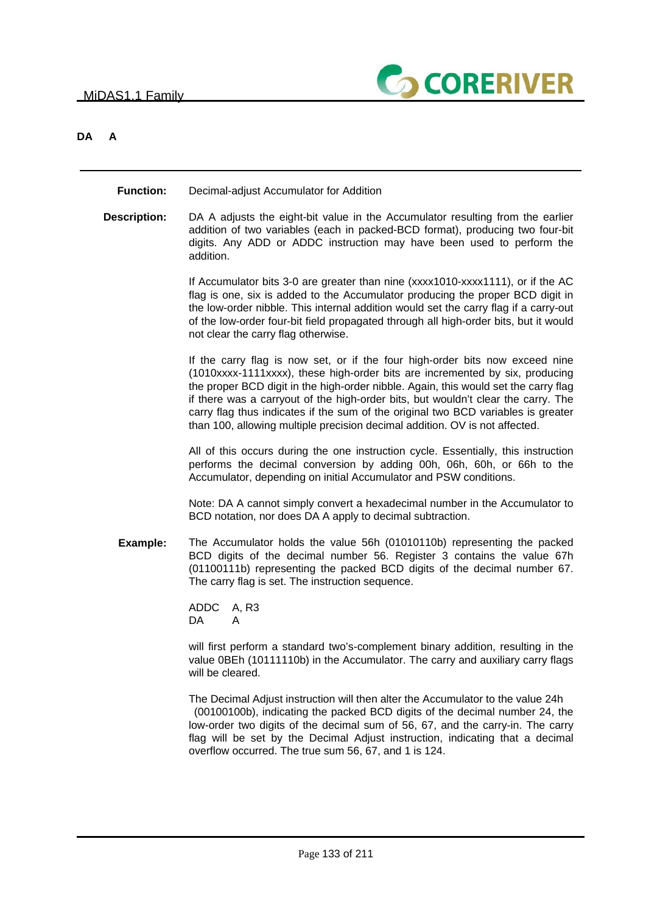

## **DA A**

Decimal-adjust Accumulator for Addition **Function:** 

DA A adjusts the eight-bit value in the Accumulator resulting from the earlier addition of two variables (each in packed-BCD format), producing two four-bit digits. Any ADD or ADDC instruction may have been used to perform the addition. **Description:** 

> If Accumulator bits 3-0 are greater than nine (xxxx1010-xxxx1111), or if the AC flag is one, six is added to the Accumulator producing the proper BCD digit in the low-order nibble. This internal addition would set the carry flag if a carry-out of the low-order four-bit field propagated through all high-order bits, but it would not clear the carry flag otherwise.

> If the carry flag is now set, or if the four high-order bits now exceed nine (1010xxxx-1111xxxx), these high-order bits are incremented by six, producing the proper BCD digit in the high-order nibble. Again, this would set the carry flag if there was a carryout of the high-order bits, but wouldn't clear the carry. The carry flag thus indicates if the sum of the original two BCD variables is greater than 100, allowing multiple precision decimal addition. OV is not affected.

> All of this occurs during the one instruction cycle. Essentially, this instruction performs the decimal conversion by adding 00h, 06h, 60h, or 66h to the Accumulator, depending on initial Accumulator and PSW conditions.

> Note: DA A cannot simply convert a hexadecimal number in the Accumulator to BCD notation, nor does DA A apply to decimal subtraction.

- The Accumulator holds the value 56h (01010110b) representing the packed BCD digits of the decimal number 56. Register 3 contains the value 67h (01100111b) representing the packed BCD digits of the decimal number 67. The carry flag is set. The instruction sequence. **Example:** 
	- ADDC A, R3 DA A

will first perform a standard two's-complement binary addition, resulting in the value 0BEh (10111110b) in the Accumulator. The carry and auxiliary carry flags will be cleared.

The Decimal Adjust instruction will then alter the Accumulator to the value 24h (00100100b), indicating the packed BCD digits of the decimal number 24, the low-order two digits of the decimal sum of 56, 67, and the carry-in. The carry flag will be set by the Decimal Adjust instruction, indicating that a decimal overflow occurred. The true sum 56, 67, and 1 is 124.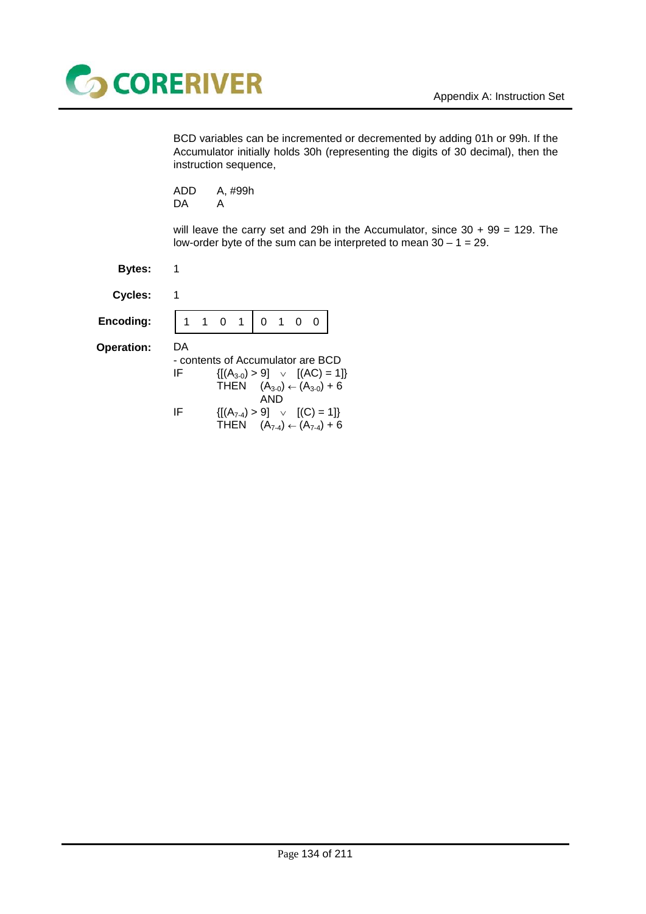

BCD variables can be incremented or decremented by adding 01h or 99h. If the Accumulator initially holds 30h (representing the digits of 30 decimal), then the instruction sequence,

ADD A, #99h DA A

will leave the carry set and 29h in the Accumulator, since 30 + 99 = 129. The low-order byte of the sum can be interpreted to mean  $30 - 1 = 29$ .

1 1 DA - contents of Accumulator are BCD IF  $\{[(A_{3-0}) > 9] \sim [(AC) = 1]\}$ THEN  $(A_{3-0}) \leftarrow (A_{3-0}) + 6$  AND IF  $\{[(A_{7-4}) > 9] \sim [(C) = 1]\}$ THEN  $(A_{7-4}) \leftarrow (A_{7-4}) + 6$ **Bytes: Cycles: Encoding: Operation:**  1 1 0 1 0 1 0 0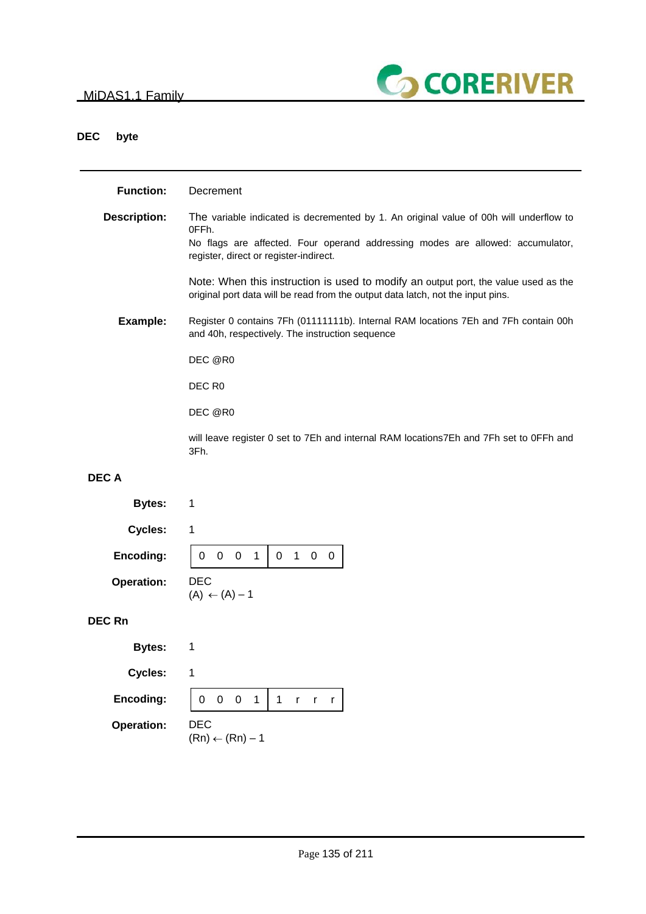

# **DEC byte**

| <b>Function:</b>    | Decrement                                                                                                                                                                                                                   |
|---------------------|-----------------------------------------------------------------------------------------------------------------------------------------------------------------------------------------------------------------------------|
| <b>Description:</b> | The variable indicated is decremented by 1. An original value of 00h will underflow to<br>OFFh.<br>No flags are affected. Four operand addressing modes are allowed: accumulator,<br>register, direct or register-indirect. |
|                     | Note: When this instruction is used to modify an output port, the value used as the<br>original port data will be read from the output data latch, not the input pins.                                                      |
| Example:            | Register 0 contains 7Fh (01111111b). Internal RAM locations 7Eh and 7Fh contain 00h<br>and 40h, respectively. The instruction sequence                                                                                      |
|                     | DEC @R0                                                                                                                                                                                                                     |
|                     | DEC R <sub>0</sub>                                                                                                                                                                                                          |
|                     | DEC @R0                                                                                                                                                                                                                     |
|                     | will leave register 0 set to 7Eh and internal RAM locations7Eh and 7Fh set to 0FFh and<br>3Fh.                                                                                                                              |

## **DEC A**

| <b>Bytes:</b>     | 1                                  |
|-------------------|------------------------------------|
| Cycles:           | 1                                  |
| Encoding:         | $0 \t 0 \t 0 \t 1$<br>$0$ 1 0<br>0 |
| <b>Operation:</b> | DEC<br>$(A) \leftarrow (A) - 1$    |
| <b>DEC Rn</b>     |                                    |
| <b>Bytes:</b>     | 1                                  |
| Cycles:           | 1                                  |
| Encoding:         | $0 \t0 \t0 \t1$<br>$1$ r r r       |
| <b>Operation:</b> | DEC<br>$(Rn) \leftarrow (Rn) - 1$  |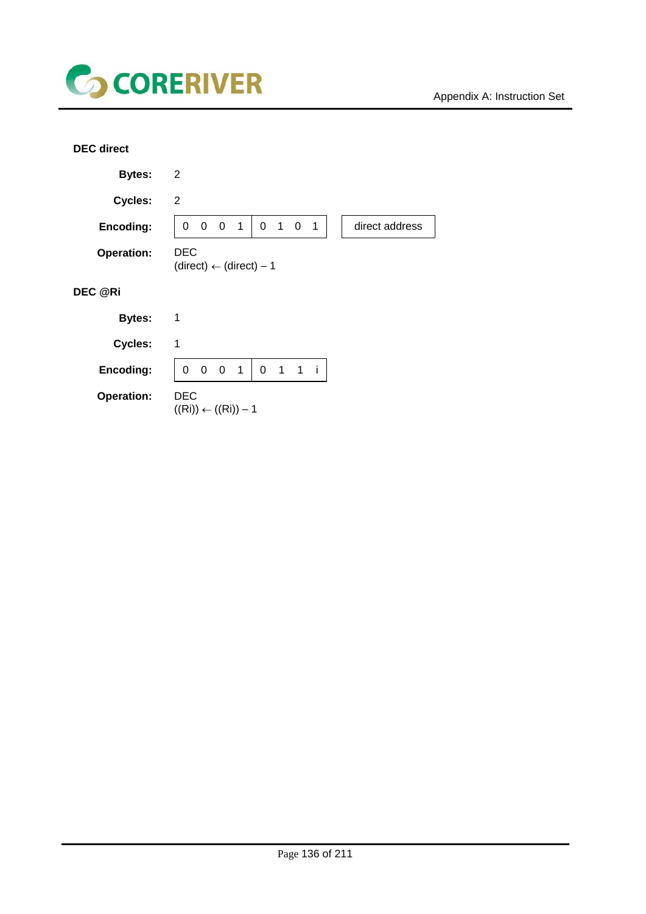

## **DEC direct**

| <b>Bytes:</b>     | 2                                                                                        |
|-------------------|------------------------------------------------------------------------------------------|
| Cycles:           | $\overline{2}$                                                                           |
| Encoding:         | $0 \t 0 \t 0 \t 1$<br>0 1 0 1<br>direct address                                          |
| Operation:        | <b>DEC</b><br>$(direct) \leftarrow (direct) - 1$                                         |
| DEC @Ri           |                                                                                          |
| Bytes: 1          |                                                                                          |
| Cycles:           | $\mathbf 1$                                                                              |
| Encoding:         | $0 \quad 1 \quad 1$<br>$0\quad 0\quad 0$<br>$\overline{\phantom{a}}$ 1<br>$\blacksquare$ |
| <b>Operation:</b> | <b>DEC</b><br>$((Ri)) \leftarrow ((Ri)) - 1$                                             |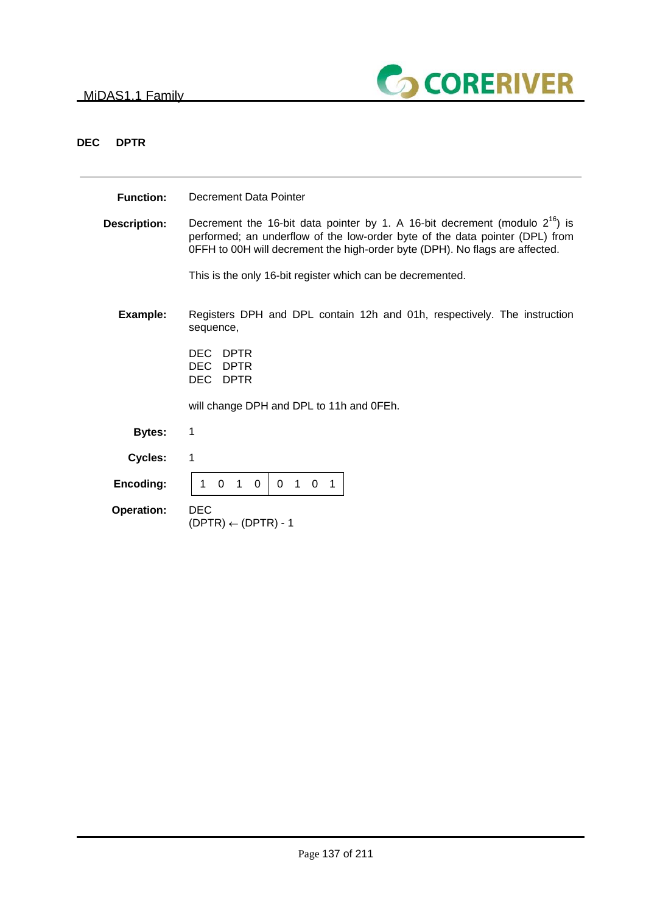

# **DEC DPTR**

| <b>Function:</b>    | Decrement Data Pointer                                                                                                                                                                                                                           |
|---------------------|--------------------------------------------------------------------------------------------------------------------------------------------------------------------------------------------------------------------------------------------------|
| <b>Description:</b> | Decrement the 16-bit data pointer by 1. A 16-bit decrement (modulo $2^{16}$ ) is<br>performed; an underflow of the low-order byte of the data pointer (DPL) from<br>OFFH to OOH will decrement the high-order byte (DPH). No flags are affected. |
|                     | This is the only 16-bit register which can be decremented.                                                                                                                                                                                       |
| Example:            | Registers DPH and DPL contain 12h and 01h, respectively. The instruction<br>sequence,                                                                                                                                                            |
|                     | DEC DPTR<br>DEC DPTR<br>DEC DPTR                                                                                                                                                                                                                 |
|                     | will change DPH and DPL to 11h and OFEh.                                                                                                                                                                                                         |
| <b>Bytes:</b>       | 1                                                                                                                                                                                                                                                |
| Cycles:             | 1                                                                                                                                                                                                                                                |
| Encoding:           | $\overline{1}$<br>$\mathbf{1}$<br>$\mathbf 0$<br>$\Omega$<br>0 <sub>1</sub><br>1<br>0                                                                                                                                                            |
| <b>Operation:</b>   | <b>DEC</b><br>$(DPTR) \leftarrow (DPTR) - 1$                                                                                                                                                                                                     |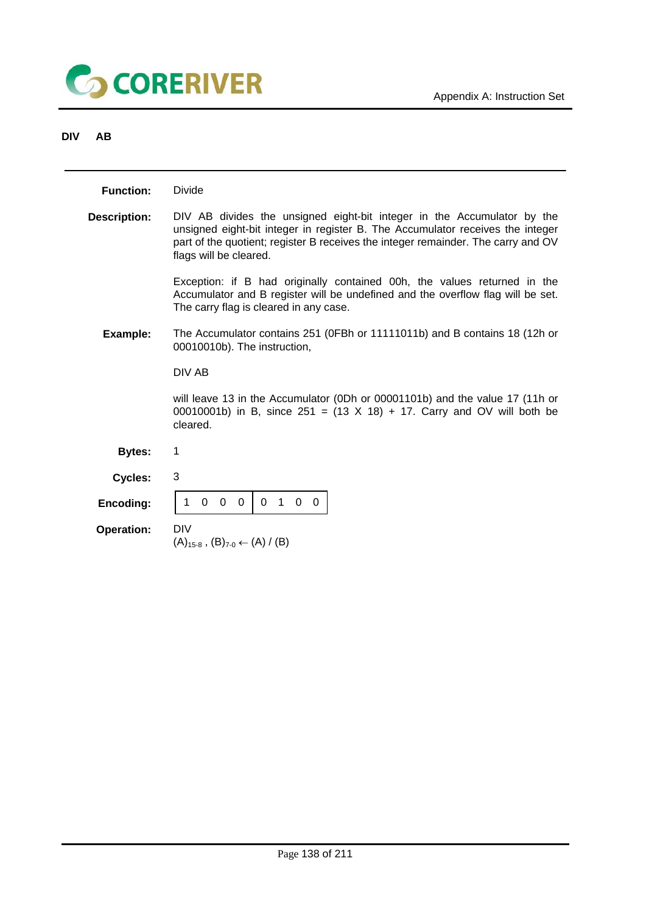



### **DIV AB**

| <b>Function:</b>    | Divide                                                                                                                                                                                                                                                                   |
|---------------------|--------------------------------------------------------------------------------------------------------------------------------------------------------------------------------------------------------------------------------------------------------------------------|
| <b>Description:</b> | DIV AB divides the unsigned eight-bit integer in the Accumulator by the<br>unsigned eight-bit integer in register B. The Accumulator receives the integer<br>part of the quotient; register B receives the integer remainder. The carry and OV<br>flags will be cleared. |
|                     | Exception: if B had originally contained 00h, the values returned in the<br>Accumulator and B register will be undefined and the overflow flag will be set.<br>The carry flag is cleared in any case.                                                                    |
| Example:            | The Accumulator contains 251 (0FBh or 11111011b) and B contains 18 (12h or<br>00010010b). The instruction,                                                                                                                                                               |
|                     | DIV AB                                                                                                                                                                                                                                                                   |
|                     | will leave 13 in the Accumulator (0Dh or 00001101b) and the value 17 (11h or<br>00010001b) in B, since $251 = (13 \times 18) + 17$ . Carry and OV will both be<br>cleared.                                                                                               |
| <b>Bytes:</b>       | 1                                                                                                                                                                                                                                                                        |
| Cycles:             | 3                                                                                                                                                                                                                                                                        |
| Encoding:           | 0<br>1<br>$0\quad 0$<br>0<br>$\mathbf{0}$<br>1<br>$\mathbf 0$                                                                                                                                                                                                            |
| <b>Operation:</b>   | <b>DIV</b><br>$(A)_{15-8}$ , $(B)_{7-0}$ $\leftarrow$ $(A)$ / $(B)$                                                                                                                                                                                                      |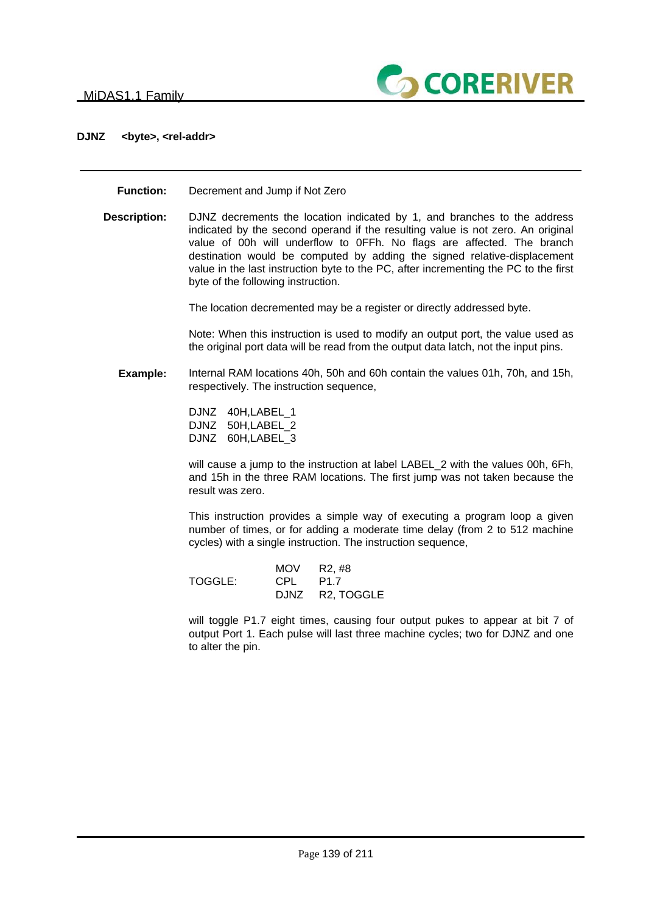

#### **DJNZ <byte>, <rel-addr>**

#### Decrement and Jump if Not Zero **Function:**

DJNZ decrements the location indicated by 1, and branches to the address indicated by the second operand if the resulting value is not zero. An original value of 00h will underflow to 0FFh. No flags are affected. The branch destination would be computed by adding the signed relative-displacement value in the last instruction byte to the PC, after incrementing the PC to the first byte of the following instruction. **Description:** 

The location decremented may be a register or directly addressed byte.

Note: When this instruction is used to modify an output port, the value used as the original port data will be read from the output data latch, not the input pins.

Internal RAM locations 40h, 50h and 60h contain the values 01h, 70h, and 15h, respectively. The instruction sequence, **Example:** 

> DJNZ 40H,LABEL 1 DJNZ 50H,LABEL 2 DJNZ 60H,LABEL 3

will cause a jump to the instruction at label LABEL\_2 with the values 00h, 6Fh, and 15h in the three RAM locations. The first jump was not taken because the result was zero.

This instruction provides a simple way of executing a program loop a given number of times, or for adding a moderate time delay (from 2 to 512 machine cycles) with a single instruction. The instruction sequence,

|         | <b>MOV</b> | R2, #8          |
|---------|------------|-----------------|
| TOGGLE: | CPL -      | P1.7            |
|         |            | DJNZ R2, TOGGLE |

will toggle P1.7 eight times, causing four output pukes to appear at bit 7 of output Port 1. Each pulse will last three machine cycles; two for DJNZ and one to alter the pin.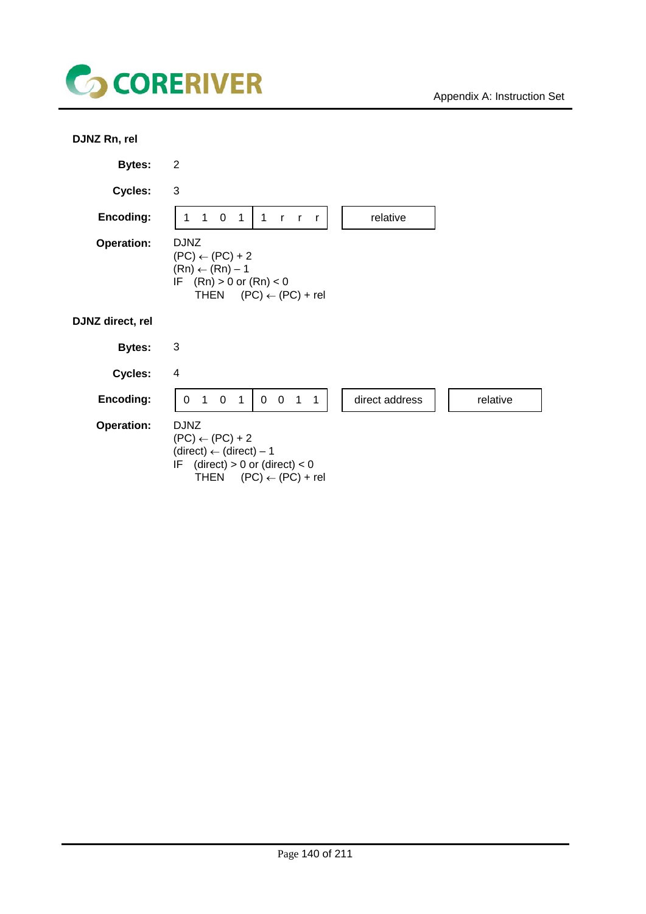

| DJNZ Rn, rel      |                                                                                                                                                             |
|-------------------|-------------------------------------------------------------------------------------------------------------------------------------------------------------|
| <b>Bytes:</b>     | $\overline{2}$                                                                                                                                              |
| Cycles:           | 3                                                                                                                                                           |
| Encoding:         | $\overline{\mathbf{0}}$<br>$\mathbf 1$<br>$\overline{1}$<br>1<br>relative<br>1<br>$\mathsf{r}$<br>$\sqrt{1}$<br>$\mathsf{r}$                                |
| Operation:        | <b>DJNZ</b><br>$(PC) \leftarrow (PC) + 2$<br>$(Rn) \leftarrow (Rn) - 1$<br>IF $(Rn) > 0$ or $(Rn) < 0$<br>THEN $(PC) \leftarrow (PC) + rel$                 |
| DJNZ direct, rel  |                                                                                                                                                             |
| <b>Bytes:</b>     | 3                                                                                                                                                           |
| Cycles:           | $\overline{\mathbf{4}}$                                                                                                                                     |
| Encoding:         | $\overline{0}$<br>$\mathbf 0$<br>$1 -$<br>$\overline{1}$<br>$0 \t0 \t1 \t1$<br>direct address<br>relative                                                   |
| <b>Operation:</b> | <b>DJNZ</b><br>$(PC) \leftarrow (PC) + 2$<br>$(direct) \leftarrow (direct) - 1$<br>IF $(direct) > 0$ or $(direct) < 0$<br>THEN $(PC) \leftarrow (PC) + rel$ |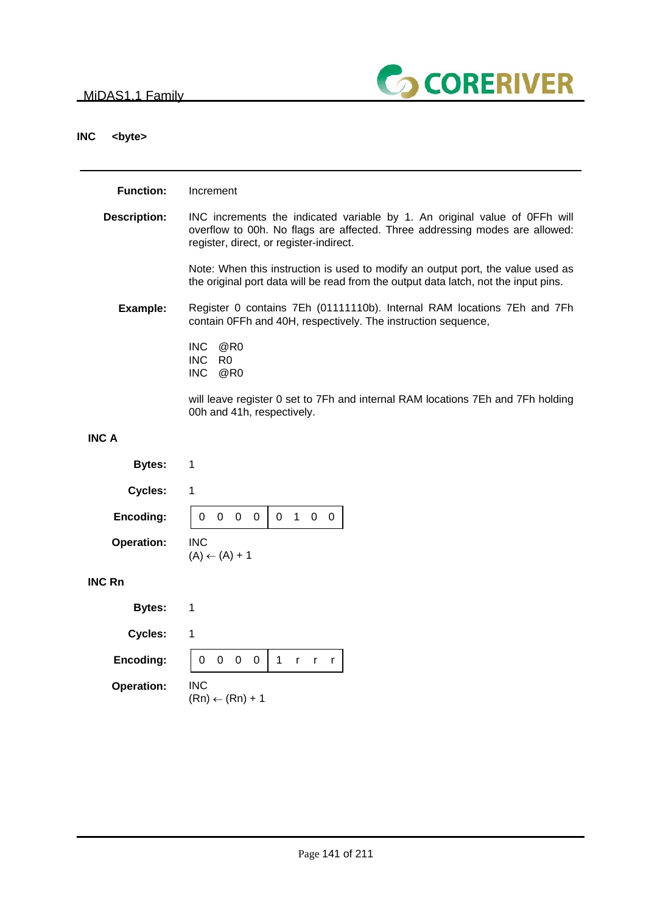

## INC <br/> <br/> <br/> *k*

#### Increment **Function:**

INC increments the indicated variable by 1. An original value of 0FFh will overflow to 00h. No flags are affected. Three addressing modes are allowed: register, direct, or register-indirect. **Description:** 

> Note: When this instruction is used to modify an output port, the value used as the original port data will be read from the output data latch, not the input pins.

Register 0 contains 7Eh (01111110b). Internal RAM locations 7Eh and 7Fh contain 0FFh and 40H, respectively. The instruction sequence, **Example:** 

> INC @R0 INC R0 INC @R0

will leave register 0 set to 7Fh and internal RAM locations 7Eh and 7Fh holding 00h and 41h, respectively.

## **INC A**

1 1 INC  $(A) \leftarrow (A) + 1$ 1 1 **Bytes: Cycles: Encoding: Operation: INC Rn Bytes: Cycles:**  0 0 0 0 0 1 0 0

INC  $(Rn) \leftarrow (Rn) + 1$ **Encoding: Operation:**  0 0 0 0 1 r r r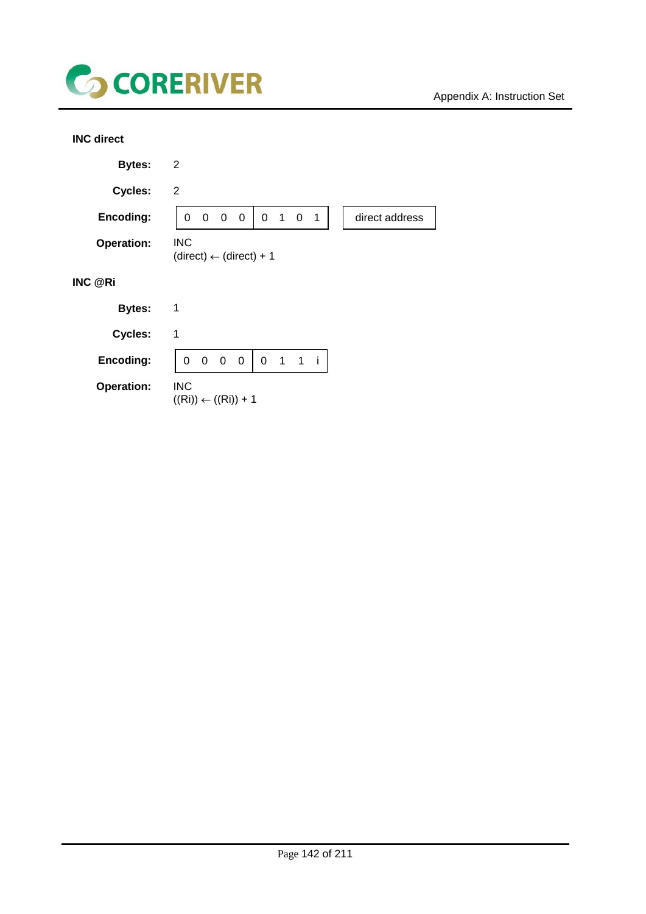

| <b>INC direct</b> |                                                                                 |
|-------------------|---------------------------------------------------------------------------------|
| <b>Bytes:</b>     | $\overline{2}$                                                                  |
| Cycles:           | $\overline{c}$                                                                  |
| Encoding:         | $\mathbf 0$<br>$1 \quad 0$<br>0<br>$\mathbf 0$<br>0<br>0<br>1<br>direct address |
| <b>Operation:</b> | <b>INC</b><br>$(direct) \leftarrow (direct) + 1$                                |
| INC @Ri           |                                                                                 |
| <b>Bytes:</b>     | 1                                                                               |
| Cycles:           | 1                                                                               |
| Encoding:         | $0\quad 0$<br>$0$ 1 1 i<br>$\overline{0}$<br>0                                  |
| Operation:        | <b>INC</b><br>$((Ri)) \leftarrow ((Ri)) + 1$                                    |

# Page 142 of 211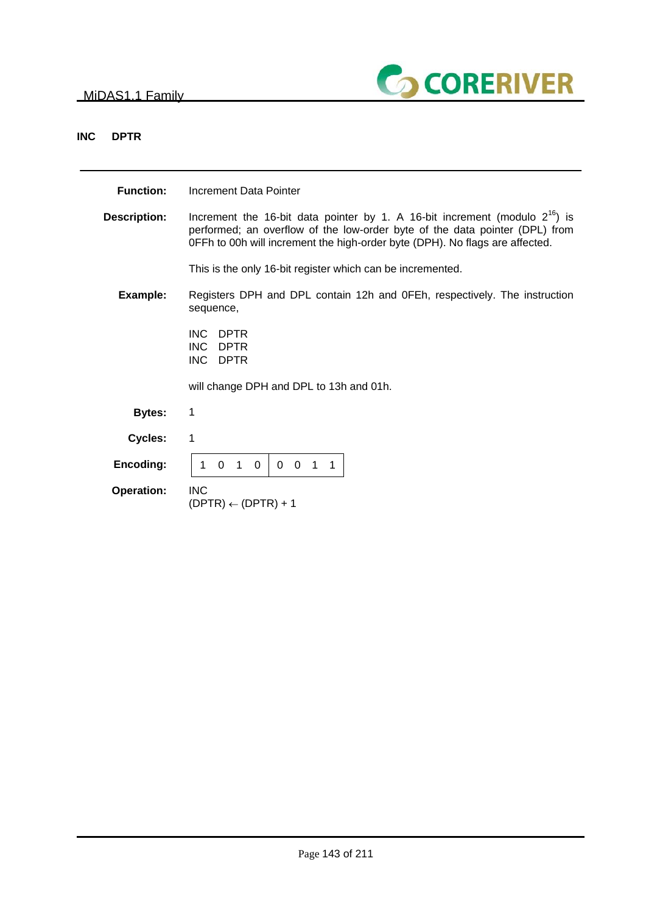

# **INC DPTR**

| <b>Function:</b>    | Increment Data Pointer                                                                                                                                                                                                                          |
|---------------------|-------------------------------------------------------------------------------------------------------------------------------------------------------------------------------------------------------------------------------------------------|
| <b>Description:</b> | Increment the 16-bit data pointer by 1. A 16-bit increment (modulo $2^{16}$ ) is<br>performed; an overflow of the low-order byte of the data pointer (DPL) from<br>OFFh to 00h will increment the high-order byte (DPH). No flags are affected. |
|                     | This is the only 16-bit register which can be incremented.                                                                                                                                                                                      |
| Example:            | Registers DPH and DPL contain 12h and OFEh, respectively. The instruction<br>sequence,                                                                                                                                                          |
|                     | INC.<br><b>DPTR</b><br>INC.<br><b>DPTR</b><br>INC DPTR                                                                                                                                                                                          |
|                     | will change DPH and DPL to 13h and 01h.                                                                                                                                                                                                         |
| Bytes:              | 1                                                                                                                                                                                                                                               |
| Cycles:             | 1                                                                                                                                                                                                                                               |
| Encoding:           | $\Omega$<br>$\Omega$<br>$\overline{1}$<br>0<br>0<br>1<br>1                                                                                                                                                                                      |
| <b>Operation:</b>   | <b>INC</b><br>$(DPTR) \leftarrow (DPTR) + 1$                                                                                                                                                                                                    |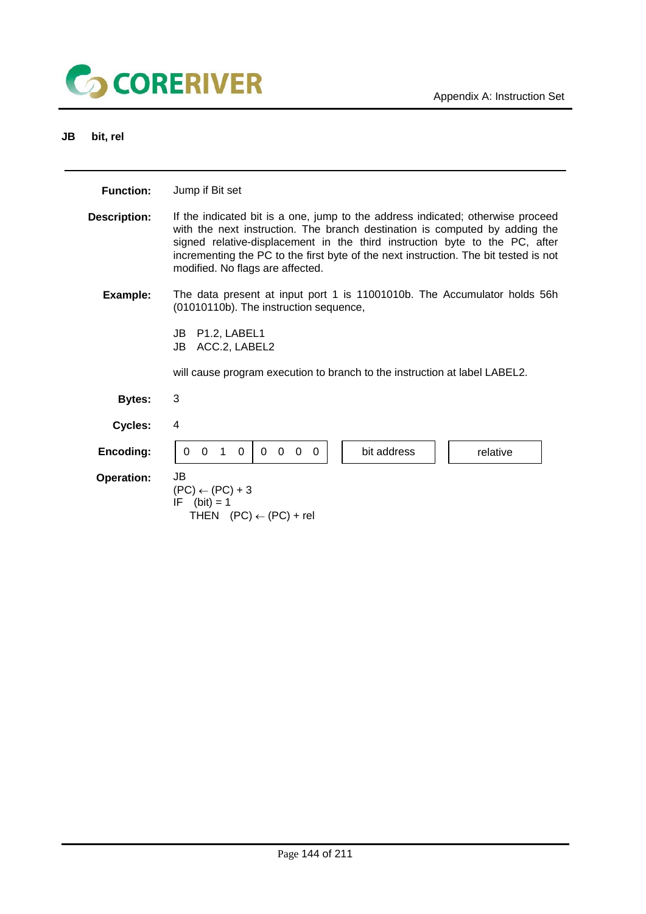

# **JB bit, rel**

| <b>Function:</b>    | Jump if Bit set                                                                                                                                                                                                                                                                                                                                                           |
|---------------------|---------------------------------------------------------------------------------------------------------------------------------------------------------------------------------------------------------------------------------------------------------------------------------------------------------------------------------------------------------------------------|
| <b>Description:</b> | If the indicated bit is a one, jump to the address indicated; otherwise proceed<br>with the next instruction. The branch destination is computed by adding the<br>signed relative-displacement in the third instruction byte to the PC, after<br>incrementing the PC to the first byte of the next instruction. The bit tested is not<br>modified. No flags are affected. |
| Example:            | The data present at input port 1 is 11001010b. The Accumulator holds 56h<br>(01010110b). The instruction sequence,                                                                                                                                                                                                                                                        |
|                     | P1.2, LABEL1<br>JB<br>ACC.2, LABEL2<br>JB                                                                                                                                                                                                                                                                                                                                 |
|                     | will cause program execution to branch to the instruction at label LABEL2.                                                                                                                                                                                                                                                                                                |
| <b>Bytes:</b>       | 3                                                                                                                                                                                                                                                                                                                                                                         |
| Cycles:             | 4                                                                                                                                                                                                                                                                                                                                                                         |
| Encoding:           | 0 <sub>1</sub><br>0<br>0<br>$\overline{0}$<br>bit address<br>$\overline{0}$<br>0<br>relative<br>0                                                                                                                                                                                                                                                                         |
| <b>Operation:</b>   | JB<br>$(PC) \leftarrow (PC) + 3$<br>IF $(bit) = 1$<br>THEN $(PC) \leftarrow (PC) + rel$                                                                                                                                                                                                                                                                                   |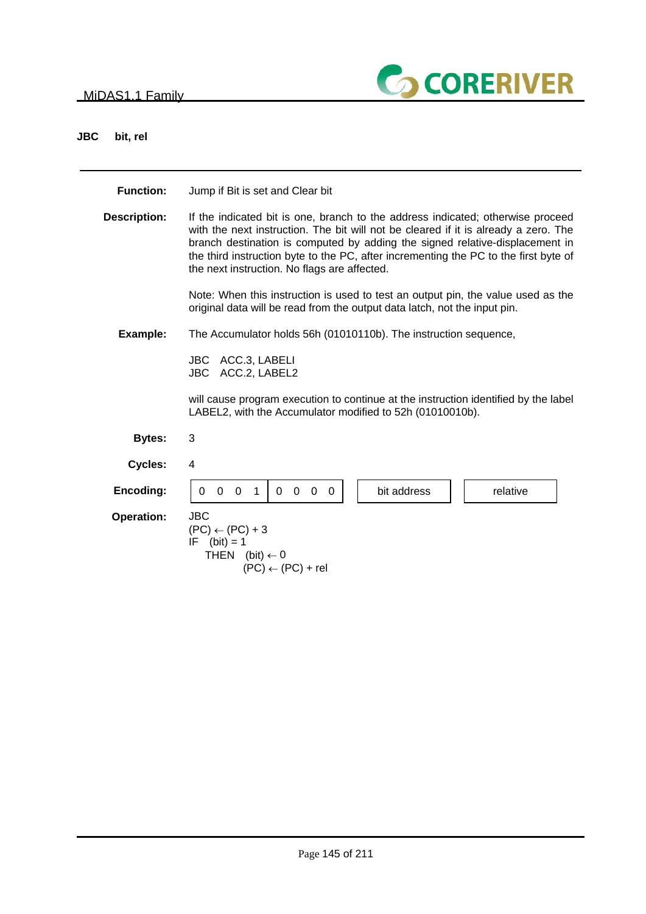

# **JBC bit, rel**

| <b>Function:</b>    | Jump if Bit is set and Clear bit                                                                                                                                                                                                                                                                                                                                                                                                                                                                                                                                |  |
|---------------------|-----------------------------------------------------------------------------------------------------------------------------------------------------------------------------------------------------------------------------------------------------------------------------------------------------------------------------------------------------------------------------------------------------------------------------------------------------------------------------------------------------------------------------------------------------------------|--|
| <b>Description:</b> | If the indicated bit is one, branch to the address indicated; otherwise proceed<br>with the next instruction. The bit will not be cleared if it is already a zero. The<br>branch destination is computed by adding the signed relative-displacement in<br>the third instruction byte to the PC, after incrementing the PC to the first byte of<br>the next instruction. No flags are affected.<br>Note: When this instruction is used to test an output pin, the value used as the<br>original data will be read from the output data latch, not the input pin. |  |
|                     |                                                                                                                                                                                                                                                                                                                                                                                                                                                                                                                                                                 |  |
| Example:            | The Accumulator holds 56h (01010110b). The instruction sequence,                                                                                                                                                                                                                                                                                                                                                                                                                                                                                                |  |
|                     | JBC ACC.3, LABELI<br>JBC ACC.2, LABEL2                                                                                                                                                                                                                                                                                                                                                                                                                                                                                                                          |  |
|                     | will cause program execution to continue at the instruction identified by the label<br>LABEL2, with the Accumulator modified to 52h (01010010b).                                                                                                                                                                                                                                                                                                                                                                                                                |  |
| <b>Bytes:</b>       | 3                                                                                                                                                                                                                                                                                                                                                                                                                                                                                                                                                               |  |
| Cycles:             | 4                                                                                                                                                                                                                                                                                                                                                                                                                                                                                                                                                               |  |
| Encoding:           | $\mathbf 0$<br>bit address<br>relative<br>0<br>0<br>$\mathbf 1$<br>0<br>0<br>0<br>0                                                                                                                                                                                                                                                                                                                                                                                                                                                                             |  |
| <b>Operation:</b>   | <b>JBC</b><br>$(PC) \leftarrow (PC) + 3$<br>$(bit) = 1$<br>IF -<br>THEN (bit) $\leftarrow$ 0<br>$(PC) \leftarrow (PC) + rel$                                                                                                                                                                                                                                                                                                                                                                                                                                    |  |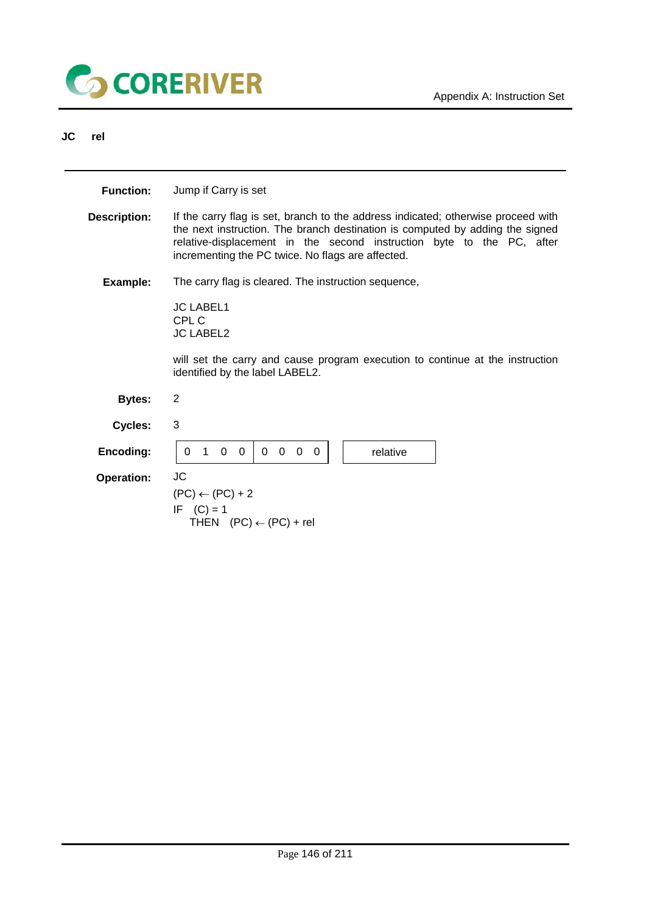

# **JC rel**

| <b>Function:</b>    | Jump if Carry is set                                                                                                                                                                                                                                                                             |  |
|---------------------|--------------------------------------------------------------------------------------------------------------------------------------------------------------------------------------------------------------------------------------------------------------------------------------------------|--|
| <b>Description:</b> | If the carry flag is set, branch to the address indicated; otherwise proceed with<br>the next instruction. The branch destination is computed by adding the signed<br>relative-displacement in the second instruction byte to the PC, after<br>incrementing the PC twice. No flags are affected. |  |
| Example:            | The carry flag is cleared. The instruction sequence,                                                                                                                                                                                                                                             |  |
|                     | <b>JC LABEL1</b><br>CPL C<br><b>JC LABEL2</b>                                                                                                                                                                                                                                                    |  |
|                     | will set the carry and cause program execution to continue at the instruction<br>identified by the label LABEL2.                                                                                                                                                                                 |  |
| <b>Bytes:</b>       | 2                                                                                                                                                                                                                                                                                                |  |
| Cycles:             | 3                                                                                                                                                                                                                                                                                                |  |
| Encoding:           | $\Omega$<br>1 0 0<br>$0\quad 0\quad 0$<br>$\overline{0}$<br>relative                                                                                                                                                                                                                             |  |
| <b>Operation:</b>   | JC<br>$(PC) \leftarrow (PC) + 2$<br>IF $(C) = 1$<br>THEN $(PC) \leftarrow (PC) + rel$                                                                                                                                                                                                            |  |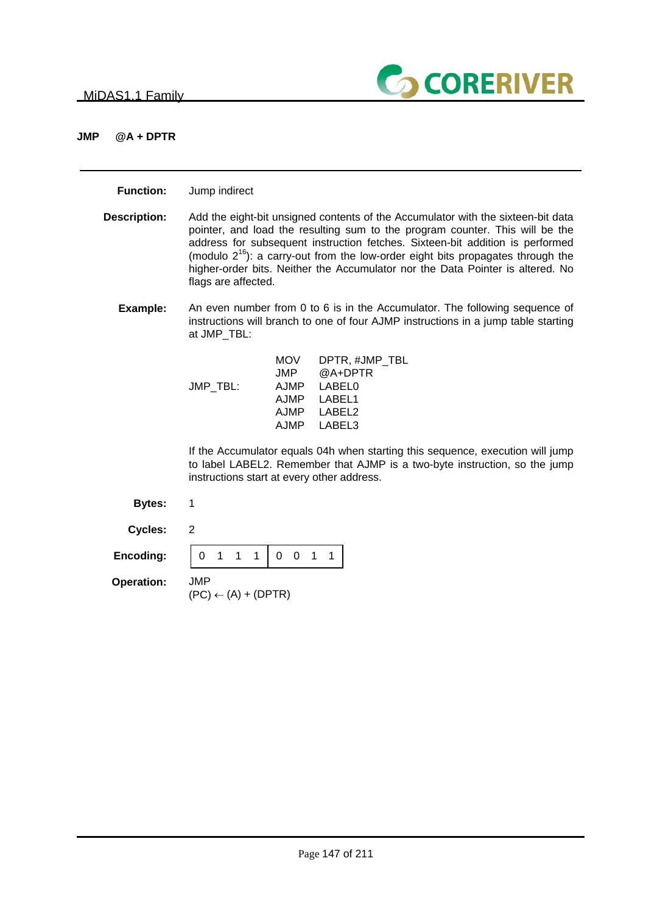

### **JMP @A + DPTR**

#### Jump indirect **Function:**

Add the eight-bit unsigned contents of the Accumulator with the sixteen-bit data pointer, and load the resulting sum to the program counter. This will be the address for subsequent instruction fetches. Sixteen-bit addition is performed (modulo  $2^{16}$ ): a carry-out from the low-order eight bits propagates through the higher-order bits. Neither the Accumulator nor the Data Pointer is altered. No flags are affected. **Description:** 

An even number from 0 to 6 is in the Accumulator. The following sequence of instructions will branch to one of four AJMP instructions in a jump table starting at JMP\_TBL: **Example:** 

|          | MOV DPTR. #JMP TBL |
|----------|--------------------|
|          | JMP @A+DPTR        |
| JMP TBL: | AJMP LABEL0        |
|          | AJMP LABEL1        |
|          | AJMP LABEL2        |
|          | AJMP LABEL3        |

If the Accumulator equals 04h when starting this sequence, execution will jump to label LABEL2. Remember that AJMP is a two-byte instruction, so the jump instructions start at every other address.

1 **Bytes:** 

2

JMP

**Encoding:** 

0 1 1 1 0 0 1 1

**Operation:** 

 $(PC) \leftarrow (A) + (DPTR)$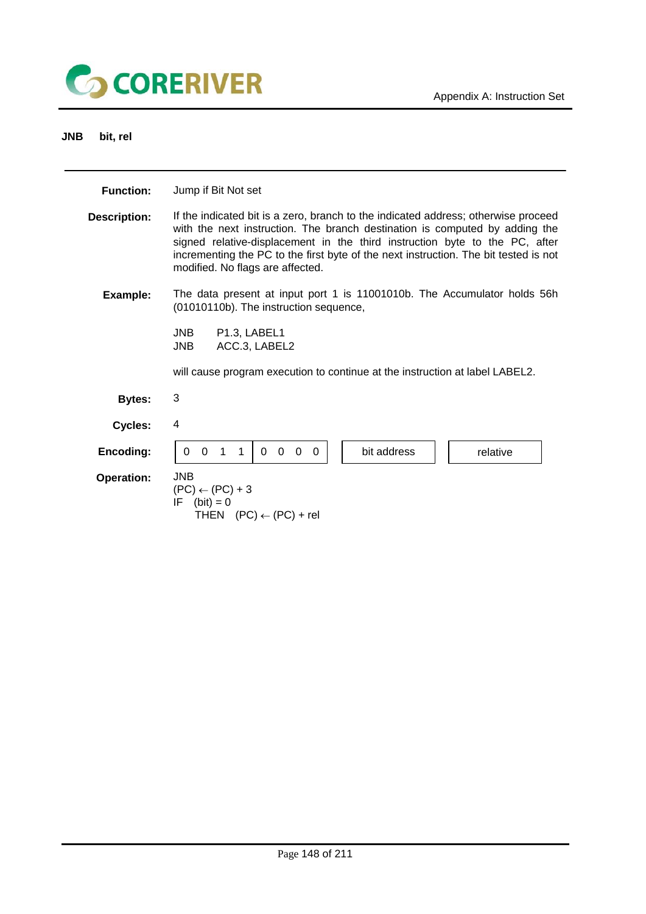

**JNB bit, rel** 

| <b>Function:</b>    | Jump if Bit Not set                                                                                                                                                                                                                                                                                                                                                          |  |
|---------------------|------------------------------------------------------------------------------------------------------------------------------------------------------------------------------------------------------------------------------------------------------------------------------------------------------------------------------------------------------------------------------|--|
| <b>Description:</b> | If the indicated bit is a zero, branch to the indicated address; otherwise proceed<br>with the next instruction. The branch destination is computed by adding the<br>signed relative-displacement in the third instruction byte to the PC, after<br>incrementing the PC to the first byte of the next instruction. The bit tested is not<br>modified. No flags are affected. |  |
| Example:            | The data present at input port 1 is 11001010b. The Accumulator holds 56h<br>(01010110b). The instruction sequence,                                                                                                                                                                                                                                                           |  |
|                     | JNB.<br>P1.3, LABEL1<br>ACC.3, LABEL2<br>JNB.                                                                                                                                                                                                                                                                                                                                |  |
|                     | will cause program execution to continue at the instruction at label LABEL2.                                                                                                                                                                                                                                                                                                 |  |
| <b>Bytes:</b>       | 3                                                                                                                                                                                                                                                                                                                                                                            |  |
| <b>Cycles:</b>      | 4                                                                                                                                                                                                                                                                                                                                                                            |  |
| Encoding:           | $\overline{1}$<br>$\mathbf{1}$<br>bit address<br>relative<br>0<br>$\Omega$<br>$\Omega$<br>$0\quad 0$<br>$\overline{0}$                                                                                                                                                                                                                                                       |  |
| Operation:          | <b>JNB</b><br>$(PC) \leftarrow (PC) + 3$<br>IF $(bit) = 0$<br>THEN $(PC) \leftarrow (PC) + rel$                                                                                                                                                                                                                                                                              |  |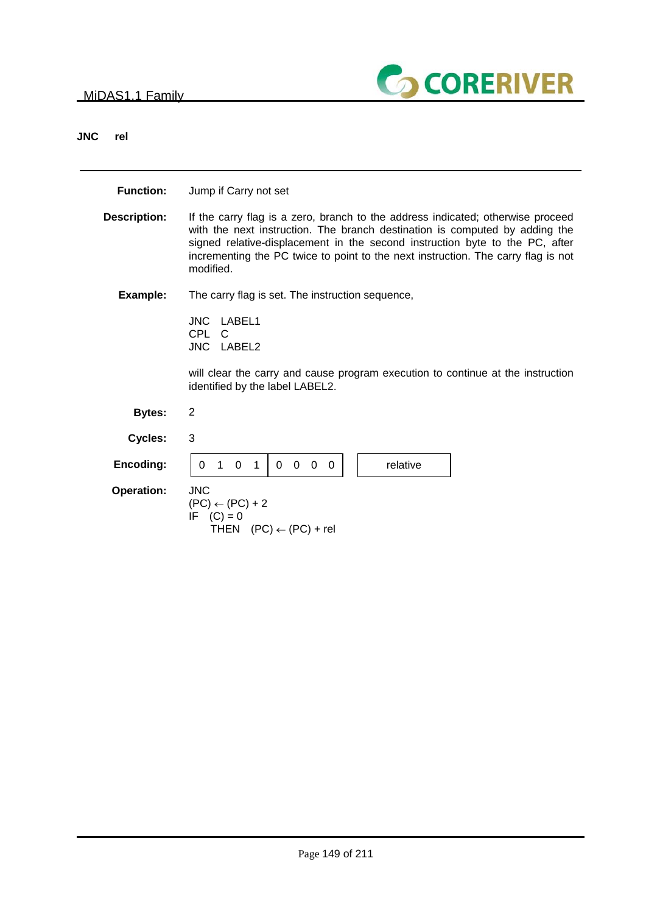

# **JNC rel**

| <b>Function:</b>    | Jump if Carry not set                                                                                                                                                                                                                                                                                                                            |  |
|---------------------|--------------------------------------------------------------------------------------------------------------------------------------------------------------------------------------------------------------------------------------------------------------------------------------------------------------------------------------------------|--|
| <b>Description:</b> | If the carry flag is a zero, branch to the address indicated; otherwise proceed<br>with the next instruction. The branch destination is computed by adding the<br>signed relative-displacement in the second instruction byte to the PC, after<br>incrementing the PC twice to point to the next instruction. The carry flag is not<br>modified. |  |
| Example:            | The carry flag is set. The instruction sequence,                                                                                                                                                                                                                                                                                                 |  |
|                     | JNC.<br>LABEL1<br>CPL C<br>JNC LABEL2                                                                                                                                                                                                                                                                                                            |  |
|                     | will clear the carry and cause program execution to continue at the instruction<br>identified by the label LABEL2.                                                                                                                                                                                                                               |  |
| <b>Bytes:</b>       | 2                                                                                                                                                                                                                                                                                                                                                |  |
| Cycles:             | 3                                                                                                                                                                                                                                                                                                                                                |  |
| Encoding:           | 0 <sub>1</sub><br>$\Omega$<br>$\overline{0}$<br>$0\quad 0\quad 0$<br>$\mathbf{1}$<br>relative                                                                                                                                                                                                                                                    |  |
| Operation:          | <b>JNC</b><br>$(PC) \leftarrow (PC) + 2$<br>IF $(C) = 0$<br>THEN $(PC) \leftarrow (PC) + rel$                                                                                                                                                                                                                                                    |  |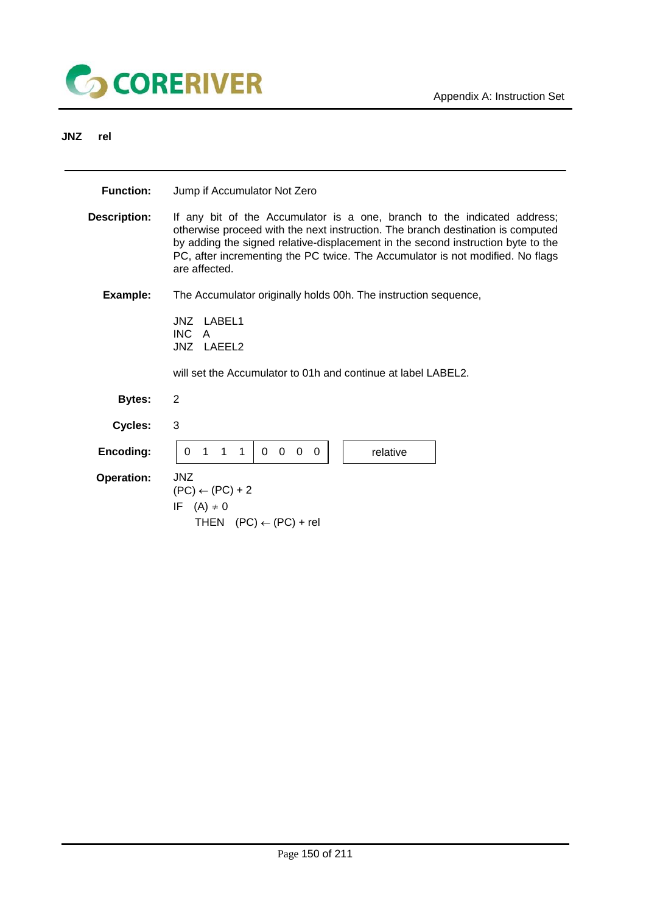

# **JNZ rel**

| <b>Function:</b>    | Jump if Accumulator Not Zero                                                                                                                                                                                                                                                                                                                       |  |
|---------------------|----------------------------------------------------------------------------------------------------------------------------------------------------------------------------------------------------------------------------------------------------------------------------------------------------------------------------------------------------|--|
| <b>Description:</b> | If any bit of the Accumulator is a one, branch to the indicated address;<br>otherwise proceed with the next instruction. The branch destination is computed<br>by adding the signed relative-displacement in the second instruction byte to the<br>PC, after incrementing the PC twice. The Accumulator is not modified. No flags<br>are affected. |  |
| Example:            | The Accumulator originally holds 00h. The instruction sequence,                                                                                                                                                                                                                                                                                    |  |
|                     | JNZ.<br>LABEL1<br><b>INC</b><br>A<br>JNZ LAEEL2                                                                                                                                                                                                                                                                                                    |  |
|                     | will set the Accumulator to 01h and continue at label LABEL2.                                                                                                                                                                                                                                                                                      |  |
| <b>Bytes:</b>       | 2                                                                                                                                                                                                                                                                                                                                                  |  |
| Cycles:             | 3                                                                                                                                                                                                                                                                                                                                                  |  |
| Encoding:           | $\mathbf{1}$<br>relative<br>1<br>0<br>$\overline{0}$<br>0<br>0<br>$\mathbf 1$<br>0                                                                                                                                                                                                                                                                 |  |
| <b>Operation:</b>   | <b>JNZ</b><br>$(PC) \leftarrow (PC) + 2$<br>IF $(A) \neq 0$<br>THEN $(PC) \leftarrow (PC) + rel$                                                                                                                                                                                                                                                   |  |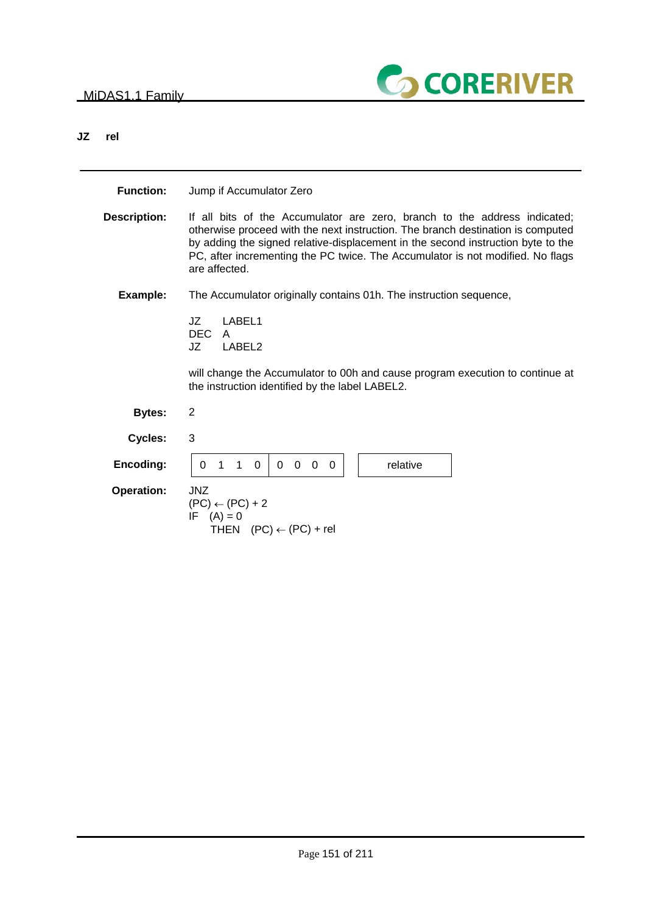

# **JZ rel**

| <b>Function:</b>    | Jump if Accumulator Zero                                                                                                                                                                                                                                                                                                                            |  |
|---------------------|-----------------------------------------------------------------------------------------------------------------------------------------------------------------------------------------------------------------------------------------------------------------------------------------------------------------------------------------------------|--|
| <b>Description:</b> | If all bits of the Accumulator are zero, branch to the address indicated;<br>otherwise proceed with the next instruction. The branch destination is computed<br>by adding the signed relative-displacement in the second instruction byte to the<br>PC, after incrementing the PC twice. The Accumulator is not modified. No flags<br>are affected. |  |
| Example:            | The Accumulator originally contains 01h. The instruction sequence,                                                                                                                                                                                                                                                                                  |  |
|                     | JZ<br>LABEL1<br>DEC.<br>A<br>LABEL <sub>2</sub><br>JZ                                                                                                                                                                                                                                                                                               |  |
|                     | will change the Accumulator to 00h and cause program execution to continue at<br>the instruction identified by the label LABEL2.                                                                                                                                                                                                                    |  |
| <b>Bytes:</b>       | 2                                                                                                                                                                                                                                                                                                                                                   |  |
| Cycles:             | 3                                                                                                                                                                                                                                                                                                                                                   |  |
| Encoding:           | $\mathbf{1}$<br>$\mathbf{1}$<br>0<br>$\Omega$<br>0<br>0<br>0<br>relative<br>0                                                                                                                                                                                                                                                                       |  |
| <b>Operation:</b>   | <b>JNZ</b><br>$(PC) \leftarrow (PC) + 2$<br>IF $(A) = 0$<br>THEN $(PC) \leftarrow (PC) + rel$                                                                                                                                                                                                                                                       |  |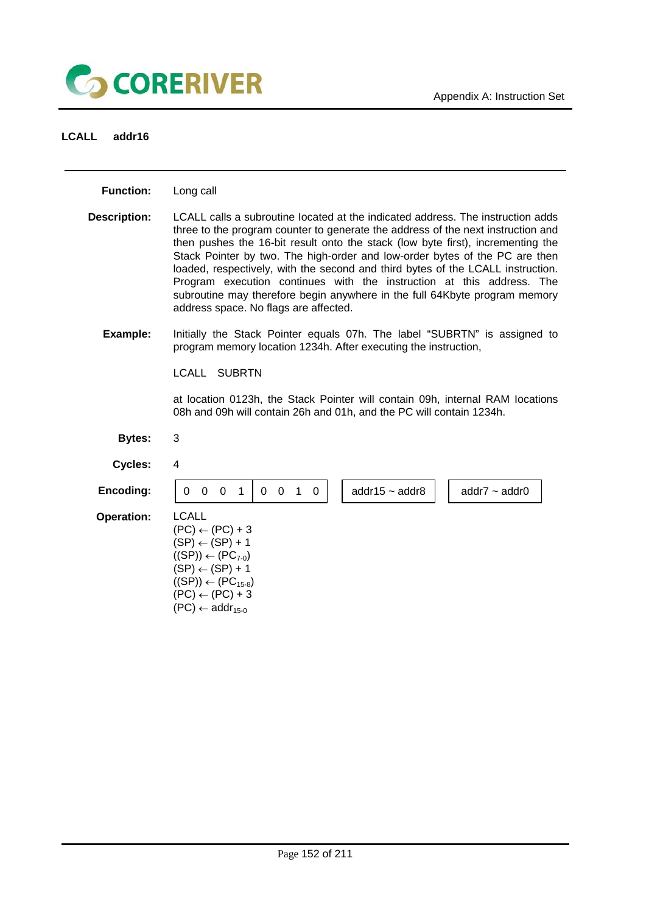

## **LCALL addr16**

 $\overline{\phantom{a}}$ 

| <b>Function:</b>    | Long call                                                                                                                                                                                                                                                                                                                                                                                                                                                                                                                                                                                                                |  |
|---------------------|--------------------------------------------------------------------------------------------------------------------------------------------------------------------------------------------------------------------------------------------------------------------------------------------------------------------------------------------------------------------------------------------------------------------------------------------------------------------------------------------------------------------------------------------------------------------------------------------------------------------------|--|
| <b>Description:</b> | LCALL calls a subroutine located at the indicated address. The instruction adds<br>three to the program counter to generate the address of the next instruction and<br>then pushes the 16-bit result onto the stack (low byte first), incrementing the<br>Stack Pointer by two. The high-order and low-order bytes of the PC are then<br>loaded, respectively, with the second and third bytes of the LCALL instruction.<br>Program execution continues with the instruction at this address. The<br>subroutine may therefore begin anywhere in the full 64Kbyte program memory<br>address space. No flags are affected. |  |
| Example:            | Initially the Stack Pointer equals 07h. The label "SUBRTN" is assigned to<br>program memory location 1234h. After executing the instruction,                                                                                                                                                                                                                                                                                                                                                                                                                                                                             |  |
|                     | LCALL SUBRTN                                                                                                                                                                                                                                                                                                                                                                                                                                                                                                                                                                                                             |  |
|                     | at location 0123h, the Stack Pointer will contain 09h, internal RAM locations<br>08h and 09h will contain 26h and 01h, and the PC will contain 1234h.                                                                                                                                                                                                                                                                                                                                                                                                                                                                    |  |
| <b>Bytes:</b>       | 3                                                                                                                                                                                                                                                                                                                                                                                                                                                                                                                                                                                                                        |  |
| Cycles:             | $\overline{4}$                                                                                                                                                                                                                                                                                                                                                                                                                                                                                                                                                                                                           |  |
| Encoding:           | $addr15 - addr8$<br>addr7 ~amp; addr0<br>$\overline{0}$<br>$\Omega$<br>$\mathbf{0}$<br>$\overline{\mathbf{0}}$<br>$\overline{1}$<br>$\Omega$<br>$\overline{1}$<br>0                                                                                                                                                                                                                                                                                                                                                                                                                                                      |  |
| <b>Operation:</b>   | LCALL<br>$(PC) \leftarrow (PC) + 3$<br>$(SP) \leftarrow (SP) + 1$<br>$((SP)) \leftarrow (PC_{7-0})$<br>$(SP) \leftarrow (SP) + 1$<br>$((SP)) \leftarrow (PC_{15-8})$<br>$(PC) \leftarrow (PC) + 3$<br>$(PC) \leftarrow addr_{15-0}$                                                                                                                                                                                                                                                                                                                                                                                      |  |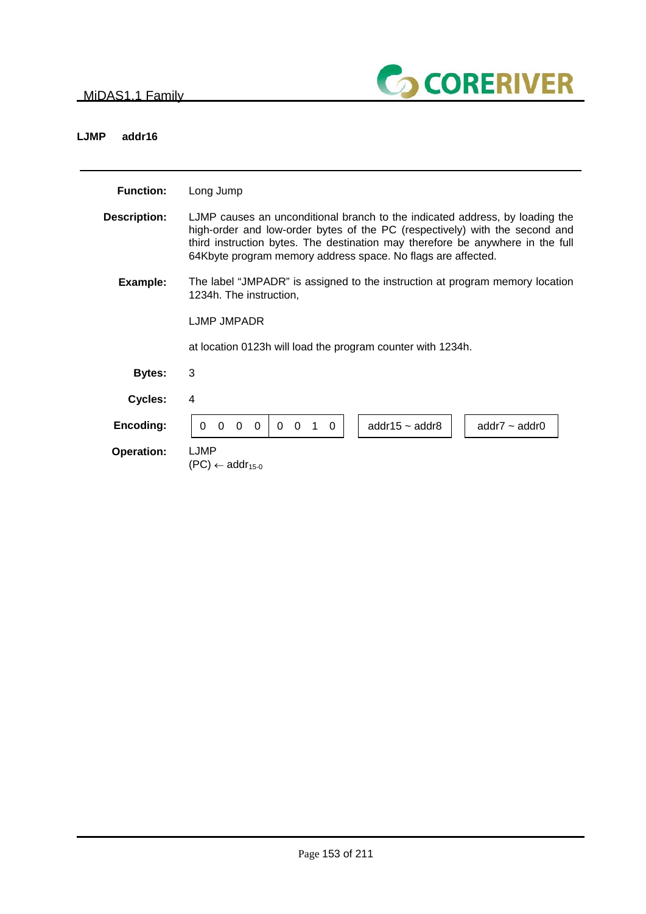

## **LJMP addr16**

| <b>Function:</b>    | Long Jump                                                                                                                                                                                                                                                                                                     |  |
|---------------------|---------------------------------------------------------------------------------------------------------------------------------------------------------------------------------------------------------------------------------------------------------------------------------------------------------------|--|
| <b>Description:</b> | LJMP causes an unconditional branch to the indicated address, by loading the<br>high-order and low-order bytes of the PC (respectively) with the second and<br>third instruction bytes. The destination may therefore be anywhere in the full<br>64Kbyte program memory address space. No flags are affected. |  |
| Example:            | The label "JMPADR" is assigned to the instruction at program memory location<br>1234h. The instruction,<br>LJMP JMPADR                                                                                                                                                                                        |  |
|                     |                                                                                                                                                                                                                                                                                                               |  |
|                     | at location 0123h will load the program counter with 1234h.                                                                                                                                                                                                                                                   |  |
| <b>Bytes:</b>       | 3                                                                                                                                                                                                                                                                                                             |  |
| Cycles:             | 4                                                                                                                                                                                                                                                                                                             |  |
| Encoding:           | addr7 ~amp; addr0<br>$\Omega$<br>addr15 $\sim$ addr8<br>0<br>0<br>0<br>$\Omega$<br>$\Omega$<br>0                                                                                                                                                                                                              |  |
| <b>Operation:</b>   | LJMP<br>$(PC) \leftarrow addr_{15-0}$                                                                                                                                                                                                                                                                         |  |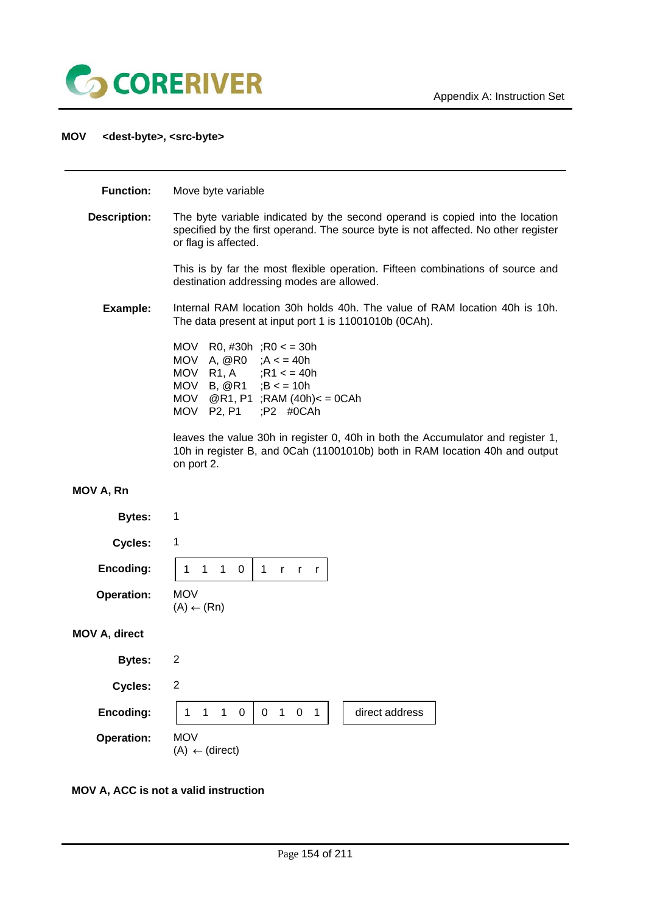



**MOV <dest-byte>, <src-byte>** 

Move byte variable The byte variable indicated by the second operand is copied into the location specified by the first operand. The source byte is not affected. No other register or flag is affected. This is by far the most flexible operation. Fifteen combinations of source and destination addressing modes are allowed. Internal RAM location 30h holds 40h. The value of RAM location 40h is 10h. The data present at input port 1 is 11001010b (0CAh). MOV R0, #30h ;R0 < = 30h MOV A,  $@R0$  ;  $A < 40h$ MOV R1, A ;R1 < = 40h MOV B, @R1 ;B < = 10h MOV  $@R1, P1$ ; RAM  $(40h) < 0$ CAh MOV P2, P1 ;P2 #0CAh **Function: Description: Example:** 

leaves the value 30h in register 0, 40h in both the Accumulator and register 1, 10h in register B, and 0Cah (11001010b) both in RAM Iocation 40h and output on port 2.

### **MOV A, Rn**

**MO** 

| <b>Bytes:</b>     | 1                                                                                          |
|-------------------|--------------------------------------------------------------------------------------------|
| Cycles:           | 1                                                                                          |
| Encoding:         | $1 \quad 1 \quad 1$<br>$\mathbf{1}$<br>0<br>r r<br>$\mathsf{r}$                            |
| Operation:        | <b>MOV</b><br>$(A) \leftarrow (Rn)$                                                        |
| V A, direct       |                                                                                            |
| <b>Bytes:</b>     | 2                                                                                          |
| Cycles:           | 2                                                                                          |
| Encoding:         | $1 \quad 1$<br>0<br>0 <sub>1</sub><br>1<br>$\overline{\phantom{0}}$<br>1<br>direct address |
| <b>Operation:</b> | <b>MOV</b><br>$(A) \leftarrow (direct)$                                                    |

**MOV A, ACC is not a valid instruction**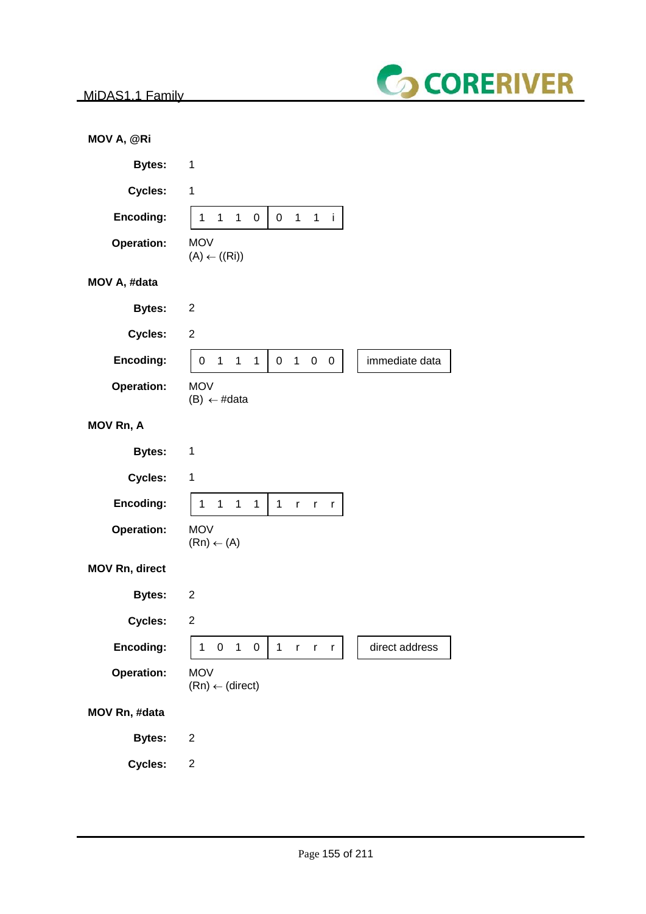

| MOV A, @Ri            |                                                                                                                                    |
|-----------------------|------------------------------------------------------------------------------------------------------------------------------------|
| <b>Bytes:</b>         | 1                                                                                                                                  |
| Cycles:               | 1                                                                                                                                  |
| Encoding:             | 0<br>$\mathbf 1$<br>0<br>$1 -$<br>$1$ i<br>1<br>1                                                                                  |
| <b>Operation:</b>     | <b>MOV</b><br>$(A) \leftarrow ((Ri))$                                                                                              |
| MOV A, #data          |                                                                                                                                    |
| <b>Bytes:</b>         | $\overline{2}$                                                                                                                     |
| Cycles:               | $\overline{c}$                                                                                                                     |
| Encoding:             | 0<br>immediate data<br>0<br>$\mathbf{1}$<br>$\mathbf 1$<br>$\mathbf{1}$<br>1<br>$\pmb{0}$<br>0                                     |
| <b>Operation:</b>     | <b>MOV</b><br>$(B) \leftarrow \text{\#data}$                                                                                       |
| MOV Rn, A             |                                                                                                                                    |
| <b>Bytes:</b>         | 1                                                                                                                                  |
| Cycles:               | 1                                                                                                                                  |
| Encoding:             | 1<br>$\mathbf 1$<br>$\mathbf{1}$<br>$\mathbf{1}$<br>$\mathbf{1}$<br>$\mathsf{r}$<br>$\mathsf{r}$<br>r                              |
| <b>Operation:</b>     | <b>MOV</b><br>$(Rn) \leftarrow (A)$                                                                                                |
| <b>MOV Rn, direct</b> |                                                                                                                                    |
| <b>Bytes:</b>         | $\overline{2}$                                                                                                                     |
| Cycles:               | $\overline{\mathbf{c}}$                                                                                                            |
| Encoding:             | direct address<br>$\mathbf{1}$<br>$\mathbf 0$<br>$\mathbf{1}$<br>0<br>$\mathbf{1}$<br>$\mathsf{r}$<br>$\mathsf{r}$<br>$\mathsf{r}$ |
| <b>Operation:</b>     | <b>MOV</b><br>$(Rn) \leftarrow (direct)$                                                                                           |
| MOV Rn, #data         |                                                                                                                                    |
| <b>Bytes:</b>         | $\overline{2}$                                                                                                                     |
| Cycles:               | $\overline{\mathbf{c}}$                                                                                                            |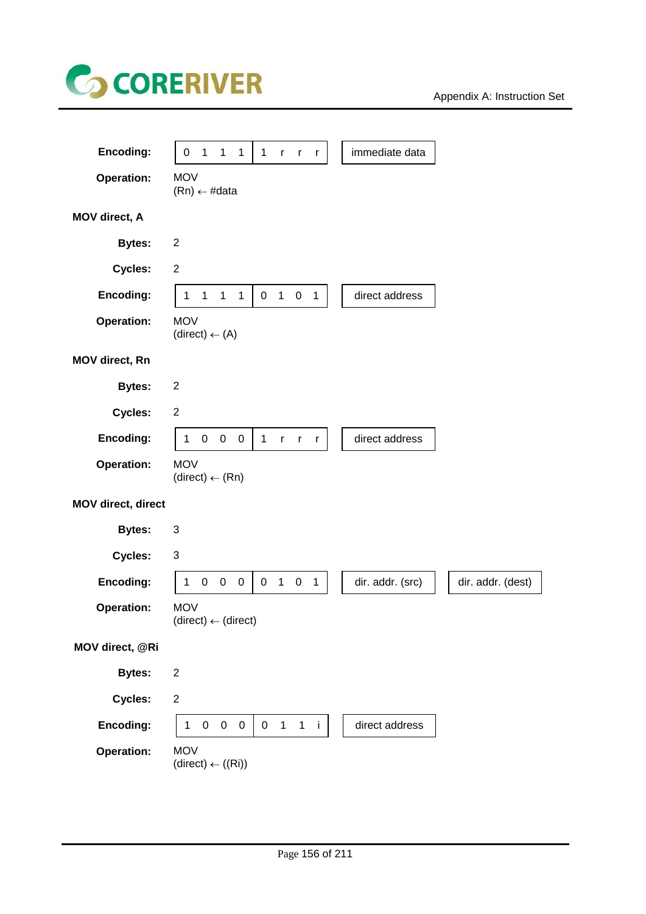

| Encoding:                 | immediate data<br>0<br>$\overline{1}$<br>$\mathbf{1}$<br>$\mathbf{1}$<br>$\mathbf{1}$<br>$\mathsf{r}$<br>$r - r$                                           |
|---------------------------|------------------------------------------------------------------------------------------------------------------------------------------------------------|
| <b>Operation:</b>         | <b>MOV</b><br>$(Rn) \leftarrow #data$                                                                                                                      |
| <b>MOV</b> direct, A      |                                                                                                                                                            |
| <b>Bytes:</b>             | $\overline{2}$                                                                                                                                             |
| Cycles:                   | $\overline{2}$                                                                                                                                             |
| Encoding:                 | $\mathbf 1$<br>$\mathbf{1}$<br>$\mathbf 0$<br>$\mathbf{1}$<br>$\mathbf 0$<br>direct address<br>$\mathbf{1}$<br>$\mathbf{1}$<br>$\mathbf{1}$                |
| <b>Operation:</b>         | <b>MOV</b><br>$(direct) \leftarrow (A)$                                                                                                                    |
| MOV direct, Rn            |                                                                                                                                                            |
| <b>Bytes:</b>             | $\overline{2}$                                                                                                                                             |
| Cycles:                   | $\overline{2}$                                                                                                                                             |
| Encoding:                 | $\mathbf 1$<br>$\pmb{0}$<br>$\mathbf 0$<br>$\pmb{0}$<br>$\mathbf{1}$<br>direct address<br>$\mathsf{r}$<br>$r - r$                                          |
| Operation:                | <b>MOV</b><br>$(direct) \leftarrow (Rn)$                                                                                                                   |
| <b>MOV direct, direct</b> |                                                                                                                                                            |
| <b>Bytes:</b>             | 3                                                                                                                                                          |
| Cycles:                   | $\sqrt{3}$                                                                                                                                                 |
| Encoding:                 | $\boldsymbol{0}$<br>dir. addr. (src)<br>$\mathbf{1}$<br>$\pmb{0}$<br>$\pmb{0}$<br>$1 -$<br>dir. addr. (dest)<br>$\mathbf 0$<br>$\mathbf 0$<br>$\mathbf{1}$ |
| Operation:                | <b>MOV</b><br>$(direct) \leftarrow (direct)$                                                                                                               |
| MOV direct, @Ri           |                                                                                                                                                            |
| <b>Bytes:</b>             | $\sqrt{2}$                                                                                                                                                 |
| Cycles:                   | $\sqrt{2}$                                                                                                                                                 |
| Encoding:                 | direct address<br>$0\quad 0$<br>$\overline{0}$<br>1<br>$\mathbf 1$<br>$\overline{0}$<br>$1$ i                                                              |
| <b>Operation:</b>         | <b>MOV</b><br>$(direct) \leftarrow ((Ri))$                                                                                                                 |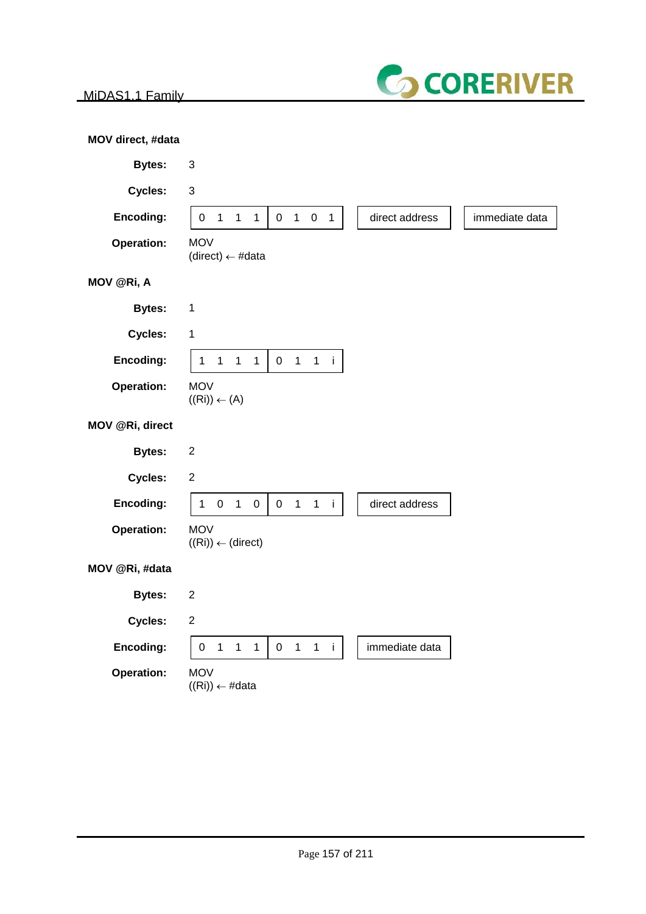# MiDAS1.1 Family



| MOV direct, #data |                                                                                                                                         |
|-------------------|-----------------------------------------------------------------------------------------------------------------------------------------|
| <b>Bytes:</b>     | $\sqrt{3}$                                                                                                                              |
| Cycles:           | $\mathfrak{S}$                                                                                                                          |
| Encoding:         | $\pmb{0}$<br>$\mathbf{1}$<br>$\mathbf{1}$<br>$\mathbf{1}$<br>0 1 0 1<br>direct address<br>immediate data                                |
| <b>Operation:</b> | <b>MOV</b><br>(direct) $\leftarrow$ #data                                                                                               |
| MOV @Ri, A        |                                                                                                                                         |
| <b>Bytes:</b>     | $\mathbf{1}$                                                                                                                            |
| Cycles:           | $\mathbf{1}$                                                                                                                            |
| Encoding:         | $0 \quad 1$<br>$\mathbf{1}$<br>$\mathbf{1}$<br>$\mathbf{1}$<br>$\mathbf{1}$<br>$1 -$<br>$\mathbf{i}$                                    |
| <b>Operation:</b> | <b>MOV</b><br>$((Ri)) \leftarrow (A)$                                                                                                   |
| MOV @Ri, direct   |                                                                                                                                         |
| <b>Bytes:</b>     | $\overline{c}$                                                                                                                          |
| Cycles:           | $\overline{2}$                                                                                                                          |
| Encoding:         | $\mathbf{1}$<br>direct address<br>$\mathbf{1}$<br>$\mathbf 0$<br>$\mathbf{1}$<br>$\mathsf{O}\xspace$<br>$\overline{0}$<br>$1$ i         |
| Operation:        | <b>MOV</b><br>$((Ri)) \leftarrow (direct)$                                                                                              |
| MOV @Ri, #data    |                                                                                                                                         |
| <b>Bytes:</b>     | $\overline{2}$                                                                                                                          |
| Cycles:           | $\overline{2}$                                                                                                                          |
| Encoding:         | immediate data<br>$\boldsymbol{0}$<br>$\mathbf{1}$<br>$\mathbf{1}$<br>$\mathbf{1}$<br>$\mathsf 0$<br>$\mathbf{1}$<br>$\mathbf{1}$<br>j. |
| <b>Operation:</b> | <b>MOV</b>                                                                                                                              |

 $((Ri)) \leftarrow #data$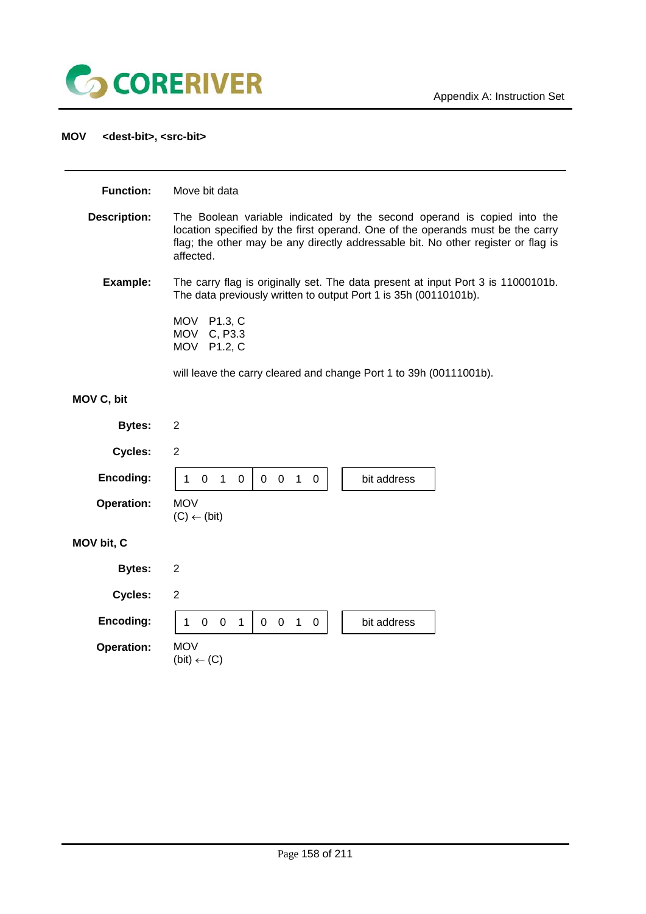

# **MOV <dest-bit>, <src-bit>**

| <b>Function:</b>    | Move bit data                                                                                                                                                                                                                                               |
|---------------------|-------------------------------------------------------------------------------------------------------------------------------------------------------------------------------------------------------------------------------------------------------------|
| <b>Description:</b> | The Boolean variable indicated by the second operand is copied into the<br>location specified by the first operand. One of the operands must be the carry<br>flag; the other may be any directly addressable bit. No other register or flag is<br>affected. |
| Example:            | The carry flag is originally set. The data present at input Port 3 is 11000101b.<br>The data previously written to output Port 1 is 35h (00110101b).<br>MOV P1.3, C                                                                                         |
|                     | <b>MOV</b><br>C, P3.3<br>MOV P1.2, C                                                                                                                                                                                                                        |
|                     | will leave the carry cleared and change Port 1 to 39h (00111001b).                                                                                                                                                                                          |
| MOV C, bit          |                                                                                                                                                                                                                                                             |
| <b>Bytes:</b>       | $\overline{2}$                                                                                                                                                                                                                                              |
| Cycles:             | $\overline{2}$                                                                                                                                                                                                                                              |
| Encoding:           | $\mathbf{1}$<br>$\mathbf 0$<br>$\mathbf 0$<br>$\mathbf 0$<br>bit address<br>0<br>1<br>$\overline{1}$<br>$\mathbf 0$                                                                                                                                         |
| Operation:          | <b>MOV</b><br>$(C) \leftarrow (bit)$                                                                                                                                                                                                                        |
| MOV bit, C          |                                                                                                                                                                                                                                                             |
| <b>Bytes:</b>       | $\overline{2}$                                                                                                                                                                                                                                              |
| Cycles:             | $\overline{2}$                                                                                                                                                                                                                                              |
| Encoding:           | $\mathbf 0$<br>$\mathbf{1}$<br>$0\quad 0$<br>$\mathbf{1}$<br>$\overline{0}$<br>$\overline{1}$<br>bit address<br>$\mathbf 0$                                                                                                                                 |
| <b>Operation:</b>   | <b>MOV</b><br>$(bit) \leftarrow (C)$                                                                                                                                                                                                                        |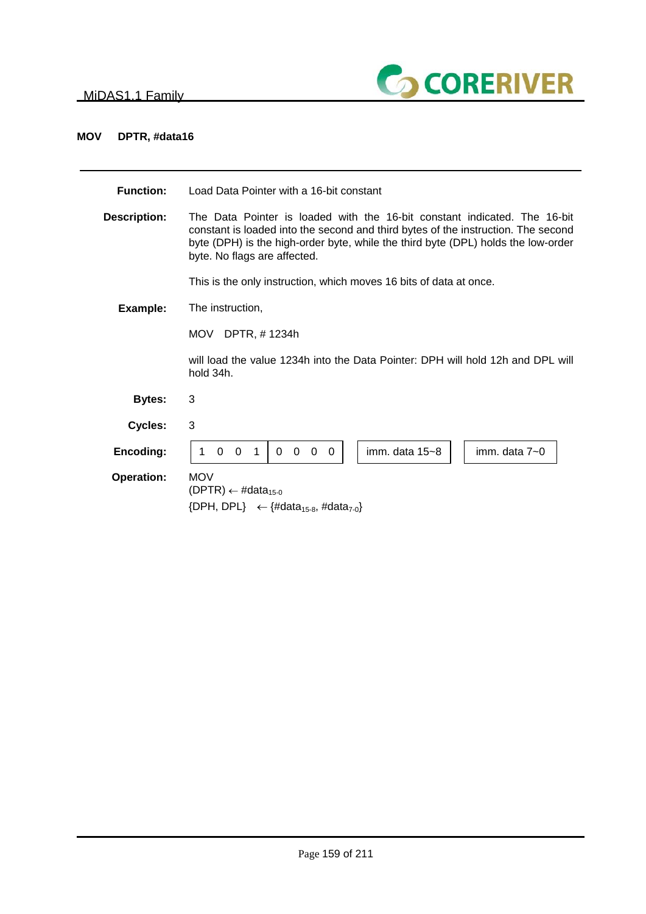

# **MOV DPTR, #data16**

| <b>Function:</b>    | Load Data Pointer with a 16-bit constant                                                                                                                                                                                                                                            |  |  |
|---------------------|-------------------------------------------------------------------------------------------------------------------------------------------------------------------------------------------------------------------------------------------------------------------------------------|--|--|
| <b>Description:</b> | The Data Pointer is loaded with the 16-bit constant indicated. The 16-bit<br>constant is loaded into the second and third bytes of the instruction. The second<br>byte (DPH) is the high-order byte, while the third byte (DPL) holds the low-order<br>byte. No flags are affected. |  |  |
|                     | This is the only instruction, which moves 16 bits of data at once.                                                                                                                                                                                                                  |  |  |
| Example:            | The instruction,                                                                                                                                                                                                                                                                    |  |  |
|                     | DPTR, #1234h<br>MOV                                                                                                                                                                                                                                                                 |  |  |
|                     | will load the value 1234h into the Data Pointer: DPH will hold 12h and DPL will<br>hold 34h.                                                                                                                                                                                        |  |  |
| <b>Bytes:</b>       | 3                                                                                                                                                                                                                                                                                   |  |  |
| <b>Cycles:</b>      | 3                                                                                                                                                                                                                                                                                   |  |  |
| Encoding:           | 1<br>imm. data 15~8<br>imm. data 7~0<br>$\Omega$<br>$\Omega$<br>0<br>$\Omega$<br>$\mathbf 0$<br>$\mathbf{0}$                                                                                                                                                                        |  |  |
| Operation:          | <b>MOV</b><br>$(DPTR) \leftarrow \text{\#data}_{15-0}$<br>$\{DPH, DPL\}$ $\leftarrow$ {#data <sub>15-8</sub> , #data <sub>7-0</sub> }                                                                                                                                               |  |  |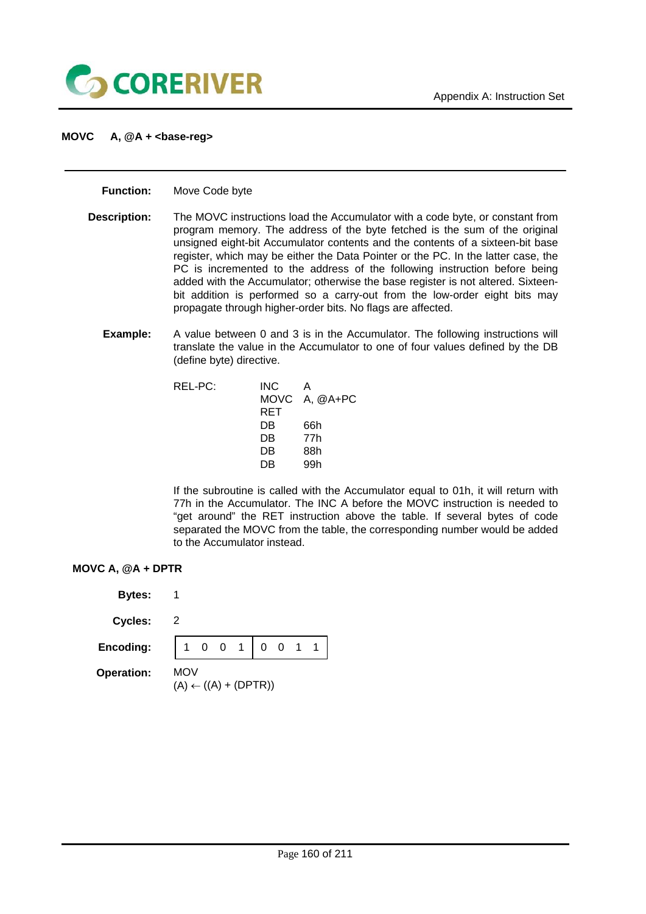

Appendix A: Instruction Set

**MOVC A, @A + <base-reg>** 

#### Move Code byte **Function:**

- The MOVC instructions load the Accumulator with a code byte, or constant from program memory. The address of the byte fetched is the sum of the original unsigned eight-bit Accumulator contents and the contents of a sixteen-bit base register, which may be either the Data Pointer or the PC. In the latter case, the PC is incremented to the address of the following instruction before being added with the Accumulator; otherwise the base register is not altered. Sixteenbit addition is performed so a carry-out from the low-order eight bits may propagate through higher-order bits. No flags are affected. **Description:** 
	- A value between 0 and 3 is in the Accumulator. The following instructions will translate the value in the Accumulator to one of four values defined by the DB (define byte) directive. **Example:**

| REL-PC: | INC. | А             |
|---------|------|---------------|
|         |      | MOVC A, @A+PC |
|         | RET  |               |
|         | DΒ   | 66h           |
|         | DB   | 77h           |
|         | DB   | 88h           |
|         | DΒ   | 99h           |
|         |      |               |

If the subroutine is called with the Accumulator equal to 01h, it will return with 77h in the Accumulator. The INC A before the MOVC instruction is needed to "get around" the RET instruction above the table. If several bytes of code separated the MOVC from the table, the corresponding number would be added to the Accumulator instead.

#### **MOVC A, @A + DPTR**

1 2 **MOV**  $(A) \leftarrow ((A) + (DPTR))$ **Bytes: Cycles: Encoding: Operation:**  1 0 0 1 0 0 1 1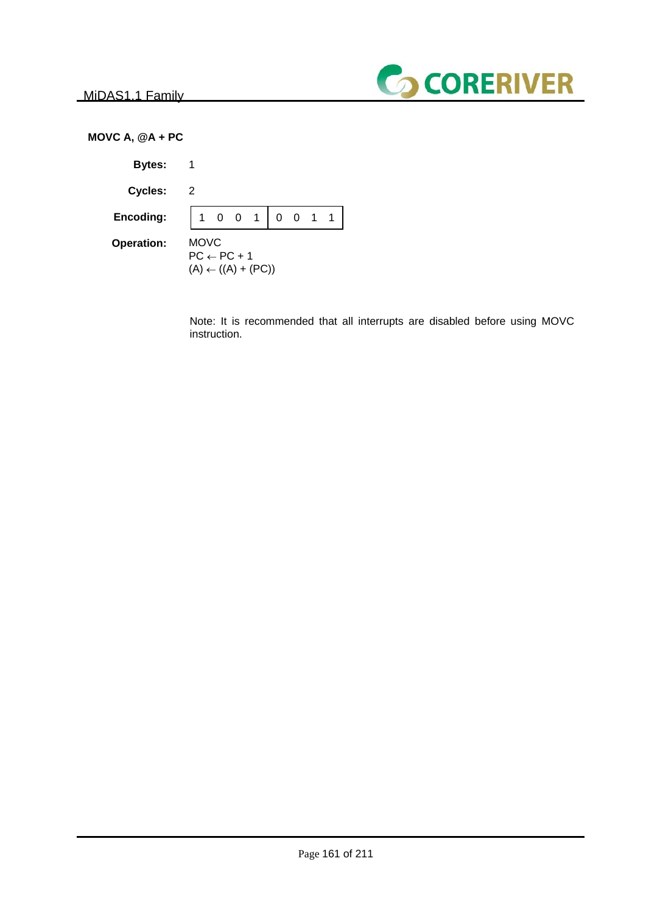

## **MOVC A, @A + PC**

| Bytes:            |                                                                        |  |  |  |  |
|-------------------|------------------------------------------------------------------------|--|--|--|--|
| Cycles:           | 2                                                                      |  |  |  |  |
| <b>Encoding:</b>  | 1 0 0 1 0 0 1 1                                                        |  |  |  |  |
| <b>Operation:</b> | <b>MOVC</b><br>$PC \leftarrow PC + 1$<br>$(A) \leftarrow ((A) + (PC))$ |  |  |  |  |

Note: It is recommended that all interrupts are disabled before using MOVC instruction.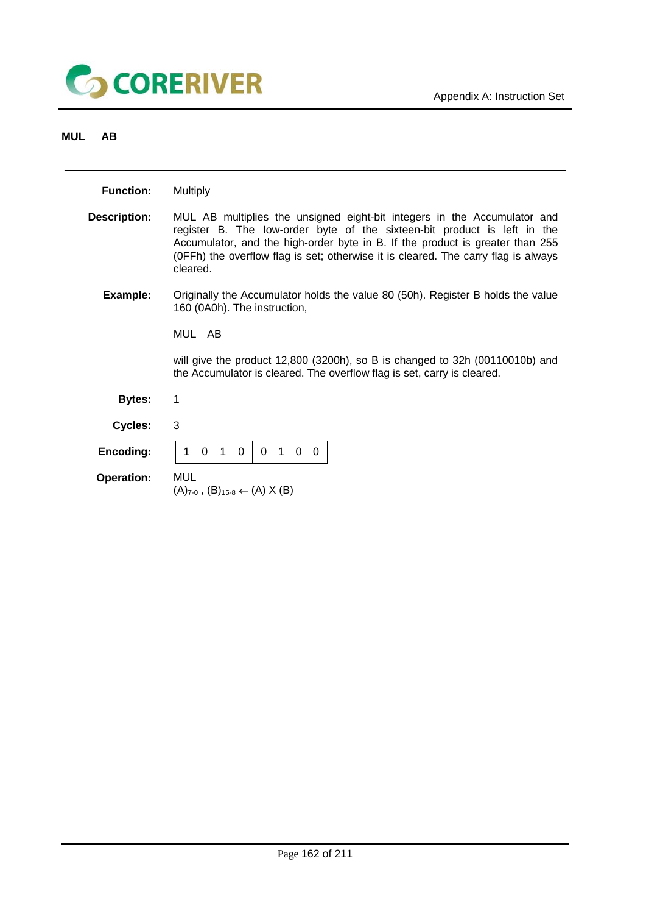



## **MUL AB**

| <b>Function:</b>    | Multiply                                                                                                                                                                                                                                                                                                                                |
|---------------------|-----------------------------------------------------------------------------------------------------------------------------------------------------------------------------------------------------------------------------------------------------------------------------------------------------------------------------------------|
| <b>Description:</b> | MUL AB multiplies the unsigned eight-bit integers in the Accumulator and<br>register B. The low-order byte of the sixteen-bit product is left in the<br>Accumulator, and the high-order byte in B. If the product is greater than 255<br>(OFFh) the overflow flag is set; otherwise it is cleared. The carry flag is always<br>cleared. |
| Example:            | Originally the Accumulator holds the value 80 (50h). Register B holds the value<br>160 (0A0h). The instruction,                                                                                                                                                                                                                         |
|                     | MUL AB                                                                                                                                                                                                                                                                                                                                  |
|                     | will give the product $12,800$ (3200h), so B is changed to 32h (00110010b) and<br>the Accumulator is cleared. The overflow flag is set, carry is cleared.                                                                                                                                                                               |
| <b>Bytes:</b>       | 1                                                                                                                                                                                                                                                                                                                                       |
| Cycles:             | 3                                                                                                                                                                                                                                                                                                                                       |
| Encoding:           | $\Omega$<br>$\Omega$<br>$\mathbf{1}$<br>$\Omega$<br>1<br>$\Omega$<br>1<br>0                                                                                                                                                                                                                                                             |
| <b>Operation:</b>   | MUL<br>$(A)_{7-0}$ , $(B)_{15-8} \leftarrow (A) X (B)$                                                                                                                                                                                                                                                                                  |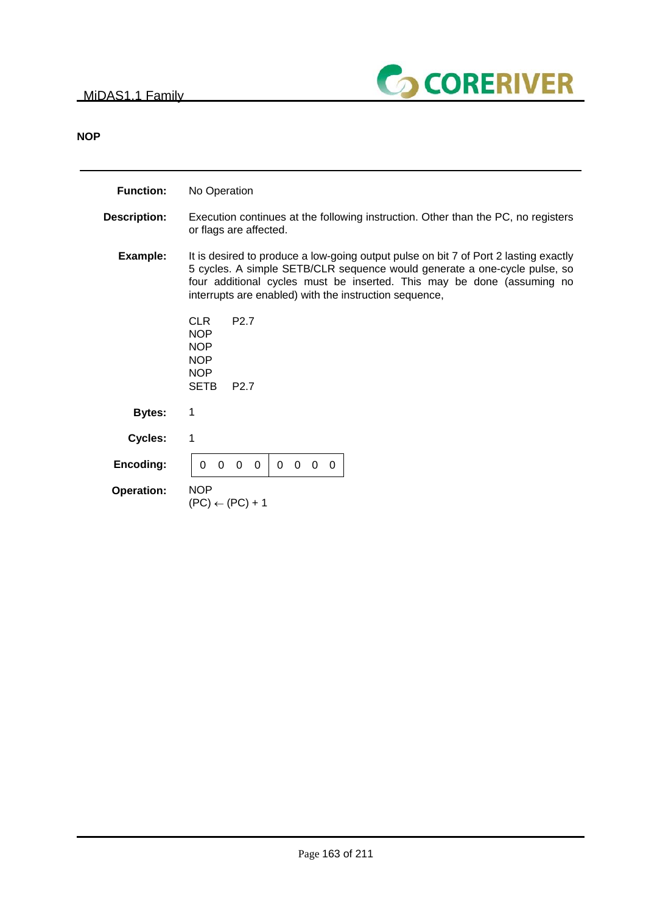

# **NOP**

| <b>Function:</b>    | No Operation                                                                                                                                                                                                                                                                                                                      |  |  |  |
|---------------------|-----------------------------------------------------------------------------------------------------------------------------------------------------------------------------------------------------------------------------------------------------------------------------------------------------------------------------------|--|--|--|
| <b>Description:</b> | Execution continues at the following instruction. Other than the PC, no registers<br>or flags are affected.                                                                                                                                                                                                                       |  |  |  |
| Example:            | It is desired to produce a low-going output pulse on bit 7 of Port 2 lasting exactly<br>5 cycles. A simple SETB/CLR sequence would generate a one-cycle pulse, so<br>four additional cycles must be inserted. This may be done (assuming no<br>interrupts are enabled) with the instruction sequence,<br>CLR.<br>P <sub>2.7</sub> |  |  |  |
|                     | <b>NOP</b><br><b>NOP</b><br><b>NOP</b><br>NOP<br><b>SETB</b><br>P <sub>2.7</sub>                                                                                                                                                                                                                                                  |  |  |  |
| <b>Bytes:</b>       | 1                                                                                                                                                                                                                                                                                                                                 |  |  |  |
| <b>Cycles:</b>      | 1                                                                                                                                                                                                                                                                                                                                 |  |  |  |
| Encoding:           | $\overline{0}$<br>$\Omega$<br>$\mathbf 0$<br>$\mathbf 0$<br>$\Omega$<br>0<br>$\Omega$<br>$\Omega$                                                                                                                                                                                                                                 |  |  |  |
| <b>Operation:</b>   | <b>NOP</b><br>$(PC) \leftarrow (PC) + 1$                                                                                                                                                                                                                                                                                          |  |  |  |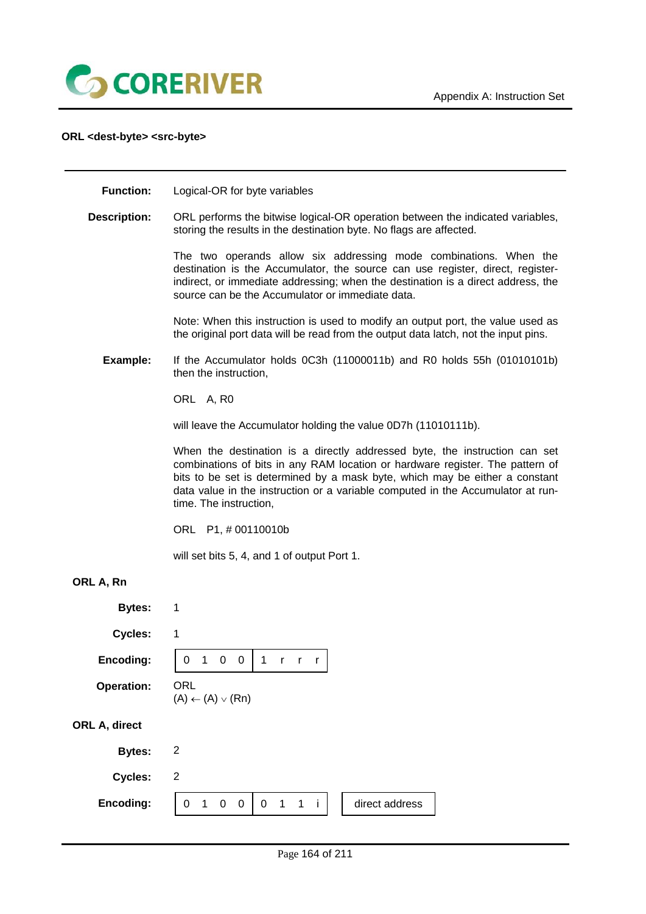

#### **ORL <dest-byte> <src-byte>**

| <b>Function:</b>    | Logical-OR for byte variables                                                                                                                                                                                                                                                                                                                           |  |  |  |  |  |
|---------------------|---------------------------------------------------------------------------------------------------------------------------------------------------------------------------------------------------------------------------------------------------------------------------------------------------------------------------------------------------------|--|--|--|--|--|
| <b>Description:</b> | ORL performs the bitwise logical-OR operation between the indicated variables,<br>storing the results in the destination byte. No flags are affected.                                                                                                                                                                                                   |  |  |  |  |  |
|                     | The two operands allow six addressing mode combinations. When the<br>destination is the Accumulator, the source can use register, direct, register-<br>indirect, or immediate addressing; when the destination is a direct address, the<br>source can be the Accumulator or immediate data.                                                             |  |  |  |  |  |
|                     | Note: When this instruction is used to modify an output port, the value used as<br>the original port data will be read from the output data latch, not the input pins.                                                                                                                                                                                  |  |  |  |  |  |
| Example:            | If the Accumulator holds 0C3h (11000011b) and R0 holds 55h (01010101b)<br>then the instruction,                                                                                                                                                                                                                                                         |  |  |  |  |  |
|                     | ORL A, RO                                                                                                                                                                                                                                                                                                                                               |  |  |  |  |  |
|                     | will leave the Accumulator holding the value 0D7h (11010111b).                                                                                                                                                                                                                                                                                          |  |  |  |  |  |
|                     | When the destination is a directly addressed byte, the instruction can set<br>combinations of bits in any RAM location or hardware register. The pattern of<br>bits to be set is determined by a mask byte, which may be either a constant<br>data value in the instruction or a variable computed in the Accumulator at run-<br>time. The instruction, |  |  |  |  |  |
|                     | ORL P1, #00110010b                                                                                                                                                                                                                                                                                                                                      |  |  |  |  |  |
|                     | will set bits 5, 4, and 1 of output Port 1.                                                                                                                                                                                                                                                                                                             |  |  |  |  |  |
| ORL A, Rn           |                                                                                                                                                                                                                                                                                                                                                         |  |  |  |  |  |
| <b>Bytes:</b>       | $\mathbf 1$                                                                                                                                                                                                                                                                                                                                             |  |  |  |  |  |
| Cycles:             | 1                                                                                                                                                                                                                                                                                                                                                       |  |  |  |  |  |
| Encoding:           | 1 0 0 1 r r r<br>0                                                                                                                                                                                                                                                                                                                                      |  |  |  |  |  |
| <b>Operation:</b>   | <b>ORL</b><br>$(A) \leftarrow (A) \vee (Rn)$                                                                                                                                                                                                                                                                                                            |  |  |  |  |  |
| ORL A, direct       |                                                                                                                                                                                                                                                                                                                                                         |  |  |  |  |  |
| <b>Bytes:</b>       | $\overline{c}$                                                                                                                                                                                                                                                                                                                                          |  |  |  |  |  |
| Cycles:             | $\overline{2}$                                                                                                                                                                                                                                                                                                                                          |  |  |  |  |  |
| Encoding:           | direct address<br>$\overline{0}$<br>$1 -$<br>$\mathbf{0}$<br>$\mathbf{0}$<br>0<br>$1$ i<br>1                                                                                                                                                                                                                                                            |  |  |  |  |  |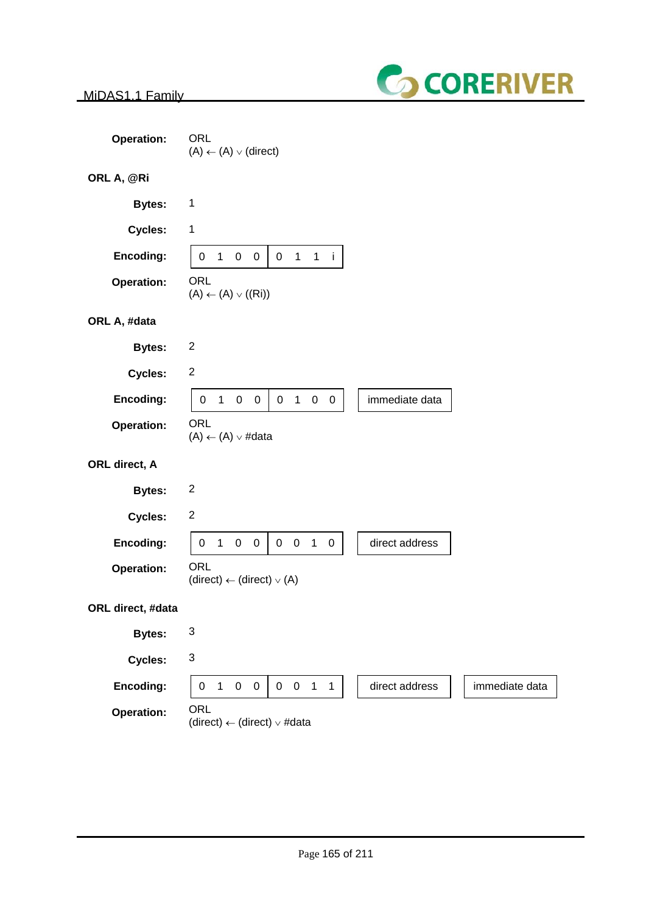

| <b>Operation:</b> | ORL<br>$(A) \leftarrow (A) \vee (direct)$                                                                 |
|-------------------|-----------------------------------------------------------------------------------------------------------|
| ORL A, @Ri        |                                                                                                           |
| <b>Bytes:</b>     | 1                                                                                                         |
| Cycles:           | 1                                                                                                         |
| Encoding:         | $1$ i<br>0<br>100<br>$\mathbf 0$<br>$1 -$                                                                 |
| <b>Operation:</b> | ORL<br>$(A) \leftarrow (A) \vee ((Ri))$                                                                   |
| ORL A, #data      |                                                                                                           |
| <b>Bytes:</b>     | $\overline{c}$                                                                                            |
| Cycles:           | $\overline{c}$                                                                                            |
| Encoding:         | 1<br>immediate data<br>0<br>$0\quad 0$<br>0<br>1<br>$0\quad 0$                                            |
| <b>Operation:</b> | ORL<br>$(A) \leftarrow (A) \vee #data$                                                                    |
| ORL direct, A     |                                                                                                           |
| <b>Bytes:</b>     | $\overline{c}$                                                                                            |
| Cycles:           | $\overline{c}$                                                                                            |
| Encoding:         | 0<br>direct address<br>$\mathbf{1}$<br>$0\quad 0$<br>$\overline{0}$<br>$\mathbf 0$<br>$\overline{1}$<br>0 |
| <b>Operation:</b> | <b>ORL</b><br>$(direct) \leftarrow (direct) \vee (A)$                                                     |
| ORL direct, #data |                                                                                                           |
| <b>Bytes:</b>     | $\ensuremath{\mathsf{3}}$                                                                                 |
| Cycles:           | $\ensuremath{\mathsf{3}}$                                                                                 |
| Encoding:         | $0\quad 0$<br>$0 \t0 \t1$<br>direct address<br>immediate data<br>1<br>$\mathbf{1}$<br>0                   |
| <b>Operation:</b> | ORL<br>(direct) $\leftarrow$ (direct) $\vee$ #data                                                        |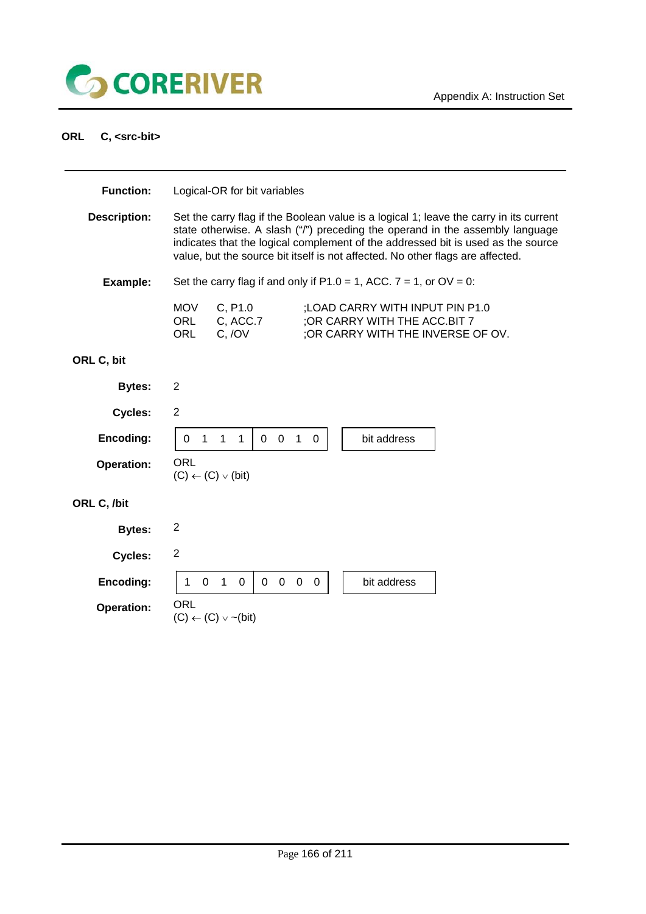

# **ORL C, <src-bit>**

| <b>Function:</b>    | Logical-OR for bit variables                                                                                                                                                                                                                                                                                                                  |  |  |
|---------------------|-----------------------------------------------------------------------------------------------------------------------------------------------------------------------------------------------------------------------------------------------------------------------------------------------------------------------------------------------|--|--|
| <b>Description:</b> | Set the carry flag if the Boolean value is a logical 1; leave the carry in its current<br>state otherwise. A slash ("/") preceding the operand in the assembly language<br>indicates that the logical complement of the addressed bit is used as the source<br>value, but the source bit itself is not affected. No other flags are affected. |  |  |
| Example:            | Set the carry flag if and only if $P1.0 = 1$ , ACC. $7 = 1$ , or OV = 0:                                                                                                                                                                                                                                                                      |  |  |
|                     | <b>MOV</b><br>C, P1.0<br>; LOAD CARRY WITH INPUT PIN P1.0<br><b>ORL</b><br>C, ACC.7<br>;OR CARRY WITH THE ACC.BIT 7<br><b>ORL</b><br>C, /OV<br>;OR CARRY WITH THE INVERSE OF OV.                                                                                                                                                              |  |  |
| ORL C, bit          |                                                                                                                                                                                                                                                                                                                                               |  |  |
| <b>Bytes:</b>       | 2                                                                                                                                                                                                                                                                                                                                             |  |  |
| Cycles:             | $\overline{2}$                                                                                                                                                                                                                                                                                                                                |  |  |
| Encoding:           | bit address<br>$\mathbf{1}$<br>$\mathbf 0$<br>0<br>1<br>$\mathbf{1}$<br>0<br>$\mathbf{1}$<br>$\overline{0}$                                                                                                                                                                                                                                   |  |  |
| <b>Operation:</b>   | <b>ORL</b><br>$(C) \leftarrow (C) \vee (bit)$                                                                                                                                                                                                                                                                                                 |  |  |
| ORL C, /bit         |                                                                                                                                                                                                                                                                                                                                               |  |  |
| <b>Bytes:</b>       | $\overline{2}$                                                                                                                                                                                                                                                                                                                                |  |  |
| Cycles:             | $\overline{2}$                                                                                                                                                                                                                                                                                                                                |  |  |
| Encoding:           | $0\quad 0$<br>bit address<br>$\mathbf 0$<br>$\mathbf 0$<br>$\overline{0}$<br>1<br>$\overline{1}$<br>$\overline{0}$                                                                                                                                                                                                                            |  |  |
| Operation:          | <b>ORL</b><br>$(C) \leftarrow (C) \vee \neg (bit)$                                                                                                                                                                                                                                                                                            |  |  |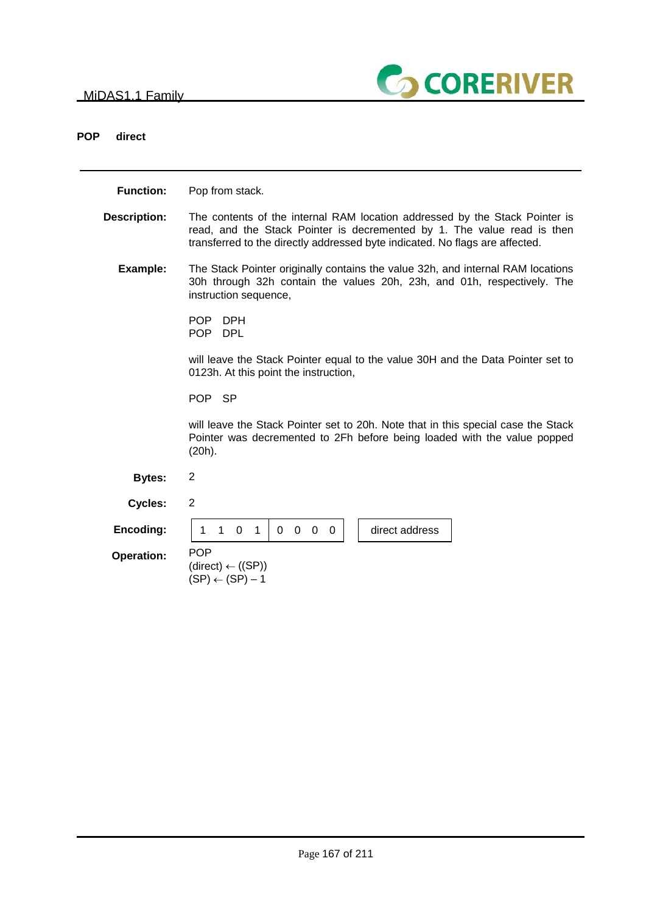

#### **POP direct**

#### Pop from stack. **Function:**

- The contents of the internal RAM location addressed by the Stack Pointer is read, and the Stack Pointer is decremented by 1. The value read is then transferred to the directly addressed byte indicated. No flags are affected. **Description:** 
	- The Stack Pointer originally contains the value 32h, and internal RAM locations 30h through 32h contain the values 20h, 23h, and 01h, respectively. The instruction sequence, **Example:**

POP DPH POP DPL

will leave the Stack Pointer equal to the value 30H and the Data Pointer set to 0123h. At this point the instruction,

POP SP

will leave the Stack Pointer set to 20h. Note that in this special case the Stack Pointer was decremented to 2Fh before being loaded with the value popped (20h).

2 **Bytes:** 

2

POP

 $(direct) \leftarrow ((SP))$  $(SP) \leftarrow (SP) - 1$ 

**Cycles:** 

**Encoding:** 

1 1 0 1 0 0 0 0 0 direct address

**Operation:**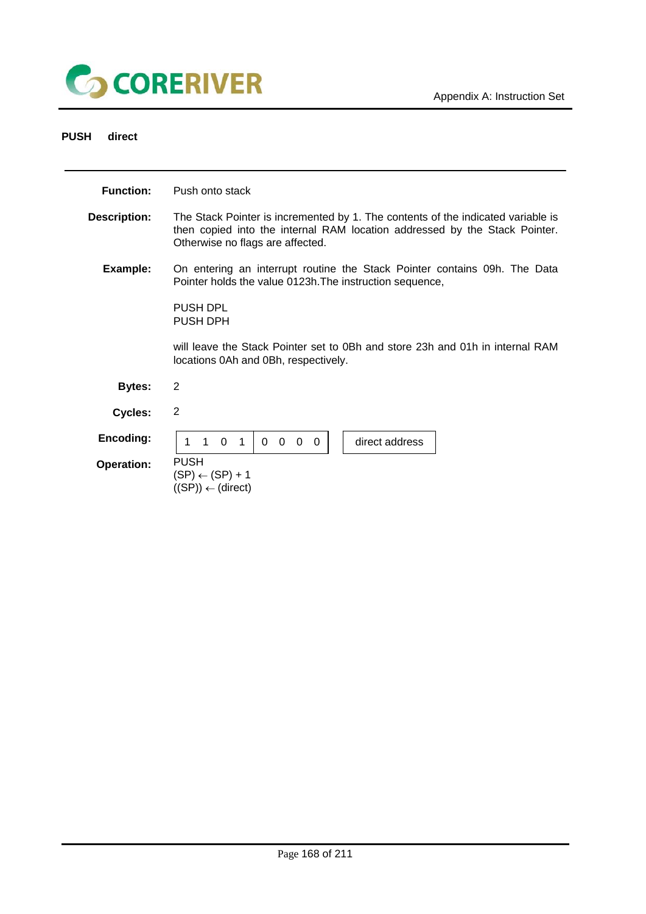

### **PUSH direct**

| <b>Function:</b>    | Push onto stack                                                                                                                                                                                    |  |  |
|---------------------|----------------------------------------------------------------------------------------------------------------------------------------------------------------------------------------------------|--|--|
| <b>Description:</b> | The Stack Pointer is incremented by 1. The contents of the indicated variable is<br>then copied into the internal RAM location addressed by the Stack Pointer.<br>Otherwise no flags are affected. |  |  |
| Example:            | On entering an interrupt routine the Stack Pointer contains 09h. The Data<br>Pointer holds the value 0123h. The instruction sequence,                                                              |  |  |
|                     | <b>PUSH DPL</b><br>PUSH DPH                                                                                                                                                                        |  |  |
|                     | will leave the Stack Pointer set to 0Bh and store 23h and 01h in internal RAM<br>locations 0Ah and 0Bh, respectively.                                                                              |  |  |
| <b>Bytes:</b>       | 2                                                                                                                                                                                                  |  |  |
| Cycles:             | 2                                                                                                                                                                                                  |  |  |
| Encoding:           | $\overline{1}$<br>$\Omega$<br>$\Omega$<br>$0\quad 0$<br>direct address<br>1<br>1<br>$\Omega$                                                                                                       |  |  |
| <b>Operation:</b>   | <b>PUSH</b><br>$(SP) \leftarrow (SP) + 1$<br>$((SP)) \leftarrow (direct)$                                                                                                                          |  |  |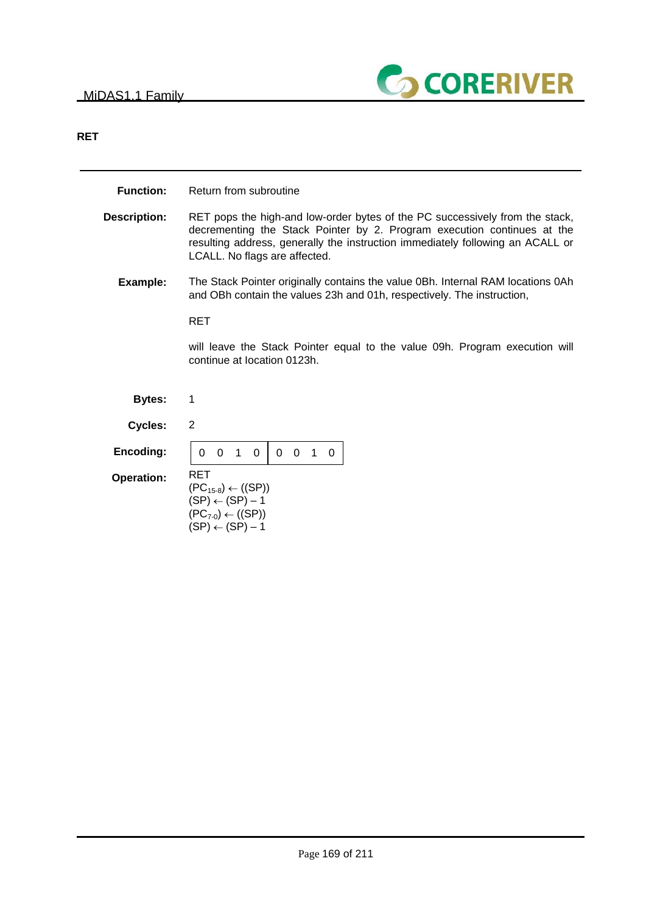

# **RET**

| <b>Function:</b>    | Return from subroutine                                                                                                                                                                                                                                                     |  |  |  |  |  |  |  |  |
|---------------------|----------------------------------------------------------------------------------------------------------------------------------------------------------------------------------------------------------------------------------------------------------------------------|--|--|--|--|--|--|--|--|
| <b>Description:</b> | RET pops the high-and low-order bytes of the PC successively from the stack,<br>decrementing the Stack Pointer by 2. Program execution continues at the<br>resulting address, generally the instruction immediately following an ACALL or<br>LCALL. No flags are affected. |  |  |  |  |  |  |  |  |
| Example:            | The Stack Pointer originally contains the value 0Bh. Internal RAM locations 0Ah<br>and OBh contain the values 23h and 01h, respectively. The instruction,                                                                                                                  |  |  |  |  |  |  |  |  |
|                     | <b>RET</b>                                                                                                                                                                                                                                                                 |  |  |  |  |  |  |  |  |
|                     | will leave the Stack Pointer equal to the value 09h. Program execution will<br>continue at location 0123h.                                                                                                                                                                 |  |  |  |  |  |  |  |  |
| <b>Bytes:</b>       | 1                                                                                                                                                                                                                                                                          |  |  |  |  |  |  |  |  |
| Cycles:             | 2                                                                                                                                                                                                                                                                          |  |  |  |  |  |  |  |  |
| Encoding:           | $0 \t0 \t1$<br>$1\quad 0$<br>$\Omega$<br>0<br>$\Omega$                                                                                                                                                                                                                     |  |  |  |  |  |  |  |  |
| <b>Operation:</b>   | <b>RET</b><br>$(PC_{15-8}) \leftarrow ((SP))$<br>$(SP) \leftarrow (SP) - 1$<br>$(PC_{7-0}) \leftarrow ((SP))$                                                                                                                                                              |  |  |  |  |  |  |  |  |

 $(SP) \leftarrow (SP) - 1$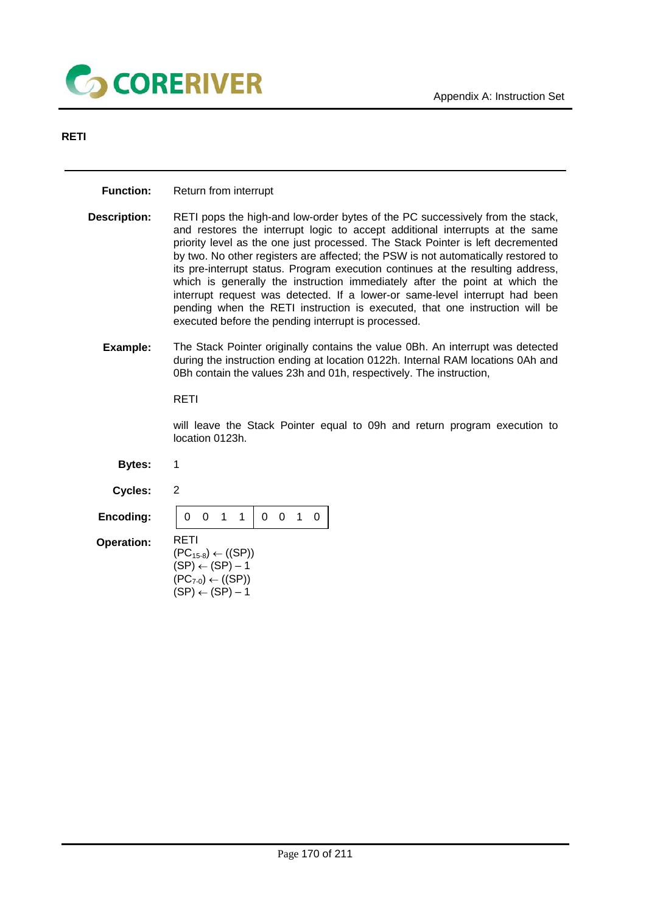

## **RETI**

| <b>Function:</b> |  | Return from interrupt |
|------------------|--|-----------------------|
|                  |  |                       |

- RETI pops the high-and low-order bytes of the PC successively from the stack, and restores the interrupt logic to accept additional interrupts at the same priority level as the one just processed. The Stack Pointer is left decremented by two. No other registers are affected; the PSW is not automatically restored to its pre-interrupt status. Program execution continues at the resulting address, which is generally the instruction immediately after the point at which the interrupt request was detected. If a lower-or same-level interrupt had been pending when the RETI instruction is executed, that one instruction will be executed before the pending interrupt is processed. **Description:** 
	- The Stack Pointer originally contains the value 0Bh. An interrupt was detected during the instruction ending at location 0122h. Internal RAM locations 0Ah and 0Bh contain the values 23h and 01h, respectively. The instruction, **Example:**

RETI

will leave the Stack Pointer equal to 09h and return program execution to location 0123h.

1 2 RETI  $(PC_{15-8}) \leftarrow ((SP))$  $(SP) \leftarrow (SP) - 1$  $(PC_{7-0}) \leftarrow ((SP))$ **Bytes: Cycles: Encoding: Operation:**  0 0 1 1 0 0 1 0

 $(SP) \leftarrow (SP) - 1$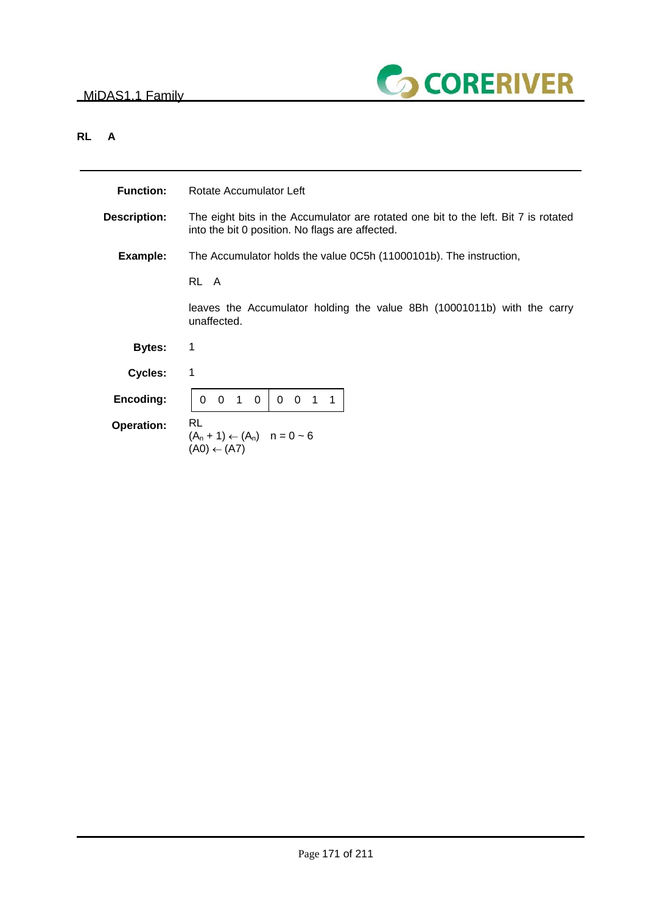

# **RL A**

| <b>Function:</b>    | Rotate Accumulator Left                                                                                                                |  |  |  |  |  |  |  |  |  |
|---------------------|----------------------------------------------------------------------------------------------------------------------------------------|--|--|--|--|--|--|--|--|--|
| <b>Description:</b> | The eight bits in the Accumulator are rotated one bit to the left. Bit 7 is rotated<br>into the bit 0 position. No flags are affected. |  |  |  |  |  |  |  |  |  |
| Example:            | The Accumulator holds the value 0C5h (11000101b). The instruction,                                                                     |  |  |  |  |  |  |  |  |  |
|                     | RL A                                                                                                                                   |  |  |  |  |  |  |  |  |  |
|                     | leaves the Accumulator holding the value 8Bh (10001011b) with the carry<br>unaffected.                                                 |  |  |  |  |  |  |  |  |  |
| <b>Bytes:</b>       | -1                                                                                                                                     |  |  |  |  |  |  |  |  |  |
| Cycles:             | 1                                                                                                                                      |  |  |  |  |  |  |  |  |  |
| Encoding:           | $\overline{1}$<br>$\mathbf 0$<br>$\Omega$<br>$\overline{0}$<br>$\Omega$<br>$\overline{0}$<br>$\overline{1}$<br>$\mathbf{1}$            |  |  |  |  |  |  |  |  |  |
| <b>Operation:</b>   | RL<br>$(A_n + 1) \leftarrow (A_n)$ $n = 0 \sim 6$<br>$(A0) \leftarrow (A7)$                                                            |  |  |  |  |  |  |  |  |  |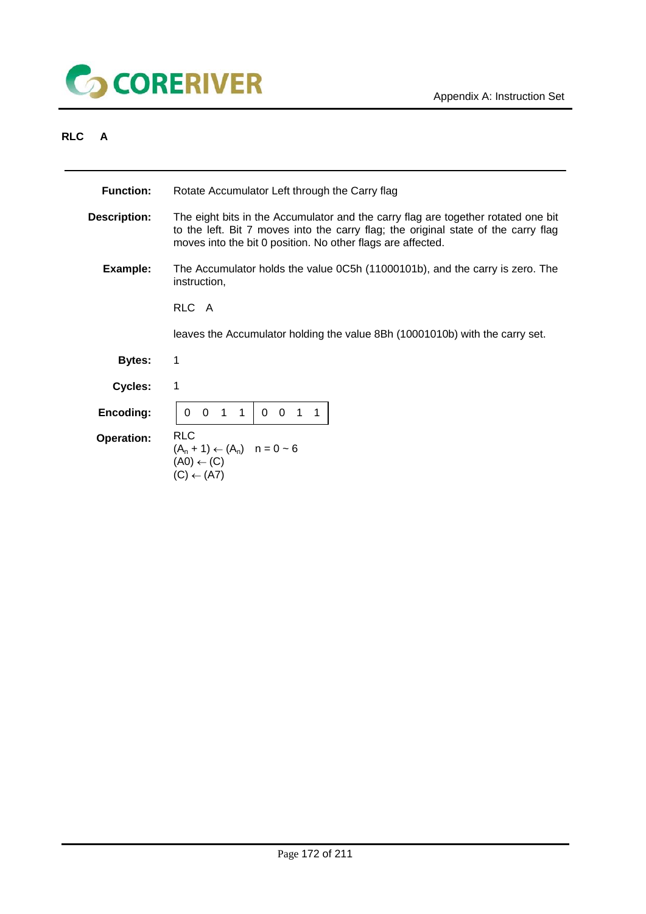

# **RLC A**

| <b>Function:</b>    | Rotate Accumulator Left through the Carry flag                                                                                                                                                                                         |  |  |  |  |  |  |  |  |  |
|---------------------|----------------------------------------------------------------------------------------------------------------------------------------------------------------------------------------------------------------------------------------|--|--|--|--|--|--|--|--|--|
| <b>Description:</b> | The eight bits in the Accumulator and the carry flag are together rotated one bit<br>to the left. Bit 7 moves into the carry flag; the original state of the carry flag<br>moves into the bit 0 position. No other flags are affected. |  |  |  |  |  |  |  |  |  |
| Example:            | The Accumulator holds the value 0C5h (11000101b), and the carry is zero. The<br>instruction,                                                                                                                                           |  |  |  |  |  |  |  |  |  |
|                     | RLC A                                                                                                                                                                                                                                  |  |  |  |  |  |  |  |  |  |
|                     | leaves the Accumulator holding the value 8Bh (10001010b) with the carry set.                                                                                                                                                           |  |  |  |  |  |  |  |  |  |
| <b>Bytes:</b>       | 1                                                                                                                                                                                                                                      |  |  |  |  |  |  |  |  |  |
| Cycles:             | 1                                                                                                                                                                                                                                      |  |  |  |  |  |  |  |  |  |
| Encoding:           | $0 \quad 1 \quad 1$<br>$0 \t0 \t1$<br>$\Omega$<br>$\mathbf{1}$                                                                                                                                                                         |  |  |  |  |  |  |  |  |  |
| Operation:          | <b>RLC</b><br>$(A_n + 1) \leftarrow (A_n)$ $n = 0 \sim 6$<br>$(AO) \leftarrow (C)$<br>$(C) \leftarrow (A7)$                                                                                                                            |  |  |  |  |  |  |  |  |  |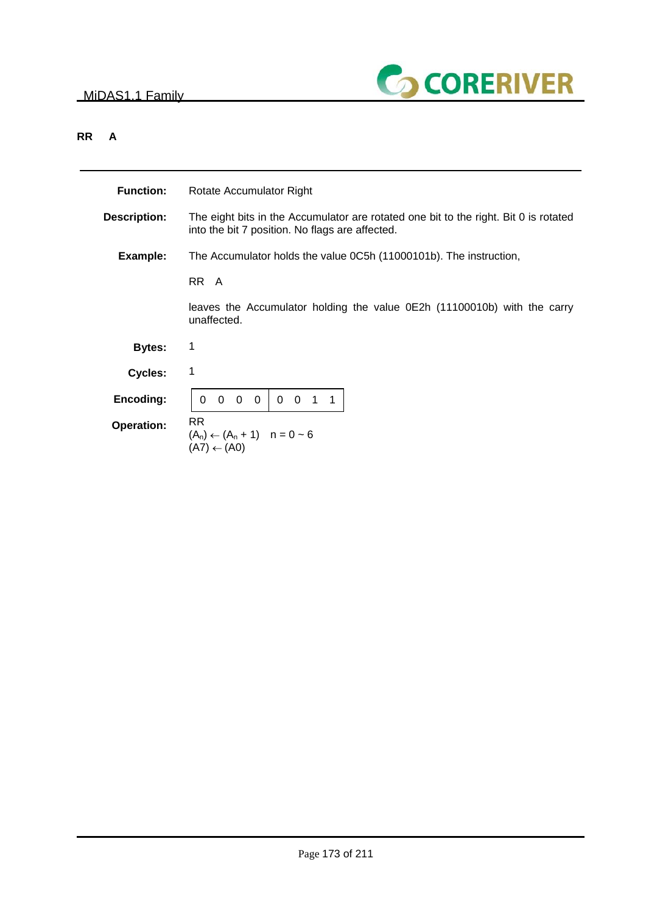

# **RR A**

| <b>Function:</b>    | Rotate Accumulator Right                                                                                                                |  |  |  |  |  |  |  |  |
|---------------------|-----------------------------------------------------------------------------------------------------------------------------------------|--|--|--|--|--|--|--|--|
| <b>Description:</b> | The eight bits in the Accumulator are rotated one bit to the right. Bit 0 is rotated<br>into the bit 7 position. No flags are affected. |  |  |  |  |  |  |  |  |
| Example:            | The Accumulator holds the value 0C5h (11000101b). The instruction,<br>RR A                                                              |  |  |  |  |  |  |  |  |
|                     | leaves the Accumulator holding the value 0E2h (11100010b) with the carry<br>unaffected.                                                 |  |  |  |  |  |  |  |  |
| <b>Bytes:</b>       | 1                                                                                                                                       |  |  |  |  |  |  |  |  |
| Cycles:             | 1                                                                                                                                       |  |  |  |  |  |  |  |  |
| Encoding:           | $\Omega$<br>$\Omega$<br>$\Omega$<br>0<br>$\mathbf{0}$<br>$\Omega$<br>1<br>1                                                             |  |  |  |  |  |  |  |  |
| <b>Operation:</b>   | RR.<br>$(A_n) \leftarrow (A_n + 1)$ $n = 0 \sim 6$<br>$(A7) \leftarrow (A0)$                                                            |  |  |  |  |  |  |  |  |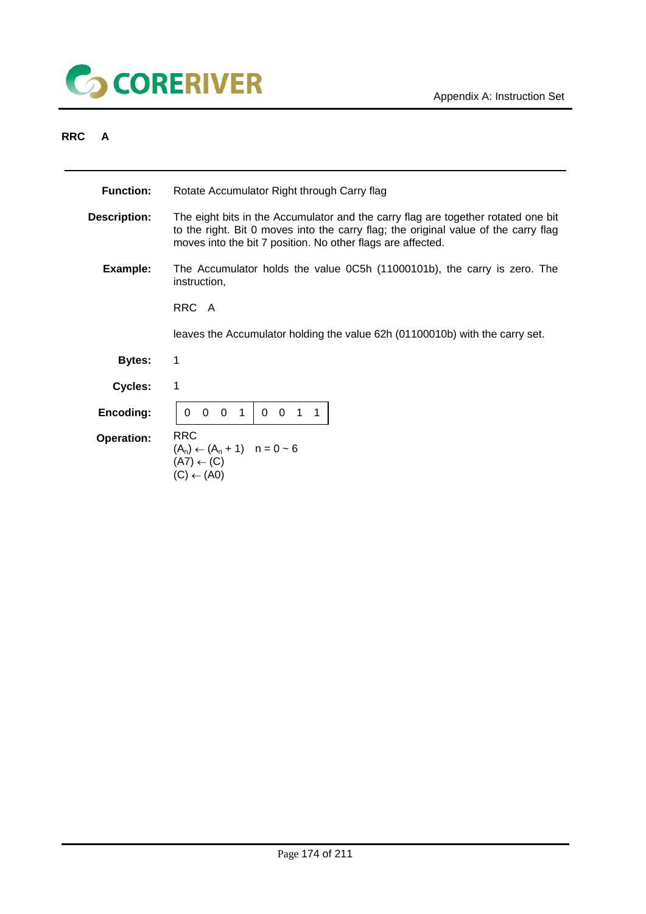

# **RRC A**

| <b>Function:</b>    | Rotate Accumulator Right through Carry flag                                                                                                                                                                                             |  |  |  |  |  |  |  |  |
|---------------------|-----------------------------------------------------------------------------------------------------------------------------------------------------------------------------------------------------------------------------------------|--|--|--|--|--|--|--|--|
| <b>Description:</b> | The eight bits in the Accumulator and the carry flag are together rotated one bit<br>to the right. Bit 0 moves into the carry flag; the original value of the carry flag<br>moves into the bit 7 position. No other flags are affected. |  |  |  |  |  |  |  |  |
| Example:            | The Accumulator holds the value OC5h (11000101b), the carry is zero. The<br>instruction,                                                                                                                                                |  |  |  |  |  |  |  |  |
|                     | RRC A                                                                                                                                                                                                                                   |  |  |  |  |  |  |  |  |
|                     | leaves the Accumulator holding the value 62h (01100010b) with the carry set.                                                                                                                                                            |  |  |  |  |  |  |  |  |
| <b>Bytes:</b>       | 1                                                                                                                                                                                                                                       |  |  |  |  |  |  |  |  |
| Cycles:             | 1                                                                                                                                                                                                                                       |  |  |  |  |  |  |  |  |
| Encoding:           | $0 \quad 0 \quad 1$<br>$0 \quad 0 \quad 1$<br>0<br>1                                                                                                                                                                                    |  |  |  |  |  |  |  |  |
| <b>Operation:</b>   | <b>RRC</b><br>$(A_n) \leftarrow (A_n + 1)$ $n = 0 \sim 6$<br>$(A7) \leftarrow (C)$<br>$(C) \leftarrow (AO)$                                                                                                                             |  |  |  |  |  |  |  |  |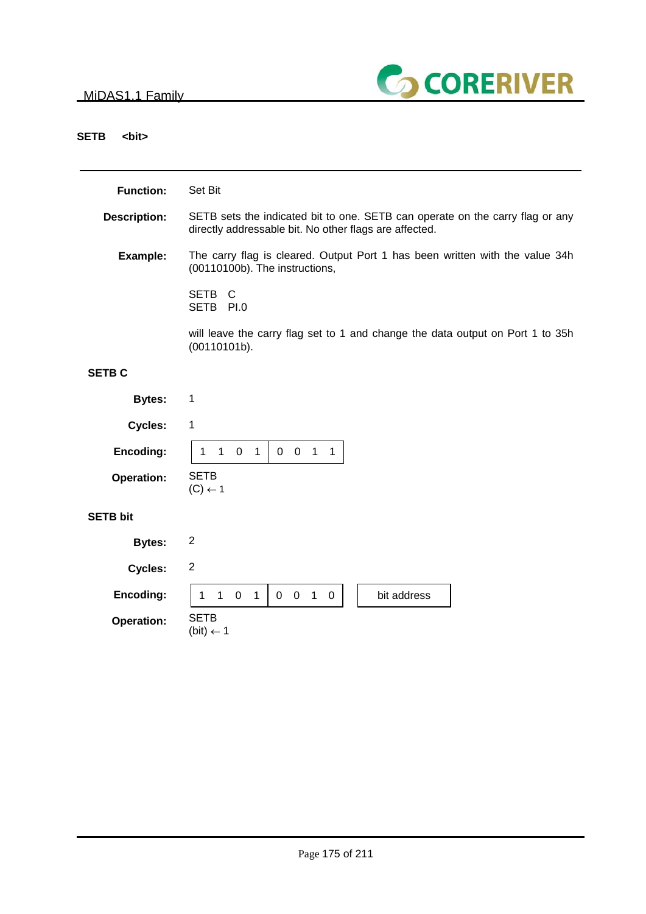

# SETB <bit>

| <b>Function:</b>    | Set Bit                                                                                                                                 |
|---------------------|-----------------------------------------------------------------------------------------------------------------------------------------|
| <b>Description:</b> | SETB sets the indicated bit to one. SETB can operate on the carry flag or any<br>directly addressable bit. No other flags are affected. |
| Example:            | The carry flag is cleared. Output Port 1 has been written with the value 34h<br>(00110100b). The instructions,                          |
|                     | <b>SETB</b><br>- C<br>SETB PI.0                                                                                                         |
|                     | will leave the carry flag set to 1 and change the data output on Port 1 to 35h<br>$(00110101b)$ .                                       |
| <b>SETB C</b>       |                                                                                                                                         |
| <b>Bytes:</b>       | 1                                                                                                                                       |
| Cycles:             |                                                                                                                                         |

| Encoding:         | $\mathbf{1}$                      |  | $0 1 0 0$ |  |  |
|-------------------|-----------------------------------|--|-----------|--|--|
| <b>Operation:</b> | <b>SETB</b><br>$(C) \leftarrow 1$ |  |           |  |  |

## **SETB bit**

| <b>Bytes:</b>     | 2                                   |  |                 |  |  |             |
|-------------------|-------------------------------------|--|-----------------|--|--|-------------|
| Cycles:           | 2                                   |  |                 |  |  |             |
| Encoding:         |                                     |  | 1 1 0 1 0 0 1 0 |  |  | bit address |
| <b>Operation:</b> | <b>SETB</b><br>(bit) $\leftarrow$ 1 |  |                 |  |  |             |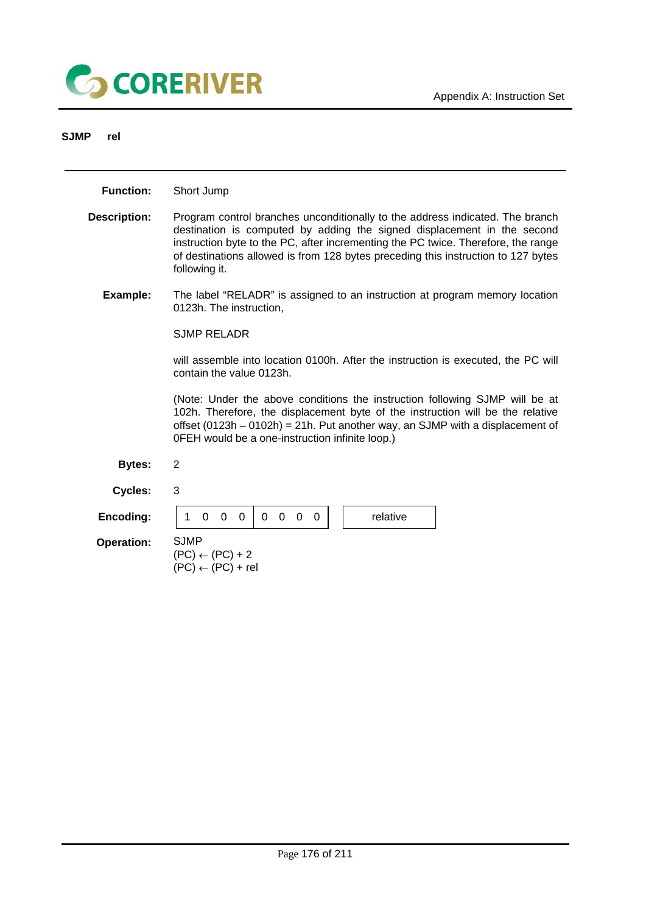



**SJMP rel** 

| <b>Function:</b>    | Short Jump                                                                                                                                                                                                                                                                                                                                          |  |  |  |  |  |  |  |  |  |
|---------------------|-----------------------------------------------------------------------------------------------------------------------------------------------------------------------------------------------------------------------------------------------------------------------------------------------------------------------------------------------------|--|--|--|--|--|--|--|--|--|
| <b>Description:</b> | Program control branches unconditionally to the address indicated. The branch<br>destination is computed by adding the signed displacement in the second<br>instruction byte to the PC, after incrementing the PC twice. Therefore, the range<br>of destinations allowed is from 128 bytes preceding this instruction to 127 bytes<br>following it. |  |  |  |  |  |  |  |  |  |
| Example:            | The label "RELADR" is assigned to an instruction at program memory location<br>0123h. The instruction,                                                                                                                                                                                                                                              |  |  |  |  |  |  |  |  |  |
|                     | <b>SJMP RELADR</b>                                                                                                                                                                                                                                                                                                                                  |  |  |  |  |  |  |  |  |  |
|                     | will assemble into location 0100h. After the instruction is executed, the PC will<br>contain the value 0123h.                                                                                                                                                                                                                                       |  |  |  |  |  |  |  |  |  |
|                     | (Note: Under the above conditions the instruction following SJMP will be at<br>102h. Therefore, the displacement byte of the instruction will be the relative<br>offset (0123h - 0102h) = 21h. Put another way, an SJMP with a displacement of<br>OFEH would be a one-instruction infinite loop.)                                                   |  |  |  |  |  |  |  |  |  |
| <b>Bytes:</b>       | 2                                                                                                                                                                                                                                                                                                                                                   |  |  |  |  |  |  |  |  |  |
| Cycles:             | 3                                                                                                                                                                                                                                                                                                                                                   |  |  |  |  |  |  |  |  |  |
| Encoding:           | 0<br>relative<br>1<br>0<br>0<br>$\mathbf 0$<br>$\Omega$<br>$\mathbf{0}$<br>0                                                                                                                                                                                                                                                                        |  |  |  |  |  |  |  |  |  |
| <b>Operation:</b>   | <b>SJMP</b><br>$(PC) \leftarrow (PC) + 2$<br>$(PC) \leftarrow (PC) + rel$                                                                                                                                                                                                                                                                           |  |  |  |  |  |  |  |  |  |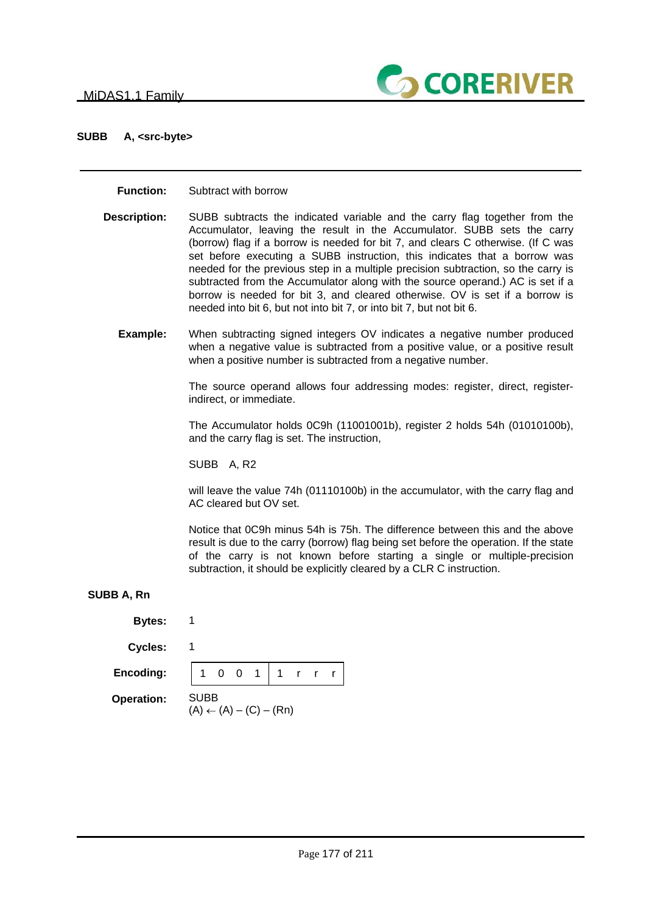

### **SUBB A, <src-byte>**

#### Subtract with borrow **Function:**

- SUBB subtracts the indicated variable and the carry flag together from the Accumulator, leaving the result in the Accumulator. SUBB sets the carry (borrow) flag if a borrow is needed for bit 7, and clears C otherwise. (If C was set before executing a SUBB instruction, this indicates that a borrow was needed for the previous step in a multiple precision subtraction, so the carry is subtracted from the Accumulator along with the source operand.) AC is set if a borrow is needed for bit 3, and cleared otherwise. OV is set if a borrow is needed into bit 6, but not into bit 7, or into bit 7, but not bit 6. **Description:** 
	- When subtracting signed integers OV indicates a negative number produced when a negative value is subtracted from a positive value, or a positive result when a positive number is subtracted from a negative number. **Example:**

The source operand allows four addressing modes: register, direct, registerindirect, or immediate.

The Accumulator holds 0C9h (11001001b), register 2 holds 54h (01010100b), and the carry flag is set. The instruction,

SUBB A, R2

will leave the value 74h (01110100b) in the accumulator, with the carry flag and AC cleared but OV set.

Notice that 0C9h minus 54h is 75h. The difference between this and the above result is due to the carry (borrow) flag being set before the operation. If the state of the carry is not known before starting a single or multiple-precision subtraction, it should be explicitly cleared by a CLR C instruction.

#### **SUBB A, Rn**

| <b>Bytes:</b>     |             |  |                                   |  |  |
|-------------------|-------------|--|-----------------------------------|--|--|
| Cycles:           |             |  |                                   |  |  |
| Encoding:         |             |  | 1 0 0 1 1 r r r                   |  |  |
| <b>Operation:</b> | <b>SUBB</b> |  | $(A) \leftarrow (A) - (C) - (Rn)$ |  |  |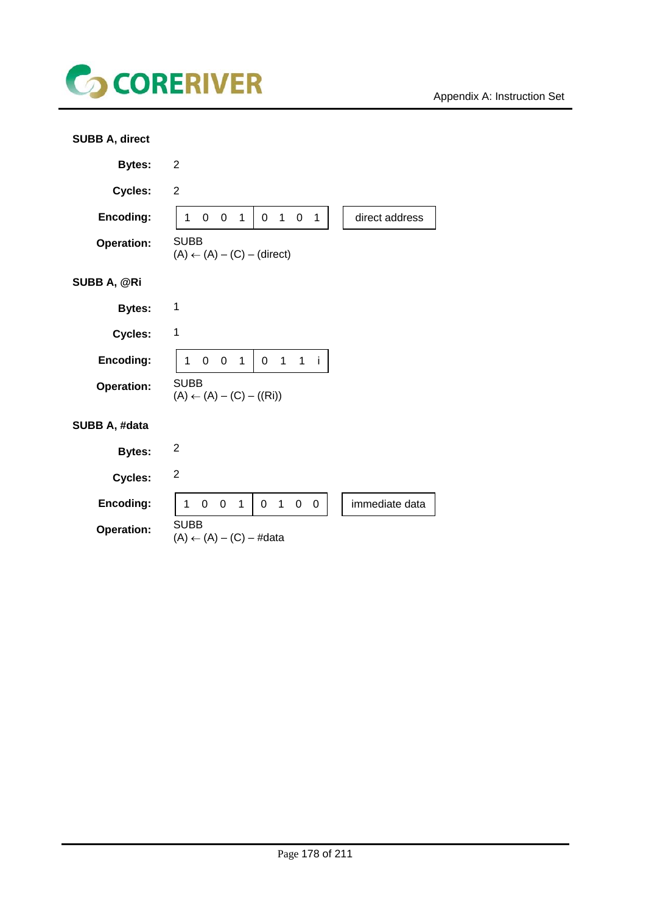

| <b>SUBB A, direct</b> |                                                                                                           |
|-----------------------|-----------------------------------------------------------------------------------------------------------|
| <b>Bytes:</b>         | $\overline{2}$                                                                                            |
| Cycles:               | $\overline{2}$                                                                                            |
| Encoding:             | 1<br>direct address<br>0<br>$\mathbf 1$<br>1<br>0<br>0<br>0<br>1                                          |
| <b>Operation:</b>     | <b>SUBB</b><br>$(A) \leftarrow (A) - (C) - (direct)$                                                      |
| SUBB A, @Ri           |                                                                                                           |
| <b>Bytes:</b>         | 1                                                                                                         |
| Cycles:               | 1                                                                                                         |
| Encoding:             | $\mathbf{1}$<br>$\mathbf{1}$<br>$\mathbf{1}$<br>1<br>0<br>0<br>i<br>0                                     |
| <b>Operation:</b>     | <b>SUBB</b><br>$(A) \leftarrow (A) - (C) - ((Ri))$                                                        |
| SUBB A, #data         |                                                                                                           |
| <b>Bytes:</b>         | $\overline{2}$                                                                                            |
| Cycles:               | $\overline{2}$                                                                                            |
| Encoding:             | $\mathbf 1$<br>1<br>immediate data<br>$\mathbf 0$<br>$\mathbf 0$<br>$\mathbf{1}$<br>$\mathbf 0$<br>0<br>0 |
| <b>Operation:</b>     | <b>SUBB</b><br>$(A) \leftarrow (A) - (C) - #data$                                                         |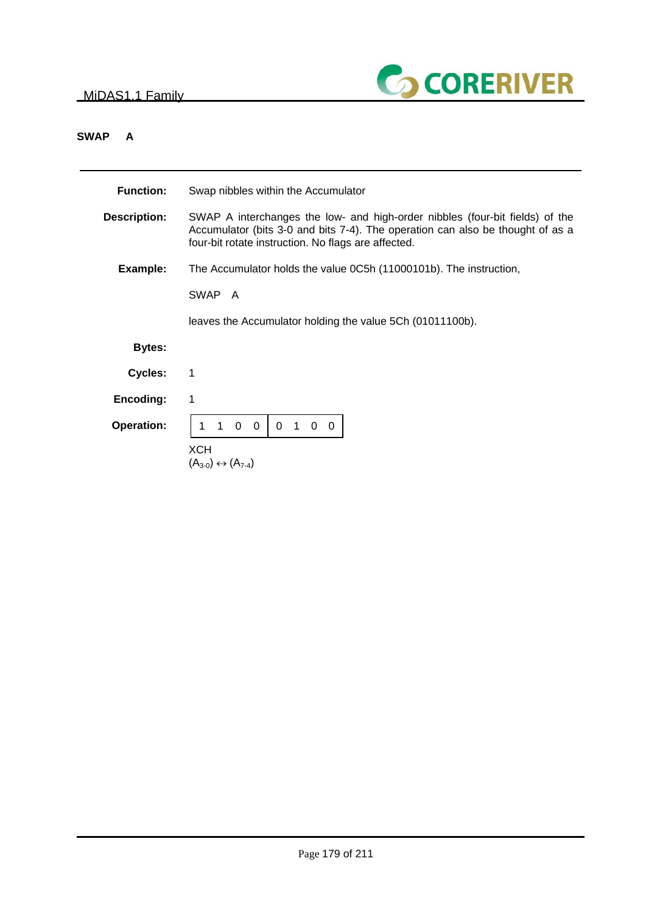

# **SWAP A**

| <b>Function:</b>    | Swap nibbles within the Accumulator                                                                                                                                                                                   |
|---------------------|-----------------------------------------------------------------------------------------------------------------------------------------------------------------------------------------------------------------------|
| <b>Description:</b> | SWAP A interchanges the low- and high-order nibbles (four-bit fields) of the<br>Accumulator (bits 3-0 and bits 7-4). The operation can also be thought of as a<br>four-bit rotate instruction. No flags are affected. |
| Example:            | The Accumulator holds the value 0C5h (11000101b). The instruction,                                                                                                                                                    |
|                     | SWAP A                                                                                                                                                                                                                |
|                     | leaves the Accumulator holding the value 5Ch (01011100b).                                                                                                                                                             |
| Bytes:              |                                                                                                                                                                                                                       |
| Cycles:             | 1                                                                                                                                                                                                                     |
| Encoding:           | 1                                                                                                                                                                                                                     |
| <b>Operation:</b>   | 0 <sub>1</sub><br>$\Omega$<br>$\Omega$<br>$\Omega$<br>0                                                                                                                                                               |
|                     | <b>XCH</b><br>$(A_{3-0}) \leftrightarrow (A_{7-4})$                                                                                                                                                                   |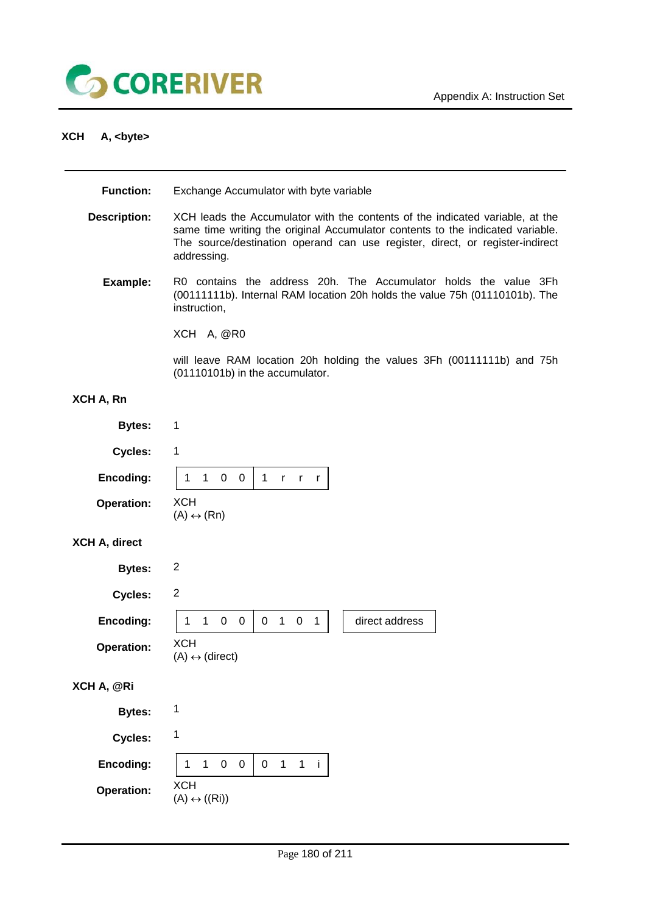

# **XCH A, <byte>**

| <b>Function:</b>    | Exchange Accumulator with byte variable                                                                                                                                                                                                                         |
|---------------------|-----------------------------------------------------------------------------------------------------------------------------------------------------------------------------------------------------------------------------------------------------------------|
| <b>Description:</b> | XCH leads the Accumulator with the contents of the indicated variable, at the<br>same time writing the original Accumulator contents to the indicated variable.<br>The source/destination operand can use register, direct, or register-indirect<br>addressing. |
| Example:            | R0 contains the address 20h. The Accumulator holds the value 3Fh<br>(00111111b). Internal RAM location 20h holds the value 75h (01110101b). The<br>instruction,                                                                                                 |
|                     | XCH A, @R0                                                                                                                                                                                                                                                      |
|                     | will leave RAM location 20h holding the values 3Fh (00111111b) and 75h<br>(01110101b) in the accumulator.                                                                                                                                                       |
| XCH A, Rn           |                                                                                                                                                                                                                                                                 |
| <b>Bytes:</b>       | 1                                                                                                                                                                                                                                                               |
| Cycles:             | 1                                                                                                                                                                                                                                                               |
| Encoding:           | $\mathbf{1}$<br>1<br>$1 \quad 0 \quad 0$<br>$r$ $r$ $r$                                                                                                                                                                                                         |
| Operation:          | <b>XCH</b><br>$(A) \leftrightarrow (Rn)$                                                                                                                                                                                                                        |
| XCH A, direct       |                                                                                                                                                                                                                                                                 |
| <b>Bytes:</b>       | 2                                                                                                                                                                                                                                                               |
| Cycles:             | $\overline{2}$                                                                                                                                                                                                                                                  |
| Encoding:           | $\mathbf 0$<br>$1\quad 0$<br>direct address<br>1<br>1<br>$0\quad 0$<br>$\mathbf{1}$                                                                                                                                                                             |
| Operation:          | <b>XCH</b><br>$(A) \leftrightarrow (direct)$                                                                                                                                                                                                                    |
| XCH A, @Ri          |                                                                                                                                                                                                                                                                 |
| <b>Bytes:</b>       | 1                                                                                                                                                                                                                                                               |
| Cycles:             | 1                                                                                                                                                                                                                                                               |
| Encoding:           | $\boldsymbol{0}$<br>$\pmb{0}$<br>$\mathbf 0$<br>$\mathbf 1$<br>1<br>1<br>1<br>Ť                                                                                                                                                                                 |
| <b>Operation:</b>   | <b>XCH</b><br>$(A) \leftrightarrow ((Ri))$                                                                                                                                                                                                                      |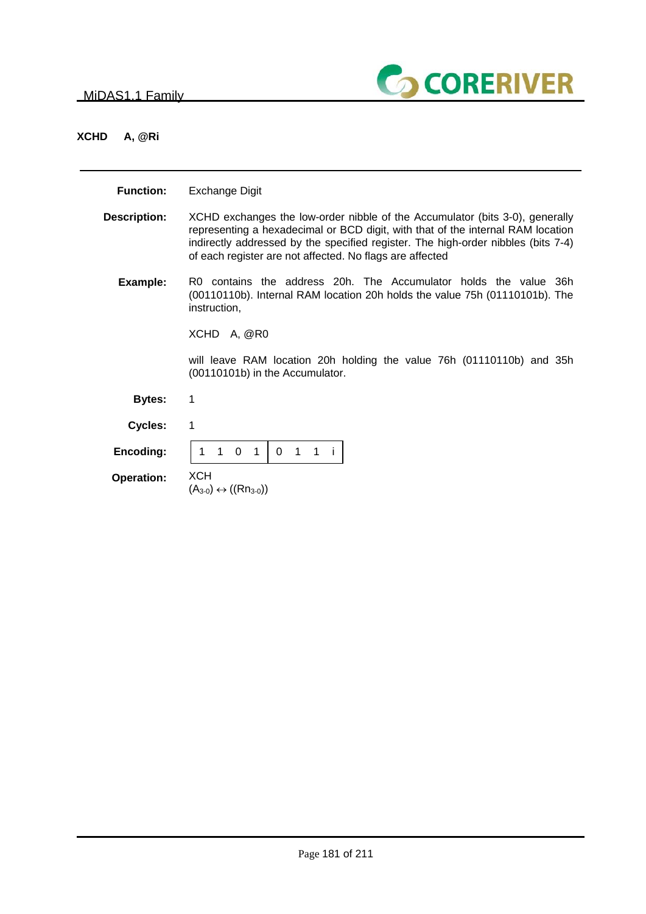

#### **XCHD A, @Ri**

#### Exchange Digit **Function:**

- XCHD exchanges the low-order nibble of the Accumulator (bits 3-0), generally representing a hexadecimal or BCD digit, with that of the internal RAM location indirectly addressed by the specified register. The high-order nibbles (bits 7-4) of each register are not affected. No flags are affected **Description:** 
	- R0 contains the address 20h. The Accumulator holds the value 36h (00110110b). Internal RAM location 20h holds the value 75h (01110101b). The instruction, **Example:**

XCHD A, @R0

will leave RAM location 20h holding the value 76h (01110110b) and 35h (00110101b) in the Accumulator.

1 **Bytes:** 

**Cycles:** 

**Encoding:**  1 1 0 1 0 1 1 i

1

**Operation:** 

XCH

 $(A_{3-0}) \leftrightarrow ((Rn_{3-0}))$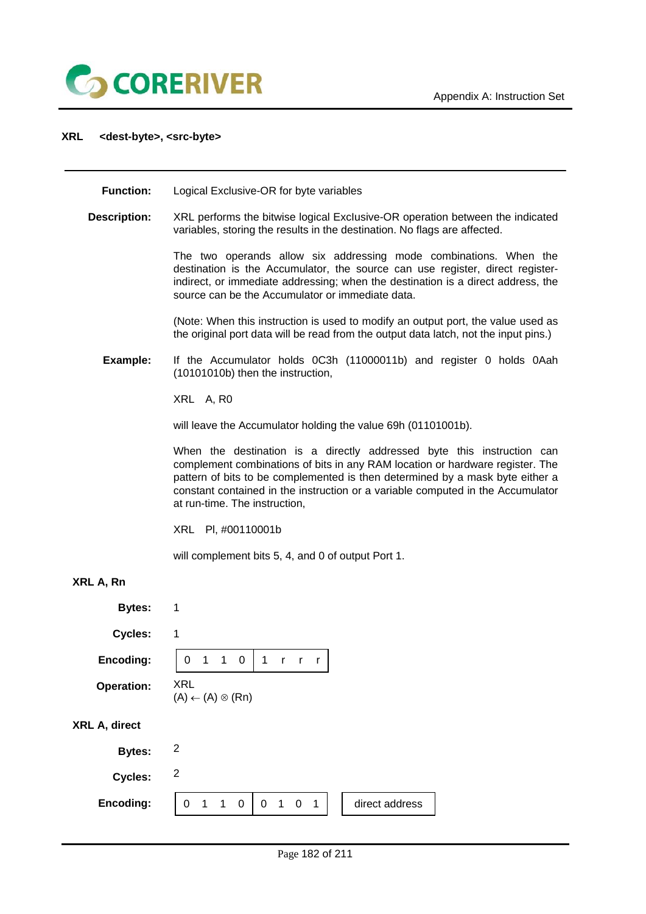

#### **XRL <dest-byte>, <src-byte>**

Logical Exclusive-OR for byte variables **Function:** 

XRL performs the bitwise logical Exclusive-OR operation between the indicated variables, storing the results in the destination. No flags are affected. **Description:** 

> The two operands allow six addressing mode combinations. When the destination is the Accumulator, the source can use register, direct registerindirect, or immediate addressing; when the destination is a direct address, the source can be the Accumulator or immediate data.

> (Note: When this instruction is used to modify an output port, the value used as the original port data will be read from the output data latch, not the input pins.)

If the Accumulator holds 0C3h (11000011b) and register 0 holds 0Aah (10101010b) then the instruction, **Example:** 

XRL A, R0

will leave the Accumulator holding the value 69h (01101001b).

When the destination is a directly addressed byte this instruction can complement combinations of bits in any RAM location or hardware register. The pattern of bits to be complemented is then determined by a mask byte either a constant contained in the instruction or a variable computed in the Accumulator at run-time. The instruction,

XRL Pl, #00110001b

will complement bits 5, 4, and 0 of output Port 1.

#### **XRL A, Rn**

| 1                                                                                                                                                  |
|----------------------------------------------------------------------------------------------------------------------------------------------------|
| 1                                                                                                                                                  |
| $0 \quad 1 \quad 1 \quad 0$<br>$1$ r r r                                                                                                           |
| <b>XRL</b><br>$(A) \leftarrow (A) \otimes (Rn)$                                                                                                    |
|                                                                                                                                                    |
| 2                                                                                                                                                  |
| 2                                                                                                                                                  |
| $\begin{array}{cccc} \circ & 1 & 0 \\ \circ & 1 & 0 \\ \end{array}$<br>$0 \quad 1 \quad 1 \quad 0$<br>$\overline{\phantom{0}}$ 1<br>direct address |
|                                                                                                                                                    |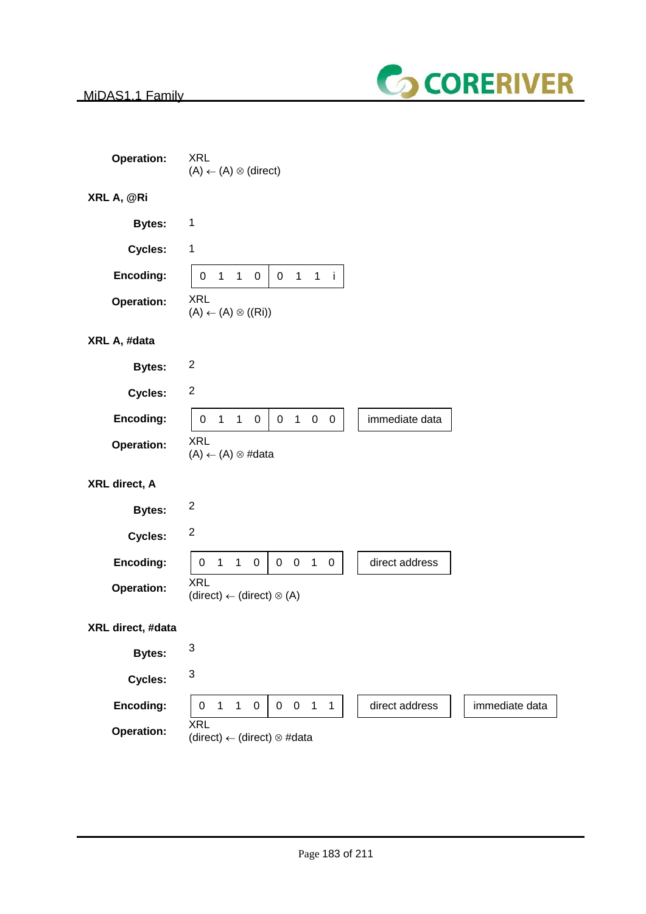

| <b>Operation:</b> | <b>XRL</b><br>$(A) \leftarrow (A) \otimes (direct)$                                                                                                               |
|-------------------|-------------------------------------------------------------------------------------------------------------------------------------------------------------------|
| XRL A, @Ri        |                                                                                                                                                                   |
| <b>Bytes:</b>     | $\mathbf 1$                                                                                                                                                       |
| Cycles:           | $\mathbf 1$                                                                                                                                                       |
| Encoding:         | $\pmb{0}$<br>$\pmb{0}$<br>$\pmb{0}$<br>$\mathbf{1}$<br>$\mathbf{1}$<br>$\mathbf 1$<br>$\mathbf{1}$<br>$\mathbf{i}$                                                |
| <b>Operation:</b> | <b>XRL</b><br>$(A) \leftarrow (A) \otimes ((Ri))$                                                                                                                 |
| XRL A, #data      |                                                                                                                                                                   |
| <b>Bytes:</b>     | $\boldsymbol{2}$                                                                                                                                                  |
| Cycles:           | $\boldsymbol{2}$                                                                                                                                                  |
| Encoding:         | $\pmb{0}$<br>immediate data<br>$\pmb{0}$<br>$\mathbf{1}$<br>$\mathbf{1}$<br>$\pmb{0}$<br>$\mathbf{1}$<br>$\pmb{0}$<br>$\pmb{0}$                                   |
| <b>Operation:</b> | <b>XRL</b><br>$(A) \leftarrow (A) \otimes #data$                                                                                                                  |
| XRL direct, A     |                                                                                                                                                                   |
| <b>Bytes:</b>     | $\boldsymbol{2}$                                                                                                                                                  |
| Cycles:           | $\overline{c}$                                                                                                                                                    |
| Encoding:         | $\pmb{0}$<br>$\pmb{0}$<br>$\mathbf{1}$<br>$\mathbf{1}$<br>$\pmb{0}$<br>$\pmb{0}$<br>direct address<br>$\mathbf 1$<br>$\mathbf 0$                                  |
| <b>Operation:</b> | <b>XRL</b><br>$(direct) \leftarrow (direct) \otimes (A)$                                                                                                          |
| XRL direct, #data |                                                                                                                                                                   |
| <b>Bytes:</b>     | 3                                                                                                                                                                 |
| Cycles:           | $\ensuremath{\mathsf{3}}$                                                                                                                                         |
| Encoding:         | $\mathsf{O}\xspace$<br>direct address<br>$\mathbf 1$<br>$\pmb{0}$<br>$\mathsf 0$<br>$\mathbf{1}$<br>$\mathbf{1}$<br>immediate data<br>$\mathbf 0$<br>$\mathbf{1}$ |
| <b>Operation:</b> | <b>XRL</b><br>(direct) $\leftarrow$ (direct) $\otimes$ #data                                                                                                      |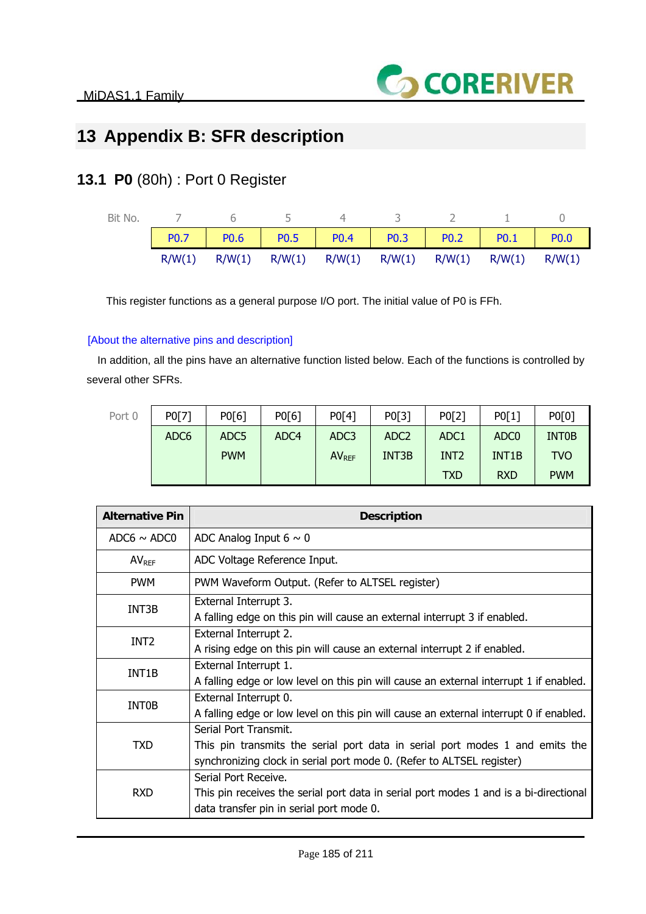# **13 Appendix B: SFR description**

### **13.1 P0** (80h) : Port 0 Register

| Bit No. |                  |                  |                  |             |                                                       |                  |                  |             |
|---------|------------------|------------------|------------------|-------------|-------------------------------------------------------|------------------|------------------|-------------|
|         | P <sub>0.7</sub> | P <sub>0.6</sub> | P <sub>0.5</sub> | <b>PO.4</b> | P <sub>0.3</sub>                                      | P <sub>0.2</sub> | P <sub>0.1</sub> | <b>PO.O</b> |
|         | R/W(1)           |                  |                  |             | $R/W(1)$ $R/W(1)$ $R/W(1)$ $R/W(1)$ $R/W(1)$ $R/W(1)$ |                  |                  | R/W(1)      |

This register functions as a general purpose I/O port. The initial value of P0 is FFh.

#### [About the alternative pins and description]

In addition, all the pins have an alternative function listed below. Each of the functions is controlled by several other SFRs.

| Port 0 | P0[7]            | P0[6]            | P0[6] | P0[4]             | P0[3]            | P0[2]            | P0[1]            | P0[0]        |
|--------|------------------|------------------|-------|-------------------|------------------|------------------|------------------|--------------|
|        | ADC <sub>6</sub> | ADC <sub>5</sub> | ADC4  | ADC3              | ADC <sub>2</sub> | ADC <sub>1</sub> | ADC <sub>0</sub> | <b>INTOB</b> |
|        |                  | <b>PWM</b>       |       | AV <sub>REF</sub> | INT3B            | INT <sub>2</sub> | INT1B            | TVO.         |
|        |                  |                  |       |                   |                  | TXD              | <b>RXD</b>       | <b>PWM</b>   |

| <b>Alternative Pin</b> | <b>Description</b>                                                                     |
|------------------------|----------------------------------------------------------------------------------------|
| $ADC6 \sim ADC0$       | ADC Analog Input $6 \sim 0$                                                            |
| $AV_{RFF}$             | ADC Voltage Reference Input.                                                           |
| <b>PWM</b>             | PWM Waveform Output. (Refer to ALTSEL register)                                        |
| INT3B                  | External Interrupt 3.                                                                  |
|                        | A falling edge on this pin will cause an external interrupt 3 if enabled.              |
| INT <sub>2</sub>       | External Interrupt 2.                                                                  |
|                        | A rising edge on this pin will cause an external interrupt 2 if enabled.               |
| INT1B                  | External Interrupt 1.                                                                  |
|                        | A falling edge or low level on this pin will cause an external interrupt 1 if enabled. |
| INT0B                  | External Interrupt 0.                                                                  |
|                        | A falling edge or low level on this pin will cause an external interrupt 0 if enabled. |
|                        | Serial Port Transmit.                                                                  |
| TXD                    | This pin transmits the serial port data in serial port modes 1 and emits the           |
|                        | synchronizing clock in serial port mode 0. (Refer to ALTSEL register)                  |
|                        | Serial Port Receive.                                                                   |
| <b>RXD</b>             | This pin receives the serial port data in serial port modes 1 and is a bi-directional  |
|                        | data transfer pin in serial port mode 0.                                               |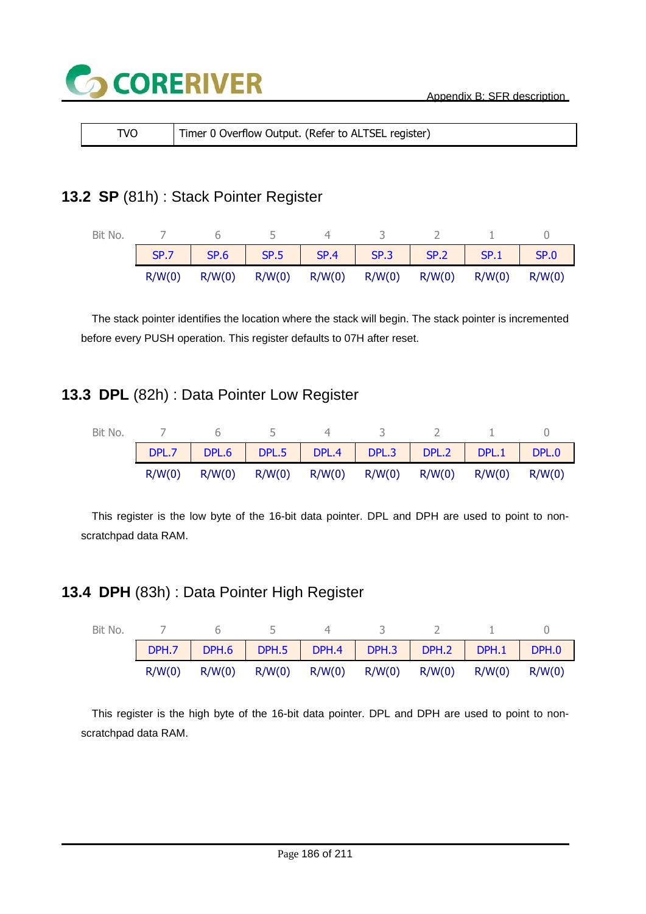



| TVO | Timer 0 Overflow Output. (Refer to ALTSEL register) |
|-----|-----------------------------------------------------|
|     |                                                     |

### **13.2 SP** (81h) : Stack Pointer Register

| Bit No. |             |             |             |                   |             |                   |             |             |
|---------|-------------|-------------|-------------|-------------------|-------------|-------------------|-------------|-------------|
|         | <b>SP.7</b> | <b>SP.6</b> | <b>SP.5</b> | <b>SP.4</b>       | <b>SP.3</b> | <b>SP.2</b>       | <b>SP.1</b> | <b>SP.0</b> |
|         | R/W(0)      | R/W(0)      | R/W(0)      | $R/W(0)$ $R/W(0)$ |             | $R/W(0)$ $R/W(0)$ |             | R/W(0)      |

The stack pointer identifies the location where the stack will begin. The stack pointer is incremented before every PUSH operation. This register defaults to 07H after reset.

### **13.3 DPL** (82h) : Data Pointer Low Register

| Bit No. |        |        |        |        |        |        |        |        |
|---------|--------|--------|--------|--------|--------|--------|--------|--------|
|         | DPL.7  | DPL.6  | DPL.5  | DPL.4  | DPL.3  | DPL.2  | DPL.1  | DPL.0  |
|         | R/W(0) | R/W(0) | R/W(0) | R/W(0) | R/W(0) | R/W(0) | R/W(0) | R/W(0) |

This register is the low byte of the 16-bit data pointer. DPL and DPH are used to point to nonscratchpad data RAM.

### **13.4 DPH** (83h) : Data Pointer High Register

| Bit No. |        |                                           |                                           |  |       |
|---------|--------|-------------------------------------------|-------------------------------------------|--|-------|
|         |        | DPH.7 DPH.6 DPH.5 DPH.4 DPH.3 DPH.2 DPH.1 |                                           |  | DPH.0 |
|         | R/W(0) | R/W(0)                                    | R/W(0) R/W(0) R/W(0) R/W(0) R/W(0) R/W(0) |  |       |

This register is the high byte of the 16-bit data pointer. DPL and DPH are used to point to nonscratchpad data RAM.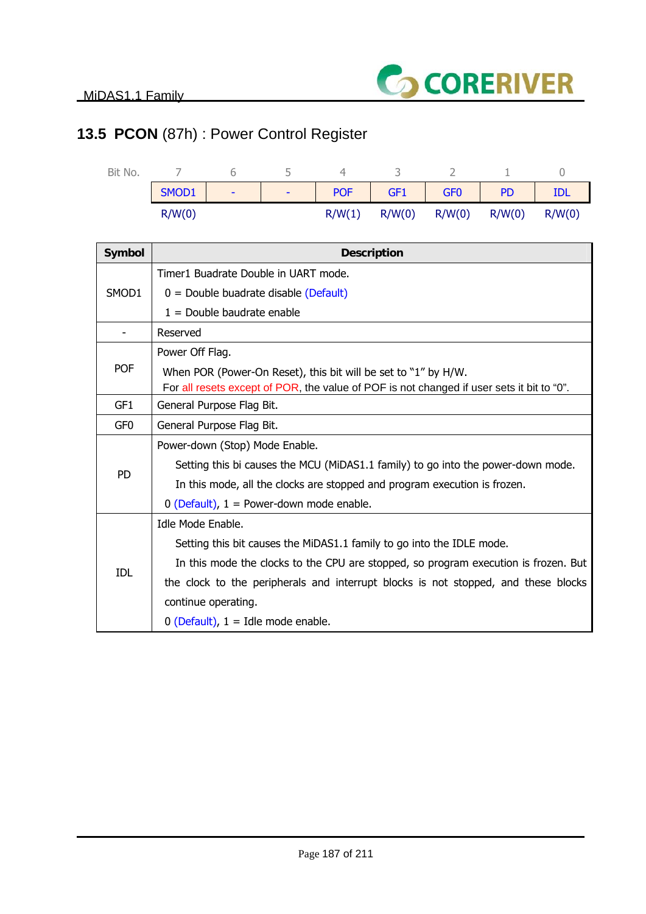## **13.5 PCON** (87h) : Power Control Register

| Bit No. |                   |   |                          |            |                 |        |           |        |
|---------|-------------------|---|--------------------------|------------|-----------------|--------|-----------|--------|
|         | SMOD <sub>1</sub> | ۰ | $\overline{\phantom{a}}$ | <b>POF</b> | GF <sub>1</sub> | GF0    | <b>PD</b> | IDL    |
|         | R/W(0)            |   |                          | R/W(1)     | R/W(0)          | R/W(0) | R/W(0)    | R/W(0) |

| Symbol          | <b>Description</b>                                                                        |
|-----------------|-------------------------------------------------------------------------------------------|
|                 | Timer1 Buadrate Double in UART mode.                                                      |
| SMOD1           | $0 =$ Double buadrate disable (Default)                                                   |
|                 | $1 =$ Double baudrate enable                                                              |
|                 | Reserved                                                                                  |
|                 | Power Off Flag.                                                                           |
| <b>POF</b>      | When POR (Power-On Reset), this bit will be set to "1" by H/W.                            |
|                 | For all resets except of POR, the value of POF is not changed if user sets it bit to "0". |
| GF <sub>1</sub> | General Purpose Flag Bit.                                                                 |
| GF <sub>0</sub> | General Purpose Flag Bit.                                                                 |
|                 | Power-down (Stop) Mode Enable.                                                            |
| <b>PD</b>       | Setting this bi causes the MCU (MiDAS1.1 family) to go into the power-down mode.          |
|                 | In this mode, all the clocks are stopped and program execution is frozen.                 |
|                 | $0$ (Default), $1 =$ Power-down mode enable.                                              |
|                 | Idle Mode Enable.                                                                         |
|                 | Setting this bit causes the MiDAS1.1 family to go into the IDLE mode.                     |
| <b>IDL</b>      | In this mode the clocks to the CPU are stopped, so program execution is frozen. But       |
|                 | the clock to the peripherals and interrupt blocks is not stopped, and these blocks        |
|                 | continue operating.                                                                       |
|                 | $0$ (Default), $1 =$ Idle mode enable.                                                    |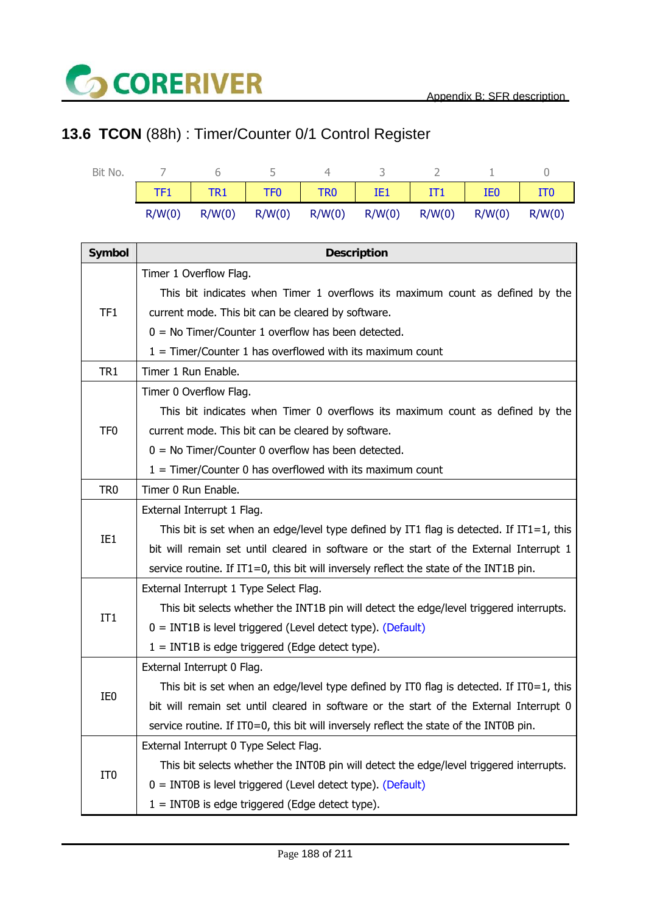

### **13.6 TCON** (88h) : Timer/Counter 0/1 Control Register



| Symbol          | <b>Description</b>                                                                         |
|-----------------|--------------------------------------------------------------------------------------------|
|                 | Timer 1 Overflow Flag.                                                                     |
|                 | This bit indicates when Timer 1 overflows its maximum count as defined by the              |
| TF <sub>1</sub> | current mode. This bit can be cleared by software.                                         |
|                 | $0 = No$ Timer/Counter 1 overflow has been detected.                                       |
|                 | $1 =$ Timer/Counter 1 has overflowed with its maximum count                                |
| TR <sub>1</sub> | Timer 1 Run Enable.                                                                        |
|                 | Timer 0 Overflow Flag.                                                                     |
|                 | This bit indicates when Timer 0 overflows its maximum count as defined by the              |
| TF <sub>0</sub> | current mode. This bit can be cleared by software.                                         |
|                 | $0 = No$ Timer/Counter 0 overflow has been detected.                                       |
|                 | $1 =$ Timer/Counter 0 has overflowed with its maximum count                                |
| TR <sub>0</sub> | Timer 0 Run Enable.                                                                        |
|                 | External Interrupt 1 Flag.                                                                 |
| IE1             | This bit is set when an edge/level type defined by IT1 flag is detected. If IT1=1, this    |
|                 | bit will remain set until cleared in software or the start of the External Interrupt 1     |
|                 | service routine. If $IT1=0$ , this bit will inversely reflect the state of the INT1B pin.  |
|                 | External Interrupt 1 Type Select Flag.                                                     |
| IT <sub>1</sub> | This bit selects whether the INT1B pin will detect the edge/level triggered interrupts.    |
|                 | $0 = INT1B$ is level triggered (Level detect type). (Default)                              |
|                 | $1 = INT1B$ is edge triggered (Edge detect type).                                          |
|                 | External Interrupt 0 Flag.                                                                 |
| IE0             | This bit is set when an edge/level type defined by IT0 flag is detected. If $IT0=1$ , this |
|                 | bit will remain set until cleared in software or the start of the External Interrupt 0     |
|                 | service routine. If IT0=0, this bit will inversely reflect the state of the INT0B pin.     |
|                 | External Interrupt 0 Type Select Flag.                                                     |
|                 | This bit selects whether the INT0B pin will detect the edge/level triggered interrupts.    |
| IT <sub>0</sub> | $0 = INT0B$ is level triggered (Level detect type). (Default)                              |
|                 | $1 = INTOB$ is edge triggered (Edge detect type).                                          |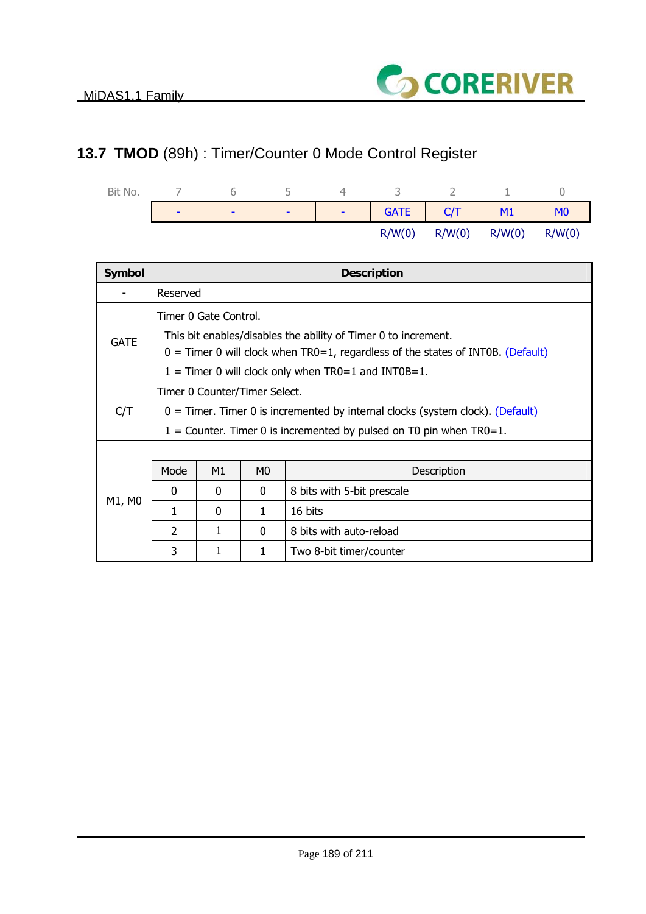

# **13.7 TMOD** (89h) : Timer/Counter 0 Mode Control Register

| No.<br>Bit |                          |                          | ے      |                          |             |        |                |        |
|------------|--------------------------|--------------------------|--------|--------------------------|-------------|--------|----------------|--------|
|            | $\overline{\phantom{0}}$ | $\overline{\phantom{0}}$ | $\sim$ | $\overline{\phantom{0}}$ | <b>GATE</b> |        | M <sub>1</sub> |        |
|            |                          |                          |        |                          | R/W(0)      | R/W(0) | R/W(0)         | R/W(0) |

| Symbol      |                |                                                                                                                                                                                                                                            |                | <b>Description</b>         |  |  |  |  |  |
|-------------|----------------|--------------------------------------------------------------------------------------------------------------------------------------------------------------------------------------------------------------------------------------------|----------------|----------------------------|--|--|--|--|--|
|             |                | Reserved                                                                                                                                                                                                                                   |                |                            |  |  |  |  |  |
| <b>GATE</b> |                | Timer 0 Gate Control.<br>This bit enables/disables the ability of Timer 0 to increment.<br>$0 =$ Timer 0 will clock when TR0=1, regardless of the states of INT0B. (Default)<br>$1 =$ Timer 0 will clock only when $TR0=1$ and $INT0B=1$ . |                |                            |  |  |  |  |  |
| C/T         |                | Timer 0 Counter/Timer Select.<br>$0 =$ Timer. Timer 0 is incremented by internal clocks (system clock). (Default)<br>$1 =$ Counter. Timer 0 is incremented by pulsed on T0 pin when TR0=1.                                                 |                |                            |  |  |  |  |  |
|             | Mode           | M1                                                                                                                                                                                                                                         | M <sub>0</sub> | Description                |  |  |  |  |  |
|             | 0              | 0                                                                                                                                                                                                                                          | $\bf{0}$       | 8 bits with 5-bit prescale |  |  |  |  |  |
| M1, M0      | 1              | $\Omega$                                                                                                                                                                                                                                   | 1              | 16 bits                    |  |  |  |  |  |
|             | $\overline{2}$ | 1                                                                                                                                                                                                                                          | $\Omega$       | 8 bits with auto-reload    |  |  |  |  |  |
|             | 3              | 1                                                                                                                                                                                                                                          | 1              | Two 8-bit timer/counter    |  |  |  |  |  |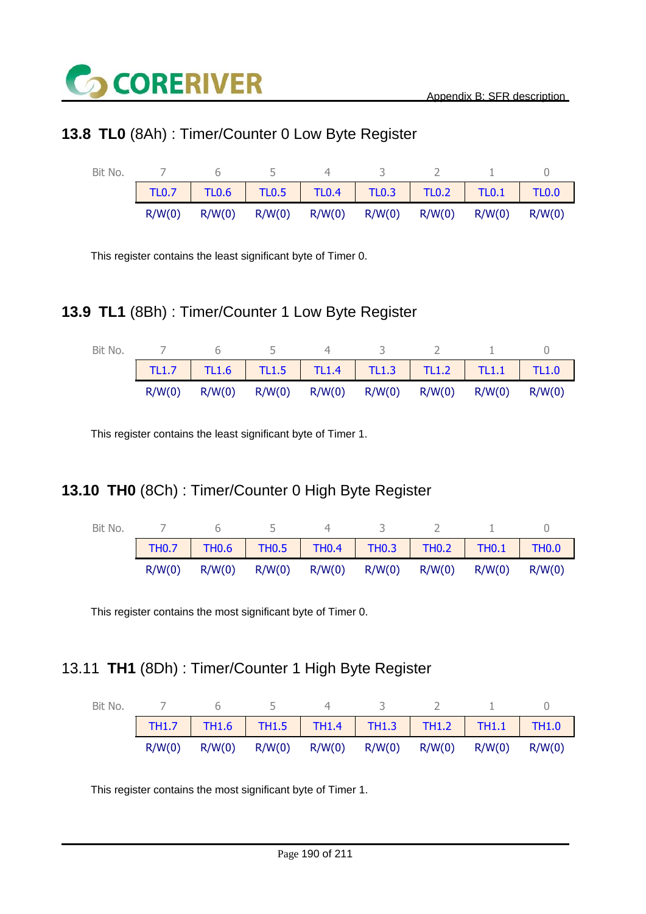

### **13.8 TL0** (8Ah) : Timer/Counter 0 Low Byte Register

| Bit No. |              |              |              |              |                                              |              |              |              |
|---------|--------------|--------------|--------------|--------------|----------------------------------------------|--------------|--------------|--------------|
|         | <b>TL0.7</b> | <b>TL0.6</b> | <b>TL0.5</b> | <b>TL0.4</b> | TL0.3                                        | <b>TLO.2</b> | <b>TL0.1</b> | <b>TLO.0</b> |
|         | R/W(0)       | R/W(0)       |              |              | $R/W(0)$ $R/W(0)$ $R/W(0)$ $R/W(0)$ $R/W(0)$ |              |              | R/W(0)       |

This register contains the least significant byte of Timer 0.

### **13.9 TL1** (8Bh) : Timer/Counter 1 Low Byte Register

| Bit No. |              |        |        |        |                                       |        |        |              |
|---------|--------------|--------|--------|--------|---------------------------------------|--------|--------|--------------|
|         | <b>TL1.7</b> | TL1.6  |        |        | TL1.5   TL1.4   TL1.3   TL1.2   TL1.1 |        |        | <b>TL1.0</b> |
|         | R/W(0)       | R/W(0) | R/W(0) | R/W(0) | R/W(0)                                | R/W(0) | R/W(0) | R/W(0)       |

This register contains the least significant byte of Timer 1.

#### **13.10 TH0** (8Ch) : Timer/Counter 0 High Byte Register

| Bit No. |              |                                               |        |                             |  |        |
|---------|--------------|-----------------------------------------------|--------|-----------------------------|--|--------|
|         | <b>THO.7</b> | TH0.6   TH0.5   TH0.4   TH0.3   TH0.2   TH0.1 |        |                             |  | TH0.0  |
|         | R/W(0)       | R/W(0)                                        | R/W(0) | R/W(0) R/W(0) R/W(0) R/W(0) |  | R/W(0) |

This register contains the most significant byte of Timer 0.

### 13.11 **TH1** (8Dh) : Timer/Counter 1 High Byte Register

| Bit No |              |        |        |        |                                               |                   |              |
|--------|--------------|--------|--------|--------|-----------------------------------------------|-------------------|--------------|
|        | <b>TH1.7</b> |        |        |        | TH1.6   TH1.5   TH1.4   TH1.3   TH1.2   TH1.1 |                   | <b>TH1.0</b> |
|        | R/W(0)       | R/W(0) | R/W(0) | R/W(0) | R/W(0)                                        | $R/W(0)$ $R/W(0)$ | R/W(0)       |

This register contains the most significant byte of Timer 1.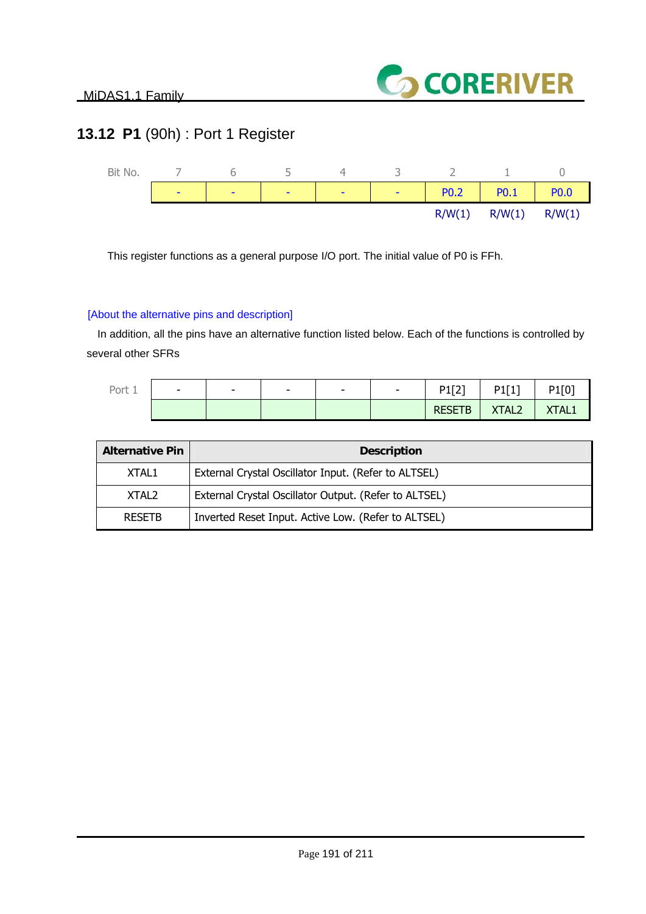### **13.12 P1** (90h) : Port 1 Register



This register functions as a general purpose I/O port. The initial value of P0 is FFh.

#### [About the alternative pins and description]

In addition, all the pins have an alternative function listed below. Each of the functions is controlled by several other SFRs

| Port $\overline{1}$ | $\overline{\phantom{0}}$ | $\overline{\phantom{0}}$ | $\overline{\phantom{0}}$ | $\overline{\phantom{0}}$ | $\overline{\phantom{0}}$ | P1[2]         | P1[1]             | P1[0] |
|---------------------|--------------------------|--------------------------|--------------------------|--------------------------|--------------------------|---------------|-------------------|-------|
|                     |                          |                          |                          |                          |                          | <b>RESETB</b> | XTAL <sub>2</sub> | XTAL1 |

| <b>Alternative Pin</b> | <b>Description</b>                                    |
|------------------------|-------------------------------------------------------|
| XTAL1                  | External Crystal Oscillator Input. (Refer to ALTSEL)  |
| XTAL <sub>2</sub>      | External Crystal Oscillator Output. (Refer to ALTSEL) |
| <b>RESETB</b>          | Inverted Reset Input. Active Low. (Refer to ALTSEL)   |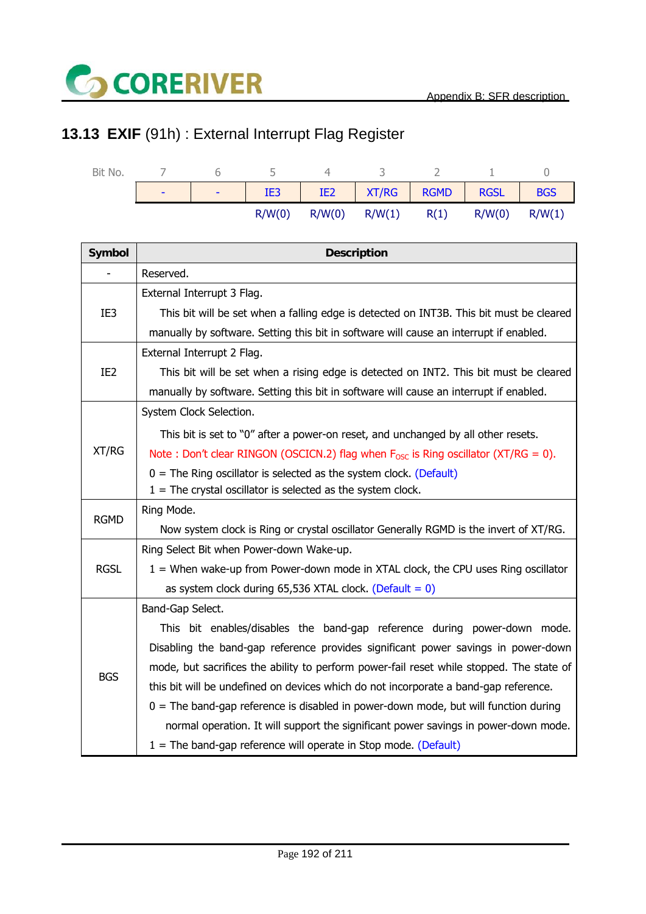

## **13.13 EXIF** (91h) : External Interrupt Flag Register



| <b>Symbol</b>   | <b>Description</b>                                                                             |  |  |  |  |  |  |  |  |
|-----------------|------------------------------------------------------------------------------------------------|--|--|--|--|--|--|--|--|
|                 | Reserved.                                                                                      |  |  |  |  |  |  |  |  |
|                 | External Interrupt 3 Flag.                                                                     |  |  |  |  |  |  |  |  |
| IE3             | This bit will be set when a falling edge is detected on INT3B. This bit must be cleared        |  |  |  |  |  |  |  |  |
|                 | manually by software. Setting this bit in software will cause an interrupt if enabled.         |  |  |  |  |  |  |  |  |
|                 | External Interrupt 2 Flag.                                                                     |  |  |  |  |  |  |  |  |
| IE <sub>2</sub> | This bit will be set when a rising edge is detected on INT2. This bit must be cleared          |  |  |  |  |  |  |  |  |
|                 | manually by software. Setting this bit in software will cause an interrupt if enabled.         |  |  |  |  |  |  |  |  |
|                 | System Clock Selection.                                                                        |  |  |  |  |  |  |  |  |
|                 | This bit is set to "0" after a power-on reset, and unchanged by all other resets.              |  |  |  |  |  |  |  |  |
| XT/RG           | Note: Don't clear RINGON (OSCICN.2) flag when $F_{\text{osc}}$ is Ring oscillator (XT/RG = 0). |  |  |  |  |  |  |  |  |
|                 | $0 =$ The Ring oscillator is selected as the system clock. (Default)                           |  |  |  |  |  |  |  |  |
|                 | $1 =$ The crystal oscillator is selected as the system clock.                                  |  |  |  |  |  |  |  |  |
| <b>RGMD</b>     | Ring Mode.                                                                                     |  |  |  |  |  |  |  |  |
|                 | Now system clock is Ring or crystal oscillator Generally RGMD is the invert of XT/RG.          |  |  |  |  |  |  |  |  |
|                 | Ring Select Bit when Power-down Wake-up.                                                       |  |  |  |  |  |  |  |  |
| <b>RGSL</b>     | 1 = When wake-up from Power-down mode in XTAL clock, the CPU uses Ring oscillator              |  |  |  |  |  |  |  |  |
|                 | as system clock during $65,536$ XTAL clock. (Default = 0)                                      |  |  |  |  |  |  |  |  |
|                 | Band-Gap Select.                                                                               |  |  |  |  |  |  |  |  |
|                 | This bit enables/disables the band-gap reference during power-down mode.                       |  |  |  |  |  |  |  |  |
|                 | Disabling the band-gap reference provides significant power savings in power-down              |  |  |  |  |  |  |  |  |
| <b>BGS</b>      | mode, but sacrifices the ability to perform power-fail reset while stopped. The state of       |  |  |  |  |  |  |  |  |
|                 | this bit will be undefined on devices which do not incorporate a band-gap reference.           |  |  |  |  |  |  |  |  |
|                 | $0 =$ The band-gap reference is disabled in power-down mode, but will function during          |  |  |  |  |  |  |  |  |
|                 | normal operation. It will support the significant power savings in power-down mode.            |  |  |  |  |  |  |  |  |
|                 | $1 =$ The band-gap reference will operate in Stop mode. (Default)                              |  |  |  |  |  |  |  |  |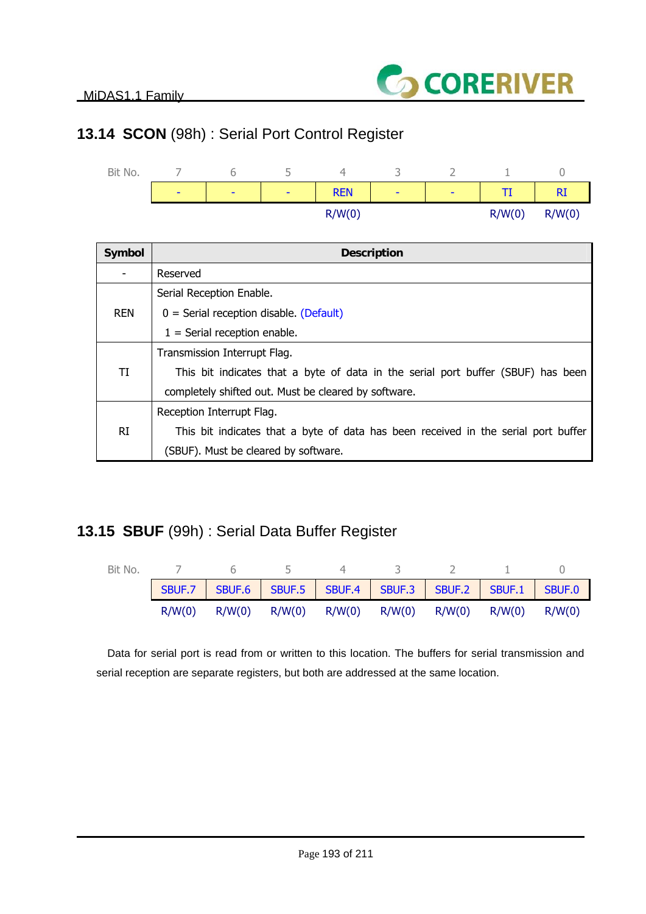

### **13.14 SCON** (98h) : Serial Port Control Register



| Symbol     | <b>Description</b>                                                                 |
|------------|------------------------------------------------------------------------------------|
|            | Reserved                                                                           |
|            | Serial Reception Enable.                                                           |
| <b>REN</b> | $0 =$ Serial reception disable. (Default)                                          |
|            | $1 =$ Serial reception enable.                                                     |
|            | Transmission Interrupt Flag.                                                       |
| TI         | This bit indicates that a byte of data in the serial port buffer (SBUF) has been   |
|            | completely shifted out. Must be cleared by software.                               |
|            | Reception Interrupt Flag.                                                          |
| RI         | This bit indicates that a byte of data has been received in the serial port buffer |
|            | (SBUF). Must be cleared by software.                                               |

### **13.15 SBUF** (99h) : Serial Data Buffer Register

| Bit No. |        |                                                                       |  |                                                                |  |  |
|---------|--------|-----------------------------------------------------------------------|--|----------------------------------------------------------------|--|--|
|         |        | SBUF.7   SBUF.6   SBUF.5   SBUF.4   SBUF.3   SBUF.2   SBUF.1   SBUF.0 |  |                                                                |  |  |
|         | R/W(0) |                                                                       |  | $R/W(0)$ $R/W(0)$ $R/W(0)$ $R/W(0)$ $R/W(0)$ $R/W(0)$ $R/W(0)$ |  |  |

Data for serial port is read from or written to this location. The buffers for serial transmission and serial reception are separate registers, but both are addressed at the same location.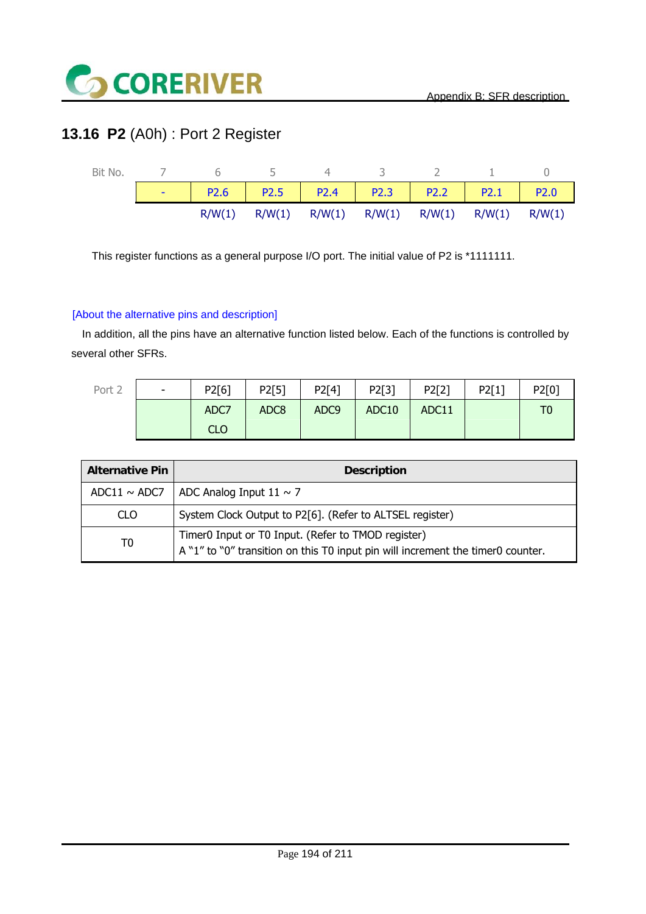

### **13.16 P2** (A0h) : Port 2 Register



This register functions as a general purpose I/O port. The initial value of P2 is \*1111111.

#### [About the alternative pins and description]

In addition, all the pins have an alternative function listed below. Each of the functions is controlled by several other SFRs.

| Port 2 | $\overline{\phantom{a}}$ | P2[6]      | P2[5]            | P2[4] | P2[3]             | P2[2] | P2[1] | P2[0] |
|--------|--------------------------|------------|------------------|-------|-------------------|-------|-------|-------|
|        |                          | ADC7       | ADC <sub>8</sub> | ADC9  | ADC <sub>10</sub> | ADC11 |       | T0    |
|        |                          | <b>CLO</b> |                  |       |                   |       |       |       |

| <b>Alternative Pin</b> | <b>Description</b>                                                                                                                    |
|------------------------|---------------------------------------------------------------------------------------------------------------------------------------|
|                        | ADC11 $\sim$ ADC7   ADC Analog Input 11 $\sim$ 7                                                                                      |
| <b>CLO</b>             | System Clock Output to P2[6]. (Refer to ALTSEL register)                                                                              |
| T <sub>0</sub>         | Timer0 Input or T0 Input. (Refer to TMOD register)<br>A "1" to "0" transition on this T0 input pin will increment the timer0 counter. |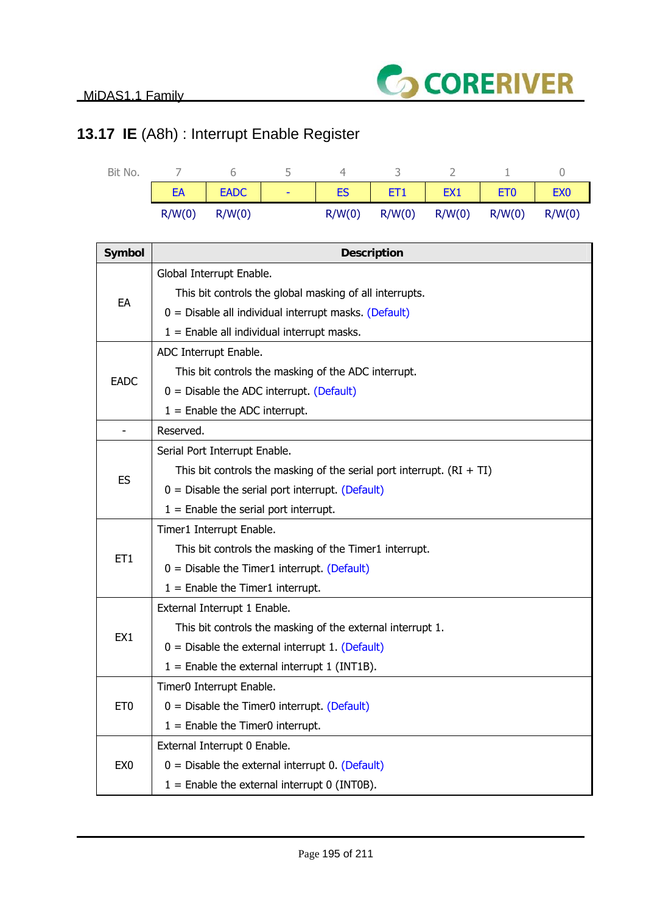

### **13.17 IE** (A8h) : Interrupt Enable Register



| <b>Symbol</b>   | <b>Description</b>                                                      |  |  |  |  |  |  |  |
|-----------------|-------------------------------------------------------------------------|--|--|--|--|--|--|--|
|                 | Global Interrupt Enable.                                                |  |  |  |  |  |  |  |
| EA              | This bit controls the global masking of all interrupts.                 |  |  |  |  |  |  |  |
|                 | $0 =$ Disable all individual interrupt masks. (Default)                 |  |  |  |  |  |  |  |
|                 | $1 =$ Enable all individual interrupt masks.                            |  |  |  |  |  |  |  |
|                 | ADC Interrupt Enable.                                                   |  |  |  |  |  |  |  |
| <b>EADC</b>     | This bit controls the masking of the ADC interrupt.                     |  |  |  |  |  |  |  |
|                 | $0 =$ Disable the ADC interrupt. (Default)                              |  |  |  |  |  |  |  |
|                 | $1 =$ Enable the ADC interrupt.                                         |  |  |  |  |  |  |  |
|                 | Reserved.                                                               |  |  |  |  |  |  |  |
|                 | Serial Port Interrupt Enable.                                           |  |  |  |  |  |  |  |
| ES              | This bit controls the masking of the serial port interrupt. $(RI + TI)$ |  |  |  |  |  |  |  |
|                 | $0 =$ Disable the serial port interrupt. (Default)                      |  |  |  |  |  |  |  |
|                 | $1 =$ Enable the serial port interrupt.                                 |  |  |  |  |  |  |  |
|                 | Timer1 Interrupt Enable.                                                |  |  |  |  |  |  |  |
| ET <sub>1</sub> | This bit controls the masking of the Timer1 interrupt.                  |  |  |  |  |  |  |  |
|                 | $0 =$ Disable the Timer1 interrupt. (Default)                           |  |  |  |  |  |  |  |
|                 | $1 =$ Enable the Timer1 interrupt.                                      |  |  |  |  |  |  |  |
|                 | External Interrupt 1 Enable.                                            |  |  |  |  |  |  |  |
| EX1             | This bit controls the masking of the external interrupt 1.              |  |  |  |  |  |  |  |
|                 | $0 =$ Disable the external interrupt 1. (Default)                       |  |  |  |  |  |  |  |
|                 | $1 =$ Enable the external interrupt 1 (INT1B).                          |  |  |  |  |  |  |  |
|                 | Timer0 Interrupt Enable.                                                |  |  |  |  |  |  |  |
| ET <sub>0</sub> | $0 =$ Disable the Timer0 interrupt. (Default)                           |  |  |  |  |  |  |  |
|                 | $1 =$ Enable the Timer0 interrupt.                                      |  |  |  |  |  |  |  |
|                 | External Interrupt 0 Enable.                                            |  |  |  |  |  |  |  |
| EX <sub>0</sub> | $0 =$ Disable the external interrupt 0. (Default)                       |  |  |  |  |  |  |  |
|                 | $1 =$ Enable the external interrupt 0 (INT0B).                          |  |  |  |  |  |  |  |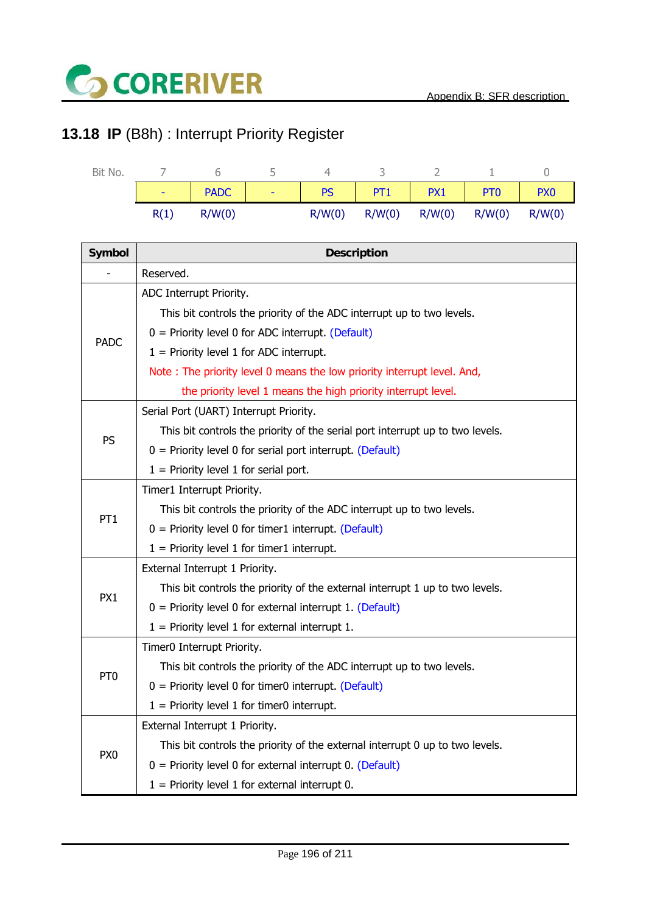

### **13.18 IP** (B8h) : Interrupt Priority Register



| Symbol          | <b>Description</b>                                                            |  |  |  |  |  |  |  |
|-----------------|-------------------------------------------------------------------------------|--|--|--|--|--|--|--|
|                 | Reserved.                                                                     |  |  |  |  |  |  |  |
|                 | ADC Interrupt Priority.                                                       |  |  |  |  |  |  |  |
|                 | This bit controls the priority of the ADC interrupt up to two levels.         |  |  |  |  |  |  |  |
| <b>PADC</b>     | $0 =$ Priority level 0 for ADC interrupt. (Default)                           |  |  |  |  |  |  |  |
|                 | $1$ = Priority level 1 for ADC interrupt.                                     |  |  |  |  |  |  |  |
|                 | Note: The priority level 0 means the low priority interrupt level. And,       |  |  |  |  |  |  |  |
|                 | the priority level 1 means the high priority interrupt level.                 |  |  |  |  |  |  |  |
|                 | Serial Port (UART) Interrupt Priority.                                        |  |  |  |  |  |  |  |
| PS              | This bit controls the priority of the serial port interrupt up to two levels. |  |  |  |  |  |  |  |
|                 | $0 =$ Priority level 0 for serial port interrupt. (Default)                   |  |  |  |  |  |  |  |
|                 | $1$ = Priority level 1 for serial port.                                       |  |  |  |  |  |  |  |
|                 | Timer1 Interrupt Priority.                                                    |  |  |  |  |  |  |  |
| PT <sub>1</sub> | This bit controls the priority of the ADC interrupt up to two levels.         |  |  |  |  |  |  |  |
|                 | $0 =$ Priority level 0 for timer1 interrupt. (Default)                        |  |  |  |  |  |  |  |
|                 | $1$ = Priority level 1 for timer1 interrupt.                                  |  |  |  |  |  |  |  |
|                 | External Interrupt 1 Priority.                                                |  |  |  |  |  |  |  |
| PX1             | This bit controls the priority of the external interrupt 1 up to two levels.  |  |  |  |  |  |  |  |
|                 | $0 =$ Priority level 0 for external interrupt 1. (Default)                    |  |  |  |  |  |  |  |
|                 | $1$ = Priority level 1 for external interrupt 1.                              |  |  |  |  |  |  |  |
|                 | Timer0 Interrupt Priority.                                                    |  |  |  |  |  |  |  |
| PT <sub>0</sub> | This bit controls the priority of the ADC interrupt up to two levels.         |  |  |  |  |  |  |  |
|                 | $0 =$ Priority level 0 for timer0 interrupt. (Default)                        |  |  |  |  |  |  |  |
|                 | $1$ = Priority level 1 for timer0 interrupt.                                  |  |  |  |  |  |  |  |
|                 | External Interrupt 1 Priority.                                                |  |  |  |  |  |  |  |
| PX <sub>0</sub> | This bit controls the priority of the external interrupt 0 up to two levels.  |  |  |  |  |  |  |  |
|                 | $0 =$ Priority level 0 for external interrupt 0. (Default)                    |  |  |  |  |  |  |  |
|                 | $1$ = Priority level 1 for external interrupt 0.                              |  |  |  |  |  |  |  |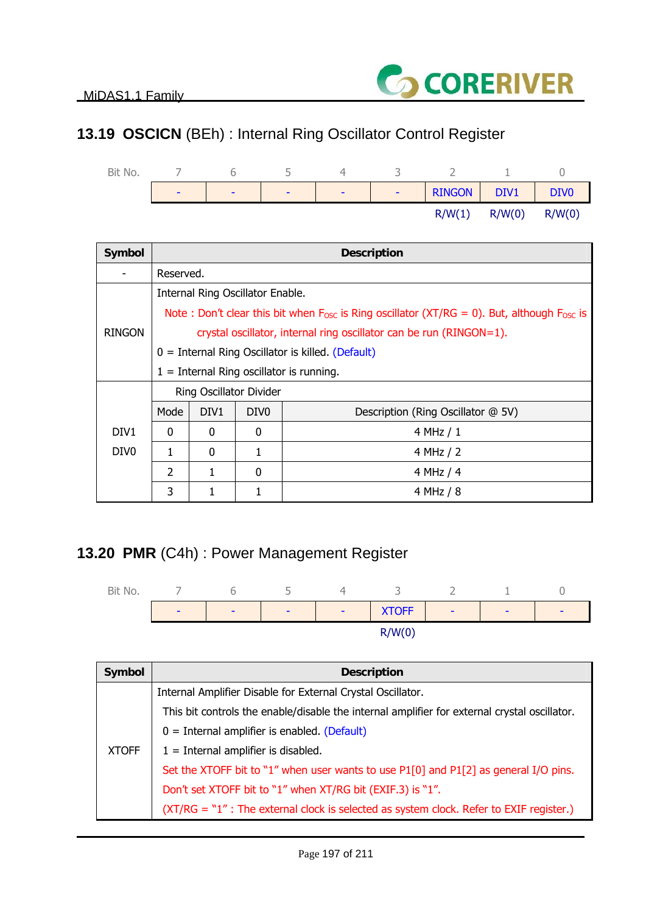

### **13.19 OSCICN** (BEh) : Internal Ring Oscillator Control Register



| Symbol           | <b>Description</b>                           |                                                                                                                    |                  |                                    |  |  |  |  |  |  |  |
|------------------|----------------------------------------------|--------------------------------------------------------------------------------------------------------------------|------------------|------------------------------------|--|--|--|--|--|--|--|
|                  |                                              | Reserved.                                                                                                          |                  |                                    |  |  |  |  |  |  |  |
|                  |                                              | Internal Ring Oscillator Enable.                                                                                   |                  |                                    |  |  |  |  |  |  |  |
|                  |                                              | Note: Don't clear this bit when $F_{\text{osc}}$ is Ring oscillator (XT/RG = 0). But, although $F_{\text{osc}}$ is |                  |                                    |  |  |  |  |  |  |  |
| <b>RINGON</b>    |                                              | crystal oscillator, internal ring oscillator can be run (RINGON=1).                                                |                  |                                    |  |  |  |  |  |  |  |
|                  |                                              | $0 =$ Internal Ring Oscillator is killed. (Default)                                                                |                  |                                    |  |  |  |  |  |  |  |
|                  |                                              | $1 =$ Internal Ring oscillator is running.                                                                         |                  |                                    |  |  |  |  |  |  |  |
|                  |                                              | Ring Oscillator Divider                                                                                            |                  |                                    |  |  |  |  |  |  |  |
|                  | Mode                                         | DIV <sub>1</sub>                                                                                                   | DIV <sub>0</sub> | Description (Ring Oscillator @ 5V) |  |  |  |  |  |  |  |
| DIV <sub>1</sub> | 0                                            | 0                                                                                                                  | 0                | 4 MHz / 1                          |  |  |  |  |  |  |  |
| DIV <sub>0</sub> | 1                                            | 1<br>$\Omega$<br>4 MHz $/2$                                                                                        |                  |                                    |  |  |  |  |  |  |  |
|                  | $\overline{2}$<br>$\Omega$<br>1<br>4 MHz / 4 |                                                                                                                    |                  |                                    |  |  |  |  |  |  |  |
|                  | 3                                            |                                                                                                                    | 1                | 4 MHz / 8                          |  |  |  |  |  |  |  |

#### **13.20 PMR** (C4h) : Power Management Register



| Symbol       | <b>Description</b>                                                                           |
|--------------|----------------------------------------------------------------------------------------------|
| <b>XTOFF</b> | Internal Amplifier Disable for External Crystal Oscillator.                                  |
|              | This bit controls the enable/disable the internal amplifier for external crystal oscillator. |
|              | $0 =$ Internal amplifier is enabled. (Default)                                               |
|              | $1 =$ Internal amplifier is disabled.                                                        |
|              | Set the XTOFF bit to "1" when user wants to use $P1[0]$ and $P1[2]$ as general I/O pins.     |
|              | Don't set XTOFF bit to "1" when XT/RG bit (EXIF.3) is "1".                                   |
|              | $(XT/RG = "1" : The external clock is selected as system clock. Refer to EXIF register.)$    |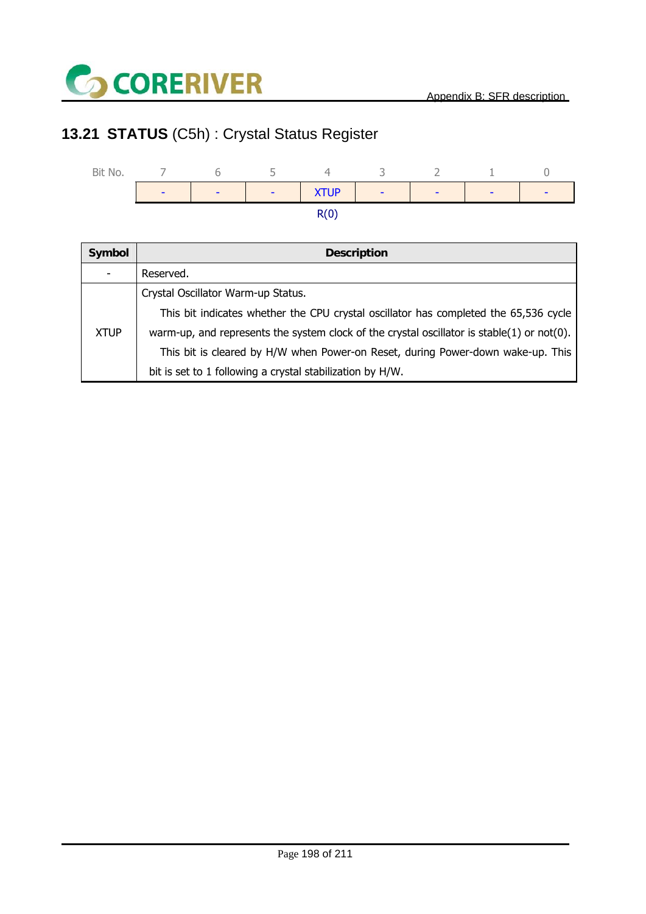

## **13.21 STATUS** (C5h) : Crystal Status Register



| Symbol      | <b>Description</b>                                                                            |
|-------------|-----------------------------------------------------------------------------------------------|
|             | Reserved.                                                                                     |
|             | Crystal Oscillator Warm-up Status.                                                            |
| <b>XTUP</b> | This bit indicates whether the CPU crystal oscillator has completed the 65,536 cycle          |
|             | warm-up, and represents the system clock of the crystal oscillator is stable(1) or $not(0)$ . |
|             | This bit is cleared by H/W when Power-on Reset, during Power-down wake-up. This               |
|             | bit is set to 1 following a crystal stabilization by H/W.                                     |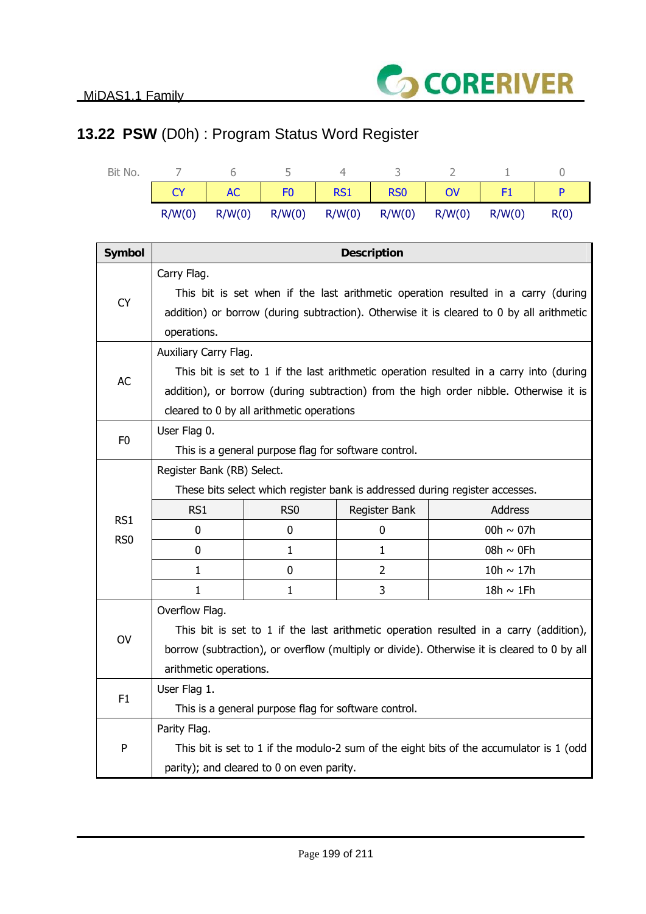

### **13.22 PSW** (D0h) : Program Status Word Register



| <b>Symbol</b>   | <b>Description</b>                                                                          |                                                      |                |                                                                                         |  |  |  |  |  |
|-----------------|---------------------------------------------------------------------------------------------|------------------------------------------------------|----------------|-----------------------------------------------------------------------------------------|--|--|--|--|--|
|                 | Carry Flag.                                                                                 |                                                      |                |                                                                                         |  |  |  |  |  |
| <b>CY</b>       | This bit is set when if the last arithmetic operation resulted in a carry (during           |                                                      |                |                                                                                         |  |  |  |  |  |
|                 | addition) or borrow (during subtraction). Otherwise it is cleared to 0 by all arithmetic    |                                                      |                |                                                                                         |  |  |  |  |  |
|                 | operations.                                                                                 |                                                      |                |                                                                                         |  |  |  |  |  |
|                 | Auxiliary Carry Flag.                                                                       |                                                      |                |                                                                                         |  |  |  |  |  |
| <b>AC</b>       |                                                                                             |                                                      |                | This bit is set to 1 if the last arithmetic operation resulted in a carry into (during  |  |  |  |  |  |
|                 |                                                                                             |                                                      |                | addition), or borrow (during subtraction) from the high order nibble. Otherwise it is   |  |  |  |  |  |
|                 |                                                                                             | cleared to 0 by all arithmetic operations            |                |                                                                                         |  |  |  |  |  |
| F <sub>0</sub>  | User Flag 0.                                                                                |                                                      |                |                                                                                         |  |  |  |  |  |
|                 |                                                                                             | This is a general purpose flag for software control. |                |                                                                                         |  |  |  |  |  |
|                 | Register Bank (RB) Select.                                                                  |                                                      |                |                                                                                         |  |  |  |  |  |
|                 |                                                                                             |                                                      |                | These bits select which register bank is addressed during register accesses.            |  |  |  |  |  |
| RS1             | RS1                                                                                         | RS <sub>0</sub>                                      | Register Bank  | <b>Address</b>                                                                          |  |  |  |  |  |
| RS <sub>0</sub> | 0                                                                                           | 0                                                    | $\bf{0}$       | 00h $\sim$ 07h                                                                          |  |  |  |  |  |
|                 | 0                                                                                           | $\mathbf{1}$                                         | 1              | 08h $\sim$ 0Fh                                                                          |  |  |  |  |  |
|                 | 1                                                                                           | $\overline{0}$                                       | $\overline{2}$ | 10h $\sim$ 17h                                                                          |  |  |  |  |  |
|                 | $\mathbf{1}$                                                                                | 1                                                    | 3              | 18h $\sim$ 1Fh                                                                          |  |  |  |  |  |
|                 | Overflow Flag.                                                                              |                                                      |                |                                                                                         |  |  |  |  |  |
| OV              | This bit is set to 1 if the last arithmetic operation resulted in a carry (addition),       |                                                      |                |                                                                                         |  |  |  |  |  |
|                 | borrow (subtraction), or overflow (multiply or divide). Otherwise it is cleared to 0 by all |                                                      |                |                                                                                         |  |  |  |  |  |
|                 | arithmetic operations.                                                                      |                                                      |                |                                                                                         |  |  |  |  |  |
| F <sub>1</sub>  | User Flag 1.                                                                                |                                                      |                |                                                                                         |  |  |  |  |  |
|                 |                                                                                             | This is a general purpose flag for software control. |                |                                                                                         |  |  |  |  |  |
|                 | Parity Flag.                                                                                |                                                      |                |                                                                                         |  |  |  |  |  |
| P               |                                                                                             |                                                      |                | This bit is set to 1 if the modulo-2 sum of the eight bits of the accumulator is 1 (odd |  |  |  |  |  |
|                 |                                                                                             | parity); and cleared to 0 on even parity.            |                |                                                                                         |  |  |  |  |  |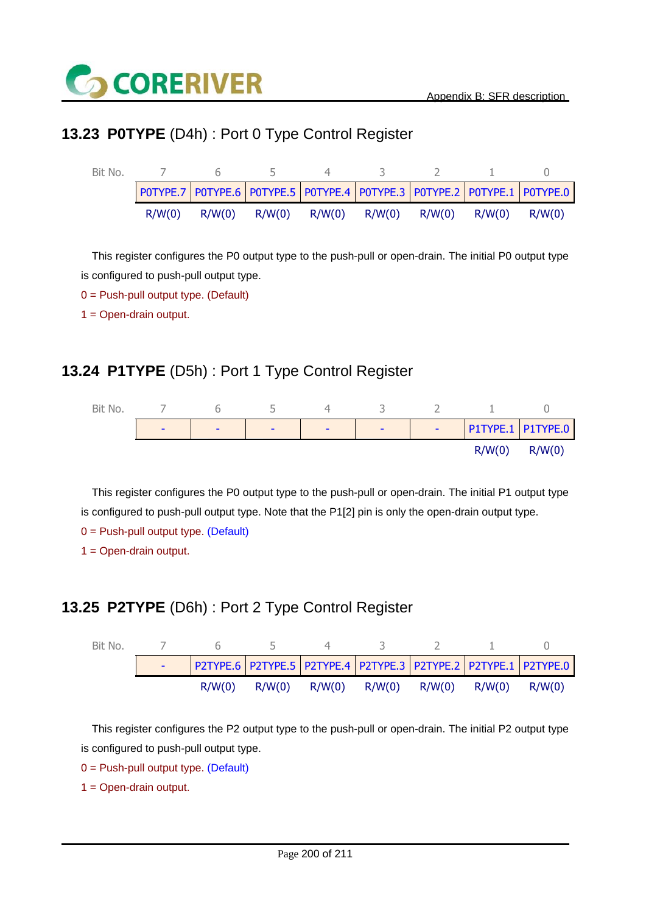

### **13.23 P0TYPE** (D4h) : Port 0 Type Control Register

| Bit No. |        |  |                                                                |  |                                                                                       |
|---------|--------|--|----------------------------------------------------------------|--|---------------------------------------------------------------------------------------|
|         |        |  |                                                                |  | POTYPE.7   POTYPE.6   POTYPE.5   POTYPE.4   POTYPE.3   POTYPE.2   POTYPE.1   POTYPE.0 |
|         | R/W(0) |  | $R/W(0)$ $R/W(0)$ $R/W(0)$ $R/W(0)$ $R/W(0)$ $R/W(0)$ $R/W(0)$ |  |                                                                                       |

This register configures the P0 output type to the push-pull or open-drain. The initial P0 output type is configured to push-pull output type.

0 = Push-pull output type. (Default)

1 = Open-drain output.

### **13.24 P1TYPE** (D5h) : Port 1 Type Control Register



This register configures the P0 output type to the push-pull or open-drain. The initial P1 output type is configured to push-pull output type. Note that the P1[2] pin is only the open-drain output type.

0 = Push-pull output type. (Default)

1 = Open-drain output.

### **13.25 P2TYPE** (D6h) : Port 2 Type Control Register



This register configures the P2 output type to the push-pull or open-drain. The initial P2 output type is configured to push-pull output type.

0 = Push-pull output type. (Default)

1 = Open-drain output.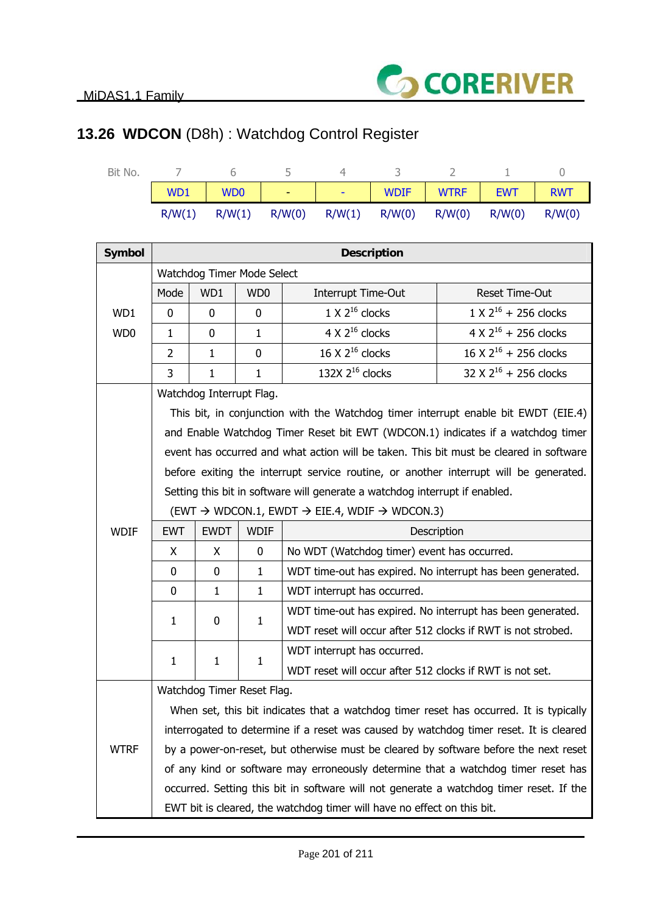

## **13.26 WDCON** (D8h) : Watchdog Control Register

| Bit No. |                 |        |        |        |             |             |            |            |
|---------|-----------------|--------|--------|--------|-------------|-------------|------------|------------|
|         | WD <sub>1</sub> | WD0    | ٠      | -      | <b>WDIF</b> | <b>WTRF</b> | <b>EWT</b> | <b>RWT</b> |
|         | R/W(1)          | R/W(1) | R/W(0) | R/W(1) | R/W(0)      | R/W(0)      | R/W(0)     | R/W(0)     |

| Symbol          | <b>Description</b>                                                          |                                                                                        |                 |                                                                                         |                                 |  |  |  |  |
|-----------------|-----------------------------------------------------------------------------|----------------------------------------------------------------------------------------|-----------------|-----------------------------------------------------------------------------------------|---------------------------------|--|--|--|--|
|                 |                                                                             | Watchdog Timer Mode Select                                                             |                 |                                                                                         |                                 |  |  |  |  |
|                 | Mode                                                                        | WD1                                                                                    | WD <sub>0</sub> | Interrupt Time-Out                                                                      | Reset Time-Out                  |  |  |  |  |
| WD1             | 0                                                                           | $\mathbf 0$                                                                            | $\bf{0}$        | $1 \times 2^{16}$ clocks<br>$1 \times 2^{16}$ + 256 clocks                              |                                 |  |  |  |  |
| WD <sub>0</sub> | $\mathbf{1}$                                                                | $\mathbf 0$                                                                            | $\mathbf{1}$    | $4 \times 2^{16}$ clocks                                                                | $4 \times 2^{16} + 256$ clocks  |  |  |  |  |
|                 | $\overline{2}$                                                              | $\mathbf{1}$                                                                           | $\bf{0}$        | $16 \times 2^{16}$ clocks                                                               | $16 \times 2^{16} + 256$ clocks |  |  |  |  |
|                 | 3                                                                           | $\mathbf{1}$                                                                           | 1               | 132X $2^{16}$ clocks                                                                    | $32 \times 2^{16} + 256$ clocks |  |  |  |  |
|                 |                                                                             | Watchdog Interrupt Flag.                                                               |                 |                                                                                         |                                 |  |  |  |  |
|                 |                                                                             |                                                                                        |                 | This bit, in conjunction with the Watchdog timer interrupt enable bit EWDT (EIE.4)      |                                 |  |  |  |  |
|                 |                                                                             |                                                                                        |                 | and Enable Watchdog Timer Reset bit EWT (WDCON.1) indicates if a watchdog timer         |                                 |  |  |  |  |
|                 |                                                                             | event has occurred and what action will be taken. This bit must be cleared in software |                 |                                                                                         |                                 |  |  |  |  |
|                 |                                                                             | before exiting the interrupt service routine, or another interrupt will be generated.  |                 |                                                                                         |                                 |  |  |  |  |
|                 | Setting this bit in software will generate a watchdog interrupt if enabled. |                                                                                        |                 |                                                                                         |                                 |  |  |  |  |
|                 | (EWT → WDCON.1, EWDT → EIE.4, WDIF → WDCON.3)                               |                                                                                        |                 |                                                                                         |                                 |  |  |  |  |
| <b>WDIF</b>     | <b>EWT</b>                                                                  | <b>EWDT</b>                                                                            | <b>WDIF</b>     |                                                                                         | Description                     |  |  |  |  |
|                 | X                                                                           | X                                                                                      | $\mathbf 0$     | No WDT (Watchdog timer) event has occurred.                                             |                                 |  |  |  |  |
|                 | $\mathbf 0$                                                                 | 0                                                                                      | $\mathbf{1}$    | WDT time-out has expired. No interrupt has been generated.                              |                                 |  |  |  |  |
|                 | $\mathbf 0$                                                                 | $\mathbf{1}$                                                                           | 1               | WDT interrupt has occurred.                                                             |                                 |  |  |  |  |
|                 | $\mathbf{1}$                                                                | 0                                                                                      | 1               | WDT time-out has expired. No interrupt has been generated.                              |                                 |  |  |  |  |
|                 |                                                                             |                                                                                        |                 | WDT reset will occur after 512 clocks if RWT is not strobed.                            |                                 |  |  |  |  |
|                 | 1                                                                           | 1                                                                                      | 1               | WDT interrupt has occurred.                                                             |                                 |  |  |  |  |
|                 |                                                                             |                                                                                        |                 | WDT reset will occur after 512 clocks if RWT is not set.                                |                                 |  |  |  |  |
|                 |                                                                             | Watchdog Timer Reset Flag.                                                             |                 |                                                                                         |                                 |  |  |  |  |
|                 |                                                                             |                                                                                        |                 | When set, this bit indicates that a watchdog timer reset has occurred. It is typically  |                                 |  |  |  |  |
|                 |                                                                             |                                                                                        |                 | interrogated to determine if a reset was caused by watchdog timer reset. It is cleared  |                                 |  |  |  |  |
| <b>WTRF</b>     |                                                                             |                                                                                        |                 | by a power-on-reset, but otherwise must be cleared by software before the next reset    |                                 |  |  |  |  |
|                 |                                                                             |                                                                                        |                 | of any kind or software may erroneously determine that a watchdog timer reset has       |                                 |  |  |  |  |
|                 |                                                                             |                                                                                        |                 | occurred. Setting this bit in software will not generate a watchdog timer reset. If the |                                 |  |  |  |  |
|                 |                                                                             |                                                                                        |                 | EWT bit is cleared, the watchdog timer will have no effect on this bit.                 |                                 |  |  |  |  |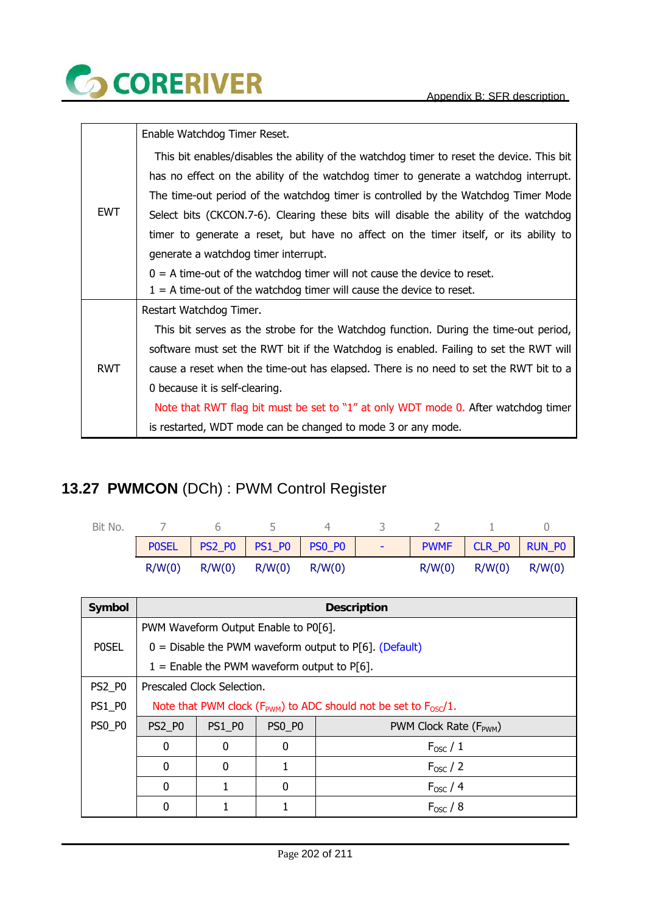

|            | Enable Watchdog Timer Reset.                                                              |
|------------|-------------------------------------------------------------------------------------------|
|            | This bit enables/disables the ability of the watchdog timer to reset the device. This bit |
|            | has no effect on the ability of the watchdog timer to generate a watchdog interrupt.      |
|            | The time-out period of the watchdog timer is controlled by the Watchdog Timer Mode        |
| <b>EWT</b> | Select bits (CKCON.7-6). Clearing these bits will disable the ability of the watchdog     |
|            | timer to generate a reset, but have no affect on the timer itself, or its ability to      |
|            | generate a watchdog timer interrupt.                                                      |
|            | $0 = A$ time-out of the watchdog timer will not cause the device to reset.                |
|            | $1 = A$ time-out of the watchdog timer will cause the device to reset.                    |
|            | Restart Watchdog Timer.                                                                   |
|            | This bit serves as the strobe for the Watchdog function. During the time-out period,      |
|            | software must set the RWT bit if the Watchdog is enabled. Failing to set the RWT will     |
| <b>RWT</b> | cause a reset when the time-out has elapsed. There is no need to set the RWT bit to a     |
|            | 0 because it is self-clearing.                                                            |
|            | Note that RWT flag bit must be set to "1" at only WDT mode 0. After watchdog timer        |
|            | is restarted, WDT mode can be changed to mode 3 or any mode.                              |

## **13.27 PWMCON** (DCh) : PWM Control Register

| Bit No. |        |                                  |        |        |        |        |                        |        |
|---------|--------|----------------------------------|--------|--------|--------|--------|------------------------|--------|
|         |        | POSEL   PS2_PO   PS1_PO   PS0_PO |        |        | $\sim$ |        | PWMF   CLR_PO   RUN_PO |        |
|         | R/W(0) | R/W(0)                           | R/W(0) | R/W(0) |        | R/W(0) | R/W(0)                 | R/W(0) |

| Symbol        |                                  | <b>Description</b>                                                                        |               |                                               |  |  |  |  |  |
|---------------|----------------------------------|-------------------------------------------------------------------------------------------|---------------|-----------------------------------------------|--|--|--|--|--|
|               |                                  | PWM Waveform Output Enable to P0[6].                                                      |               |                                               |  |  |  |  |  |
| <b>POSEL</b>  |                                  | $0 =$ Disable the PWM waveform output to P[6]. (Default)                                  |               |                                               |  |  |  |  |  |
|               |                                  |                                                                                           |               | $1 =$ Enable the PWM waveform output to P[6]. |  |  |  |  |  |
| <b>PS2_P0</b> |                                  | Prescaled Clock Selection.                                                                |               |                                               |  |  |  |  |  |
| <b>PS1 P0</b> |                                  | Note that PWM clock ( $F_{\text{PWM}}$ ) to ADC should not be set to $F_{\text{OSC}}/1$ . |               |                                               |  |  |  |  |  |
| PS0 PO        | <b>PS2 P0</b>                    | <b>PS1 P0</b>                                                                             | <b>PS0_P0</b> | PWM Clock Rate (F <sub>PWM</sub> )            |  |  |  |  |  |
|               | 0                                | 0                                                                                         | 0             | $F_{\rm osc}/1$                               |  |  |  |  |  |
|               | $\Omega$                         | $\Omega$                                                                                  |               | $F_{\rm osc}/2$                               |  |  |  |  |  |
|               | $\Omega$<br>0<br>$F_{\rm osc}/4$ |                                                                                           |               |                                               |  |  |  |  |  |
|               | O                                |                                                                                           |               | $F_{\rm osc}/8$                               |  |  |  |  |  |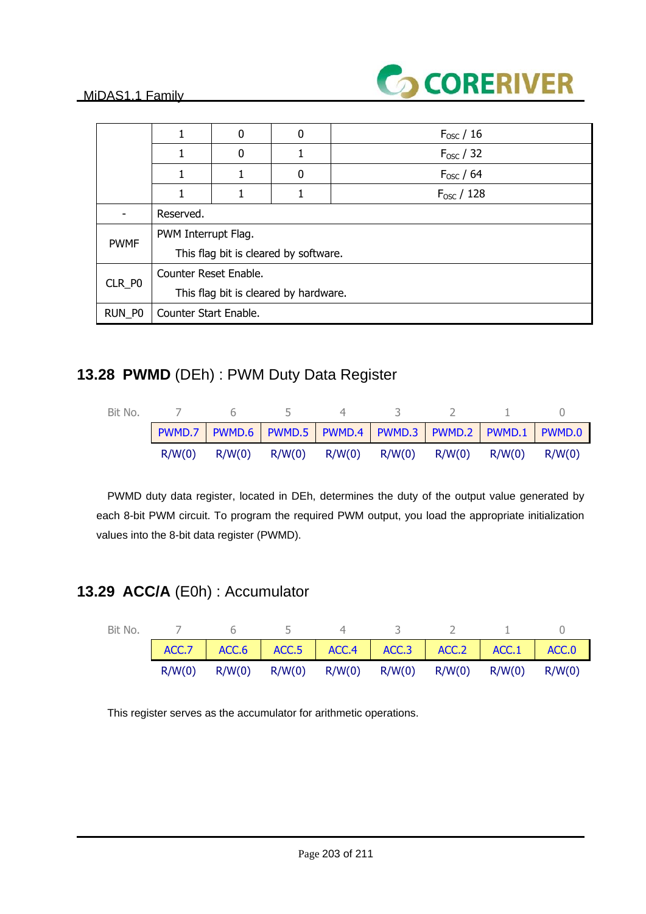

|             |                                       | 0 | 0           | $F_{\rm osc}/16$    |  |  |  |  |  |
|-------------|---------------------------------------|---|-------------|---------------------|--|--|--|--|--|
|             |                                       | 0 | 1           | $F_{\text{osc}}/32$ |  |  |  |  |  |
|             |                                       |   | $\mathbf 0$ | $F_{\text{OSC}}/64$ |  |  |  |  |  |
|             |                                       |   |             | $F_{\rm osc}/128$   |  |  |  |  |  |
|             | Reserved.                             |   |             |                     |  |  |  |  |  |
|             | PWM Interrupt Flag.                   |   |             |                     |  |  |  |  |  |
| <b>PWMF</b> | This flag bit is cleared by software. |   |             |                     |  |  |  |  |  |
|             | Counter Reset Enable.                 |   |             |                     |  |  |  |  |  |
| CLR PO      | This flag bit is cleared by hardware. |   |             |                     |  |  |  |  |  |
| RUN_PO      | Counter Start Enable.                 |   |             |                     |  |  |  |  |  |

### **13.28 PWMD** (DEh) : PWM Duty Data Register

| Bit No. |        |        |                                              |  |                                                         |
|---------|--------|--------|----------------------------------------------|--|---------------------------------------------------------|
|         |        |        |                                              |  | PWMD.7 PWMD.6 PWMD.5 PWMD.4 PWMD.3 PWMD.2 PWMD.1 PWMD.0 |
|         | R/W(0) | R/W(0) | $R/W(0)$ $R/W(0)$ $R/W(0)$ $R/W(0)$ $R/W(0)$ |  | R/W(0)                                                  |

PWMD duty data register, located in DEh, determines the duty of the output value generated by each 8-bit PWM circuit. To program the required PWM output, you load the appropriate initialization values into the 8-bit data register (PWMD).

### **13.29 ACC/A** (E0h) : Accumulator



This register serves as the accumulator for arithmetic operations.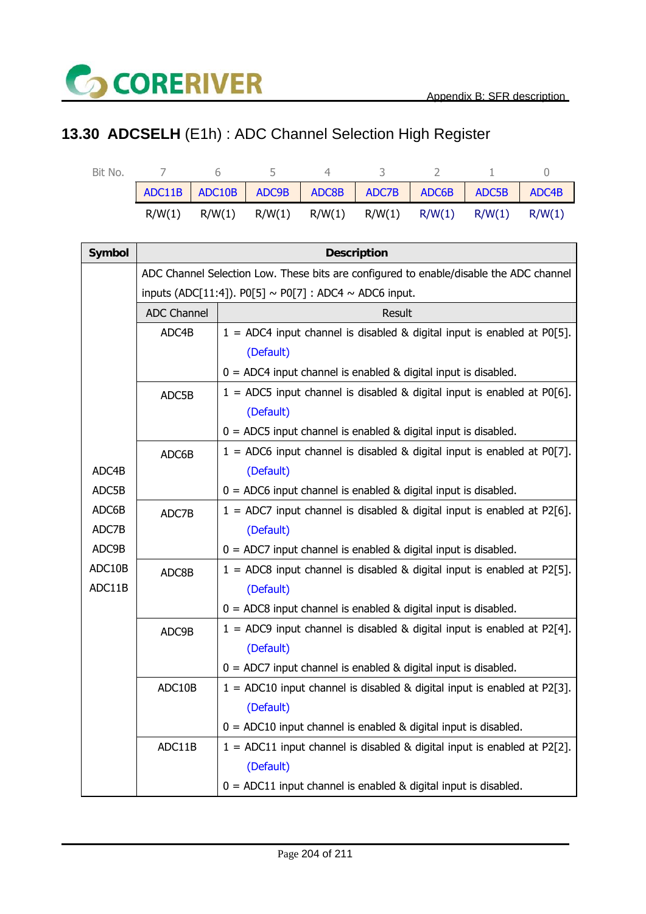

## **13.30 ADCSELH** (E1h) : ADC Channel Selection High Register

| Bit No. |                                                                         | $\sim$ |  |  |  |
|---------|-------------------------------------------------------------------------|--------|--|--|--|
|         | ADC11B ADC10B ADC9B ADC8B ADC7B ADC6B ADC5B ADC4B                       |        |  |  |  |
|         | $R/W(1)$ $R/W(1)$ $R/W(1)$ $R/W(1)$ $R/W(1)$ $R/W(1)$ $R/W(1)$ $R/W(1)$ |        |  |  |  |

| <b>Symbol</b> |                                                                  | <b>Description</b>                                                                     |  |  |  |  |  |
|---------------|------------------------------------------------------------------|----------------------------------------------------------------------------------------|--|--|--|--|--|
|               |                                                                  | ADC Channel Selection Low. These bits are configured to enable/disable the ADC channel |  |  |  |  |  |
|               |                                                                  | inputs (ADC[11:4]). P0[5] $\sim$ P0[7] : ADC4 $\sim$ ADC6 input.                       |  |  |  |  |  |
|               | <b>ADC Channel</b>                                               | Result                                                                                 |  |  |  |  |  |
|               | ADC4B                                                            | $1 = ADC4$ input channel is disabled & digital input is enabled at P0[5].              |  |  |  |  |  |
|               |                                                                  | (Default)                                                                              |  |  |  |  |  |
|               |                                                                  | $0 = ADC4$ input channel is enabled & digital input is disabled.                       |  |  |  |  |  |
|               | ADC5B                                                            | $1 = ADC5$ input channel is disabled & digital input is enabled at P0[6].              |  |  |  |  |  |
|               |                                                                  | (Default)                                                                              |  |  |  |  |  |
|               |                                                                  | $0 = ADC5$ input channel is enabled & digital input is disabled.                       |  |  |  |  |  |
|               | ADC6B                                                            | $1 = ADC6$ input channel is disabled & digital input is enabled at P0[7].              |  |  |  |  |  |
| ADC4B         |                                                                  | (Default)                                                                              |  |  |  |  |  |
| ADC5B         | $0 = ADC6$ input channel is enabled & digital input is disabled. |                                                                                        |  |  |  |  |  |
| ADC6B         | ADC7B                                                            | $1 = ADC7$ input channel is disabled & digital input is enabled at P2[6].              |  |  |  |  |  |
| ADC7B         |                                                                  | (Default)                                                                              |  |  |  |  |  |
| ADC9B         |                                                                  | $0 = ADC7$ input channel is enabled & digital input is disabled.                       |  |  |  |  |  |
| ADC10B        | ADC8B                                                            | $1 = ADC8$ input channel is disabled & digital input is enabled at P2[5].              |  |  |  |  |  |
| ADC11B        |                                                                  | (Default)                                                                              |  |  |  |  |  |
|               |                                                                  | $0 = ADC8$ input channel is enabled & digital input is disabled.                       |  |  |  |  |  |
|               | ADC9B                                                            | $1 = ADC9$ input channel is disabled & digital input is enabled at P2[4].              |  |  |  |  |  |
|               |                                                                  | (Default)                                                                              |  |  |  |  |  |
|               |                                                                  | $0 = ADC7$ input channel is enabled & digital input is disabled.                       |  |  |  |  |  |
|               | ADC10B                                                           | 1 = ADC10 input channel is disabled & digital input is enabled at P2[3].               |  |  |  |  |  |
|               |                                                                  | (Default)                                                                              |  |  |  |  |  |
|               |                                                                  | $0 = ADC10$ input channel is enabled & digital input is disabled.                      |  |  |  |  |  |
|               | ADC11B                                                           | $1 = ADC11$ input channel is disabled & digital input is enabled at P2[2].             |  |  |  |  |  |
|               |                                                                  | (Default)                                                                              |  |  |  |  |  |
|               |                                                                  | $0 = ADC11$ input channel is enabled & digital input is disabled.                      |  |  |  |  |  |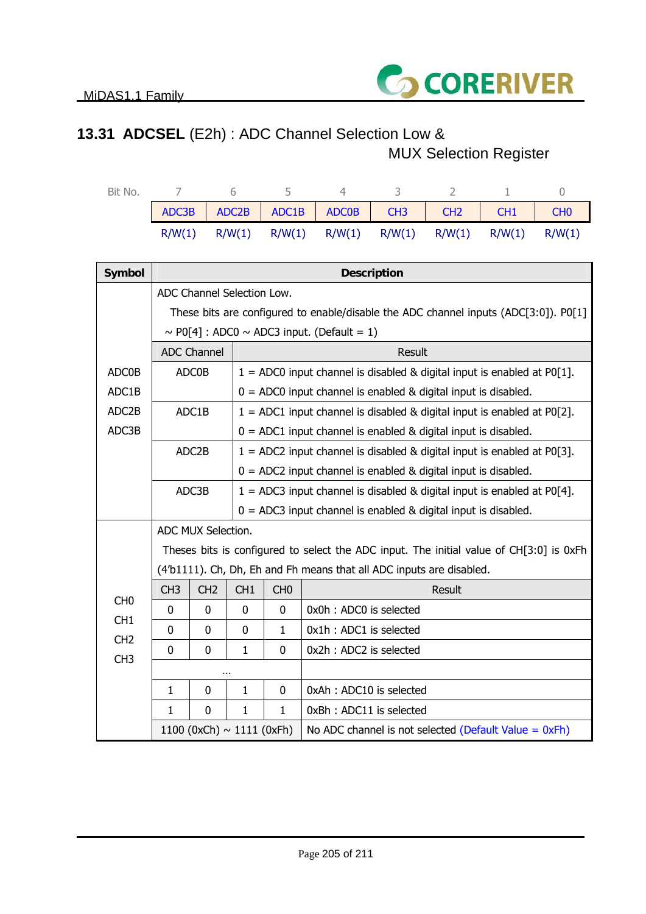

### **13.31 ADCSEL** (E2h) : ADC Channel Selection Low & MUX Selection Register

| Bit No. |                                                         |  |  |                    |                 |
|---------|---------------------------------------------------------|--|--|--------------------|-----------------|
|         | ADC3B ADC2B ADC1B ADC0B CH3 CH2                         |  |  | $\blacksquare$ CH1 | CH <sub>0</sub> |
|         | R/W(1) R/W(1) R/W(1) R/W(1) R/W(1) R/W(1) R/W(1) R/W(1) |  |  |                    |                 |

| Symbol          |                                                                                           |                                                                                      |                 |                                                                           | <b>Description</b>                                                        |  |  |  |  |
|-----------------|-------------------------------------------------------------------------------------------|--------------------------------------------------------------------------------------|-----------------|---------------------------------------------------------------------------|---------------------------------------------------------------------------|--|--|--|--|
|                 |                                                                                           | ADC Channel Selection Low.                                                           |                 |                                                                           |                                                                           |  |  |  |  |
|                 |                                                                                           | These bits are configured to enable/disable the ADC channel inputs (ADC[3:0]). P0[1] |                 |                                                                           |                                                                           |  |  |  |  |
|                 |                                                                                           | $\sim$ P0[4] : ADC0 $\sim$ ADC3 input. (Default = 1)                                 |                 |                                                                           |                                                                           |  |  |  |  |
|                 |                                                                                           | <b>ADC Channel</b>                                                                   |                 |                                                                           | <b>Result</b>                                                             |  |  |  |  |
| ADC0B           |                                                                                           | ADC0B                                                                                |                 |                                                                           | $1 = ADC0$ input channel is disabled & digital input is enabled at P0[1]. |  |  |  |  |
| ADC1B           |                                                                                           |                                                                                      |                 | $0 = ADC0$ input channel is enabled & digital input is disabled.          |                                                                           |  |  |  |  |
| ADC2B           |                                                                                           | ADC1B                                                                                |                 |                                                                           | $1 =$ ADC1 input channel is disabled & digital input is enabled at P0[2]. |  |  |  |  |
| ADC3B           |                                                                                           |                                                                                      |                 |                                                                           | $0 = ADC1$ input channel is enabled & digital input is disabled.          |  |  |  |  |
|                 |                                                                                           | ADC <sub>2</sub> B                                                                   |                 |                                                                           | $1 = ADC2$ input channel is disabled & digital input is enabled at P0[3]. |  |  |  |  |
|                 |                                                                                           |                                                                                      |                 |                                                                           | $0 = ADC2$ input channel is enabled & digital input is disabled.          |  |  |  |  |
|                 |                                                                                           | ADC3B                                                                                |                 | $1 = ADC3$ input channel is disabled & digital input is enabled at P0[4]. |                                                                           |  |  |  |  |
|                 |                                                                                           |                                                                                      |                 | $0 = ADC3$ input channel is enabled & digital input is disabled.          |                                                                           |  |  |  |  |
|                 |                                                                                           | ADC MUX Selection.                                                                   |                 |                                                                           |                                                                           |  |  |  |  |
|                 | Theses bits is configured to select the ADC input. The initial value of $CH[3:0]$ is 0xFh |                                                                                      |                 |                                                                           |                                                                           |  |  |  |  |
|                 |                                                                                           |                                                                                      |                 |                                                                           | (4'b1111). Ch, Dh, Eh and Fh means that all ADC inputs are disabled.      |  |  |  |  |
| CH <sub>0</sub> | CH3                                                                                       | CH2                                                                                  | CH <sub>1</sub> | CH <sub>0</sub>                                                           | Result                                                                    |  |  |  |  |
| CH <sub>1</sub> | $\mathbf 0$                                                                               | $\mathbf 0$                                                                          | 0               | 0                                                                         | 0x0h: ADC0 is selected                                                    |  |  |  |  |
| CH <sub>2</sub> | 0                                                                                         | $\mathbf 0$                                                                          | 0               | 1                                                                         | 0x1h: ADC1 is selected                                                    |  |  |  |  |
| CH <sub>3</sub> | 0                                                                                         | $\Omega$                                                                             | $\mathbf{1}$    | $\Omega$                                                                  | 0x2h: ADC2 is selected                                                    |  |  |  |  |
|                 |                                                                                           | $\cdots$                                                                             |                 |                                                                           |                                                                           |  |  |  |  |
|                 | $\mathbf{1}$                                                                              | $\mathbf 0$                                                                          | $\mathbf{1}$    | 0                                                                         | 0xAh: ADC10 is selected                                                   |  |  |  |  |
|                 | $\mathbf{1}$                                                                              | $\Omega$                                                                             | $\mathbf{1}$    | $\mathbf{1}$                                                              | 0xBh: ADC11 is selected                                                   |  |  |  |  |
|                 |                                                                                           | 1100 (0xCh) $\sim$ 1111 (0xFh)                                                       |                 |                                                                           | No ADC channel is not selected (Default Value = $0xFh$ )                  |  |  |  |  |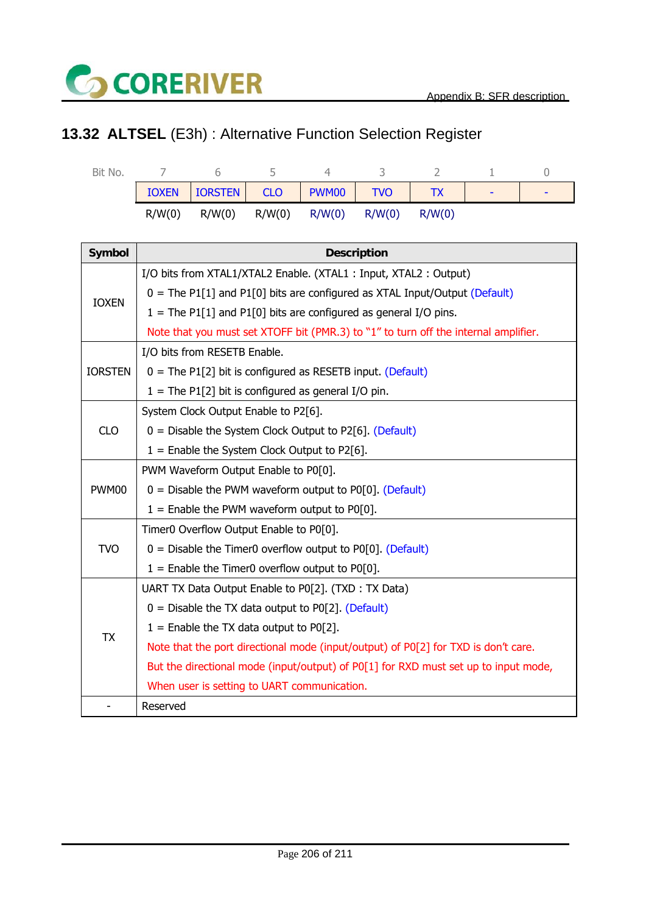

### **13.32 ALTSEL** (E3h) : Alternative Function Selection Register

| Bit No. |              |                |            |              |        |        |   |                          |
|---------|--------------|----------------|------------|--------------|--------|--------|---|--------------------------|
|         | <b>IOXEN</b> | <b>IORSTEN</b> | <b>CLO</b> | <b>PWM00</b> | TVO    |        | ٠ | $\overline{\phantom{0}}$ |
|         | R/W(0)       | R/W(0)         | R/W(0)     | R/W(0)       | R/W(0) | R/W(0) |   |                          |

| Symbol         | <b>Description</b>                                                                  |
|----------------|-------------------------------------------------------------------------------------|
|                | I/O bits from XTAL1/XTAL2 Enable. (XTAL1: Input, XTAL2: Output)                     |
|                | $0 =$ The P1[1] and P1[0] bits are configured as XTAL Input/Output (Default)        |
| <b>IOXEN</b>   | $1 =$ The P1[1] and P1[0] bits are configured as general I/O pins.                  |
|                | Note that you must set XTOFF bit (PMR.3) to "1" to turn off the internal amplifier. |
|                | I/O bits from RESETB Enable.                                                        |
| <b>IORSTEN</b> | $0 =$ The P1[2] bit is configured as RESETB input. (Default)                        |
|                | $1 =$ The P1[2] bit is configured as general I/O pin.                               |
|                | System Clock Output Enable to P2[6].                                                |
| <b>CLO</b>     | $0 =$ Disable the System Clock Output to P2[6]. (Default)                           |
|                | $1 =$ Enable the System Clock Output to P2[6].                                      |
|                | PWM Waveform Output Enable to P0[0].                                                |
| PWM00          | $0 =$ Disable the PWM waveform output to P0[0]. (Default)                           |
|                | $1 =$ Enable the PWM waveform output to P0[0].                                      |
|                | Timer0 Overflow Output Enable to P0[0].                                             |
| <b>TVO</b>     | $0 =$ Disable the Timer0 overflow output to P0[0]. (Default)                        |
|                | $1 =$ Enable the Timer0 overflow output to P0[0].                                   |
|                | UART TX Data Output Enable to P0[2]. (TXD: TX Data)                                 |
|                | $0 =$ Disable the TX data output to P0[2]. (Default)                                |
| <b>TX</b>      | $1 =$ Enable the TX data output to P0[2].                                           |
|                | Note that the port directional mode (input/output) of P0[2] for TXD is don't care.  |
|                | But the directional mode (input/output) of P0[1] for RXD must set up to input mode, |
|                | When user is setting to UART communication.                                         |
|                | Reserved                                                                            |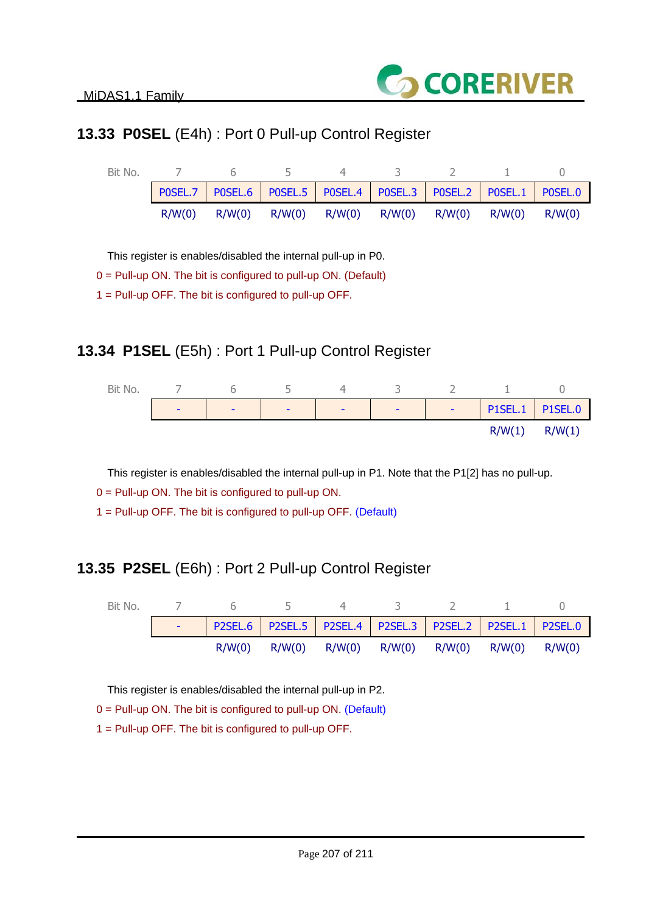### **13.33 P0SEL** (E4h) : Port 0 Pull-up Control Register

| Bit No. |        |                                                                               |                                                                |  |  |
|---------|--------|-------------------------------------------------------------------------------|----------------------------------------------------------------|--|--|
|         |        | POSEL.7   POSEL.6   POSEL.5   POSEL.4   POSEL.3   POSEL.2   POSEL.1   POSEL.0 |                                                                |  |  |
|         | R/W(0) |                                                                               | $R/W(0)$ $R/W(0)$ $R/W(0)$ $R/W(0)$ $R/W(0)$ $R/W(0)$ $R/W(0)$ |  |  |

This register is enables/disabled the internal pull-up in P0.

0 = Pull-up ON. The bit is configured to pull-up ON. (Default)

1 = Pull-up OFF. The bit is configured to pull-up OFF.

### **13.34 P1SEL** (E5h) : Port 1 Pull-up Control Register

| Bit No. |                          |                          |        |        |                          |        |                |                |
|---------|--------------------------|--------------------------|--------|--------|--------------------------|--------|----------------|----------------|
|         | $\overline{\phantom{0}}$ | $\overline{\phantom{a}}$ | $\sim$ | $\sim$ | $\overline{\phantom{0}}$ | $\sim$ | <b>P1SEL.1</b> | <b>P1SEL.0</b> |
|         |                          |                          |        |        |                          |        | R/W(1)         | R/W(1)         |

This register is enables/disabled the internal pull-up in P1. Note that the P1[2] has no pull-up.

0 = Pull-up ON. The bit is configured to pull-up ON.

1 = Pull-up OFF. The bit is configured to pull-up OFF. (Default)

### **13.35 P2SEL** (E6h) : Port 2 Pull-up Control Register

| Bit No. |        |        |                                                                     |  |        |
|---------|--------|--------|---------------------------------------------------------------------|--|--------|
|         |        |        | P2SEL.6   P2SEL.5   P2SEL.4   P2SEL.3   P2SEL.2   P2SEL.1   P2SEL.0 |  |        |
|         | R/W(0) | R/W(0) | R/W(0) R/W(0) R/W(0) R/W(0)                                         |  | R/W(0) |

This register is enables/disabled the internal pull-up in P2.

 $0 =$  Pull-up ON. The bit is configured to pull-up ON. (Default)

1 = Pull-up OFF. The bit is configured to pull-up OFF.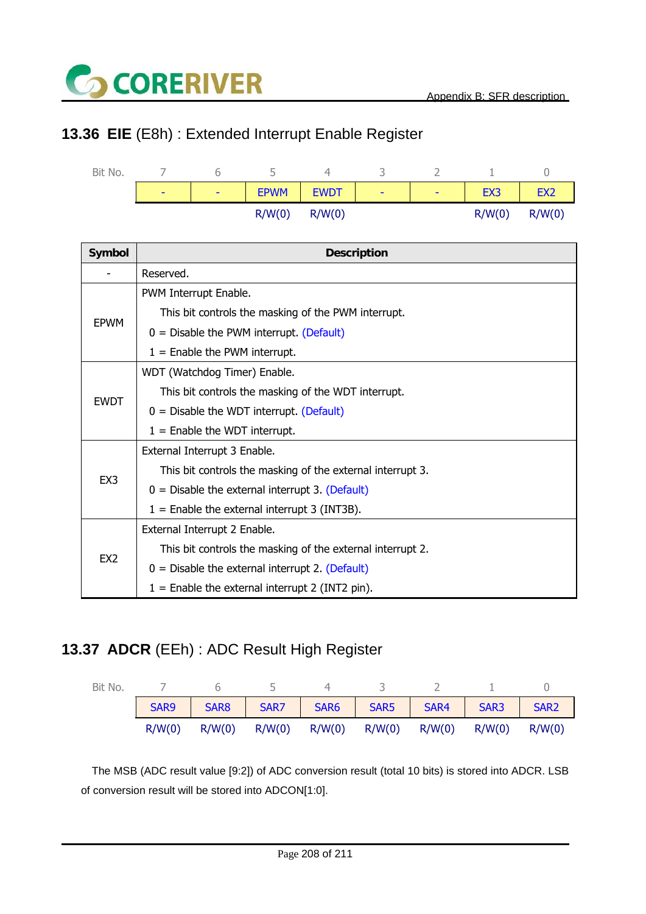

### **13.36 EIE** (E8h) : Extended Interrupt Enable Register



| <b>Symbol</b>   | <b>Description</b>                                         |  |  |  |  |  |  |
|-----------------|------------------------------------------------------------|--|--|--|--|--|--|
|                 | Reserved.                                                  |  |  |  |  |  |  |
|                 | PWM Interrupt Enable.                                      |  |  |  |  |  |  |
| <b>EPWM</b>     | This bit controls the masking of the PWM interrupt.        |  |  |  |  |  |  |
|                 | $0 =$ Disable the PWM interrupt. (Default)                 |  |  |  |  |  |  |
|                 | $1 =$ Enable the PWM interrupt.                            |  |  |  |  |  |  |
|                 | WDT (Watchdog Timer) Enable.                               |  |  |  |  |  |  |
| <b>EWDT</b>     | This bit controls the masking of the WDT interrupt.        |  |  |  |  |  |  |
|                 | $0 =$ Disable the WDT interrupt. (Default)                 |  |  |  |  |  |  |
|                 | $1 =$ Enable the WDT interrupt.                            |  |  |  |  |  |  |
|                 | External Interrupt 3 Enable.                               |  |  |  |  |  |  |
| EX <sub>3</sub> | This bit controls the masking of the external interrupt 3. |  |  |  |  |  |  |
|                 | $0 =$ Disable the external interrupt 3. (Default)          |  |  |  |  |  |  |
|                 | $1 =$ Enable the external interrupt 3 (INT3B).             |  |  |  |  |  |  |
| EX <sub>2</sub> | External Interrupt 2 Enable.                               |  |  |  |  |  |  |
|                 | This bit controls the masking of the external interrupt 2. |  |  |  |  |  |  |
|                 | $0 =$ Disable the external interrupt 2. (Default)          |  |  |  |  |  |  |
|                 | $1 =$ Enable the external interrupt 2 (INT2 pin).          |  |  |  |  |  |  |

### **13.37 ADCR** (EEh) : ADC Result High Register

| Bit No. |        |                  |        |                  |        |        |                  |                  |
|---------|--------|------------------|--------|------------------|--------|--------|------------------|------------------|
|         | SAR9   | SAR <sub>8</sub> | SAR7   | SAR <sub>6</sub> | SAR5   | SAR4   | SAR <sub>3</sub> | SAR <sub>2</sub> |
|         | R/W(0) | R/W(0)           | R/W(0) | R/W(0)           | R/W(0) | R/W(0) | R/W(0)           | R/W(0)           |

The MSB (ADC result value [9:2]) of ADC conversion result (total 10 bits) is stored into ADCR. LSB of conversion result will be stored into ADCON[1:0].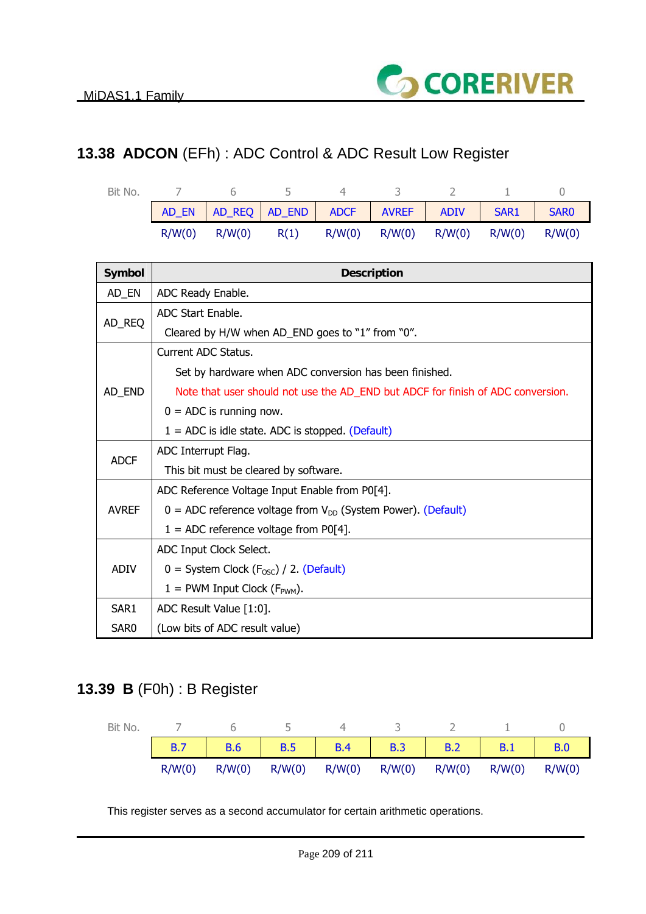

### **13.38 ADCON** (EFh) : ADC Control & ADC Result Low Register

| Bit No. |        |                                        |      |        |        |             |        |             |
|---------|--------|----------------------------------------|------|--------|--------|-------------|--------|-------------|
|         |        | AD_EN   AD_REQ   AD_END   ADCF   AVREF |      |        |        | <b>ADIV</b> | SAR1   | <b>SARO</b> |
|         | R/W(0) | R/W(0)                                 | R(1) | R/W(0) | R/W(0) | R/W(0)      | R/W(0) | R/W(0)      |

| Symbol           | <b>Description</b>                                                              |
|------------------|---------------------------------------------------------------------------------|
| AD_EN            | ADC Ready Enable.                                                               |
|                  | ADC Start Enable.                                                               |
| AD_REQ           | Cleared by H/W when AD_END goes to "1" from "0".                                |
|                  | Current ADC Status.                                                             |
|                  | Set by hardware when ADC conversion has been finished.                          |
| AD_END           | Note that user should not use the AD_END but ADCF for finish of ADC conversion. |
|                  | $0 = ADC$ is running now.                                                       |
|                  | $1 = ADC$ is idle state. ADC is stopped. (Default)                              |
| <b>ADCF</b>      | ADC Interrupt Flag.                                                             |
|                  | This bit must be cleared by software.                                           |
|                  | ADC Reference Voltage Input Enable from P0[4].                                  |
| <b>AVREF</b>     | $0 = ADC$ reference voltage from $V_{DD}$ (System Power). (Default)             |
|                  | $1 = ADC$ reference voltage from P0[4].                                         |
|                  | ADC Input Clock Select.                                                         |
| <b>ADIV</b>      | $0 =$ System Clock (F <sub>osc</sub> ) / 2. (Default)                           |
|                  | $1 =$ PWM Input Clock ( $F_{\text{PWM}}$ ).                                     |
| SAR1             | ADC Result Value [1:0].                                                         |
| SAR <sub>0</sub> | (Low bits of ADC result value)                                                  |

### **13.39 B** (F0h) : B Register



This register serves as a second accumulator for certain arithmetic operations.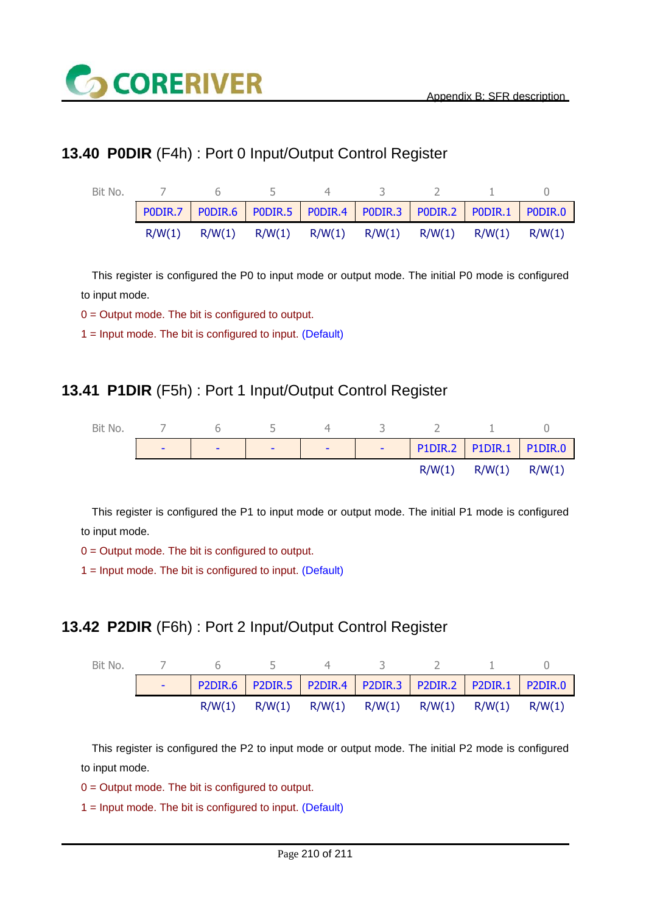

### **13.40 P0DIR** (F4h) : Port 0 Input/Output Control Register

| Bit No. |        |        |  |                                                       |  |                                                                               |
|---------|--------|--------|--|-------------------------------------------------------|--|-------------------------------------------------------------------------------|
|         |        |        |  |                                                       |  | PODIR.7   PODIR.6   PODIR.5   PODIR.4   PODIR.3   PODIR.2   PODIR.1   PODIR.0 |
|         | R/W(1) | R/W(1) |  | $R/W(1)$ $R/W(1)$ $R/W(1)$ $R/W(1)$ $R/W(1)$ $R/W(1)$ |  |                                                                               |

This register is configured the P0 to input mode or output mode. The initial P0 mode is configured to input mode.

 $0 =$  Output mode. The bit is configured to output.

1 = Input mode. The bit is configured to input. (Default)

### **13.41 P1DIR** (F5h) : Port 1 Input/Output Control Register

| Bit No. |                          |        |        |                          |        |        |                             |
|---------|--------------------------|--------|--------|--------------------------|--------|--------|-----------------------------|
|         | $\overline{\phantom{0}}$ | $\sim$ | $\sim$ | <b>State Controllers</b> |        |        | P1DIR.2   P1DIR.1   P1DIR.0 |
|         |                          |        |        |                          | R/W(1) | R/W(1) | R/W(1)                      |

This register is configured the P1 to input mode or output mode. The initial P1 mode is configured to input mode.

- 0 = Output mode. The bit is configured to output.
- 1 = Input mode. The bit is configured to input. (Default)

#### **13.42 P2DIR** (F6h) : Port 2 Input/Output Control Register



This register is configured the P2 to input mode or output mode. The initial P2 mode is configured to input mode.

- $0 =$  Output mode. The bit is configured to output.
- 1 = Input mode. The bit is configured to input. (Default)